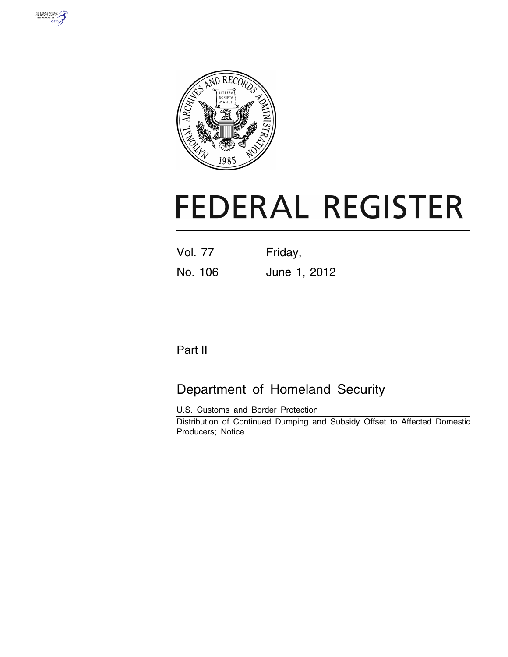



# **FEDERAL REGISTER**

| <b>Vol. 77</b> | Friday,      |
|----------------|--------------|
| No. 106        | June 1, 2012 |

# Part II

# Department of Homeland Security

U.S. Customs and Border Protection Distribution of Continued Dumping and Subsidy Offset to Affected Domestic Producers; Notice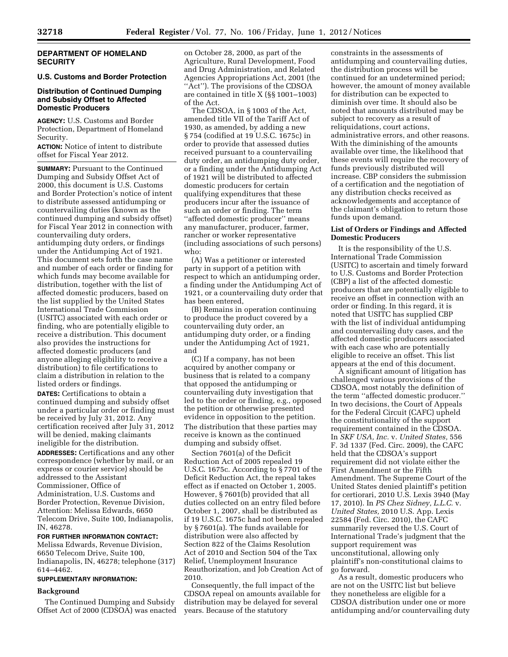#### **DEPARTMENT OF HOMELAND SECURITY**

## **U.S. Customs and Border Protection**

### **Distribution of Continued Dumping and Subsidy Offset to Affected Domestic Producers**

**AGENCY:** U.S. Customs and Border Protection, Department of Homeland Security.

**ACTION:** Notice of intent to distribute offset for Fiscal Year 2012.

**SUMMARY: Pursuant to the Continued** Dumping and Subsidy Offset Act of 2000, this document is U.S. Customs and Border Protection's notice of intent to distribute assessed antidumping or countervailing duties (known as the continued dumping and subsidy offset) for Fiscal Year 2012 in connection with countervailing duty orders, antidumping duty orders, or findings under the Antidumping Act of 1921. This document sets forth the case name and number of each order or finding for which funds may become available for distribution, together with the list of affected domestic producers, based on the list supplied by the United States International Trade Commission (USITC) associated with each order or finding, who are potentially eligible to receive a distribution. This document also provides the instructions for affected domestic producers (and anyone alleging eligibility to receive a distribution) to file certifications to claim a distribution in relation to the listed orders or findings.

**DATES:** Certifications to obtain a continued dumping and subsidy offset under a particular order or finding must be received by July 31, 2012. Any certification received after July 31, 2012 will be denied, making claimants ineligible for the distribution. **ADDRESSES:** Certifications and any other correspondence (whether by mail, or an express or courier service) should be addressed to the Assistant Commissioner, Office of Administration, U.S. Customs and Border Protection, Revenue Division, Attention: Melissa Edwards, 6650 Telecom Drive, Suite 100, Indianapolis, IN, 46278.

**FOR FURTHER INFORMATION CONTACT:** 

Melissa Edwards, Revenue Division, 6650 Telecom Drive, Suite 100, Indianapolis, IN, 46278; telephone (317) 614–4462.

#### **SUPPLEMENTARY INFORMATION:**

#### **Background**

The Continued Dumping and Subsidy Offset Act of 2000 (CDSOA) was enacted

on October 28, 2000, as part of the Agriculture, Rural Development, Food and Drug Administration, and Related Agencies Appropriations Act, 2001 (the ''Act''). The provisions of the CDSOA are contained in title X (§§ 1001–1003) of the Act.

The CDSOA, in § 1003 of the Act, amended title VII of the Tariff Act of 1930, as amended, by adding a new § 754 (codified at 19 U.S.C. 1675c) in order to provide that assessed duties received pursuant to a countervailing duty order, an antidumping duty order, or a finding under the Antidumping Act of 1921 will be distributed to affected domestic producers for certain qualifying expenditures that these producers incur after the issuance of such an order or finding. The term ''affected domestic producer'' means any manufacturer, producer, farmer, rancher or worker representative (including associations of such persons) who:

(A) Was a petitioner or interested party in support of a petition with respect to which an antidumping order, a finding under the Antidumping Act of 1921, or a countervailing duty order that has been entered,

(B) Remains in operation continuing to produce the product covered by a countervailing duty order, an antidumping duty order, or a finding under the Antidumping Act of 1921, and

(C) If a company, has not been acquired by another company or business that is related to a company that opposed the antidumping or countervailing duty investigation that led to the order or finding, e.g., opposed the petition or otherwise presented evidence in opposition to the petition. The distribution that these parties may receive is known as the continued dumping and subsidy offset.

Section 7601(a) of the Deficit Reduction Act of 2005 repealed 19 U.S.C. 1675c. According to § 7701 of the Deficit Reduction Act, the repeal takes effect as if enacted on October 1, 2005. However, § 7601(b) provided that all duties collected on an entry filed before October 1, 2007, shall be distributed as if 19 U.S.C. 1675c had not been repealed by § 7601(a). The funds available for distribution were also affected by Section 822 of the Claims Resolution Act of 2010 and Section 504 of the Tax Relief, Unemployment Insurance Reauthorization, and Job Creation Act of 2010.

Consequently, the full impact of the CDSOA repeal on amounts available for distribution may be delayed for several years. Because of the statutory

constraints in the assessments of antidumping and countervailing duties, the distribution process will be continued for an undetermined period; however, the amount of money available for distribution can be expected to diminish over time. It should also be noted that amounts distributed may be subject to recovery as a result of reliquidations, court actions, administrative errors, and other reasons. With the diminishing of the amounts available over time, the likelihood that these events will require the recovery of funds previously distributed will increase. CBP considers the submission of a certification and the negotiation of any distribution checks received as acknowledgements and acceptance of the claimant's obligation to return those funds upon demand.

#### **List of Orders or Findings and Affected Domestic Producers**

It is the responsibility of the U.S. International Trade Commission (USITC) to ascertain and timely forward to U.S. Customs and Border Protection (CBP) a list of the affected domestic producers that are potentially eligible to receive an offset in connection with an order or finding. In this regard, it is noted that USITC has supplied CBP with the list of individual antidumping and countervailing duty cases, and the affected domestic producers associated with each case who are potentially eligible to receive an offset. This list appears at the end of this document.

A significant amount of litigation has challenged various provisions of the CDSOA, most notably the definition of the term ''affected domestic producer.'' In two decisions, the Court of Appeals for the Federal Circuit (CAFC) upheld the constitutionality of the support requirement contained in the CDSOA. In *SKF USA, Inc.* v. *United States,* 556 F. 3d 1337 (Fed. Circ. 2009), the CAFC held that the CDSOA's support requirement did not violate either the First Amendment or the Fifth Amendment. The Supreme Court of the United States denied plaintiff's petition for certiorari, 2010 U.S. Lexis 3940 (May 17, 2010). In *PS Chez Sidney, L.L.C.* v. *United States,* 2010 U.S. App. Lexis 22584 (Fed. Circ. 2010), the CAFC summarily reversed the U.S. Court of International Trade's judgment that the support requirement was unconstitutional, allowing only plaintiff's non-constitutional claims to go forward.

As a result, domestic producers who are not on the USITC list but believe they nonetheless are eligible for a CDSOA distribution under one or more antidumping and/or countervailing duty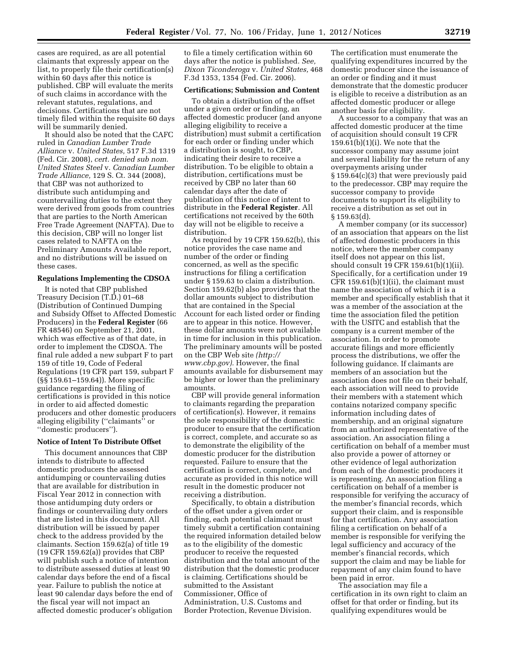cases are required, as are all potential claimants that expressly appear on the list, to properly file their certification(s) within 60 days after this notice is published. CBP will evaluate the merits of such claims in accordance with the relevant statutes, regulations, and decisions. Certifications that are not timely filed within the requisite 60 days will be summarily denied.

It should also be noted that the CAFC ruled in *Canadian Lumber Trade Alliance* v. *United States,* 517 F.3d 1319 (Fed. Cir. 2008), *cert. denied sub nom. United States Steel* v. *Canadian Lumber Trade Alliance,* 129 S. Ct. 344 (2008), that CBP was not authorized to distribute such antidumping and countervailing duties to the extent they were derived from goods from countries that are parties to the North American Free Trade Agreement (NAFTA). Due to this decision, CBP will no longer list cases related to NAFTA on the Preliminary Amounts Available report, and no distributions will be issued on these cases.

#### **Regulations Implementing the CDSOA**

It is noted that CBP published Treasury Decision (T.D.) 01–68 (Distribution of Continued Dumping and Subsidy Offset to Affected Domestic Producers) in the **Federal Register** (66 FR 48546) on September 21, 2001, which was effective as of that date, in order to implement the CDSOA. The final rule added a new subpart F to part 159 of title 19, Code of Federal Regulations (19 CFR part 159, subpart F (§§ 159.61–159.64)). More specific guidance regarding the filing of certifications is provided in this notice in order to aid affected domestic producers and other domestic producers alleging eligibility (''claimants'' or ''domestic producers'').

#### **Notice of Intent To Distribute Offset**

This document announces that CBP intends to distribute to affected domestic producers the assessed antidumping or countervailing duties that are available for distribution in Fiscal Year 2012 in connection with those antidumping duty orders or findings or countervailing duty orders that are listed in this document. All distribution will be issued by paper check to the address provided by the claimants. Section 159.62(a) of title 19 (19 CFR 159.62(a)) provides that CBP will publish such a notice of intention to distribute assessed duties at least 90 calendar days before the end of a fiscal year. Failure to publish the notice at least 90 calendar days before the end of the fiscal year will not impact an affected domestic producer's obligation to file a timely certification within 60 days after the notice is published*. See, Dixon Ticonderoga* v. *United States,* 468 F.3d 1353, 1354 (Fed. Cir. 2006).

## **Certifications; Submission and Content**

To obtain a distribution of the offset under a given order or finding, an affected domestic producer (and anyone alleging eligibility to receive a distribution) must submit a certification for each order or finding under which a distribution is sought, to CBP, indicating their desire to receive a distribution. To be eligible to obtain a distribution, certifications must be received by CBP no later than 60 calendar days after the date of publication of this notice of intent to distribute in the **Federal Register**. All certifications not received by the 60th day will not be eligible to receive a distribution.

As required by 19 CFR 159.62(b), this notice provides the case name and number of the order or finding concerned, as well as the specific instructions for filing a certification under § 159.63 to claim a distribution. Section 159.62(b) also provides that the dollar amounts subject to distribution that are contained in the Special Account for each listed order or finding are to appear in this notice. However, these dollar amounts were not available in time for inclusion in this publication. The preliminary amounts will be posted on the CBP Web site *[\(http://](http://www.cbp.gov)  [www.cbp.gov\).](http://www.cbp.gov)* However, the final amounts available for disbursement may be higher or lower than the preliminary amounts.

CBP will provide general information to claimants regarding the preparation of certification(s). However, it remains the sole responsibility of the domestic producer to ensure that the certification is correct, complete, and accurate so as to demonstrate the eligibility of the domestic producer for the distribution requested. Failure to ensure that the certification is correct, complete, and accurate as provided in this notice will result in the domestic producer not receiving a distribution.

Specifically, to obtain a distribution of the offset under a given order or finding, each potential claimant must timely submit a certification containing the required information detailed below as to the eligibility of the domestic producer to receive the requested distribution and the total amount of the distribution that the domestic producer is claiming. Certifications should be submitted to the Assistant Commissioner, Office of Administration, U.S. Customs and Border Protection, Revenue Division.

The certification must enumerate the qualifying expenditures incurred by the domestic producer since the issuance of an order or finding and it must demonstrate that the domestic producer is eligible to receive a distribution as an affected domestic producer or allege another basis for eligibility.

A successor to a company that was an affected domestic producer at the time of acquisition should consult 19 CFR  $159.61(b)(1)(i)$ . We note that the successor company may assume joint and several liability for the return of any overpayments arising under § 159.64(c)(3) that were previously paid to the predecessor. CBP may require the successor company to provide documents to support its eligibility to receive a distribution as set out in § 159.63(d).

A member company (or its successor) of an association that appears on the list of affected domestic producers in this notice, where the member company itself does not appear on this list, should consult 19 CFR 159.61(b)(1)(ii). Specifically, for a certification under 19 CFR  $159.61(b)(1)(ii)$ , the claimant must name the association of which it is a member and specifically establish that it was a member of the association at the time the association filed the petition with the USITC and establish that the company is a current member of the association. In order to promote accurate filings and more efficiently process the distributions, we offer the following guidance. If claimants are members of an association but the association does not file on their behalf, each association will need to provide their members with a statement which contains notarized company specific information including dates of membership, and an original signature from an authorized representative of the association. An association filing a certification on behalf of a member must also provide a power of attorney or other evidence of legal authorization from each of the domestic producers it is representing. An association filing a certification on behalf of a member is responsible for verifying the accuracy of the member's financial records, which support their claim, and is responsible for that certification. Any association filing a certification on behalf of a member is responsible for verifying the legal sufficiency and accuracy of the member's financial records, which support the claim and may be liable for repayment of any claim found to have been paid in error.

The association may file a certification in its own right to claim an offset for that order or finding, but its qualifying expenditures would be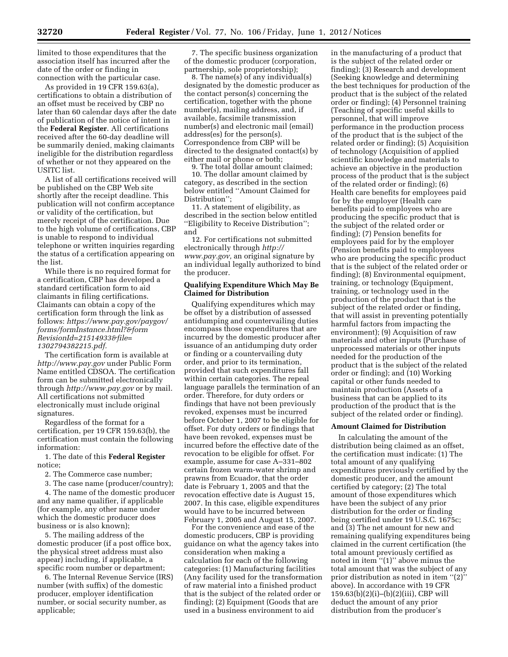limited to those expenditures that the association itself has incurred after the date of the order or finding in connection with the particular case.

As provided in 19 CFR 159.63(a), certifications to obtain a distribution of an offset must be received by CBP no later than 60 calendar days after the date of publication of the notice of intent in the **Federal Register**. All certifications received after the 60-day deadline will be summarily denied, making claimants ineligible for the distribution regardless of whether or not they appeared on the USITC list.

A list of all certifications received will be published on the CBP Web site shortly after the receipt deadline. This publication will not confirm acceptance or validity of the certification, but merely receipt of the certification. Due to the high volume of certifications, CBP is unable to respond to individual telephone or written inquiries regarding the status of a certification appearing on the list.

While there is no required format for a certification, CBP has developed a standard certification form to aid claimants in filing certifications. Claimants can obtain a copy of the certification form through the link as follows: *[https://www.pay.gov/paygov/](https://www.pay.gov/paygov/forms/formInstance.html?&formRevisionId=21514933&file=1302794382215.pdf) [forms/formInstance.html?&form](https://www.pay.gov/paygov/forms/formInstance.html?&formRevisionId=21514933&file=1302794382215.pdf) [RevisionId=21514933&file=](https://www.pay.gov/paygov/forms/formInstance.html?&formRevisionId=21514933&file=1302794382215.pdf) [1302794382215.pdf.](https://www.pay.gov/paygov/forms/formInstance.html?&formRevisionId=21514933&file=1302794382215.pdf)* 

The certification form is available at *<http://www.pay.gov>* under Public Form Name entitled CDSOA. The certification form can be submitted electronically through *<http://www.pay.gov>* or by mail. All certifications not submitted electronically must include original signatures.

Regardless of the format for a certification, per 19 CFR 159.63(b), the certification must contain the following information:

1. The date of this **Federal Register**  notice;

2. The Commerce case number;

3. The case name (producer/country);

4. The name of the domestic producer and any name qualifier, if applicable (for example, any other name under which the domestic producer does business or is also known);

5. The mailing address of the domestic producer (if a post office box, the physical street address must also appear) including, if applicable, a specific room number or department;

6. The Internal Revenue Service (IRS) number (with suffix) of the domestic producer, employer identification number, or social security number, as applicable;

7. The specific business organization of the domestic producer (corporation, partnership, sole proprietorship);

8. The name(s) of any individual(s) designated by the domestic producer as the contact person(s) concerning the certification, together with the phone number(s), mailing address, and, if available, facsimile transmission number(s) and electronic mail (email) address(es) for the person(s). Correspondence from CBP will be directed to the designated contact(s) by either mail or phone or both;

9. The total dollar amount claimed;

10. The dollar amount claimed by category, as described in the section below entitled ''Amount Claimed for Distribution'';

11. A statement of eligibility, as described in the section below entitled ''Eligibility to Receive Distribution''; and

12. For certifications not submitted electronically through *[http://](http://www.pay.gov) [www.pay.gov,](http://www.pay.gov)* an original signature by an individual legally authorized to bind the producer.

#### **Qualifying Expenditure Which May Be Claimed for Distribution**

Qualifying expenditures which may be offset by a distribution of assessed antidumping and countervailing duties encompass those expenditures that are incurred by the domestic producer after issuance of an antidumping duty order or finding or a countervailing duty order, and prior to its termination, provided that such expenditures fall within certain categories. The repeal language parallels the termination of an order. Therefore, for duty orders or findings that have not been previously revoked, expenses must be incurred before October 1, 2007 to be eligible for offset. For duty orders or findings that have been revoked, expenses must be incurred before the effective date of the revocation to be eligible for offset. For example, assume for case A–331–802 certain frozen warm-water shrimp and prawns from Ecuador, that the order date is February 1, 2005 and that the revocation effective date is August 15, 2007. In this case, eligible expenditures would have to be incurred between February 1, 2005 and August 15, 2007.

For the convenience and ease of the domestic producers, CBP is providing guidance on what the agency takes into consideration when making a calculation for each of the following categories: (1) Manufacturing facilities (Any facility used for the transformation of raw material into a finished product that is the subject of the related order or finding); (2) Equipment (Goods that are used in a business environment to aid

in the manufacturing of a product that is the subject of the related order or finding); (3) Research and development (Seeking knowledge and determining the best techniques for production of the product that is the subject of the related order or finding); (4) Personnel training (Teaching of specific useful skills to personnel, that will improve performance in the production process of the product that is the subject of the related order or finding); (5) Acquisition of technology (Acquisition of applied scientific knowledge and materials to achieve an objective in the production process of the product that is the subject of the related order or finding); (6) Health care benefits for employees paid for by the employer (Health care benefits paid to employees who are producing the specific product that is the subject of the related order or finding); (7) Pension benefits for employees paid for by the employer (Pension benefits paid to employees who are producing the specific product that is the subject of the related order or finding); (8) Environmental equipment, training, or technology (Equipment, training, or technology used in the production of the product that is the subject of the related order or finding, that will assist in preventing potentially harmful factors from impacting the environment); (9) Acquisition of raw materials and other inputs (Purchase of unprocessed materials or other inputs needed for the production of the product that is the subject of the related order or finding); and (10) Working capital or other funds needed to maintain production (Assets of a business that can be applied to its production of the product that is the subject of the related order or finding).

#### **Amount Claimed for Distribution**

In calculating the amount of the distribution being claimed as an offset, the certification must indicate: (1) The total amount of any qualifying expenditures previously certified by the domestic producer, and the amount certified by category; (2) The total amount of those expenditures which have been the subject of any prior distribution for the order or finding being certified under 19 U.S.C. 1675c; and (3) The net amount for new and remaining qualifying expenditures being claimed in the current certification (the total amount previously certified as noted in item "(1)" above minus the total amount that was the subject of any prior distribution as noted in item ''(2)'' above). In accordance with 19 CFR 159.63(b)(2)(i)–(b)(2)(iii), CBP will deduct the amount of any prior distribution from the producer's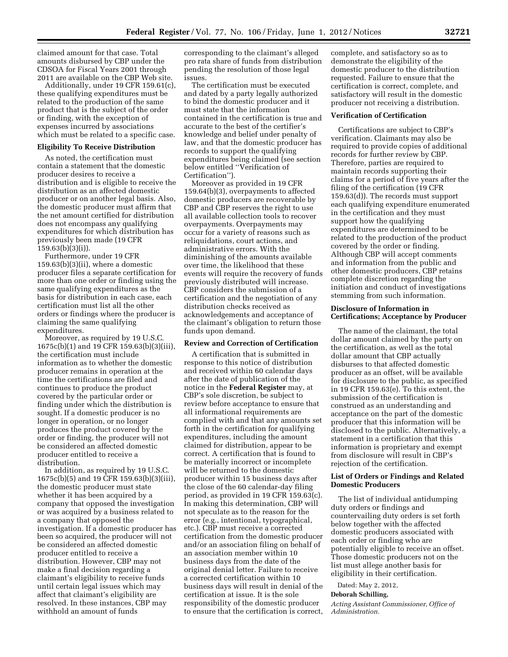claimed amount for that case. Total amounts disbursed by CBP under the CDSOA for Fiscal Years 2001 through 2011 are available on the CBP Web site.

Additionally, under 19 CFR 159.61(c), these qualifying expenditures must be related to the production of the same product that is the subject of the order or finding, with the exception of expenses incurred by associations which must be related to a specific case.

#### **Eligibility To Receive Distribution**

As noted, the certification must contain a statement that the domestic producer desires to receive a distribution and is eligible to receive the distribution as an affected domestic producer or on another legal basis. Also, the domestic producer must affirm that the net amount certified for distribution does not encompass any qualifying expenditures for which distribution has previously been made (19 CFR  $159.63(b)(3)(i)$ ).

Furthermore, under 19 CFR  $159.63(b)(3)(ii)$ , where a domestic producer files a separate certification for more than one order or finding using the same qualifying expenditures as the basis for distribution in each case, each certification must list all the other orders or findings where the producer is claiming the same qualifying expenditures.

Moreover, as required by 19 U.S.C. 1675c(b)(1) and 19 CFR 159.63(b)(3)(iii), the certification must include information as to whether the domestic producer remains in operation at the time the certifications are filed and continues to produce the product covered by the particular order or finding under which the distribution is sought. If a domestic producer is no longer in operation, or no longer produces the product covered by the order or finding, the producer will not be considered an affected domestic producer entitled to receive a distribution.

In addition, as required by 19 U.S.C. 1675c(b)(5) and 19 CFR 159.63(b)(3)(iii), the domestic producer must state whether it has been acquired by a company that opposed the investigation or was acquired by a business related to a company that opposed the investigation. If a domestic producer has been so acquired, the producer will not be considered an affected domestic producer entitled to receive a distribution. However, CBP may not make a final decision regarding a claimant's eligibility to receive funds until certain legal issues which may affect that claimant's eligibility are resolved. In these instances, CBP may withhold an amount of funds

corresponding to the claimant's alleged pro rata share of funds from distribution pending the resolution of those legal issues.

The certification must be executed and dated by a party legally authorized to bind the domestic producer and it must state that the information contained in the certification is true and accurate to the best of the certifier's knowledge and belief under penalty of law, and that the domestic producer has records to support the qualifying expenditures being claimed (see section below entitled ''Verification of Certification'').

Moreover as provided in 19 CFR 159.64(b)(3), overpayments to affected domestic producers are recoverable by CBP and CBP reserves the right to use all available collection tools to recover overpayments. Overpayments may occur for a variety of reasons such as reliquidations, court actions, and administrative errors. With the diminishing of the amounts available over time, the likelihood that these events will require the recovery of funds previously distributed will increase. CBP considers the submission of a certification and the negotiation of any distribution checks received as acknowledgements and acceptance of the claimant's obligation to return those funds upon demand.

#### **Review and Correction of Certification**

A certification that is submitted in response to this notice of distribution and received within 60 calendar days after the date of publication of the notice in the **Federal Register** may, at CBP's sole discretion, be subject to review before acceptance to ensure that all informational requirements are complied with and that any amounts set forth in the certification for qualifying expenditures, including the amount claimed for distribution, appear to be correct. A certification that is found to be materially incorrect or incomplete will be returned to the domestic producer within 15 business days after the close of the 60 calendar-day filing period, as provided in 19 CFR 159.63(c). In making this determination, CBP will not speculate as to the reason for the error (e.g., intentional, typographical, etc.). CBP must receive a corrected certification from the domestic producer and/or an association filing on behalf of an association member within 10 business days from the date of the original denial letter. Failure to receive a corrected certification within 10 business days will result in denial of the certification at issue. It is the sole responsibility of the domestic producer to ensure that the certification is correct, complete, and satisfactory so as to demonstrate the eligibility of the domestic producer to the distribution requested. Failure to ensure that the certification is correct, complete, and satisfactory will result in the domestic producer not receiving a distribution.

#### **Verification of Certification**

Certifications are subject to CBP's verification. Claimants may also be required to provide copies of additional records for further review by CBP. Therefore, parties are required to maintain records supporting their claims for a period of five years after the filing of the certification (19 CFR 159.63(d)). The records must support each qualifying expenditure enumerated in the certification and they must support how the qualifying expenditures are determined to be related to the production of the product covered by the order or finding. Although CBP will accept comments and information from the public and other domestic producers, CBP retains complete discretion regarding the initiation and conduct of investigations stemming from such information.

#### **Disclosure of Information in Certifications; Acceptance by Producer**

The name of the claimant, the total dollar amount claimed by the party on the certification, as well as the total dollar amount that CBP actually disburses to that affected domestic producer as an offset, will be available for disclosure to the public, as specified in 19 CFR 159.63(e). To this extent, the submission of the certification is construed as an understanding and acceptance on the part of the domestic producer that this information will be disclosed to the public. Alternatively, a statement in a certification that this information is proprietary and exempt from disclosure will result in CBP's rejection of the certification.

#### **List of Orders or Findings and Related Domestic Producers**

The list of individual antidumping duty orders or findings and countervailing duty orders is set forth below together with the affected domestic producers associated with each order or finding who are potentially eligible to receive an offset. Those domestic producers not on the list must allege another basis for eligibility in their certification.

Dated: May 2, 2012,

#### **Deborah Schilling,**

*Acting Assistant Commissioner, Office of Administration.*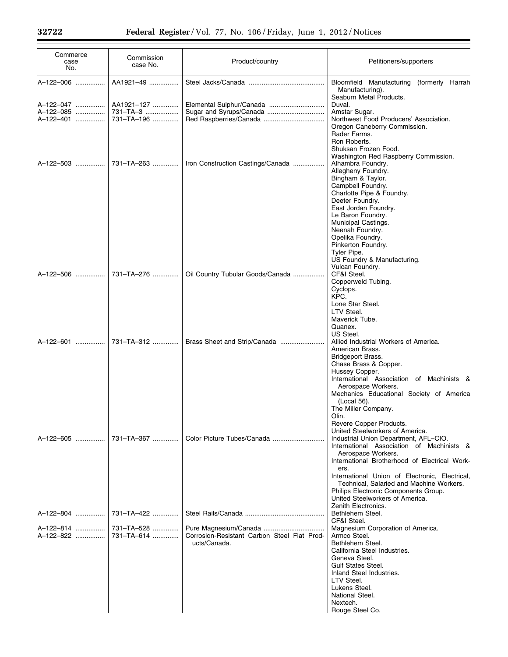Ξ

| Commerce<br>case<br>No.             | Commission<br>case No.                 | Product/country                                             | Petitioners/supporters                                                                                                                                                                                                                                                                                                                                                                             |
|-------------------------------------|----------------------------------------|-------------------------------------------------------------|----------------------------------------------------------------------------------------------------------------------------------------------------------------------------------------------------------------------------------------------------------------------------------------------------------------------------------------------------------------------------------------------------|
| A-122-006                           | AA1921-49                              |                                                             | Bloomfield Manufacturing (formerly Harrah<br>Manufacturing).<br>Seaburn Metal Products.                                                                                                                                                                                                                                                                                                            |
| A-122-047<br>A-122-085<br>A-122-401 | AA1921-127<br>731-TA-3<br>731-TA-196   | Sugar and Syrups/Canada                                     | Duval.<br>Amstar Sugar.<br>Northwest Food Producers' Association.<br>Oregon Caneberry Commission.<br>Rader Farms.<br>Ron Roberts.<br>Shuksan Frozen Food.                                                                                                                                                                                                                                          |
| A-122-503                           | 731-TA-263                             | Iron Construction Castings/Canada                           | Washington Red Raspberry Commission.<br>Alhambra Foundry.<br>Allegheny Foundry.<br>Bingham & Taylor.<br>Campbell Foundry.<br>Charlotte Pipe & Foundry.<br>Deeter Foundry.<br>East Jordan Foundry.<br>Le Baron Foundry.<br>Municipal Castings.<br>Neenah Foundry.<br>Opelika Foundry.<br>Pinkerton Foundry.<br>Tyler Pipe.                                                                          |
| A-122-506                           | 731-TA-276                             | Oil Country Tubular Goods/Canada                            | US Foundry & Manufacturing.<br>Vulcan Foundry.<br>CF&I Steel.<br>Copperweld Tubing.<br>Cyclops.<br>KPC.<br>Lone Star Steel.<br>LTV Steel.                                                                                                                                                                                                                                                          |
| A-122-601                           | 731-TA-312                             | Brass Sheet and Strip/Canada                                | Maverick Tube.<br>Quanex.<br>US Steel.<br>Allied Industrial Workers of America.<br>American Brass.<br>Bridgeport Brass.<br>Chase Brass & Copper.<br>Hussey Copper.<br>International Association of Machinists &                                                                                                                                                                                    |
| A-122-605                           | 731-TA-367                             |                                                             | Aerospace Workers.<br>Mechanics Educational Society of America<br>(Local 56).<br>The Miller Company.<br>Olin.<br>Revere Copper Products.<br>United Steelworkers of America.<br>Industrial Union Department, AFL-CIO.<br>International Association of Machinists &<br>Aerospace Workers.<br>International Brotherhood of Electrical Work-<br>ers.<br>International Union of Electronic, Electrical, |
| A-122-804<br>A-122-814<br>A-122-822 | 731-TA-422<br>731-TA-528<br>731-TA-614 | Corrosion-Resistant Carbon Steel Flat Prod-<br>ucts/Canada. | Technical, Salaried and Machine Workers.<br>Philips Electronic Components Group.<br>United Steelworkers of America.<br>Zenith Electronics.<br>Bethlehem Steel.<br>CF&I Steel.<br>Magnesium Corporation of America.<br>Armco Steel.<br>Bethlehem Steel.<br>California Steel Industries.<br>Geneva Steel.<br><b>Gulf States Steel.</b><br>Inland Steel Industries.                                   |
|                                     |                                        |                                                             | LTV Steel.<br>Lukens Steel.<br>National Steel.<br>Nextech.<br>Rouge Steel Co.                                                                                                                                                                                                                                                                                                                      |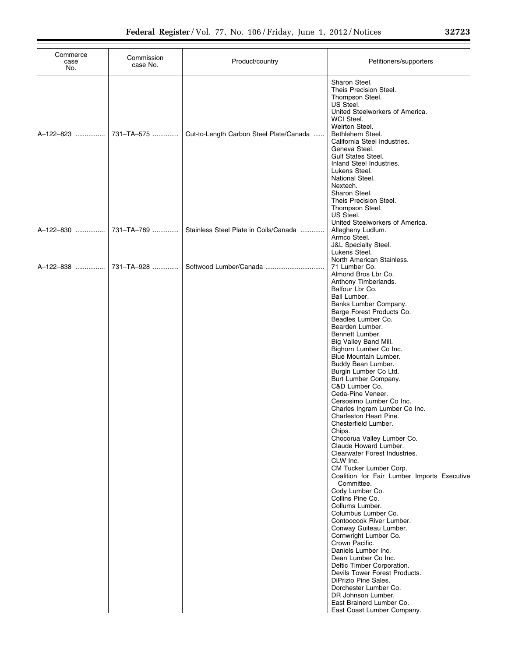| Commerce    | Commission |                                         |                                                                                                                                                                                                                                                                                                                                                                                                                                                                                                                                                                                                                                                                                                                                                                                                                                                                                                                                                                                                                                                                                                 |
|-------------|------------|-----------------------------------------|-------------------------------------------------------------------------------------------------------------------------------------------------------------------------------------------------------------------------------------------------------------------------------------------------------------------------------------------------------------------------------------------------------------------------------------------------------------------------------------------------------------------------------------------------------------------------------------------------------------------------------------------------------------------------------------------------------------------------------------------------------------------------------------------------------------------------------------------------------------------------------------------------------------------------------------------------------------------------------------------------------------------------------------------------------------------------------------------------|
| case<br>No. | case No.   | Product/country                         | Petitioners/supporters                                                                                                                                                                                                                                                                                                                                                                                                                                                                                                                                                                                                                                                                                                                                                                                                                                                                                                                                                                                                                                                                          |
| A-122-823   | 731-TA-575 | Cut-to-Length Carbon Steel Plate/Canada | Sharon Steel.<br>Theis Precision Steel.<br>Thompson Steel.<br>US Steel.<br>United Steelworkers of America.<br>WCI Steel.<br>Weirton Steel.<br>Bethlehem Steel.<br>California Steel Industries.<br>Geneva Steel.<br><b>Gulf States Steel.</b><br>Inland Steel Industries.<br>Lukens Steel.<br>National Steel.<br>Nextech.<br>Sharon Steel.<br>Theis Precision Steel.                                                                                                                                                                                                                                                                                                                                                                                                                                                                                                                                                                                                                                                                                                                             |
| A-122-830   | 731-TA-789 | Stainless Steel Plate in Coils/Canada   | Thompson Steel.<br>US Steel.<br>United Steelworkers of America.<br>Allegheny Ludlum.<br>Armco Steel.<br><b>J&amp;L Specialty Steel.</b><br>Lukens Steel.                                                                                                                                                                                                                                                                                                                                                                                                                                                                                                                                                                                                                                                                                                                                                                                                                                                                                                                                        |
|             | 731-TA-928 |                                         | North American Stainless.<br>71 Lumber Co.<br>Almond Bros Lbr Co.<br>Anthony Timberlands.                                                                                                                                                                                                                                                                                                                                                                                                                                                                                                                                                                                                                                                                                                                                                                                                                                                                                                                                                                                                       |
|             |            |                                         | Balfour Lbr Co.<br>Ball Lumber.<br>Banks Lumber Company.<br>Barge Forest Products Co.<br>Beadles Lumber Co.<br>Bearden Lumber.<br>Bennett Lumber.<br>Big Valley Band Mill.<br>Bighorn Lumber Co Inc.<br>Blue Mountain Lumber.<br>Buddy Bean Lumber.<br>Burgin Lumber Co Ltd.<br>Burt Lumber Company.<br>C&D Lumber Co.<br>Ceda-Pine Veneer.<br>Cersosimo Lumber Co Inc.<br>Charles Ingram Lumber Co Inc.<br>Charleston Heart Pine.<br>Chesterfield Lumber.<br>Chips.<br>Chocorua Valley Lumber Co.<br>Claude Howard Lumber.<br>Clearwater Forest Industries.<br>CLW Inc.<br>CM Tucker Lumber Corp.<br>Coalition for Fair Lumber Imports Executive<br>Committee.<br>Cody Lumber Co.<br>Collins Pine Co.<br>Collums Lumber.<br>Columbus Lumber Co.<br>Contoocook River Lumber.<br>Conway Guiteau Lumber.<br>Cornwright Lumber Co.<br>Crown Pacific.<br>Daniels Lumber Inc.<br>Dean Lumber Co Inc.<br>Deltic Timber Corporation.<br>Devils Tower Forest Products.<br>DiPrizio Pine Sales.<br>Dorchester Lumber Co.<br>DR Johnson Lumber.<br>East Brainerd Lumber Co.<br>East Coast Lumber Company. |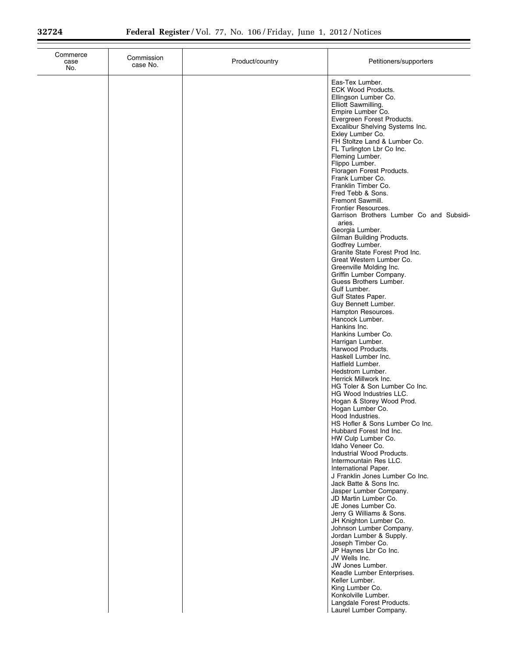| Commerce<br>case<br>No. | Commission<br>case No. | Product/country | Petitioners/supporters                                                                                                                                                                                                                                                                                                                                                                                                                                                                                                                                                                                                                                                                                                                                                                                                                                                                                                                                                                                                                                                                                                                                                                                                                                                                                                                                                                                                                                                                                                                                                                                                                                           |
|-------------------------|------------------------|-----------------|------------------------------------------------------------------------------------------------------------------------------------------------------------------------------------------------------------------------------------------------------------------------------------------------------------------------------------------------------------------------------------------------------------------------------------------------------------------------------------------------------------------------------------------------------------------------------------------------------------------------------------------------------------------------------------------------------------------------------------------------------------------------------------------------------------------------------------------------------------------------------------------------------------------------------------------------------------------------------------------------------------------------------------------------------------------------------------------------------------------------------------------------------------------------------------------------------------------------------------------------------------------------------------------------------------------------------------------------------------------------------------------------------------------------------------------------------------------------------------------------------------------------------------------------------------------------------------------------------------------------------------------------------------------|
|                         |                        |                 | Eas-Tex Lumber.<br><b>ECK Wood Products.</b><br>Ellingson Lumber Co.<br>Elliott Sawmilling.<br>Empire Lumber Co.<br>Evergreen Forest Products.<br>Excalibur Shelving Systems Inc.<br>Exley Lumber Co.<br>FH Stoltze Land & Lumber Co.<br>FL Turlington Lbr Co Inc.<br>Fleming Lumber.<br>Flippo Lumber.<br>Floragen Forest Products.<br>Frank Lumber Co.<br>Franklin Timber Co.<br>Fred Tebb & Sons.<br>Fremont Sawmill.<br>Frontier Resources.<br>Garrison Brothers Lumber Co and Subsidi-<br>aries.<br>Georgia Lumber.<br>Gilman Building Products.<br>Godfrey Lumber.<br>Granite State Forest Prod Inc.<br>Great Western Lumber Co.<br>Greenville Molding Inc.<br>Griffin Lumber Company.<br>Guess Brothers Lumber.<br>Gulf Lumber.<br>Gulf States Paper.<br>Guy Bennett Lumber.<br>Hampton Resources.<br>Hancock Lumber.<br>Hankins Inc.<br>Hankins Lumber Co.<br>Harrigan Lumber.<br>Harwood Products.<br>Haskell Lumber Inc.<br>Hatfield Lumber.<br>Hedstrom Lumber.<br>Herrick Millwork Inc.<br>HG Toler & Son Lumber Co Inc.<br>HG Wood Industries LLC.<br>Hogan & Storey Wood Prod.<br>Hogan Lumber Co.<br>Hood Industries.<br>HS Hofler & Sons Lumber Co Inc.<br>Hubbard Forest Ind Inc.<br>HW Culp Lumber Co.<br>Idaho Veneer Co.<br>Industrial Wood Products.<br>Intermountain Res LLC.<br>International Paper.<br>J Franklin Jones Lumber Co Inc.<br>Jack Batte & Sons Inc.<br>Jasper Lumber Company.<br>JD Martin Lumber Co.<br>JE Jones Lumber Co.<br>Jerry G Williams & Sons.<br>JH Knighton Lumber Co.<br>Johnson Lumber Company.<br>Jordan Lumber & Supply.<br>Joseph Timber Co.<br>JP Haynes Lbr Co Inc.<br>JV Wells Inc.<br>JW Jones Lumber. |
|                         |                        |                 | Keadle Lumber Enterprises.<br>Keller Lumber.<br>King Lumber Co.<br>Konkolville Lumber.<br>Langdale Forest Products.<br>Laurel Lumber Company.                                                                                                                                                                                                                                                                                                                                                                                                                                                                                                                                                                                                                                                                                                                                                                                                                                                                                                                                                                                                                                                                                                                                                                                                                                                                                                                                                                                                                                                                                                                    |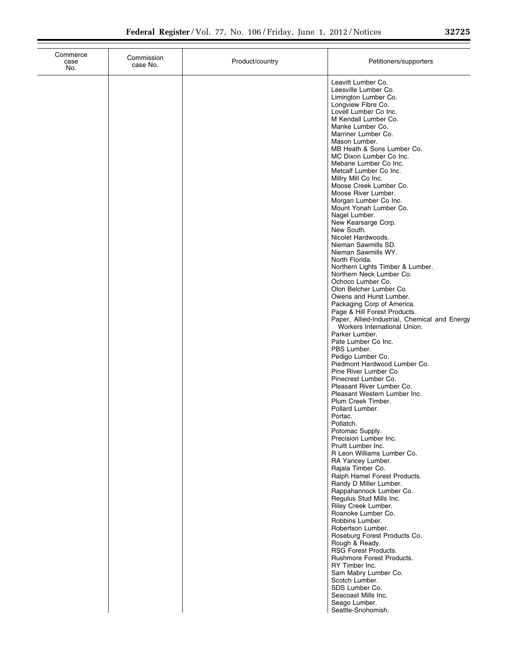| Commerce<br>case<br>No. | Commission<br>case No. | Product/country | Petitioners/supporters                                                                                                                                                                                                                                                                                                                                                                                                                                                                                                                                                                                                                                                                                                                                                                                                                                                                                                                                                                                                                                                                                                                                                                                                                                                                                                                                                                                                                                                                |
|-------------------------|------------------------|-----------------|---------------------------------------------------------------------------------------------------------------------------------------------------------------------------------------------------------------------------------------------------------------------------------------------------------------------------------------------------------------------------------------------------------------------------------------------------------------------------------------------------------------------------------------------------------------------------------------------------------------------------------------------------------------------------------------------------------------------------------------------------------------------------------------------------------------------------------------------------------------------------------------------------------------------------------------------------------------------------------------------------------------------------------------------------------------------------------------------------------------------------------------------------------------------------------------------------------------------------------------------------------------------------------------------------------------------------------------------------------------------------------------------------------------------------------------------------------------------------------------|
|                         |                        |                 | Leavitt Lumber Co.<br>Leesville Lumber Co.<br>Limington Lumber Co.<br>Longview Fibre Co.<br>Lovell Lumber Co Inc.<br>M Kendall Lumber Co.<br>Manke Lumber Co.<br>Marriner Lumber Co.<br>Mason Lumber.<br>MB Heath & Sons Lumber Co.<br>MC Dixon Lumber Co Inc.<br>Mebane Lumber Co Inc.<br>Metcalf Lumber Co Inc.<br>Millry Mill Co Inc.<br>Moose Creek Lumber Co.<br>Moose River Lumber.<br>Morgan Lumber Co Inc.<br>Mount Yonah Lumber Co.<br>Nagel Lumber.<br>New Kearsarge Corp.<br>New South.<br>Nicolet Hardwoods.<br>Nieman Sawmills SD.<br>Nieman Sawmills WY.<br>North Florida.<br>Northern Lights Timber & Lumber.<br>Northern Neck Lumber Co.<br>Ochoco Lumber Co.<br>Olon Belcher Lumber Co.<br>Owens and Hurst Lumber.<br>Packaging Corp of America.<br>Page & Hill Forest Products.<br>Paper, Allied-Industrial, Chemical and Energy<br>Workers International Union.<br>Parker Lumber.<br>Pate Lumber Co Inc.<br>PBS Lumber.<br>Pedigo Lumber Co.<br>Piedmont Hardwood Lumber Co.<br>Pine River Lumber Co.<br>Pinecrest Lumber Co.<br>Pleasant River Lumber Co.<br>Pleasant Western Lumber Inc.<br>Plum Creek Timber.<br>Pollard Lumber.<br>Portac.<br>Potlatch.<br>Potomac Supply.<br>Precision Lumber Inc.<br>Pruitt Lumber Inc.<br>R Leon Williams Lumber Co.<br>RA Yancey Lumber.<br>Rajala Timber Co.<br>Ralph Hamel Forest Products.<br>Randy D Miller Lumber.<br>Rappahannock Lumber Co.<br>Regulus Stud Mills Inc.<br>Riley Creek Lumber.<br>Roanoke Lumber Co. |
|                         |                        |                 |                                                                                                                                                                                                                                                                                                                                                                                                                                                                                                                                                                                                                                                                                                                                                                                                                                                                                                                                                                                                                                                                                                                                                                                                                                                                                                                                                                                                                                                                                       |
|                         |                        |                 | Robbins Lumber.<br>Robertson Lumber.<br>Roseburg Forest Products Co.<br>Rough & Ready.<br>RSG Forest Products.<br>Rushmore Forest Products.<br>RY Timber Inc.                                                                                                                                                                                                                                                                                                                                                                                                                                                                                                                                                                                                                                                                                                                                                                                                                                                                                                                                                                                                                                                                                                                                                                                                                                                                                                                         |
|                         |                        |                 | Sam Mabry Lumber Co.<br>Scotch Lumber.<br>SDS Lumber Co.<br>Seacoast Mills Inc.<br>Seago Lumber.<br>Seattle-Snohomish.                                                                                                                                                                                                                                                                                                                                                                                                                                                                                                                                                                                                                                                                                                                                                                                                                                                                                                                                                                                                                                                                                                                                                                                                                                                                                                                                                                |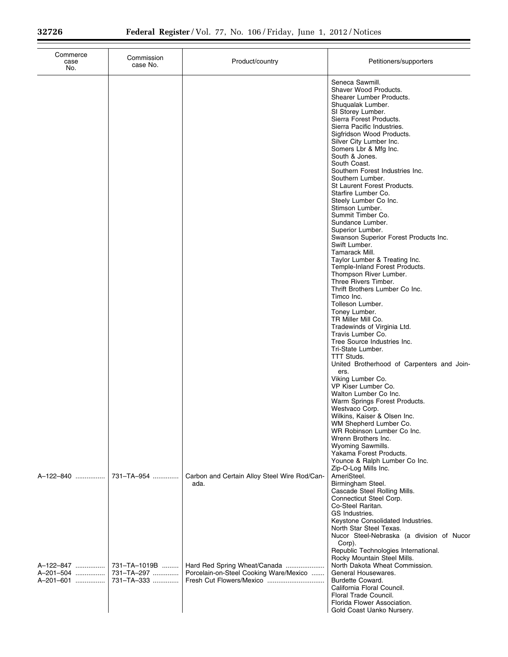| Commerce<br>case<br>No.             | Commission<br>case No.                   | Product/country                                                        | Petitioners/supporters                                                                                                                                                                                                                                                                                                                                                                                                                                                                                                                                                                                                                                                                                                                                                                                                                                                                                                                                                                                                                                                                                                           |
|-------------------------------------|------------------------------------------|------------------------------------------------------------------------|----------------------------------------------------------------------------------------------------------------------------------------------------------------------------------------------------------------------------------------------------------------------------------------------------------------------------------------------------------------------------------------------------------------------------------------------------------------------------------------------------------------------------------------------------------------------------------------------------------------------------------------------------------------------------------------------------------------------------------------------------------------------------------------------------------------------------------------------------------------------------------------------------------------------------------------------------------------------------------------------------------------------------------------------------------------------------------------------------------------------------------|
|                                     |                                          |                                                                        | Seneca Sawmill.<br>Shaver Wood Products.<br>Shearer Lumber Products.<br>Shuqualak Lumber.<br>SI Storey Lumber.<br>Sierra Forest Products.<br>Sierra Pacific Industries.<br>Sigfridson Wood Products.<br>Silver City Lumber Inc.<br>Somers Lbr & Mfg Inc.<br>South & Jones.<br>South Coast.<br>Southern Forest Industries Inc.<br>Southern Lumber.<br>St Laurent Forest Products.<br>Starfire Lumber Co.<br>Steely Lumber Co Inc.<br>Stimson Lumber.<br>Summit Timber Co.<br>Sundance Lumber.<br>Superior Lumber.<br>Swanson Superior Forest Products Inc.<br>Swift Lumber.<br>Tamarack Mill.<br>Taylor Lumber & Treating Inc.<br>Temple-Inland Forest Products.<br>Thompson River Lumber.<br>Three Rivers Timber.<br>Thrift Brothers Lumber Co Inc.<br>Timco Inc.<br>Tolleson Lumber.<br>Toney Lumber.<br>TR Miller Mill Co.<br>Tradewinds of Virginia Ltd.<br>Travis Lumber Co.<br>Tree Source Industries Inc.<br>Tri-State Lumber.<br>TTT Studs.<br>United Brotherhood of Carpenters and Join-<br>ers.<br>Viking Lumber Co.<br>VP Kiser Lumber Co.<br>Walton Lumber Co Inc.<br>Warm Springs Forest Products.<br>Westvaco Corp. |
| A-122-840                           | 731-TA-954                               | Carbon and Certain Alloy Steel Wire Rod/Can-<br>ada.                   | Wilkins, Kaiser & Olsen Inc.<br>WM Shepherd Lumber Co.<br>WR Robinson Lumber Co Inc.<br>Wrenn Brothers Inc.<br>Wyoming Sawmills.<br>Yakama Forest Products.<br>Younce & Ralph Lumber Co Inc.<br>Zip-O-Log Mills Inc.<br>AmeriSteel.<br>Birmingham Steel.<br>Cascade Steel Rolling Mills.<br>Connecticut Steel Corp.<br>Co-Steel Raritan.<br>GS Industries.<br>Keystone Consolidated Industries.                                                                                                                                                                                                                                                                                                                                                                                                                                                                                                                                                                                                                                                                                                                                  |
| A-122-847<br>A-201-504<br>A-201-601 | 731-TA-1019B<br>731-TA-297<br>731-TA-333 | Hard Red Spring Wheat/Canada<br>Porcelain-on-Steel Cooking Ware/Mexico | North Star Steel Texas.<br>Nucor Steel-Nebraska (a division of Nucor<br>Corp).<br>Republic Technologies International.<br>Rocky Mountain Steel Mills.<br>North Dakota Wheat Commission.<br>General Housewares.<br>Burdette Coward.<br>California Floral Council.<br>Floral Trade Council.<br>Florida Flower Association.<br>Gold Coast Uanko Nursery.                                                                                                                                                                                                                                                                                                                                                                                                                                                                                                                                                                                                                                                                                                                                                                            |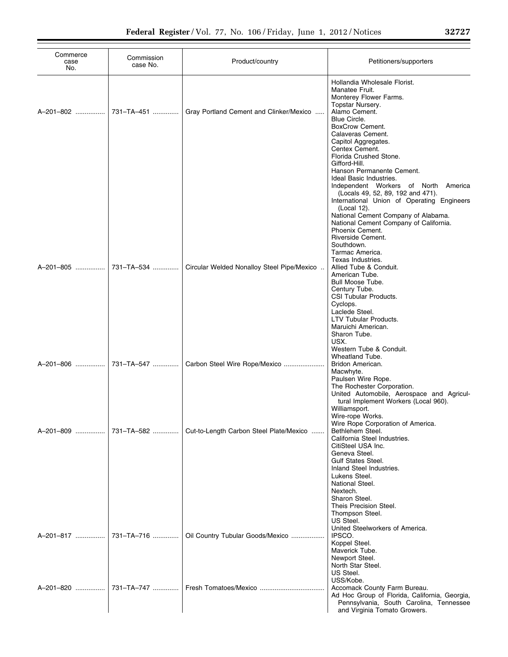| Commerce<br>case<br>No. | Commission<br>case No. | Product/country                            | Petitioners/supporters                                                                                                                                                                                                                                                                                                                                                                                 |
|-------------------------|------------------------|--------------------------------------------|--------------------------------------------------------------------------------------------------------------------------------------------------------------------------------------------------------------------------------------------------------------------------------------------------------------------------------------------------------------------------------------------------------|
| A-201-802               | 731-TA-451             | Gray Portland Cement and Clinker/Mexico    | Hollandia Wholesale Florist.<br>Manatee Fruit.<br>Monterey Flower Farms.<br>Topstar Nursery.<br>Alamo Cement.<br>Blue Circle.<br><b>BoxCrow Cement.</b><br>Calaveras Cement.<br>Capitol Aggregates.<br>Centex Cement.                                                                                                                                                                                  |
|                         |                        |                                            | Florida Crushed Stone.<br>Gifford-Hill.<br>Hanson Permanente Cement.<br>Ideal Basic Industries.<br>Independent Workers of North<br>America<br>(Locals 49, 52, 89, 192 and 471).<br>International Union of Operating Engineers<br>(Local 12).<br>National Cement Company of Alabama.<br>National Cement Company of California.<br>Phoenix Cement.<br>Riverside Cement.<br>Southdown.<br>Tarmac America. |
| A-201-805               | 731-TA-534             | Circular Welded Nonalloy Steel Pipe/Mexico | Texas Industries.<br>Allied Tube & Conduit.<br>American Tube.<br>Bull Moose Tube.<br>Century Tube.<br>CSI Tubular Products.<br>Cyclops.<br>Laclede Steel.<br>LTV Tubular Products.<br>Maruichi American.                                                                                                                                                                                               |
| A-201-806               | 731-TA-547             | Carbon Steel Wire Rope/Mexico              | Sharon Tube.<br>USX.<br>Western Tube & Conduit.<br>Wheatland Tube.<br>Bridon American.<br>Macwhyte.<br>Paulsen Wire Rope.<br>The Rochester Corporation.<br>United Automobile, Aerospace and Agricul-<br>tural Implement Workers (Local 960).                                                                                                                                                           |
| A-201-809               | 731-TA-582             | Cut-to-Length Carbon Steel Plate/Mexico    | Williamsport.<br>Wire-rope Works.<br>Wire Rope Corporation of America.<br>Bethlehem Steel.<br>California Steel Industries.<br>CitiSteel USA Inc.<br>Geneva Steel.<br><b>Gulf States Steel.</b><br>Inland Steel Industries.<br>Lukens Steel.<br>National Steel.<br>Nextech.<br>Sharon Steel.                                                                                                            |
| A-201-817               | 731-TA-716             | Oil Country Tubular Goods/Mexico           | Theis Precision Steel.<br>Thompson Steel.<br>US Steel.<br>United Steelworkers of America.<br>IPSCO.<br>Koppel Steel.<br>Maverick Tube.<br>Newport Steel.<br>North Star Steel.<br>US Steel.                                                                                                                                                                                                             |
| A-201-820               | 731-TA-747             |                                            | USS/Kobe.<br>Accomack County Farm Bureau.<br>Ad Hoc Group of Florida, California, Georgia,<br>Pennsylvania, South Carolina, Tennessee<br>and Virginia Tomato Growers.                                                                                                                                                                                                                                  |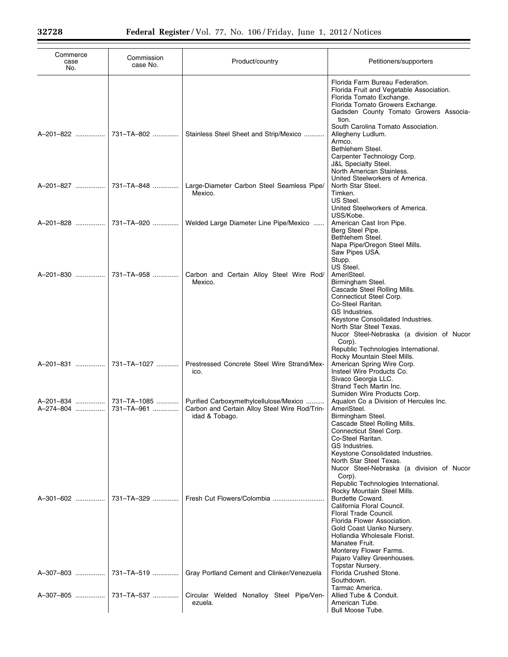| Commerce<br>case<br>No. | Commission<br>case No.    | Product/country                                                                                           | Petitioners/supporters                                                                                                                                                                                                                                                                                                                                                                                                                                                             |
|-------------------------|---------------------------|-----------------------------------------------------------------------------------------------------------|------------------------------------------------------------------------------------------------------------------------------------------------------------------------------------------------------------------------------------------------------------------------------------------------------------------------------------------------------------------------------------------------------------------------------------------------------------------------------------|
|                         |                           |                                                                                                           | Florida Farm Bureau Federation.<br>Florida Fruit and Vegetable Association.<br>Florida Tomato Exchange.<br>Florida Tomato Growers Exchange.<br>Gadsden County Tomato Growers Associa-<br>tion.                                                                                                                                                                                                                                                                                     |
| A-201-822               | 731-TA-802                | Stainless Steel Sheet and Strip/Mexico                                                                    | South Carolina Tomato Association.<br>Allegheny Ludlum.<br>Armco.<br>Bethlehem Steel.<br>Carpenter Technology Corp.<br><b>J&amp;L Specialty Steel.</b><br>North American Stainless.                                                                                                                                                                                                                                                                                                |
| A-201-827               | 731-TA-848                | Large-Diameter Carbon Steel Seamless Pipe/<br>Mexico.                                                     | United Steelworkers of America.<br>North Star Steel.<br>Timken.<br>US Steel.<br>United Steelworkers of America.                                                                                                                                                                                                                                                                                                                                                                    |
| A-201-828               | 731-TA-920                | Welded Large Diameter Line Pipe/Mexico                                                                    | USS/Kobe.<br>American Cast Iron Pipe.<br>Berg Steel Pipe.<br>Bethlehem Steel.<br>Napa Pipe/Oregon Steel Mills.<br>Saw Pipes USA.<br>Stupp.                                                                                                                                                                                                                                                                                                                                         |
| A-201-830               | 731-TA-958                | Carbon and Certain Alloy Steel Wire Rod/<br>Mexico.                                                       | US Steel.<br>AmeriSteel.<br>Birmingham Steel.<br>Cascade Steel Rolling Mills.<br>Connecticut Steel Corp.<br>Co-Steel Raritan.<br>GS Industries.<br>Keystone Consolidated Industries.<br>North Star Steel Texas.<br>Nucor Steel-Nebraska (a division of Nucor<br>Corp).                                                                                                                                                                                                             |
| A-201-831               | 731-TA-1027               | Prestressed Concrete Steel Wire Strand/Mex-<br>ico.                                                       | Republic Technologies International.<br>Rocky Mountain Steel Mills.<br>American Spring Wire Corp.<br>Insteel Wire Products Co.<br>Sivaco Georgia LLC.<br>Strand Tech Martin Inc.                                                                                                                                                                                                                                                                                                   |
| A-201-834<br>A-274-804  | 731-TA-1085<br>731-TA-961 | Purified Carboxymethylcellulose/Mexico<br>Carbon and Certain Alloy Steel Wire Rod/Trin-<br>idad & Tobago. | Sumiden Wire Products Corp.<br>Aqualon Co a Division of Hercules Inc.<br>AmeriSteel.<br>Birmingham Steel.<br>Cascade Steel Rolling Mills.<br>Connecticut Steel Corp.                                                                                                                                                                                                                                                                                                               |
| A-301-602               | 731-TA-329                |                                                                                                           | Co-Steel Raritan.<br>GS Industries.<br>Keystone Consolidated Industries.<br>North Star Steel Texas.<br>Nucor Steel-Nebraska (a division of Nucor<br>Corp).<br>Republic Technologies International.<br>Rocky Mountain Steel Mills.<br>Burdette Coward.<br>California Floral Council.<br>Floral Trade Council.<br>Florida Flower Association.<br>Gold Coast Uanko Nursery.<br>Hollandia Wholesale Florist.<br>Manatee Fruit.<br>Monterey Flower Farms.<br>Pajaro Valley Greenhouses. |
| A-307-803               | 731-TA-519                | Gray Portland Cement and Clinker/Venezuela                                                                | Topstar Nursery.<br>Florida Crushed Stone.<br>Southdown.<br>Tarmac America.                                                                                                                                                                                                                                                                                                                                                                                                        |
|                         |                           | Circular Welded Nonalloy Steel Pipe/Ven-<br>ezuela.                                                       | Allied Tube & Conduit.<br>American Tube.<br>Bull Moose Tube.                                                                                                                                                                                                                                                                                                                                                                                                                       |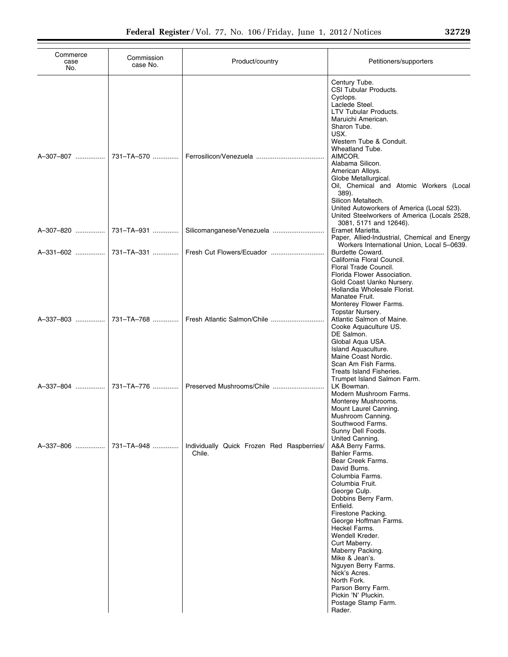| Commerce<br>case<br>No. | Commission<br>case No. | Product/country                                      | Petitioners/supporters                                                                                                                                                                                                                                                                                                                                                                                                                                            |
|-------------------------|------------------------|------------------------------------------------------|-------------------------------------------------------------------------------------------------------------------------------------------------------------------------------------------------------------------------------------------------------------------------------------------------------------------------------------------------------------------------------------------------------------------------------------------------------------------|
| A-307-807               | 731-TA-570             |                                                      | Century Tube.<br>CSI Tubular Products.<br>Cyclops.<br>Laclede Steel.<br><b>LTV Tubular Products.</b><br>Maruichi American.<br>Sharon Tube.<br>USX.<br>Western Tube & Conduit.<br>Wheatland Tube.<br>AIMCOR.<br>Alabama Silicon.<br>American Alloys.<br>Globe Metallurgical.<br>Oil, Chemical and Atomic Workers (Local<br>389).<br>Silicon Metaltech.<br>United Autoworkers of America (Local 523).<br>United Steelworkers of America (Locals 2528,               |
| A-307-820               | 731-TA-931             | Silicomanganese/Venezuela                            | 3081, 5171 and 12646).<br>Eramet Marietta.<br>Paper, Allied-Industrial, Chemical and Energy<br>Workers International Union, Local 5-0639.                                                                                                                                                                                                                                                                                                                         |
|                         | A-331-602  731-TA-331  | Fresh Cut Flowers/Ecuador                            | Burdette Coward.<br>California Floral Council.<br>Floral Trade Council.<br>Florida Flower Association.<br>Gold Coast Uanko Nursery.<br>Hollandia Wholesale Florist.<br>Manatee Fruit.                                                                                                                                                                                                                                                                             |
| A-337-803               | 731-TA-768             |                                                      | Monterey Flower Farms.<br>Topstar Nursery.<br>Atlantic Salmon of Maine.<br>Cooke Aquaculture US.<br>DE Salmon.<br>Global Aqua USA.<br>Island Aquaculture.<br>Maine Coast Nordic.<br>Scan Am Fish Farms.<br>Treats Island Fisheries.                                                                                                                                                                                                                               |
| A-337-804               | 731-TA-776             |                                                      | Trumpet Island Salmon Farm.<br>LK Bowman.<br>Modern Mushroom Farms.<br>Monterey Mushrooms.<br>Mount Laurel Canning.<br>Mushroom Canning.<br>Southwood Farms.<br>Sunny Dell Foods.                                                                                                                                                                                                                                                                                 |
| A-337-806               | 731-TA-948             | Individually Quick Frozen Red Raspberries/<br>Chile. | United Canning.<br>A&A Berry Farms.<br>Bahler Farms.<br>Bear Creek Farms.<br>David Burns.<br>Columbia Farms.<br>Columbia Fruit.<br>George Culp.<br>Dobbins Berry Farm.<br>Enfield.<br>Firestone Packing.<br>George Hoffman Farms.<br>Heckel Farms.<br>Wendell Kreder.<br>Curt Maberry.<br>Maberry Packing.<br>Mike & Jean's.<br>Nguyen Berry Farms.<br>Nick's Acres.<br>North Fork.<br>Parson Berry Farm.<br>Pickin 'N' Pluckin.<br>Postage Stamp Farm.<br>Rader. |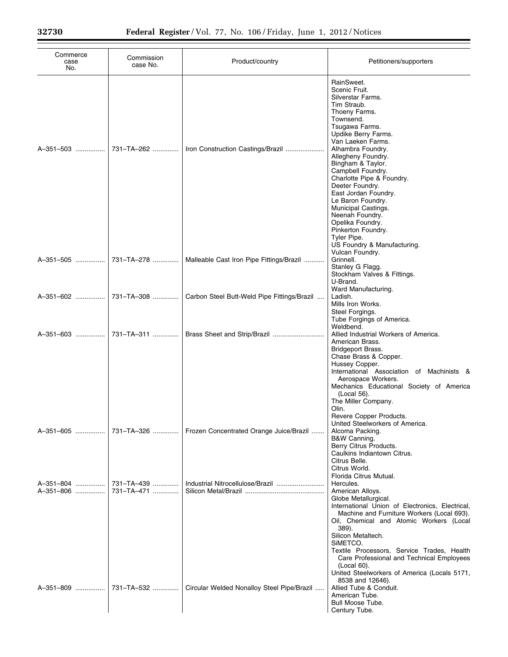| Commerce<br>case<br>No. | Commission<br>case No.   | Product/country                             | Petitioners/supporters                                                                                                                                                                                                                                                                                                                                                                                                            |
|-------------------------|--------------------------|---------------------------------------------|-----------------------------------------------------------------------------------------------------------------------------------------------------------------------------------------------------------------------------------------------------------------------------------------------------------------------------------------------------------------------------------------------------------------------------------|
| A-351-503               | 731-TA-262               | Iron Construction Castings/Brazil           | RainSweet.<br>Scenic Fruit.<br>Silverstar Farms.<br>Tim Straub.<br>Thoeny Farms.<br>Townsend.<br>Tsugawa Farms.<br>Updike Berry Farms.<br>Van Laeken Farms.<br>Alhambra Foundry.<br>Allegheny Foundry.<br>Bingham & Taylor.<br>Campbell Foundry.<br>Charlotte Pipe & Foundry.<br>Deeter Foundry.<br>East Jordan Foundry.<br>Le Baron Foundry.<br>Municipal Castings.<br>Neenah Foundry.<br>Opelika Foundry.<br>Pinkerton Foundry. |
| A-351-505               | 731-TA-278               | Malleable Cast Iron Pipe Fittings/Brazil    | Tyler Pipe.<br>US Foundry & Manufacturing.<br>Vulcan Foundry.<br>Grinnell.<br>Stanley G Flagg.<br>Stockham Valves & Fittings.<br>U-Brand.                                                                                                                                                                                                                                                                                         |
| A-351-602               | 731-TA-308               | Carbon Steel Butt-Weld Pipe Fittings/Brazil | Ward Manufacturing.<br>Ladish.<br>Mills Iron Works.<br>Steel Forgings.<br>Tube Forgings of America.                                                                                                                                                                                                                                                                                                                               |
| A-351-603               | 731-TA-311               | Brass Sheet and Strip/Brazil                | Weldbend.<br>Allied Industrial Workers of America.<br>American Brass.<br>Bridgeport Brass.<br>Chase Brass & Copper.<br>Hussey Copper.<br>International Association of Machinists &<br>Aerospace Workers.<br>Mechanics Educational Society of America<br>(Local 56).<br>The Miller Company.<br>Olin.                                                                                                                               |
| A-351-605               | 731-TA-326               | Frozen Concentrated Orange Juice/Brazil     | Revere Copper Products.<br>United Steelworkers of America.<br>Alcoma Packing.<br>B&W Canning.<br>Berry Citrus Products.<br>Caulkins Indiantown Citrus.<br>Citrus Belle.<br>Citrus World.                                                                                                                                                                                                                                          |
| A-351-804<br>A-351-806  | 731-TA-439<br>731-TA-471 |                                             | Florida Citrus Mutual.<br>Hercules.<br>American Alloys.<br>Globe Metallurgical.<br>International Union of Electronics, Electrical,<br>Machine and Furniture Workers (Local 693).<br>Oil, Chemical and Atomic Workers (Local<br>389).<br>Silicon Metaltech.<br>SIMETCO.<br>Textile Processors, Service Trades, Health<br>Care Professional and Technical Employees<br>(Local 60).<br>United Steelworkers of America (Locals 5171,  |
| A-351-809               | 731-TA-532               | Circular Welded Nonalloy Steel Pipe/Brazil  | 8538 and 12646).<br>Allied Tube & Conduit.<br>American Tube.<br>Bull Moose Tube.<br>Century Tube.                                                                                                                                                                                                                                                                                                                                 |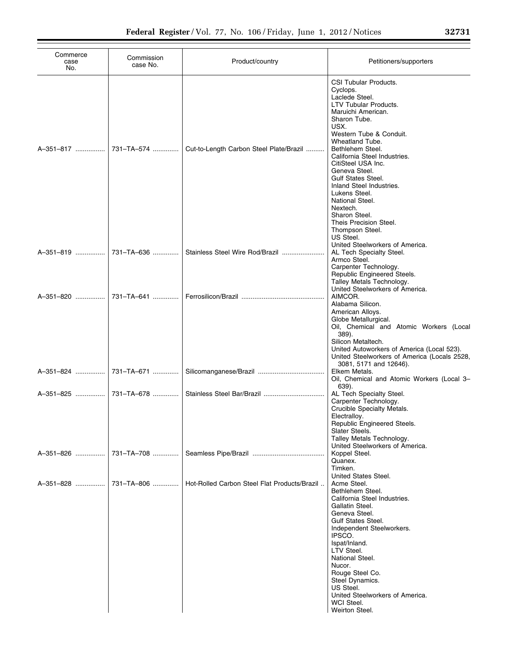| Commerce<br>case<br>No. | Commission<br>case No.   | Product/country                              | Petitioners/supporters                                                                                                                                                                                                                                                                                                                                                                                                                            |
|-------------------------|--------------------------|----------------------------------------------|---------------------------------------------------------------------------------------------------------------------------------------------------------------------------------------------------------------------------------------------------------------------------------------------------------------------------------------------------------------------------------------------------------------------------------------------------|
| A-351-817               | 731-TA-574               | Cut-to-Length Carbon Steel Plate/Brazil      | CSI Tubular Products.<br>Cyclops.<br>Laclede Steel.<br><b>LTV Tubular Products.</b><br>Maruichi American.<br>Sharon Tube.<br>USX.<br>Western Tube & Conduit.<br>Wheatland Tube.<br>Bethlehem Steel.<br>California Steel Industries.<br>CitiSteel USA Inc.<br>Geneva Steel.<br><b>Gulf States Steel.</b><br>Inland Steel Industries.<br>Lukens Steel.<br>National Steel.<br>Nextech.<br>Sharon Steel.<br>Theis Precision Steel.<br>Thompson Steel. |
| A-351-819               | 731-TA-636               | Stainless Steel Wire Rod/Brazil              | US Steel.<br>United Steelworkers of America.<br>AL Tech Specialty Steel.<br>Armco Steel.<br>Carpenter Technology.                                                                                                                                                                                                                                                                                                                                 |
| A-351-820               | 731-TA-641               |                                              | Republic Engineered Steels.<br>Talley Metals Technology.<br>United Steelworkers of America.<br>AIMCOR.<br>Alabama Silicon.<br>American Alloys.<br>Globe Metallurgical.<br>Oil, Chemical and Atomic Workers (Local<br>389).                                                                                                                                                                                                                        |
| A-351-824<br>A-351-825  | 731-TA-671<br>731-TA-678 |                                              | Silicon Metaltech.<br>United Autoworkers of America (Local 523).<br>United Steelworkers of America (Locals 2528,<br>3081, 5171 and 12646).<br>Elkem Metals.<br>Oil, Chemical and Atomic Workers (Local 3-<br>639).<br>AL Tech Specialty Steel.<br>Carpenter Technology.<br>Crucible Specialty Metals.                                                                                                                                             |
| A-351-826               | 731-TA-708               |                                              | Electralloy.<br>Republic Engineered Steels.<br>Slater Steels.<br>Talley Metals Technology.<br>United Steelworkers of America.<br>Koppel Steel.<br>Quanex.<br>Timken.                                                                                                                                                                                                                                                                              |
| A-351-828               | 731-TA-806               | Hot-Rolled Carbon Steel Flat Products/Brazil | United States Steel.<br>Acme Steel.<br>Bethlehem Steel.<br>California Steel Industries.<br>Gallatin Steel.<br>Geneva Steel.<br><b>Gulf States Steel.</b>                                                                                                                                                                                                                                                                                          |
|                         |                          |                                              | Independent Steelworkers.<br>IPSCO.<br>Ispat/Inland.<br>LTV Steel.<br>National Steel.<br>Nucor.<br>Rouge Steel Co.<br>Steel Dynamics.<br>US Steel.<br>United Steelworkers of America.<br>WCI Steel.<br>Weirton Steel.                                                                                                                                                                                                                             |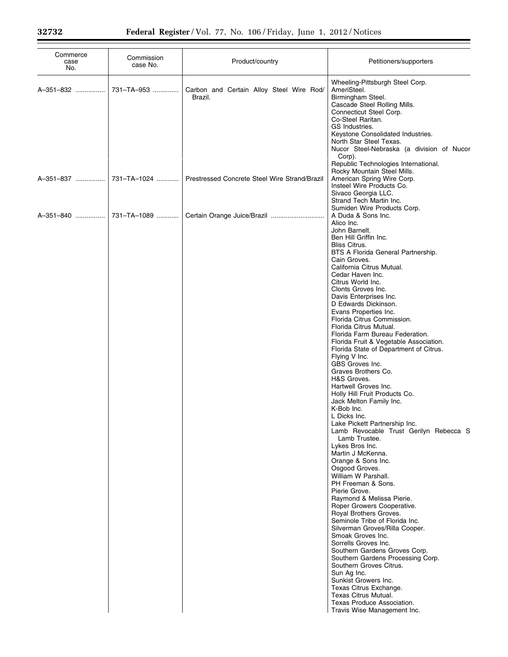| Commerce<br>case<br>No. | Commission<br>case No. | Product/country                                     | Petitioners/supporters                                                                                                                                                                                                                                                                                                                                                                                                                                                                                                                                                                                                                                                                                                                                                                                                                                                                                                                                                                                                                                                                                                                                                                                                                                                                                                                                                                                                                           |
|-------------------------|------------------------|-----------------------------------------------------|--------------------------------------------------------------------------------------------------------------------------------------------------------------------------------------------------------------------------------------------------------------------------------------------------------------------------------------------------------------------------------------------------------------------------------------------------------------------------------------------------------------------------------------------------------------------------------------------------------------------------------------------------------------------------------------------------------------------------------------------------------------------------------------------------------------------------------------------------------------------------------------------------------------------------------------------------------------------------------------------------------------------------------------------------------------------------------------------------------------------------------------------------------------------------------------------------------------------------------------------------------------------------------------------------------------------------------------------------------------------------------------------------------------------------------------------------|
| A-351-832               | 731-TA-953             | Carbon and Certain Alloy Steel Wire Rod/<br>Brazil. | Wheeling-Pittsburgh Steel Corp.<br>AmeriSteel.<br>Birmingham Steel.<br>Cascade Steel Rolling Mills.<br>Connecticut Steel Corp.<br>Co-Steel Raritan.<br>GS Industries.<br>Keystone Consolidated Industries.<br>North Star Steel Texas.<br>Nucor Steel-Nebraska (a division of Nucor<br>Corp).<br>Republic Technologies International.                                                                                                                                                                                                                                                                                                                                                                                                                                                                                                                                                                                                                                                                                                                                                                                                                                                                                                                                                                                                                                                                                                             |
| A-351-837               | 731-TA-1024            | Prestressed Concrete Steel Wire Strand/Brazil       | Rocky Mountain Steel Mills.<br>American Spring Wire Corp.<br>Insteel Wire Products Co.<br>Sivaco Georgia LLC.<br>Strand Tech Martin Inc.                                                                                                                                                                                                                                                                                                                                                                                                                                                                                                                                                                                                                                                                                                                                                                                                                                                                                                                                                                                                                                                                                                                                                                                                                                                                                                         |
| A-351-840               | 731–TA–1089            |                                                     | Sumiden Wire Products Corp.<br>A Duda & Sons Inc.<br>Alico Inc.<br>John Barnelt.<br>Ben Hill Griffin Inc.<br><b>Bliss Citrus.</b><br>BTS A Florida General Partnership.<br>Cain Groves.<br>California Citrus Mutual.<br>Cedar Haven Inc.<br>Citrus World Inc.<br>Clonts Groves Inc.<br>Davis Enterprises Inc.<br>D Edwards Dickinson.<br>Evans Properties Inc.<br>Florida Citrus Commission.<br>Florida Citrus Mutual.<br>Florida Farm Bureau Federation.<br>Florida Fruit & Vegetable Association.<br>Florida State of Department of Citrus.<br>Flying V Inc.<br>GBS Groves Inc.<br>Graves Brothers Co.<br>H&S Groves.<br>Hartwell Groves Inc.<br>Holly Hill Fruit Products Co.<br>Jack Melton Family Inc.<br>K-Bob Inc.<br>L Dicks Inc.<br>Lake Pickett Partnership Inc.<br>Lamb Revocable Trust Gerilyn Rebecca S<br>Lamb Trustee.<br>Lykes Bros Inc.<br>Martin J McKenna.<br>Orange & Sons Inc.<br>Osgood Groves.<br>William W Parshall.<br>PH Freeman & Sons.<br>Pierie Grove.<br>Raymond & Melissa Pierie.<br>Roper Growers Cooperative.<br>Royal Brothers Groves.<br>Seminole Tribe of Florida Inc.<br>Silverman Groves/Rilla Cooper.<br>Smoak Groves Inc.<br>Sorrells Groves Inc.<br>Southern Gardens Groves Corp.<br>Southern Gardens Processing Corp.<br>Southern Groves Citrus.<br>Sun Ag Inc.<br>Sunkist Growers Inc.<br>Texas Citrus Exchange.<br>Texas Citrus Mutual.<br>Texas Produce Association.<br>Travis Wise Management Inc. |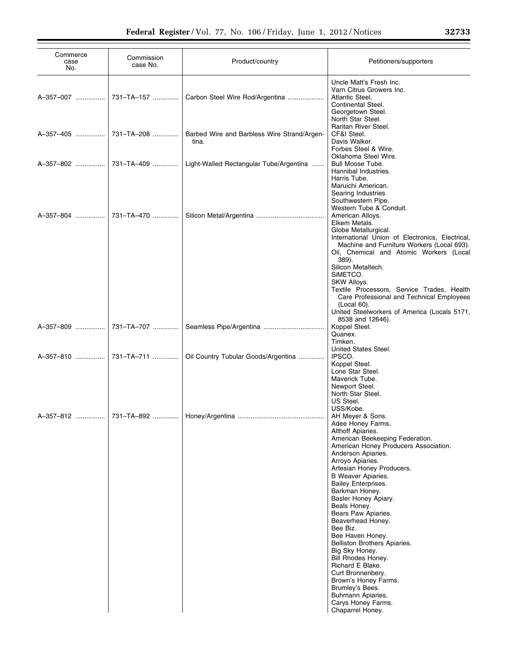| Commerce<br>case<br>No. | Commission<br>case No. | Product/country                                      | Petitioners/supporters                                                                                                                                                                                                                                                                                                                                                                                                                                                                                                                                                                                                                   |
|-------------------------|------------------------|------------------------------------------------------|------------------------------------------------------------------------------------------------------------------------------------------------------------------------------------------------------------------------------------------------------------------------------------------------------------------------------------------------------------------------------------------------------------------------------------------------------------------------------------------------------------------------------------------------------------------------------------------------------------------------------------------|
| A-357-007               | 731-TA-157             | Carbon Steel Wire Rod/Argentina                      | Uncle Matt's Fresh Inc.<br>Varn Citrus Growers Inc.<br>Atlantic Steel.<br>Continental Steel.<br>Georgetown Steel.<br>North Star Steel.                                                                                                                                                                                                                                                                                                                                                                                                                                                                                                   |
| A-357-405               | 731-TA-208             | Barbed Wire and Barbless Wire Strand/Argen-<br>tina. | Raritan River Steel.<br>CF&I Steel.<br>Davis Walker.<br>Forbes Steel & Wire.                                                                                                                                                                                                                                                                                                                                                                                                                                                                                                                                                             |
| A-357-802               | 731–TA–409             | Light-Walled Rectangular Tube/Argentina              | Oklahoma Steel Wire.<br>Bull Moose Tube.<br>Hannibal Industries.<br>Harris Tube.                                                                                                                                                                                                                                                                                                                                                                                                                                                                                                                                                         |
| A-357-804               | 731-TA-470             |                                                      | Maruichi American.<br>Searing Industries.<br>Southwestern Pipe.<br>Western Tube & Conduit.<br>American Alloys.<br>Elkem Metals.<br>Globe Metallurgical.<br>International Union of Electronics, Electrical,<br>Machine and Furniture Workers (Local 693).<br>Oil, Chemical and Atomic Workers (Local                                                                                                                                                                                                                                                                                                                                      |
|                         |                        |                                                      | 389).<br>Silicon Metaltech.<br>SIMETCO.<br>SKW Alloys.<br>Textile Processors, Service Trades, Health<br>Care Professional and Technical Employees<br>(Local 60).<br>United Steelworkers of America (Locals 5171,<br>8538 and 12646).                                                                                                                                                                                                                                                                                                                                                                                                     |
| A-357-809               | 731-TA-707             |                                                      | Koppel Steel.<br>Quanex.<br>Timken.<br>United States Steel.                                                                                                                                                                                                                                                                                                                                                                                                                                                                                                                                                                              |
| A-357-810               | 731-TA-711             | Oil Country Tubular Goods/Argentina                  | IPSCO.<br>Koppel Steel.<br>Lone Star Steel.<br>Maverick Tube.<br>Newport Steel.<br>North Star Steel.<br>US Steel.                                                                                                                                                                                                                                                                                                                                                                                                                                                                                                                        |
| A-357-812               | 731-TA-892             |                                                      | USS/Kobe.<br>AH Meyer & Sons.<br>Adee Honey Farms.<br>Althoff Apiaries.<br>American Beekeeping Federation.<br>American Honey Producers Association.<br>Anderson Apiaries.<br>Arroyo Apiaries.<br>Artesian Honey Producers.<br>B Weaver Apiaries.<br>Bailey Enterprises.<br>Barkman Honey.<br>Basler Honey Apiary.<br>Beals Honey.<br>Bears Paw Apiaries.<br>Beaverhead Honey.<br>Bee Biz.<br>Bee Haven Honey.<br>Belliston Brothers Apiaries.<br>Big Sky Honey.<br>Bill Rhodes Honey.<br>Richard E Blake.<br>Curt Bronnenbery.<br>Brown's Honey Farms.<br>Brumley's Bees.<br>Buhmann Apiaries.<br>Carys Honey Farms.<br>Chaparrel Honey. |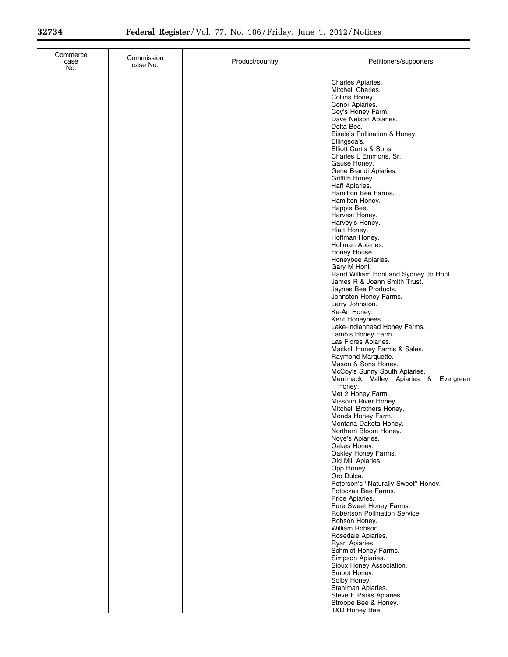| Commerce<br>case<br>No. | Commission<br>case No. | Product/country | Petitioners/supporters                                                                                                                                                                                                                                                                                                                                                                                                                                                                                                                                                                                                                                                                                                                                                                                                                                                                                                                                                                                                                                                                                                                                                                                                                                                                                                                                                                                                                                                                                                                |
|-------------------------|------------------------|-----------------|---------------------------------------------------------------------------------------------------------------------------------------------------------------------------------------------------------------------------------------------------------------------------------------------------------------------------------------------------------------------------------------------------------------------------------------------------------------------------------------------------------------------------------------------------------------------------------------------------------------------------------------------------------------------------------------------------------------------------------------------------------------------------------------------------------------------------------------------------------------------------------------------------------------------------------------------------------------------------------------------------------------------------------------------------------------------------------------------------------------------------------------------------------------------------------------------------------------------------------------------------------------------------------------------------------------------------------------------------------------------------------------------------------------------------------------------------------------------------------------------------------------------------------------|
|                         |                        |                 | Charles Apiaries.<br>Mitchell Charles.<br>Collins Honey.<br>Conor Apiaries.<br>Coy's Honey Farm.<br>Dave Nelson Apiaries.<br>Delta Bee.<br>Eisele's Pollination & Honey.<br>Ellingsoa's.<br>Elliott Curtis & Sons.<br>Charles L Emmons, Sr.<br>Gause Honey.<br>Gene Brandi Apiaries.<br>Griffith Honey.<br>Haff Apiaries.<br>Hamilton Bee Farms.<br>Hamilton Honey.<br>Happie Bee.<br>Harvest Honey.<br>Harvey's Honey.<br>Hiatt Honey.<br>Hoffman Honey.<br>Hollman Apiaries.<br>Honey House.<br>Honeybee Apiaries.<br>Gary M Honl.<br>Rand William Honl and Sydney Jo Honl.<br>James R & Joann Smith Trust.<br>Jaynes Bee Products.<br>Johnston Honey Farms.<br>Larry Johnston.<br>Ke-An Honey.<br>Kent Honeybees.<br>Lake-Indianhead Honey Farms.<br>Lamb's Honey Farm.<br>Las Flores Apiaries.<br>Mackrill Honey Farms & Sales.<br>Raymond Marquette.<br>Mason & Sons Honey.<br>McCoy's Sunny South Apiaries.<br>Merrimack Valley Apiaries & Evergreen<br>Honey.<br>Met 2 Honey Farm.<br>Missouri River Honey.<br>Mitchell Brothers Honey.<br>Monda Honey Farm.<br>Montana Dakota Honey.<br>Northern Bloom Honey.<br>Noye's Apiaries.<br>Oakes Honey.<br>Oakley Honey Farms.<br>Old Mill Apiaries.<br>Opp Honey.<br>Oro Dulce.<br>Peterson's "Naturally Sweet" Honey.<br>Potoczak Bee Farms.<br>Price Apiaries.<br>Pure Sweet Honey Farms.<br>Robertson Pollination Service.<br>Robson Honey.<br>William Robson.<br>Rosedale Apiaries.<br>Ryan Apiaries.<br>Schmidt Honey Farms.<br>Simpson Apiaries.<br>Sioux Honey Association. |
|                         |                        |                 | Smoot Honey.<br>Solby Honey.<br>Stahlman Apiaries.<br>Steve E Parks Apiaries.<br>Stroope Bee & Honey.<br>T&D Honey Bee.                                                                                                                                                                                                                                                                                                                                                                                                                                                                                                                                                                                                                                                                                                                                                                                                                                                                                                                                                                                                                                                                                                                                                                                                                                                                                                                                                                                                               |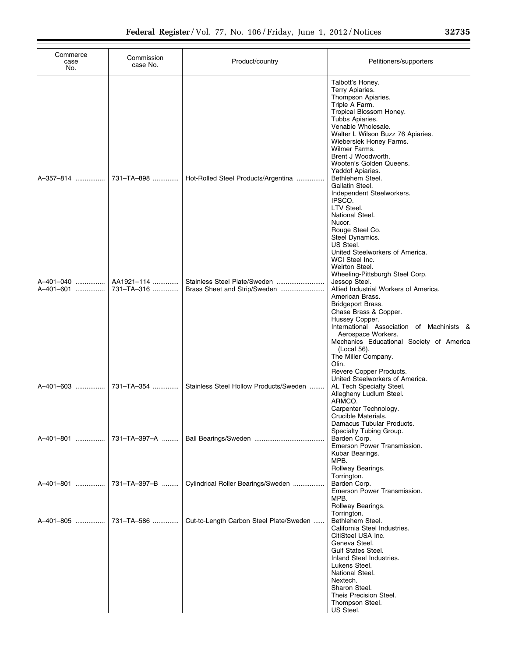| Commerce<br>case<br>No.             | Commission<br>case No.                 | Product/country                                                                                     | Petitioners/supporters                                                                                                                                                                                                                                                                                                                                                                                                                                                                                                                                                                                                                                                                                                                                                                                                                                  |
|-------------------------------------|----------------------------------------|-----------------------------------------------------------------------------------------------------|---------------------------------------------------------------------------------------------------------------------------------------------------------------------------------------------------------------------------------------------------------------------------------------------------------------------------------------------------------------------------------------------------------------------------------------------------------------------------------------------------------------------------------------------------------------------------------------------------------------------------------------------------------------------------------------------------------------------------------------------------------------------------------------------------------------------------------------------------------|
| A-357-814<br>A-401-040<br>A-401-601 | 731–TA–898<br>AA1921-114<br>731-TA-316 | Hot-Rolled Steel Products/Argentina<br>Stainless Steel Plate/Sweden<br>Brass Sheet and Strip/Sweden | Talbott's Honey.<br>Terry Apiaries.<br>Thompson Apiaries.<br>Triple A Farm.<br>Tropical Blossom Honey.<br>Tubbs Apiaries.<br>Venable Wholesale.<br>Walter L Wilson Buzz 76 Apiaries.<br>Wiebersiek Honey Farms.<br>Wilmer Farms.<br>Brent J Woodworth.<br>Wooten's Golden Queens.<br>Yaddof Apiaries.<br>Bethlehem Steel.<br>Gallatin Steel.<br>Independent Steelworkers.<br>IPSCO.<br>LTV Steel.<br>National Steel.<br>Nucor.<br>Rouge Steel Co.<br>Steel Dynamics.<br>US Steel.<br>United Steelworkers of America.<br>WCI Steel Inc.<br>Weirton Steel.<br>Wheeling-Pittsburgh Steel Corp.<br>Jessop Steel.<br>Allied Industrial Workers of America.<br>American Brass.<br>Bridgeport Brass.<br>Chase Brass & Copper.<br>Hussey Copper.<br>International Association of Machinists &<br>Aerospace Workers.<br>Mechanics Educational Society of America |
| A-401-603                           | 731-TA-354                             | Stainless Steel Hollow Products/Sweden                                                              | (Local 56).<br>The Miller Company.<br>Olin.<br>Revere Copper Products.<br>United Steelworkers of America.<br>AL Tech Specialty Steel.<br>Allegheny Ludlum Steel.<br>ARMCO.<br>Carpenter Technology.<br>Crucible Materials.                                                                                                                                                                                                                                                                                                                                                                                                                                                                                                                                                                                                                              |
|                                     | A–401–801    731–TA–397–A              |                                                                                                     | Damacus Tubular Products.<br>Specialty Tubing Group.<br>Barden Corp.<br>Emerson Power Transmission.<br>Kubar Bearings.                                                                                                                                                                                                                                                                                                                                                                                                                                                                                                                                                                                                                                                                                                                                  |
| A-401-801                           | 731-TA-397-B                           | Cylindrical Roller Bearings/Sweden                                                                  | MPB.<br>Rollway Bearings.<br>Torrington.<br>Barden Corp.<br>Emerson Power Transmission.<br>MPB.                                                                                                                                                                                                                                                                                                                                                                                                                                                                                                                                                                                                                                                                                                                                                         |
| A-401-805                           | 731-TA-586                             | Cut-to-Length Carbon Steel Plate/Sweden                                                             | Rollway Bearings.<br>Torrington.<br>Bethlehem Steel.<br>California Steel Industries.<br>CitiSteel USA Inc.<br>Geneva Steel.<br><b>Gulf States Steel.</b><br>Inland Steel Industries.<br>Lukens Steel.<br>National Steel.<br>Nextech.<br>Sharon Steel.<br>Theis Precision Steel.<br>Thompson Steel.<br>US Steel.                                                                                                                                                                                                                                                                                                                                                                                                                                                                                                                                         |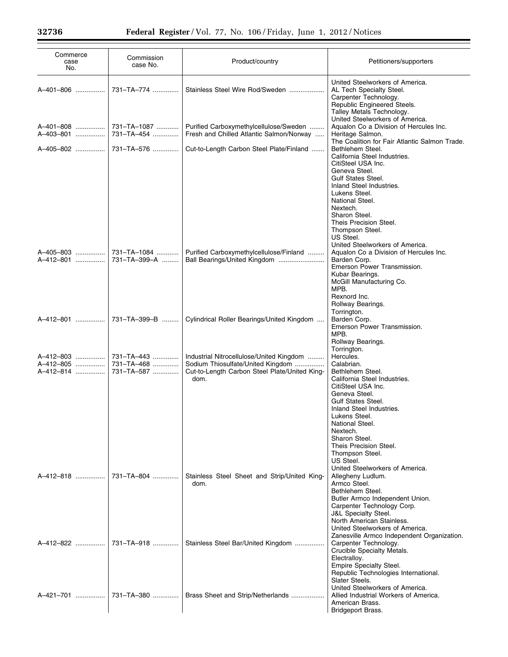| Commerce<br>case<br>No.             | Commission<br>case No.                 | Product/country                                                                                                                        | Petitioners/supporters                                                                                                                                                                                                                                                                                  |
|-------------------------------------|----------------------------------------|----------------------------------------------------------------------------------------------------------------------------------------|---------------------------------------------------------------------------------------------------------------------------------------------------------------------------------------------------------------------------------------------------------------------------------------------------------|
| A-401-806                           | 731-TA-774                             | Stainless Steel Wire Rod/Sweden                                                                                                        | United Steelworkers of America.<br>AL Tech Specialty Steel.<br>Carpenter Technology.<br>Republic Engineered Steels.<br>Talley Metals Technology.                                                                                                                                                        |
| A-401-808<br>A-403-801              | 731-TA-1087<br>731-TA-454              | Purified Carboxymethylcellulose/Sweden<br>Fresh and Chilled Atlantic Salmon/Norway                                                     | United Steelworkers of America.<br>Aqualon Co a Division of Hercules Inc.<br>Heritage Salmon.<br>The Coalition for Fair Atlantic Salmon Trade.                                                                                                                                                          |
| A-405-802                           | 731-TA-576                             | Cut-to-Length Carbon Steel Plate/Finland                                                                                               | Bethlehem Steel.<br>California Steel Industries.<br>CitiSteel USA Inc.<br>Geneva Steel.<br>Gulf States Steel.<br>Inland Steel Industries.<br>Lukens Steel.<br>National Steel.<br>Nextech.<br>Sharon Steel.<br>Theis Precision Steel.<br>Thompson Steel.<br>US Steel.<br>United Steelworkers of America. |
| A-405-803<br>A-412-801              | 731-TA-1084<br>731-TA-399-A            | Purified Carboxymethylcellulose/Finland<br>Ball Bearings/United Kingdom                                                                | Aqualon Co a Division of Hercules Inc.<br>Barden Corp.<br>Emerson Power Transmission.<br>Kubar Bearings.<br>McGill Manufacturing Co.<br>MPB.<br>Rexnord Inc.<br>Rollway Bearings.                                                                                                                       |
| A-412-801                           | 731-TA-399-B                           | Cylindrical Roller Bearings/United Kingdom                                                                                             | Torrington.<br>Barden Corp.<br>Emerson Power Transmission.<br>MPB.<br>Rollway Bearings.<br>Torrington.                                                                                                                                                                                                  |
| A-412-803<br>A-412-805<br>A-412-814 | 731–TA–443<br>731-TA-468<br>731-TA-587 | Industrial Nitrocellulose/United Kingdom<br>Sodium Thiosulfate/United Kingdom<br>Cut-to-Length Carbon Steel Plate/United King-<br>dom. | Hercules.<br>Calabrian.<br>Bethlehem Steel.<br>California Steel Industries.<br>CitiSteel USA Inc.<br>Geneva Steel.<br><b>Gulf States Steel.</b><br>Inland Steel Industries.<br>Lukens Steel.<br>National Steel.<br>Nextech.<br>Sharon Steel.<br>Theis Precision Steel.<br>Thompson Steel.<br>US Steel.  |
| A-412-818                           | 731-TA-804                             | Stainless Steel Sheet and Strip/United King-<br>dom.                                                                                   | United Steelworkers of America.<br>Allegheny Ludlum.<br>Armco Steel.<br>Bethlehem Steel.<br>Butler Armco Independent Union.<br>Carpenter Technology Corp.<br><b>J&amp;L Specialty Steel.</b><br>North American Stainless.<br>United Steelworkers of America.                                            |
| A-412-822                           | 731-TA-918                             | Stainless Steel Bar/United Kingdom                                                                                                     | Zanesville Armco Independent Organization.<br>Carpenter Technology.<br>Crucible Specialty Metals.<br>Electralloy.<br>Empire Specialty Steel.<br>Republic Technologies International.<br>Slater Steels.                                                                                                  |
| A-421-701                           | 731–TA–380                             | Brass Sheet and Strip/Netherlands                                                                                                      | United Steelworkers of America.<br>Allied Industrial Workers of America.<br>American Brass.<br>Bridgeport Brass.                                                                                                                                                                                        |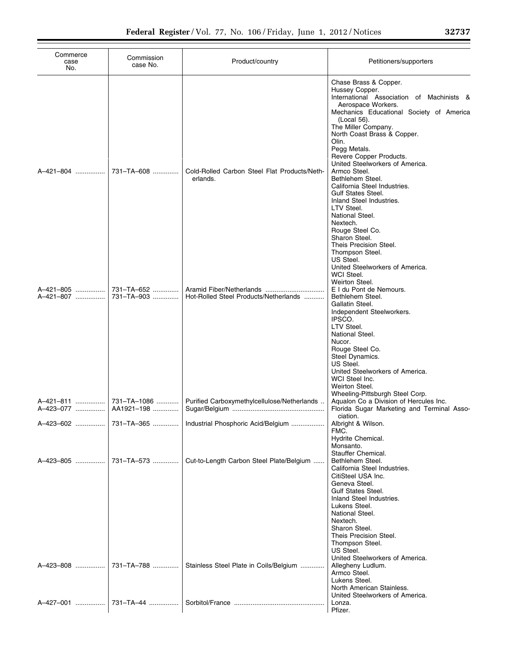| Commerce<br>case<br>No. | Commission<br>case No.   | Product/country                                                                | Petitioners/supporters                                                                                                                                                                                                                                                                                                                                                                                                                                                           |
|-------------------------|--------------------------|--------------------------------------------------------------------------------|----------------------------------------------------------------------------------------------------------------------------------------------------------------------------------------------------------------------------------------------------------------------------------------------------------------------------------------------------------------------------------------------------------------------------------------------------------------------------------|
| A-421-804               | 731-TA-608               | Cold-Rolled Carbon Steel Flat Products/Neth-<br>erlands.                       | Chase Brass & Copper.<br>Hussey Copper.<br>International Association of Machinists &<br>Aerospace Workers.<br>Mechanics Educational Society of America<br>(Local 56).<br>The Miller Company.<br>North Coast Brass & Copper.<br>Olin.<br>Pegg Metals.<br>Revere Copper Products.<br>United Steelworkers of America.<br>Armco Steel.<br>Bethlehem Steel.<br>California Steel Industries.<br><b>Gulf States Steel.</b><br>Inland Steel Industries.<br>LTV Steel.<br>National Steel. |
| A-421-807               | 731-TA-903               | Hot-Rolled Steel Products/Netherlands                                          | Nextech.<br>Rouge Steel Co.<br>Sharon Steel.<br>Theis Precision Steel.<br>Thompson Steel.<br>US Steel.<br>United Steelworkers of America.<br>WCI Steel.<br>Weirton Steel.<br>E I du Pont de Nemours.<br>Bethlehem Steel.<br>Gallatin Steel.<br>Independent Steelworkers.<br>IPSCO.<br>LTV Steel.<br>National Steel.                                                                                                                                                              |
| A-423-077               | AA1921-198               | Purified Carboxymethylcellulose/Netherlands                                    | Nucor.<br>Rouge Steel Co.<br>Steel Dynamics.<br>US Steel.<br>United Steelworkers of America.<br>WCI Steel Inc.<br>Weirton Steel.<br>Wheeling-Pittsburgh Steel Corp.<br>Aqualon Co a Division of Hercules Inc.<br>Florida Sugar Marketing and Terminal Asso-<br>ciation.                                                                                                                                                                                                          |
| A-423-602<br>A-423-805  | 731-TA-365<br>731-TA-573 | Industrial Phosphoric Acid/Belgium<br>Cut-to-Length Carbon Steel Plate/Belgium | Albright & Wilson.<br>FMC.<br>Hydrite Chemical.<br>Monsanto.<br>Stauffer Chemical.<br>Bethlehem Steel.<br>California Steel Industries.<br>CitiSteel USA Inc.<br>Geneva Steel.<br><b>Gulf States Steel.</b><br>Inland Steel Industries.                                                                                                                                                                                                                                           |
| A-423-808<br>A-427-001  | 731-TA-788<br>731–TA–44  | Stainless Steel Plate in Coils/Belgium                                         | Lukens Steel.<br>National Steel.<br>Nextech.<br>Sharon Steel.<br>Theis Precision Steel.<br>Thompson Steel.<br>US Steel.<br>United Steelworkers of America.<br>Allegheny Ludlum.<br>Armco Steel.<br>Lukens Steel.<br>North American Stainless.<br>United Steelworkers of America.<br>Lonza.<br>Pfizer.                                                                                                                                                                            |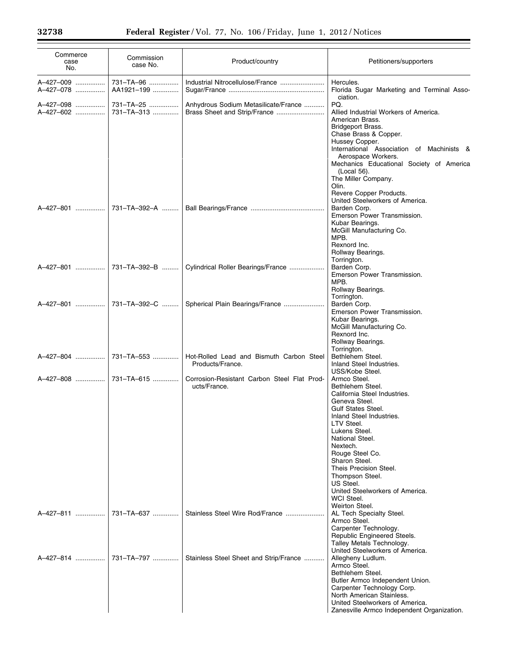| Commerce<br>case<br>No. | Commission<br>case No.  | Product/country                                              | Petitioners/supporters                                                                                                                                                                                                                                                                                                                                                    |
|-------------------------|-------------------------|--------------------------------------------------------------|---------------------------------------------------------------------------------------------------------------------------------------------------------------------------------------------------------------------------------------------------------------------------------------------------------------------------------------------------------------------------|
| A-427-009<br>A-427-078  | 731-TA-96<br>AA1921-199 |                                                              | Hercules.<br>Florida Sugar Marketing and Terminal Asso-<br>ciation.                                                                                                                                                                                                                                                                                                       |
| A-427-098<br>A-427-602  | 731-TA-25<br>731-TA-313 | Anhydrous Sodium Metasilicate/France                         | PQ.<br>Allied Industrial Workers of America.<br>American Brass.<br>Bridgeport Brass.<br>Chase Brass & Copper.<br>Hussey Copper.<br>International Association of Machinists &<br>Aerospace Workers.<br>Mechanics Educational Society of America<br>(Local 56).<br>The Miller Company.<br>Olin.<br>Revere Copper Products.<br>United Steelworkers of America.               |
| A-427-801               | 731-TA-392-A            |                                                              | Barden Corp.<br>Emerson Power Transmission.<br>Kubar Bearings.<br>McGill Manufacturing Co.<br>MPB.<br>Rexnord Inc.<br>Rollway Bearings.<br>Torrington.                                                                                                                                                                                                                    |
| A-427-801               | 731–TA–392–B            | Cylindrical Roller Bearings/France                           | Barden Corp.<br>Emerson Power Transmission.<br>MPB.<br>Rollway Bearings.<br>Torrington.                                                                                                                                                                                                                                                                                   |
| A-427-801               |                         | 731-TA-392-C    Spherical Plain Bearings/France              | Barden Corp.<br>Emerson Power Transmission.<br>Kubar Bearings.<br>McGill Manufacturing Co.<br>Rexnord Inc.<br>Rollway Bearings.<br>Torrington.                                                                                                                                                                                                                            |
| A-427-804               | 731-TA-553              | Hot-Rolled Lead and Bismuth Carbon Steel<br>Products/France. | Bethlehem Steel.<br>Inland Steel Industries.<br>USS/Kobe Steel.                                                                                                                                                                                                                                                                                                           |
| A-427-808               | 731–TA–615              | Corrosion-Resistant Carbon Steel Flat Prod-<br>ucts/France.  | Armco Steel.<br>Bethlehem Steel.<br>California Steel Industries.<br>Geneva Steel.<br><b>Gulf States Steel.</b><br>Inland Steel Industries.<br>LTV Steel.<br>Lukens Steel.<br>National Steel.<br>Nextech.<br>Rouge Steel Co.<br>Sharon Steel.<br>Theis Precision Steel.<br>Thompson Steel.<br>US Steel.<br>United Steelworkers of America.<br>WCI Steel.<br>Weirton Steel. |
| A-427-811               | 731-TA-637              | Stainless Steel Wire Rod/France                              | AL Tech Specialty Steel.<br>Armco Steel.<br>Carpenter Technology.<br>Republic Engineered Steels.<br>Talley Metals Technology.<br>United Steelworkers of America.                                                                                                                                                                                                          |
| A-427-814               | 731-TA-797              | Stainless Steel Sheet and Strip/France                       | Allegheny Ludlum.<br>Armco Steel.<br>Bethlehem Steel.<br>Butler Armco Independent Union.<br>Carpenter Technology Corp.<br>North American Stainless.<br>United Steelworkers of America.<br>Zanesville Armco Independent Organization.                                                                                                                                      |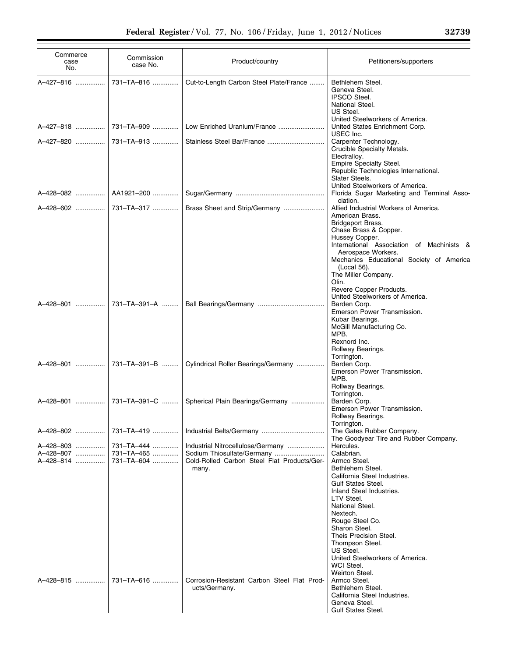| Commerce<br>case<br>No.             | Commission<br>case No.                 | Product/country                                                                                                         | Petitioners/supporters                                                                                                                                                                                                                                                                                                                                             |
|-------------------------------------|----------------------------------------|-------------------------------------------------------------------------------------------------------------------------|--------------------------------------------------------------------------------------------------------------------------------------------------------------------------------------------------------------------------------------------------------------------------------------------------------------------------------------------------------------------|
| A-427-816                           | 731-TA-816                             | Cut-to-Length Carbon Steel Plate/France                                                                                 | Bethlehem Steel.<br>Geneva Steel.<br><b>IPSCO Steel.</b><br>National Steel.<br>US Steel.                                                                                                                                                                                                                                                                           |
| A-427-818                           | 731–TA–909                             | Low Enriched Uranium/France                                                                                             | United Steelworkers of America.<br>United States Enrichment Corp.                                                                                                                                                                                                                                                                                                  |
|                                     |                                        | Stainless Steel Bar/France                                                                                              | USEC Inc.<br>Carpenter Technology.                                                                                                                                                                                                                                                                                                                                 |
|                                     |                                        |                                                                                                                         | Crucible Specialty Metals.<br>Electralloy.<br>Empire Specialty Steel.<br>Republic Technologies International.<br>Slater Steels.<br>United Steelworkers of America.                                                                                                                                                                                                 |
| A-428-082   AA1921-200              |                                        |                                                                                                                         | Florida Sugar Marketing and Terminal Asso-<br>ciation.                                                                                                                                                                                                                                                                                                             |
|                                     | A-428-602  731-TA-317                  | Brass Sheet and Strip/Germany                                                                                           | Allied Industrial Workers of America.<br>American Brass.<br>Bridgeport Brass.<br>Chase Brass & Copper.<br>Hussey Copper.<br>International Association of Machinists &<br>Aerospace Workers.                                                                                                                                                                        |
|                                     |                                        |                                                                                                                         | Mechanics Educational Society of America<br>(Local 56).<br>The Miller Company.<br>Olin.<br>Revere Copper Products.<br>United Steelworkers of America.<br>Barden Corp.<br>Emerson Power Transmission.<br>Kubar Bearings.<br>McGill Manufacturing Co.<br>MPB.<br>Rexnord Inc.                                                                                        |
|                                     | A–428–801    731–TA–391–B              | Cylindrical Roller Bearings/Germany                                                                                     | Rollway Bearings.<br>Torrington.<br>Barden Corp.<br>Emerson Power Transmission.<br>MPB.                                                                                                                                                                                                                                                                            |
|                                     |                                        | Spherical Plain Bearings/Germany                                                                                        | Rollway Bearings.<br>Torrington.<br>Barden Corp.<br>Emerson Power Transmission.<br>Rollway Bearings.                                                                                                                                                                                                                                                               |
| A-428-802                           | 731-TA-419                             |                                                                                                                         | Torrington.<br>The Gates Rubber Company.<br>The Goodyear Tire and Rubber Company.                                                                                                                                                                                                                                                                                  |
| A-428-803<br>A-428-807<br>A-428-814 | 731-TA-444<br>731-TA-465<br>731-TA-604 | Industrial Nitrocellulose/Germany<br>Sodium Thiosulfate/Germany<br>Cold-Rolled Carbon Steel Flat Products/Ger-<br>many. | Hercules.<br>Calabrian.<br>Armco Steel.<br>Bethlehem Steel.<br>California Steel Industries.<br><b>Gulf States Steel.</b><br>Inland Steel Industries.<br>LTV Steel.<br>National Steel.<br>Nextech.<br>Rouge Steel Co.<br>Sharon Steel.<br>Theis Precision Steel.<br>Thompson Steel.<br>US Steel.<br>United Steelworkers of America.<br>WCI Steel.<br>Weirton Steel. |
| A-428-815                           | 731-TA-616                             | Corrosion-Resistant Carbon Steel Flat Prod-<br>ucts/Germany.                                                            | Armco Steel.<br>Bethlehem Steel.<br>California Steel Industries.<br>Geneva Steel.<br><b>Gulf States Steel.</b>                                                                                                                                                                                                                                                     |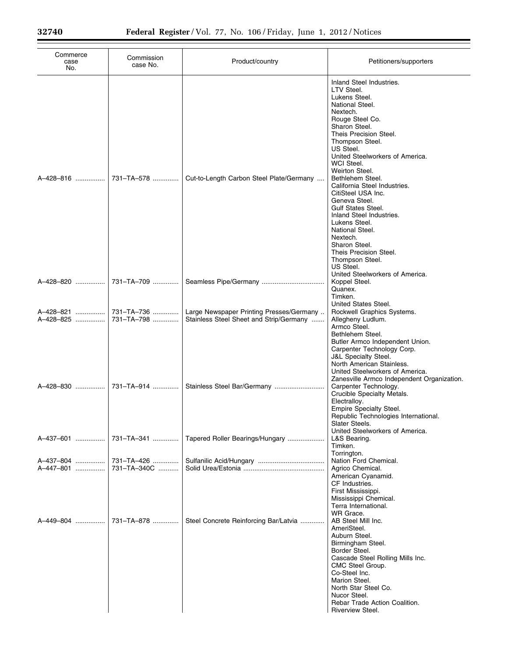| Commerce<br>case<br>No. | Commission<br>case No.   | Product/country                                                                     | Petitioners/supporters                                                                                                                                                                                                                                                                                                                                                                                                                                                                                                                                                    |
|-------------------------|--------------------------|-------------------------------------------------------------------------------------|---------------------------------------------------------------------------------------------------------------------------------------------------------------------------------------------------------------------------------------------------------------------------------------------------------------------------------------------------------------------------------------------------------------------------------------------------------------------------------------------------------------------------------------------------------------------------|
| A-428-816               | 731-TA-578               | Cut-to-Length Carbon Steel Plate/Germany                                            | Inland Steel Industries.<br>LTV Steel.<br>Lukens Steel.<br>National Steel.<br>Nextech.<br>Rouge Steel Co.<br>Sharon Steel.<br>Theis Precision Steel.<br>Thompson Steel.<br>US Steel.<br>United Steelworkers of America.<br>WCI Steel.<br>Weirton Steel.<br>Bethlehem Steel.<br>California Steel Industries.<br>CitiSteel USA Inc.<br>Geneva Steel.<br><b>Gulf States Steel.</b><br>Inland Steel Industries.<br>Lukens Steel.<br>National Steel.<br>Nextech.<br>Sharon Steel.<br>Theis Precision Steel.<br>Thompson Steel.<br>US Steel.<br>United Steelworkers of America. |
| A-428-820               | 731-TA-709               |                                                                                     | Koppel Steel.                                                                                                                                                                                                                                                                                                                                                                                                                                                                                                                                                             |
| A-428-821<br>A-428-825  | 731-TA-736<br>731-TA-798 | Large Newspaper Printing Presses/Germany<br>Stainless Steel Sheet and Strip/Germany | Quanex.<br>Timken.<br>United States Steel.<br>Rockwell Graphics Systems.<br>Allegheny Ludlum.<br>Armco Steel.<br>Bethlehem Steel.<br>Butler Armco Independent Union.<br>Carpenter Technology Corp.                                                                                                                                                                                                                                                                                                                                                                        |
| A-428-830               | 731-TA-914               | Stainless Steel Bar/Germany                                                         | <b>J&amp;L Specialty Steel.</b><br>North American Stainless.<br>United Steelworkers of America.<br>Zanesville Armco Independent Organization.<br>Carpenter Technology.<br>Crucible Specialty Metals.<br>Electralloy.<br><b>Empire Specialty Steel.</b><br>Republic Technologies International.<br>Slater Steels.                                                                                                                                                                                                                                                          |
| A-437-601               | 731-TA-341               | Tapered Roller Bearings/Hungary                                                     | United Steelworkers of America.<br>L&S Bearing.<br>Timken.                                                                                                                                                                                                                                                                                                                                                                                                                                                                                                                |
| A-437-804               | 731-TA-426               |                                                                                     | Torrington.<br>Nation Ford Chemical.                                                                                                                                                                                                                                                                                                                                                                                                                                                                                                                                      |
| A-447-801               | 731-TA-340C              |                                                                                     | Agrico Chemical.<br>American Cyanamid.<br>CF Industries.<br>First Mississippi.<br>Mississippi Chemical.<br>Terra International.<br>WR Grace.                                                                                                                                                                                                                                                                                                                                                                                                                              |
| A-449-804               | 731-TA-878               | Steel Concrete Reinforcing Bar/Latvia                                               | AB Steel Mill Inc.<br>AmeriSteel.<br>Auburn Steel.<br>Birmingham Steel.<br>Border Steel.<br>Cascade Steel Rolling Mills Inc.<br>CMC Steel Group.<br>Co-Steel Inc.<br>Marion Steel.<br>North Star Steel Co.<br>Nucor Steel.<br>Rebar Trade Action Coalition.<br>Riverview Steel.                                                                                                                                                                                                                                                                                           |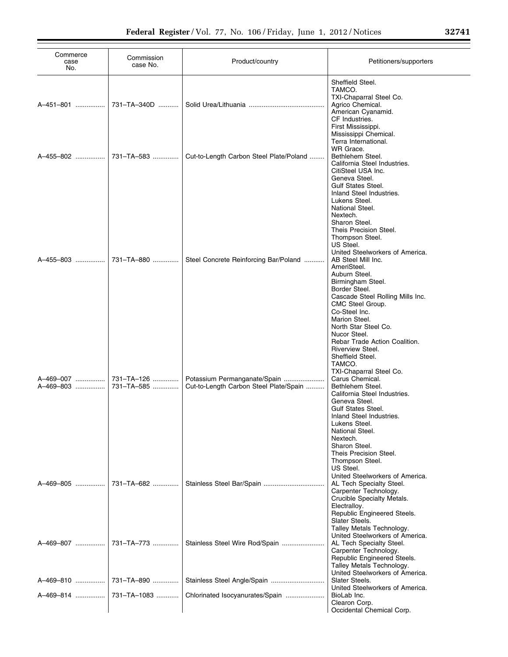| Commerce<br>case<br>No. | Commission<br>case No.   | Product/country                                                        | Petitioners/supporters                                                                                                                                                                                                                                                                                                                                                                               |
|-------------------------|--------------------------|------------------------------------------------------------------------|------------------------------------------------------------------------------------------------------------------------------------------------------------------------------------------------------------------------------------------------------------------------------------------------------------------------------------------------------------------------------------------------------|
| A-451-801               | 731-TA-340D              |                                                                        | Sheffield Steel.<br>TAMCO.<br>TXI-Chaparral Steel Co.<br>Agrico Chemical.<br>American Cyanamid.<br>CF Industries.<br>First Mississippi.                                                                                                                                                                                                                                                              |
| A-455-802               | 731-TA-583               | Cut-to-Length Carbon Steel Plate/Poland                                | Mississippi Chemical.<br>Terra International.<br>WR Grace.<br>Bethlehem Steel.<br>California Steel Industries.<br>CitiSteel USA Inc.<br>Geneva Steel.<br>Gulf States Steel.                                                                                                                                                                                                                          |
| A-455-803               | 731-TA-880               | Steel Concrete Reinforcing Bar/Poland                                  | Inland Steel Industries.<br>Lukens Steel.<br>National Steel.<br>Nextech.<br>Sharon Steel.<br>Theis Precision Steel.<br>Thompson Steel.<br>US Steel.<br>United Steelworkers of America.<br>AB Steel Mill Inc.<br>AmeriSteel.<br>Auburn Steel.<br>Birmingham Steel.<br>Border Steel.<br>Cascade Steel Rolling Mills Inc.<br>CMC Steel Group.<br>Co-Steel Inc.<br>Marion Steel.<br>North Star Steel Co. |
| A-469-007<br>A-469-803  | 731-TA-126<br>731-TA-585 | Potassium Permanganate/Spain<br>Cut-to-Length Carbon Steel Plate/Spain | Nucor Steel.<br>Rebar Trade Action Coalition.<br>Riverview Steel.<br>Sheffield Steel.<br>TAMCO.<br>TXI-Chaparral Steel Co.<br>Carus Chemical.<br>Bethlehem Steel.<br>California Steel Industries.<br>Geneva Steel.<br><b>Gulf States Steel.</b><br>Inland Steel Industries.<br>Lukens Steel.<br>National Steel.<br>Nextech.                                                                          |
| A-469-805               | 731-TA-682               |                                                                        | Sharon Steel.<br>Theis Precision Steel.<br>Thompson Steel.<br>US Steel.<br>United Steelworkers of America.<br>AL Tech Specialty Steel.<br>Carpenter Technology.<br>Crucible Specialty Metals.<br>Electralloy.<br>Republic Engineered Steels.                                                                                                                                                         |
| A-469-807               | 731-TA-773               | Stainless Steel Wire Rod/Spain                                         | Slater Steels.<br>Talley Metals Technology.<br>United Steelworkers of America.<br>AL Tech Specialty Steel.<br>Carpenter Technology.<br>Republic Engineered Steels.<br>Talley Metals Technology.                                                                                                                                                                                                      |
| A-469-810               | 731-TA-890               | Stainless Steel Angle/Spain                                            | United Steelworkers of America.<br>Slater Steels.<br>United Steelworkers of America.                                                                                                                                                                                                                                                                                                                 |
| A-469-814               | 731-TA-1083              | Chlorinated Isocyanurates/Spain                                        | BioLab Inc.<br>Clearon Corp.<br>Occidental Chemical Corp.                                                                                                                                                                                                                                                                                                                                            |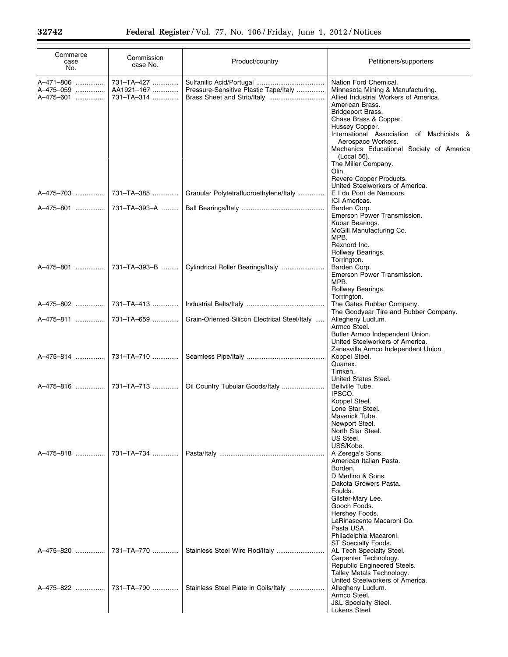| Commerce<br>case<br>No.             | Commission<br>case No.                 | Product/country                               | Petitioners/supporters                                                                                                                                                                                                                                                                                                                                                                                             |
|-------------------------------------|----------------------------------------|-----------------------------------------------|--------------------------------------------------------------------------------------------------------------------------------------------------------------------------------------------------------------------------------------------------------------------------------------------------------------------------------------------------------------------------------------------------------------------|
| A-471-806<br>A-475-059<br>A-475-601 | 731-TA-427<br>AA1921-167<br>731-TA-314 | Pressure-Sensitive Plastic Tape/Italy         | Nation Ford Chemical.<br>Minnesota Mining & Manufacturing.<br>Allied Industrial Workers of America.<br>American Brass.<br>Bridgeport Brass.<br>Chase Brass & Copper.<br>Hussey Copper.<br>International Association of Machinists &<br>Aerospace Workers.<br>Mechanics Educational Society of America<br>(Local 56).<br>The Miller Company.<br>Olin.<br>Revere Copper Products.<br>United Steelworkers of America. |
| A-475-703                           | 731-TA-385                             | Granular Polytetrafluoroethylene/Italy        | E I du Pont de Nemours.                                                                                                                                                                                                                                                                                                                                                                                            |
| A-475-801                           | 731–TA–393–A                           |                                               | ICI Americas.<br>Barden Corp.<br>Emerson Power Transmission.<br>Kubar Bearings.<br>McGill Manufacturing Co.<br>MPB.<br>Rexnord Inc.<br>Rollway Bearings.<br>Torrington.                                                                                                                                                                                                                                            |
| A-475-801                           | 731-TA-393-B                           |                                               | Barden Corp.<br>Emerson Power Transmission.<br>MPB.<br>Rollway Bearings.<br>Torrington.                                                                                                                                                                                                                                                                                                                            |
| A-475-802                           | 731–TA–413                             |                                               | The Gates Rubber Company.                                                                                                                                                                                                                                                                                                                                                                                          |
|                                     |                                        | Grain-Oriented Silicon Electrical Steel/Italy | The Goodyear Tire and Rubber Company.<br>Allegheny Ludlum.<br>Armco Steel.<br>Butler Armco Independent Union.<br>United Steelworkers of America.                                                                                                                                                                                                                                                                   |
| A-475-814                           | 731-TA-710                             |                                               | Zanesville Armco Independent Union.<br>Koppel Steel.<br>Quanex.<br>Timken.                                                                                                                                                                                                                                                                                                                                         |
|                                     |                                        | Oil Country Tubular Goods/Italy               | United States Steel.<br>Bellville Tube.<br>IPSCO.<br>Koppel Steel.<br>Lone Star Steel.<br>Maverick Tube.<br>Newport Steel.<br>North Star Steel.<br>US Steel.<br>USS/Kobe.                                                                                                                                                                                                                                          |
| A-475-818                           | 731-TA-734                             |                                               | A Zerega's Sons.<br>American Italian Pasta.<br>Borden.<br>D Merlino & Sons.<br>Dakota Growers Pasta.<br>Foulds.<br>Gilster-Mary Lee.<br>Gooch Foods.<br>Hershey Foods.<br>LaRinascente Macaroni Co.<br>Pasta USA.<br>Philadelphia Macaroni.<br>ST Specialty Foods.                                                                                                                                                 |
| A-475-820                           | 731-TA-770                             |                                               | AL Tech Specialty Steel.<br>Carpenter Technology.<br>Republic Engineered Steels.<br>Talley Metals Technology.<br>United Steelworkers of America.                                                                                                                                                                                                                                                                   |
| A-475-822                           | 731-TA-790                             | Stainless Steel Plate in Coils/Italy          | Allegheny Ludlum.<br>Armco Steel.<br><b>J&amp;L Specialty Steel.</b><br>Lukens Steel.                                                                                                                                                                                                                                                                                                                              |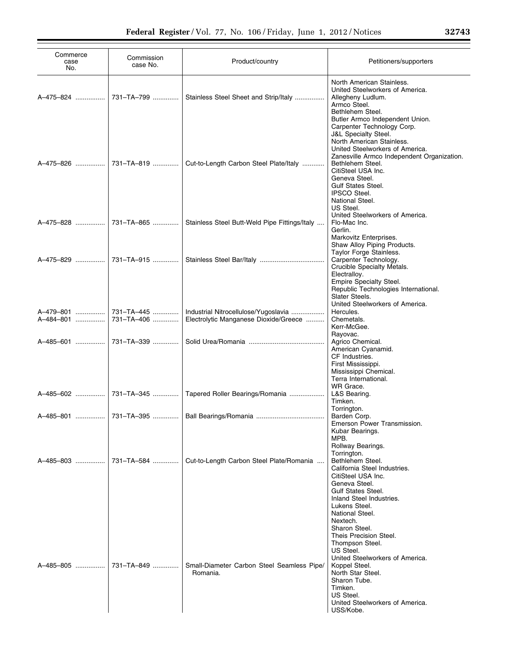| Commerce<br>case<br>No. | Commission<br>case No.   | Product/country                                                               | Petitioners/supporters                                                                                                                                                                                                                                                                                 |
|-------------------------|--------------------------|-------------------------------------------------------------------------------|--------------------------------------------------------------------------------------------------------------------------------------------------------------------------------------------------------------------------------------------------------------------------------------------------------|
| A-475-824               | 731-TA-799               | Stainless Steel Sheet and Strip/Italy                                         | North American Stainless.<br>United Steelworkers of America.<br>Allegheny Ludlum.<br>Armco Steel.<br>Bethlehem Steel.<br>Butler Armco Independent Union.                                                                                                                                               |
| A-475-826               | 731-TA-819               | Cut-to-Length Carbon Steel Plate/Italy                                        | Carpenter Technology Corp.<br><b>J&amp;L Specialty Steel.</b><br>North American Stainless.<br>United Steelworkers of America.<br>Zanesville Armco Independent Organization.<br>Bethlehem Steel.<br>CitiSteel USA Inc.<br>Geneva Steel.<br>Gulf States Steel.<br><b>IPSCO Steel.</b><br>National Steel. |
| A-475-828               | 731-TA-865               | Stainless Steel Butt-Weld Pipe Fittings/Italy                                 | US Steel.<br>United Steelworkers of America.<br>Flo-Mac Inc.<br>Gerlin.<br>Markovitz Enterprises.                                                                                                                                                                                                      |
|                         |                          |                                                                               | Shaw Alloy Piping Products.<br>Taylor Forge Stainless.<br>Carpenter Technology.<br>Crucible Specialty Metals.<br>Electralloy.<br>Empire Specialty Steel.                                                                                                                                               |
| A-479-801<br>A-484-801  | 731–TA–445<br>731-TA-406 | Industrial Nitrocellulose/Yugoslavia<br>Electrolytic Manganese Dioxide/Greece | Republic Technologies International.<br>Slater Steels.<br>United Steelworkers of America.<br>Hercules.<br>Chemetals.<br>Kerr-McGee.                                                                                                                                                                    |
|                         |                          |                                                                               | Rayovac.<br>Agrico Chemical.<br>American Cyanamid.<br>CF Industries.<br>First Mississippi.<br>Mississippi Chemical.<br>Terra International.                                                                                                                                                            |
|                         |                          | A-485-602  731-TA-345  Tapered Roller Bearings/Romania                        | WR Grace.<br>L&S Bearing.<br>Timken.                                                                                                                                                                                                                                                                   |
|                         |                          | A-485-801  731-TA-395  Ball Bearings/Romania                                  | Torrington.<br>Barden Corp.<br>Emerson Power Transmission.<br>Kubar Bearings.                                                                                                                                                                                                                          |
| A-485-803               | 731-TA-584               | Cut-to-Length Carbon Steel Plate/Romania                                      | MPB.<br>Rollway Bearings.<br>Torrington.<br>Bethlehem Steel.<br>California Steel Industries.<br>CitiSteel USA Inc.<br>Geneva Steel.<br><b>Gulf States Steel.</b><br>Inland Steel Industries.<br>Lukens Steel.<br>National Steel.<br>Nextech.                                                           |
| A-485-805               | 731-TA-849               | Small-Diameter Carbon Steel Seamless Pipe/<br>Romania.                        | Sharon Steel.<br>Theis Precision Steel.<br>Thompson Steel.<br>US Steel.<br>United Steelworkers of America.<br>Koppel Steel.<br>North Star Steel.<br>Sharon Tube.<br>Timken.<br>US Steel.<br>United Steelworkers of America.<br>USS/Kobe.                                                               |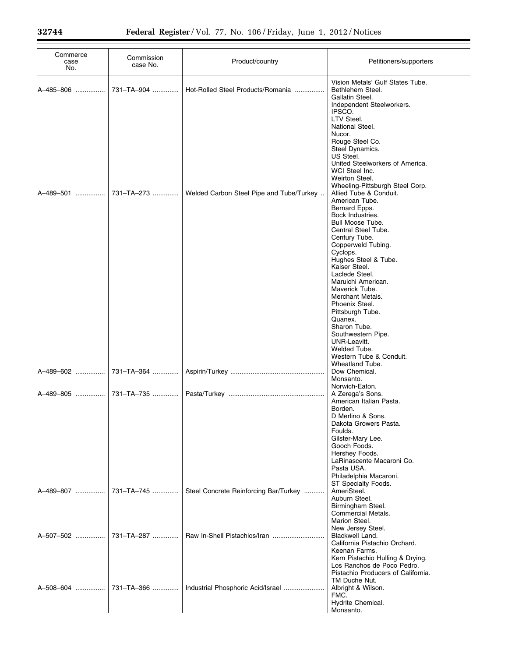| Commerce<br>case<br>No. | Commission<br>case No. | Product/country                          | Petitioners/supporters                                                                                                                                                                                                                                                                                                                                                                                                                                                                                             |
|-------------------------|------------------------|------------------------------------------|--------------------------------------------------------------------------------------------------------------------------------------------------------------------------------------------------------------------------------------------------------------------------------------------------------------------------------------------------------------------------------------------------------------------------------------------------------------------------------------------------------------------|
| A-485-806               | 731-TA-904             | Hot-Rolled Steel Products/Romania        | Vision Metals' Gulf States Tube.<br>Bethlehem Steel.<br>Gallatin Steel.                                                                                                                                                                                                                                                                                                                                                                                                                                            |
| A-489-501               | 731-TA-273             | Welded Carbon Steel Pipe and Tube/Turkey | Independent Steelworkers.<br>IPSCO.<br>LTV Steel.<br>National Steel.<br>Nucor.<br>Rouge Steel Co.<br>Steel Dynamics.<br>US Steel.<br>United Steelworkers of America.<br>WCI Steel Inc.<br>Weirton Steel.<br>Wheeling-Pittsburgh Steel Corp.<br>Allied Tube & Conduit.<br>American Tube.<br>Bernard Epps.<br>Bock Industries.<br><b>Bull Moose Tube.</b><br>Central Steel Tube.<br>Century Tube.<br>Copperweld Tubing.<br>Cyclops.<br>Hughes Steel & Tube.<br>Kaiser Steel.<br>Laclede Steel.<br>Maruichi American. |
| A-489-602               | 731-TA-364             |                                          | Maverick Tube.<br>Merchant Metals.<br>Phoenix Steel.<br>Pittsburgh Tube.<br>Quanex.<br>Sharon Tube.<br>Southwestern Pipe.<br>UNR-Leavitt.<br>Welded Tube.<br>Western Tube & Conduit.<br>Wheatland Tube.<br>Dow Chemical.<br>Monsanto.<br>Norwich-Eaton.                                                                                                                                                                                                                                                            |
| A-489-805               | 731-TA-735             |                                          | A Zerega's Sons.<br>American Italian Pasta.                                                                                                                                                                                                                                                                                                                                                                                                                                                                        |
|                         |                        |                                          | Borden.<br>D Merlino & Sons.<br>Dakota Growers Pasta.<br>Foulds.<br>Gilster-Mary Lee.<br>Gooch Foods.<br>Hershey Foods.<br>LaRinascente Macaroni Co.<br>Pasta USA.<br>Philadelphia Macaroni.<br>ST Specialty Foods.                                                                                                                                                                                                                                                                                                |
| A-489-807               | 731-TA-745             | Steel Concrete Reinforcing Bar/Turkey    | AmeriSteel.<br>Auburn Steel.<br>Birmingham Steel.<br>Commercial Metals.                                                                                                                                                                                                                                                                                                                                                                                                                                            |
| A-507-502               | 731-TA-287             | Raw In-Shell Pistachios/Iran             | Marion Steel.<br>New Jersey Steel.<br>Blackwell Land.<br>California Pistachio Orchard.<br>Keenan Farms.<br>Kern Pistachio Hulling & Drying.                                                                                                                                                                                                                                                                                                                                                                        |
| A-508-604               | 731-TA-366             | Industrial Phosphoric Acid/Israel        | Los Ranchos de Poco Pedro.<br>Pistachio Producers of California.<br>TM Duche Nut.<br>Albright & Wilson.<br>FMC.<br>Hydrite Chemical.<br>Monsanto.                                                                                                                                                                                                                                                                                                                                                                  |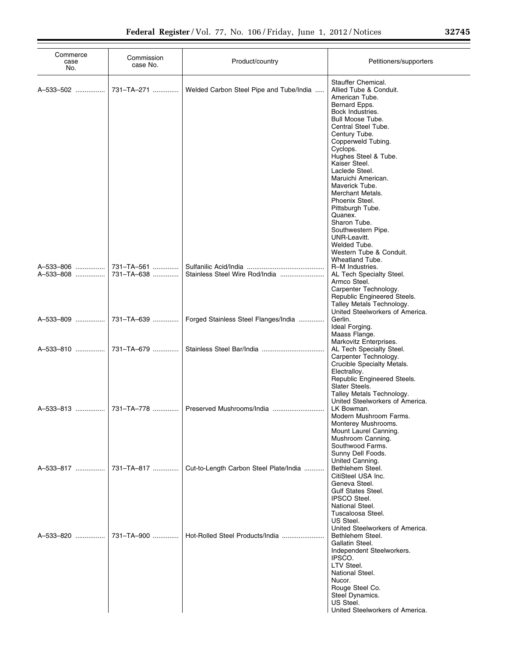| Commerce<br>case<br>No. | Commission<br>case No.   | Product/country                         | Petitioners/supporters                                                                                                                                                                                                                                                                                                                                                                                                                                                                        |
|-------------------------|--------------------------|-----------------------------------------|-----------------------------------------------------------------------------------------------------------------------------------------------------------------------------------------------------------------------------------------------------------------------------------------------------------------------------------------------------------------------------------------------------------------------------------------------------------------------------------------------|
| A-533-502               | 731-TA-271               | Welded Carbon Steel Pipe and Tube/India | Stauffer Chemical.<br>Allied Tube & Conduit.<br>American Tube.<br>Bernard Epps.<br>Bock Industries.<br>Bull Moose Tube.<br>Central Steel Tube.<br>Century Tube.<br>Copperweld Tubing.<br>Cyclops.<br>Hughes Steel & Tube.<br>Kaiser Steel.<br>Laclede Steel.<br>Maruichi American.<br>Maverick Tube.<br>Merchant Metals.<br>Phoenix Steel.<br>Pittsburgh Tube.<br>Quanex.<br>Sharon Tube.<br>Southwestern Pipe.<br>UNR-Leavitt.<br>Welded Tube.<br>Western Tube & Conduit.<br>Wheatland Tube. |
| A-533-806<br>A-533-808  | 731-TA-561<br>731-TA-638 | Stainless Steel Wire Rod/India          | R-M Industries.<br>AL Tech Specialty Steel.<br>Armco Steel.<br>Carpenter Technology.<br>Republic Engineered Steels.<br>Talley Metals Technology.<br>United Steelworkers of America.                                                                                                                                                                                                                                                                                                           |
| A-533-809               | 731-TA-639               | Forged Stainless Steel Flanges/India    | Gerlin.<br>Ideal Forging.<br>Maass Flange.<br>Markovitz Enterprises.                                                                                                                                                                                                                                                                                                                                                                                                                          |
| A-533-810               | 731-TA-679               |                                         | AL Tech Specialty Steel.<br>Carpenter Technology.<br>Crucible Specialty Metals.<br>Electrallov.<br>Republic Engineered Steels.<br>Slater Steels.<br>Talley Metals Technology.<br>United Steelworkers of America.                                                                                                                                                                                                                                                                              |
| A-533-813               | 731-TA-778               |                                         | LK Bowman.<br>Modern Mushroom Farms.<br>Monterey Mushrooms.<br>Mount Laurel Canning.<br>Mushroom Canning.<br>Southwood Farms.<br>Sunny Dell Foods.<br>United Canning.                                                                                                                                                                                                                                                                                                                         |
| A-533-817               | 731-TA-817               | Cut-to-Length Carbon Steel Plate/India  | Bethlehem Steel.<br>CitiSteel USA Inc.<br>Geneva Steel.<br>Gulf States Steel.<br><b>IPSCO Steel.</b><br>National Steel.<br>Tuscaloosa Steel.<br>US Steel.                                                                                                                                                                                                                                                                                                                                     |
| A-533-820               | 731-TA-900               | Hot-Rolled Steel Products/India         | United Steelworkers of America.<br>Bethlehem Steel.<br>Gallatin Steel.<br>Independent Steelworkers.<br>IPSCO.<br>LTV Steel.<br>National Steel.<br>Nucor.<br>Rouge Steel Co.<br>Steel Dynamics.<br>US Steel.<br>United Steelworkers of America.                                                                                                                                                                                                                                                |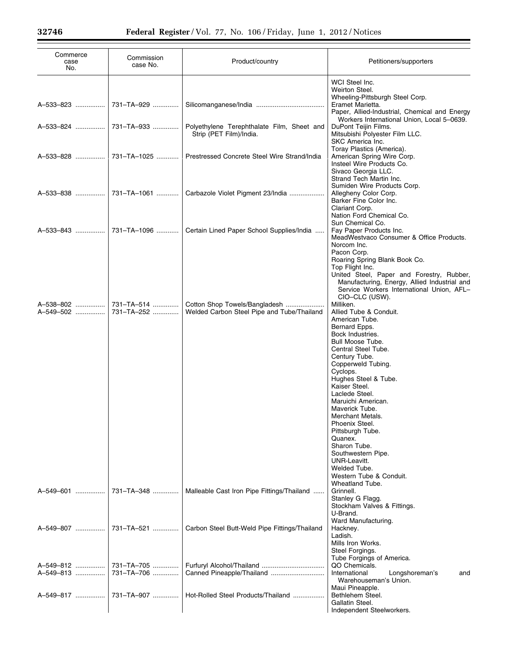| Commerce<br>case<br>No. | Commission<br>case No.   | Product/country                                                             | Petitioners/supporters                                                                                                                                                                                                                                                                                                                                                                                                                                                                     |
|-------------------------|--------------------------|-----------------------------------------------------------------------------|--------------------------------------------------------------------------------------------------------------------------------------------------------------------------------------------------------------------------------------------------------------------------------------------------------------------------------------------------------------------------------------------------------------------------------------------------------------------------------------------|
| A-533-823               | 731-TA-929               |                                                                             | WCI Steel Inc.<br>Weirton Steel.<br>Wheeling-Pittsburgh Steel Corp.<br>Eramet Marietta.                                                                                                                                                                                                                                                                                                                                                                                                    |
| A-533-824               | 731-TA-933               | Polyethylene Terephthalate Film, Sheet and<br>Strip (PET Film)/India.       | Paper, Allied-Industrial, Chemical and Energy<br>Workers International Union, Local 5-0639.<br>DuPont Teijin Films.<br>Mitsubishi Polyester Film LLC.                                                                                                                                                                                                                                                                                                                                      |
| A-533-828               | 731-TA-1025              | Prestressed Concrete Steel Wire Strand/India                                | SKC America Inc.<br>Toray Plastics (America).<br>American Spring Wire Corp.<br>Insteel Wire Products Co.<br>Sivaco Georgia LLC.                                                                                                                                                                                                                                                                                                                                                            |
| A-533-838               | 731-TA-1061              | Carbazole Violet Pigment 23/India                                           | Strand Tech Martin Inc.<br>Sumiden Wire Products Corp.<br>Allegheny Color Corp.<br>Barker Fine Color Inc.<br>Clariant Corp.<br>Nation Ford Chemical Co.                                                                                                                                                                                                                                                                                                                                    |
| A-533-843               | 731-TA-1096              | Certain Lined Paper School Supplies/India                                   | Sun Chemical Co.<br>Fay Paper Products Inc.<br>MeadWestyaco Consumer & Office Products.<br>Norcom Inc.<br>Pacon Corp.<br>Roaring Spring Blank Book Co.<br>Top Flight Inc.<br>United Steel, Paper and Forestry, Rubber,<br>Manufacturing, Energy, Allied Industrial and<br>Service Workers International Union, AFL-                                                                                                                                                                        |
| A-538-802<br>A-549-502  | 731-TA-514<br>731-TA-252 | Cotton Shop Towels/Bangladesh<br>Welded Carbon Steel Pipe and Tube/Thailand | CIO-CLC (USW).<br>Milliken.<br>Allied Tube & Conduit.<br>American Tube.<br>Bernard Epps.<br>Bock Industries.<br><b>Bull Moose Tube.</b><br>Central Steel Tube.<br>Century Tube.<br>Copperweld Tubing.<br>Cyclops.<br>Hughes Steel & Tube.<br>Kaiser Steel.<br>Laclede Steel.<br>Maruichi American.<br>Maverick Tube.<br>Merchant Metals.<br>Phoenix Steel.<br>Pittsburgh Tube.<br>Quanex.<br>Sharon Tube.<br>Southwestern Pipe.<br>UNR-Leavitt.<br>Welded Tube.<br>Western Tube & Conduit. |
| A-549-601               | 731-TA-348               | Malleable Cast Iron Pipe Fittings/Thailand                                  | Wheatland Tube.<br>Grinnell.<br>Stanley G Flagg.<br>Stockham Valves & Fittings.<br>U-Brand.                                                                                                                                                                                                                                                                                                                                                                                                |
| A-549-807               | 731-TA-521               | Carbon Steel Butt-Weld Pipe Fittings/Thailand                               | Ward Manufacturing.<br>Hackney.<br>Ladish.<br>Mills Iron Works.<br>Steel Forgings.                                                                                                                                                                                                                                                                                                                                                                                                         |
| A-549-812<br>A-549-813  | 731-TA-705<br>731-TA-706 |                                                                             | Tube Forgings of America.<br>QO Chemicals.<br>International<br>Longshoreman's<br>and<br>Warehouseman's Union.                                                                                                                                                                                                                                                                                                                                                                              |
| A-549-817               | 731-TA-907               | Hot-Rolled Steel Products/Thailand                                          | Maui Pineapple.<br>Bethlehem Steel.<br>Gallatin Steel.<br>Independent Steelworkers.                                                                                                                                                                                                                                                                                                                                                                                                        |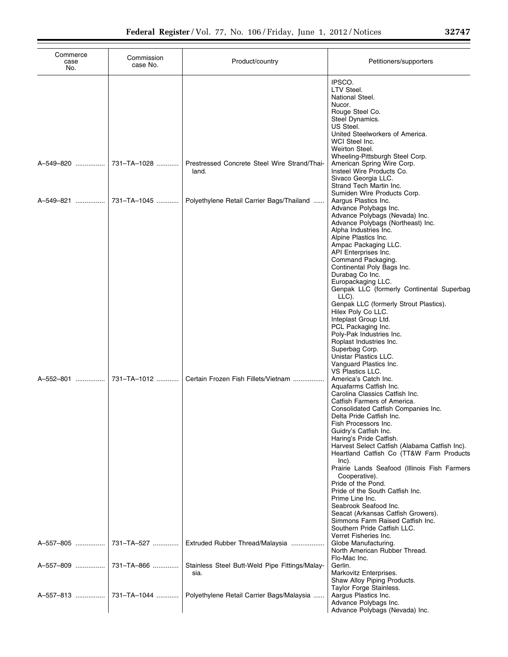| Commerce<br>case<br>No. | Commission<br>case No. | Product/country                                        | Petitioners/supporters                                                                                                                                                                                                                                                                                                                                                                                                                                                                                                                                                                                                                                                                                                                                                                                                                                                                                                                                                                                                                                                              |
|-------------------------|------------------------|--------------------------------------------------------|-------------------------------------------------------------------------------------------------------------------------------------------------------------------------------------------------------------------------------------------------------------------------------------------------------------------------------------------------------------------------------------------------------------------------------------------------------------------------------------------------------------------------------------------------------------------------------------------------------------------------------------------------------------------------------------------------------------------------------------------------------------------------------------------------------------------------------------------------------------------------------------------------------------------------------------------------------------------------------------------------------------------------------------------------------------------------------------|
|                         |                        |                                                        | IPSCO.<br>LTV Steel.<br>National Steel.<br>Nucor.<br>Rouge Steel Co.<br>Steel Dynamics.<br>US Steel.<br>United Steelworkers of America.<br>WCI Steel Inc.<br>Weirton Steel.<br>Wheeling-Pittsburgh Steel Corp.                                                                                                                                                                                                                                                                                                                                                                                                                                                                                                                                                                                                                                                                                                                                                                                                                                                                      |
| A-549-820               | 731-TA-1028            | Prestressed Concrete Steel Wire Strand/Thai-<br>land.  | American Spring Wire Corp.<br>Insteel Wire Products Co.<br>Sivaco Georgia LLC.<br>Strand Tech Martin Inc.                                                                                                                                                                                                                                                                                                                                                                                                                                                                                                                                                                                                                                                                                                                                                                                                                                                                                                                                                                           |
| A-549-821               | 731-TA-1045            | Polyethylene Retail Carrier Bags/Thailand              | Sumiden Wire Products Corp.<br>Aargus Plastics Inc.<br>Advance Polybags Inc.<br>Advance Polybags (Nevada) Inc.<br>Advance Polybags (Northeast) Inc.<br>Alpha Industries Inc.                                                                                                                                                                                                                                                                                                                                                                                                                                                                                                                                                                                                                                                                                                                                                                                                                                                                                                        |
| A-552-801               | 731-TA-1012            | Certain Frozen Fish Fillets/Vietnam                    | Alpine Plastics Inc.<br>Ampac Packaging LLC.<br>API Enterprises Inc.<br>Command Packaging.<br>Continental Poly Bags Inc.<br>Durabag Co Inc.<br>Europackaging LLC.<br>Genpak LLC (formerly Continental Superbag<br>LLC).<br>Genpak LLC (formerly Strout Plastics).<br>Hilex Poly Co LLC.<br>Inteplast Group Ltd.<br>PCL Packaging Inc.<br>Poly-Pak Industries Inc.<br>Roplast Industries Inc.<br>Superbag Corp.<br>Unistar Plastics LLC.<br>Vanguard Plastics Inc.<br><b>VS Plastics LLC.</b><br>America's Catch Inc.<br>Aquafarms Catfish Inc.<br>Carolina Classics Catfish Inc.<br>Catfish Farmers of America.<br>Consolidated Catfish Companies Inc.<br>Delta Pride Catfish Inc.<br>Fish Processors Inc.<br>Guidry's Catfish Inc.<br>Haring's Pride Catfish.<br>Harvest Select Catfish (Alabama Catfish Inc).<br>Heartland Catfish Co (TT&W Farm Products<br>$lnc$ ).<br>Prairie Lands Seafood (Illinois Fish Farmers<br>Cooperative).<br>Pride of the Pond.<br>Pride of the South Catfish Inc.<br>Prime Line Inc.<br>Seabrook Seafood Inc.<br>Seacat (Arkansas Catfish Growers). |
| A-557-805               | 731-TA-527             | Extruded Rubber Thread/Malaysia                        | Simmons Farm Raised Catfish Inc.<br>Southern Pride Catfish LLC.<br>Verret Fisheries Inc.<br>Globe Manufacturing.<br>North American Rubber Thread.                                                                                                                                                                                                                                                                                                                                                                                                                                                                                                                                                                                                                                                                                                                                                                                                                                                                                                                                   |
| A-557-809               | 731-TA-866             | Stainless Steel Butt-Weld Pipe Fittings/Malay-<br>sia. | Flo-Mac Inc.<br>Gerlin.<br>Markovitz Enterprises.                                                                                                                                                                                                                                                                                                                                                                                                                                                                                                                                                                                                                                                                                                                                                                                                                                                                                                                                                                                                                                   |
| A-557-813               | 731-TA-1044            | Polyethylene Retail Carrier Bags/Malaysia              | Shaw Alloy Piping Products.<br>Taylor Forge Stainless.<br>Aargus Plastics Inc.<br>Advance Polybags Inc.<br>Advance Polybags (Nevada) Inc.                                                                                                                                                                                                                                                                                                                                                                                                                                                                                                                                                                                                                                                                                                                                                                                                                                                                                                                                           |

÷.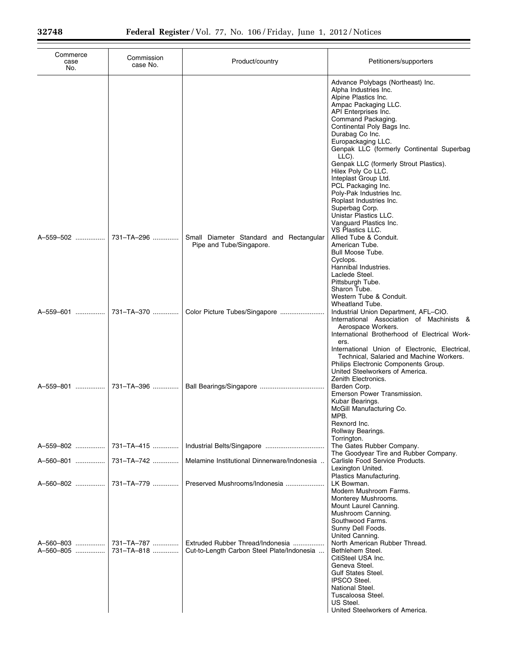| Commerce<br>case<br>No. | Commission<br>case No.   | Product/country                                                                | Petitioners/supporters                                                                                                                                                                                                                                                                                                                                                                                                                                                                                                          |
|-------------------------|--------------------------|--------------------------------------------------------------------------------|---------------------------------------------------------------------------------------------------------------------------------------------------------------------------------------------------------------------------------------------------------------------------------------------------------------------------------------------------------------------------------------------------------------------------------------------------------------------------------------------------------------------------------|
|                         |                          |                                                                                | Advance Polybags (Northeast) Inc.<br>Alpha Industries Inc.<br>Alpine Plastics Inc.<br>Ampac Packaging LLC.<br>API Enterprises Inc.<br>Command Packaging.<br>Continental Poly Bags Inc.<br>Durabag Co Inc.<br>Europackaging LLC.<br>Genpak LLC (formerly Continental Superbag<br>LLC).<br>Genpak LLC (formerly Strout Plastics).<br>Hilex Poly Co LLC.<br>Inteplast Group Ltd.<br>PCL Packaging Inc.<br>Poly-Pak Industries Inc.<br>Roplast Industries Inc.<br>Superbag Corp.<br>Unistar Plastics LLC.<br>Vanguard Plastics Inc. |
| A-559-502               | 731-TA-296               | Small Diameter Standard and Rectangular<br>Pipe and Tube/Singapore.            | VS Plastics LLC.<br>Allied Tube & Conduit.<br>American Tube.<br>Bull Moose Tube.<br>Cyclops.<br>Hannibal Industries.<br>Laclede Steel.<br>Pittsburgh Tube.<br>Sharon Tube.                                                                                                                                                                                                                                                                                                                                                      |
| A-559-601               | 731-TA-370               | Color Picture Tubes/Singapore                                                  | Western Tube & Conduit.<br>Wheatland Tube.<br>Industrial Union Department, AFL-CIO.<br>International Association of Machinists &<br>Aerospace Workers.<br>International Brotherhood of Electrical Work-<br>ers.<br>International Union of Electronic, Electrical,<br>Technical, Salaried and Machine Workers.<br>Philips Electronic Components Group.                                                                                                                                                                           |
| A-559-801               | 731-TA-396               |                                                                                | United Steelworkers of America.<br>Zenith Electronics.<br>Barden Corp.<br>Emerson Power Transmission.<br>Kubar Bearings.<br>McGill Manufacturing Co.<br>MPB.<br>Rexnord Inc.<br>Rollway Bearings.                                                                                                                                                                                                                                                                                                                               |
| A-559-802               | 731-TA-415               |                                                                                | Torrington.<br>The Gates Rubber Company.                                                                                                                                                                                                                                                                                                                                                                                                                                                                                        |
| A-560-801               | 731-TA-742               | Melamine Institutional Dinnerware/Indonesia                                    | The Goodyear Tire and Rubber Company.<br>Carlisle Food Service Products.<br>Lexington United.                                                                                                                                                                                                                                                                                                                                                                                                                                   |
| A-560-802               | 731-TA-779               | Preserved Mushrooms/Indonesia                                                  | Plastics Manufacturing.<br>LK Bowman.<br>Modern Mushroom Farms.<br>Monterey Mushrooms.<br>Mount Laurel Canning.                                                                                                                                                                                                                                                                                                                                                                                                                 |
| A-560-803<br>A-560-805  | 731-TA-787<br>731-TA-818 | Extruded Rubber Thread/Indonesia<br>Cut-to-Length Carbon Steel Plate/Indonesia | Mushroom Canning.<br>Southwood Farms.<br>Sunny Dell Foods.<br>United Canning.<br>North American Rubber Thread.<br>Bethlehem Steel.<br>CitiSteel USA Inc.<br>Geneva Steel.<br><b>Gulf States Steel.</b><br><b>IPSCO Steel.</b><br>National Steel.<br>Tuscaloosa Steel.<br>US Steel.<br>United Steelworkers of America.                                                                                                                                                                                                           |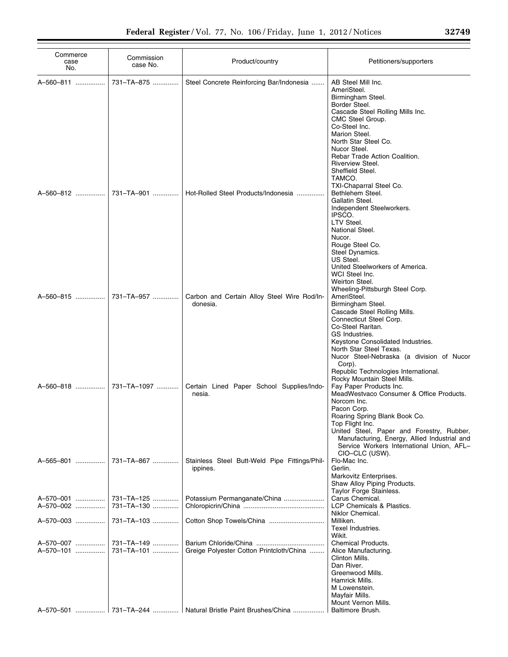| Commerce<br>case<br>No. | Commission<br>case No.   | Product/country                                           | Petitioners/supporters                                                                                                                                                                                                                                                                                                                           |
|-------------------------|--------------------------|-----------------------------------------------------------|--------------------------------------------------------------------------------------------------------------------------------------------------------------------------------------------------------------------------------------------------------------------------------------------------------------------------------------------------|
| A-560-811               | 731-TA-875               | Steel Concrete Reinforcing Bar/Indonesia                  | AB Steel Mill Inc.<br>AmeriSteel.<br>Birmingham Steel.<br>Border Steel.<br>Cascade Steel Rolling Mills Inc.<br>CMC Steel Group.<br>Co-Steel Inc.<br>Marion Steel.<br>North Star Steel Co.<br>Nucor Steel.<br>Rebar Trade Action Coalition.<br>Riverview Steel.<br>Sheffield Steel.<br>TAMCO.                                                     |
| A-560-812               | 731-TA-901               | Hot-Rolled Steel Products/Indonesia                       | TXI-Chaparral Steel Co.<br>Bethlehem Steel.<br>Gallatin Steel.<br>Independent Steelworkers.<br>IPSCO.<br><b>LTV Steel.</b><br>National Steel.<br>Nucor.<br>Rouge Steel Co.<br>Steel Dynamics.<br>US Steel.<br>United Steelworkers of America.<br>WCI Steel Inc.<br>Weirton Steel.                                                                |
| A-560-815               | 731-TA-957               | Carbon and Certain Alloy Steel Wire Rod/In-<br>donesia.   | Wheeling-Pittsburgh Steel Corp.<br>AmeriSteel.<br>Birmingham Steel.<br>Cascade Steel Rolling Mills.<br>Connecticut Steel Corp.<br>Co-Steel Raritan.<br>GS Industries.<br>Keystone Consolidated Industries.<br>North Star Steel Texas.<br>Nucor Steel-Nebraska (a division of Nucor<br>Corp).<br>Republic Technologies International.             |
| A-560-818               | 731-TA-1097              | Certain Lined Paper School Supplies/Indo-<br>nesia.       | Rocky Mountain Steel Mills.<br>Fay Paper Products Inc.<br>MeadWestvaco Consumer & Office Products.<br>Norcom Inc.<br>Pacon Corp.<br>Roaring Spring Blank Book Co.<br>Top Flight Inc.<br>United Steel, Paper and Forestry, Rubber,<br>Manufacturing, Energy, Allied Industrial and<br>Service Workers International Union, AFL-<br>CIO-CLC (USW). |
| A-565-801               | 731-TA-867               | Stainless Steel Butt-Weld Pipe Fittings/Phil-<br>ippines. | Flo-Mac Inc.<br>Gerlin.<br>Markovitz Enterprises.<br>Shaw Alloy Piping Products.<br>Taylor Forge Stainless.                                                                                                                                                                                                                                      |
| A-570-001<br>A-570-002  | 731-TA-125<br>731-TA-130 | Potassium Permanganate/China                              | Carus Chemical.<br>LCP Chemicals & Plastics.<br>Niklor Chemical.                                                                                                                                                                                                                                                                                 |
| A-570-003               | 731-TA-103               |                                                           | Milliken.<br>Texel Industries.<br>Wikit.                                                                                                                                                                                                                                                                                                         |
| A-570-007<br>A-570-101  | 731-TA-149<br>731-TA-101 | Greige Polyester Cotton Printcloth/China                  | Chemical Products.<br>Alice Manufacturing.<br>Clinton Mills.<br>Dan River.<br>Greenwood Mills.<br>Hamrick Mills.<br>M Lowenstein.<br>Mayfair Mills.<br>Mount Vernon Mills.                                                                                                                                                                       |
| A-570-501               |                          | 731–TA–244    Natural Bristle Paint Brushes/China         | Baltimore Brush.                                                                                                                                                                                                                                                                                                                                 |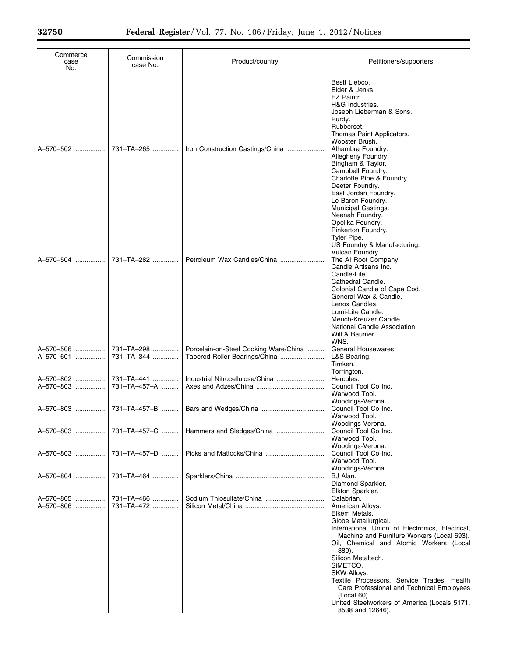| case No.     | Product/country                                                        | Petitioners/supporters                                                                                                                                                                                                                                                                                                                                                                                                                        |
|--------------|------------------------------------------------------------------------|-----------------------------------------------------------------------------------------------------------------------------------------------------------------------------------------------------------------------------------------------------------------------------------------------------------------------------------------------------------------------------------------------------------------------------------------------|
| 731-TA-265   | Iron Construction Castings/China                                       | Bestt Liebco.<br>Elder & Jenks.<br>EZ Paintr.<br>H&G Industries.<br>Joseph Lieberman & Sons.<br>Purdy.<br>Rubberset.<br>Thomas Paint Applicators.<br>Wooster Brush.<br>Alhambra Foundry.<br>Allegheny Foundry.<br>Bingham & Taylor.<br>Campbell Foundry.<br>Charlotte Pipe & Foundry.<br>Deeter Foundry.<br>East Jordan Foundry.<br>Le Baron Foundry.                                                                                         |
| 731-TA-282   | Petroleum Wax Candles/China                                            | Municipal Castings.<br>Neenah Foundry.<br>Opelika Foundry.<br>Pinkerton Foundry.<br>Tyler Pipe.<br>US Foundry & Manufacturing.<br>Vulcan Foundry.<br>The AI Root Company.<br>Candle Artisans Inc.<br>Candle-Lite.<br>Cathedral Candle.<br>Colonial Candle of Cape Cod.                                                                                                                                                                        |
|              |                                                                        | General Wax & Candle.<br>Lenox Candles.<br>Lumi-Lite Candle.<br>Meuch-Kreuzer Candle.<br>National Candle Association.<br>Will & Baumer.<br>WNS.                                                                                                                                                                                                                                                                                               |
| 731-TA-344   | Tapered Roller Bearings/China                                          | General Housewares.<br>L&S Bearing.<br>Timken.<br>Torrington.                                                                                                                                                                                                                                                                                                                                                                                 |
|              |                                                                        | Hercules.                                                                                                                                                                                                                                                                                                                                                                                                                                     |
|              |                                                                        | Council Tool Co Inc.                                                                                                                                                                                                                                                                                                                                                                                                                          |
|              |                                                                        | Warwood Tool.<br>Woodings-Verona.                                                                                                                                                                                                                                                                                                                                                                                                             |
|              |                                                                        | Council Tool Co Inc.<br>Warwood Tool.<br>Woodings-Verona.                                                                                                                                                                                                                                                                                                                                                                                     |
| 731-TA-457-C | Hammers and Sledges/China                                              | Council Tool Co Inc.<br>Warwood Tool.<br>Woodings-Verona.                                                                                                                                                                                                                                                                                                                                                                                     |
| 731-TA-457-D |                                                                        | Council Tool Co Inc.<br>Warwood Tool.                                                                                                                                                                                                                                                                                                                                                                                                         |
| 731-TA-464   |                                                                        | Woodings-Verona.<br>BJ Alan.<br>Diamond Sparkler.                                                                                                                                                                                                                                                                                                                                                                                             |
|              |                                                                        | Elkton Sparkler.                                                                                                                                                                                                                                                                                                                                                                                                                              |
|              |                                                                        | Calabrian.                                                                                                                                                                                                                                                                                                                                                                                                                                    |
| 731-TA-472   |                                                                        | American Alloys.<br>Elkem Metals.<br>Globe Metallurgical.<br>International Union of Electronics, Electrical,<br>Machine and Furniture Workers (Local 693).<br>Oil, Chemical and Atomic Workers (Local<br>389).<br>Silicon Metaltech.<br>SIMETCO.<br>SKW Alloys.<br>Textile Processors, Service Trades, Health<br>Care Professional and Technical Employees<br>(Local 60).<br>United Steelworkers of America (Locals 5171,<br>8538 and 12646). |
|              | 731-TA-298<br>731-TA-441<br>731-TA-457-A<br>731-TA-457-B<br>731-TA-466 | Porcelain-on-Steel Cooking Ware/China<br>Sodium Thiosulfate/China                                                                                                                                                                                                                                                                                                                                                                             |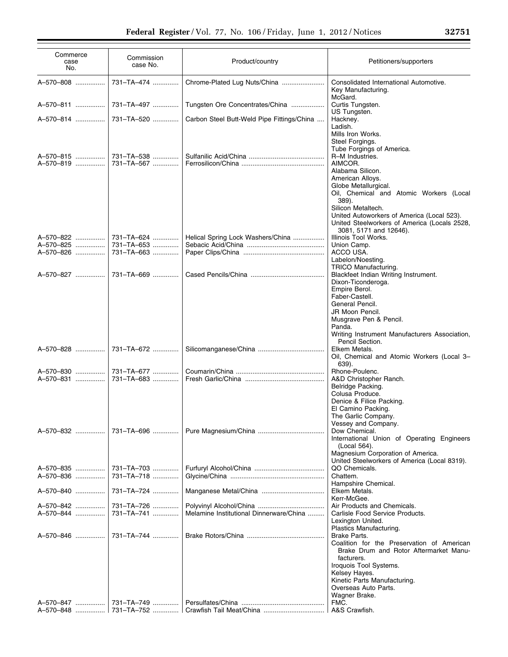| Commerce<br>case<br>No.             | Commission<br>case No.                 | Product/country                            | Petitioners/supporters                                                                                                                                                                                                                                                  |
|-------------------------------------|----------------------------------------|--------------------------------------------|-------------------------------------------------------------------------------------------------------------------------------------------------------------------------------------------------------------------------------------------------------------------------|
| A-570-808                           | 731-TA-474                             | Chrome-Plated Lug Nuts/China               | Consolidated International Automotive.<br>Key Manufacturing.                                                                                                                                                                                                            |
| A-570-811                           | 731-TA-497                             | Tungsten Ore Concentrates/China            | McGard.<br>Curtis Tungsten.<br>US Tungsten.                                                                                                                                                                                                                             |
| A-570-814                           | 731-TA-520                             | Carbon Steel Butt-Weld Pipe Fittings/China | Hackney.                                                                                                                                                                                                                                                                |
| A-570-815<br>A-570-819              | 731-TA-538<br>731-TA-567               |                                            | Ladish.<br>Mills Iron Works.<br>Steel Forgings.<br>Tube Forgings of America.<br>R-M Industries.<br>AIMCOR.<br>Alabama Silicon.<br>American Alloys.<br>Globe Metallurgical.                                                                                              |
| A-570-822<br>A-570-825<br>A-570-826 | 731-TA-624<br>731-TA-653<br>731-TA-663 | Helical Spring Lock Washers/China          | Oil, Chemical and Atomic Workers (Local<br>389).<br>Silicon Metaltech.<br>United Autoworkers of America (Local 523).<br>United Steelworkers of America (Locals 2528,<br>3081, 5171 and 12646).<br>Illinois Tool Works.<br>Union Camp.<br>ACCO USA.<br>Labelon/Noesting. |
| A-570-827                           | 731-TA-669                             |                                            | TRICO Manufacturing.<br>Blackfeet Indian Writing Instrument.<br>Dixon-Ticonderoga.<br>Empire Berol.<br>Faber-Castell.<br>General Pencil.                                                                                                                                |
| A-570-828                           | 731-TA-672                             |                                            | JR Moon Pencil.<br>Musgrave Pen & Pencil.<br>Panda.<br>Writing Instrument Manufacturers Association,<br>Pencil Section.<br>Elkem Metals.                                                                                                                                |
|                                     |                                        |                                            | Oil, Chemical and Atomic Workers (Local 3-<br>639).                                                                                                                                                                                                                     |
| A-570-830<br>A-570-831              | 731-TA-677<br>731-TA-683               |                                            | Rhone-Poulenc.<br>A&D Christopher Ranch.<br>Belridge Packing.<br>Colusa Produce.<br>Denice & Filice Packing.                                                                                                                                                            |
| A-570-832                           | 731-TA-696                             |                                            | El Camino Packing.<br>The Garlic Company.<br>Vessey and Company.<br>Dow Chemical.                                                                                                                                                                                       |
|                                     |                                        |                                            | International Union of Operating Engineers<br>(Local 564).<br>Magnesium Corporation of America.<br>United Steelworkers of America (Local 8319).                                                                                                                         |
| A-570-835<br>A-570-836              | 731-TA-703<br>731-TA-718               |                                            | QO Chemicals.<br>Chattem.                                                                                                                                                                                                                                               |
| A-570-840                           | 731-TA-724                             | Manganese Metal/China                      | Hampshire Chemical.<br>Elkem Metals.<br>Kerr-McGee.                                                                                                                                                                                                                     |
| A-570-842<br>A-570-844              | 731-TA-726<br>731-TA-741               | Melamine Institutional Dinnerware/China    | Air Products and Chemicals.<br>Carlisle Food Service Products.<br>Lexington United.<br>Plastics Manufacturing.                                                                                                                                                          |
| A-570-846                           | 731-TA-744                             |                                            | Brake Parts.<br>Coalition for the Preservation of American<br>Brake Drum and Rotor Aftermarket Manu-<br>facturers.<br>Iroquois Tool Systems.<br>Kelsey Hayes.<br>Kinetic Parts Manufacturing.<br>Overseas Auto Parts.<br>Wagner Brake.                                  |
|                                     |                                        |                                            | FMC.                                                                                                                                                                                                                                                                    |
|                                     |                                        |                                            | A&S Crawfish.                                                                                                                                                                                                                                                           |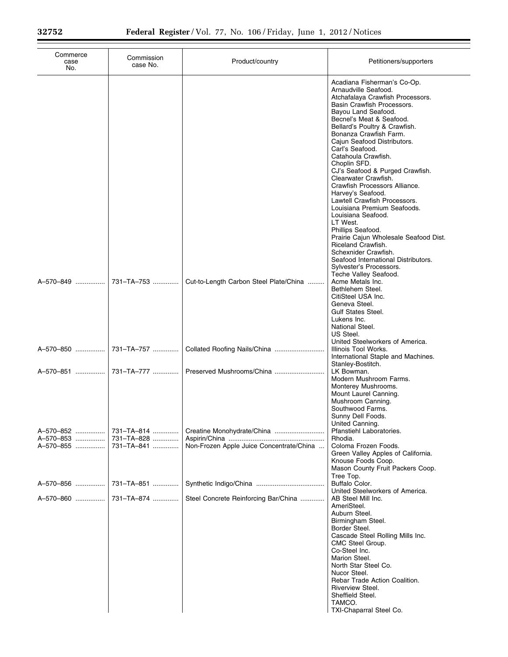Ξ

| Commerce<br>case<br>No. | Commission<br>case No.   | Product/country                          | Petitioners/supporters                                                                                                                                                                                                                                                                                                                                                                                                                                                                                                                                                                                                                                                                                                       |
|-------------------------|--------------------------|------------------------------------------|------------------------------------------------------------------------------------------------------------------------------------------------------------------------------------------------------------------------------------------------------------------------------------------------------------------------------------------------------------------------------------------------------------------------------------------------------------------------------------------------------------------------------------------------------------------------------------------------------------------------------------------------------------------------------------------------------------------------------|
|                         |                          |                                          | Acadiana Fisherman's Co-Op.<br>Arnaudville Seafood.<br>Atchafalaya Crawfish Processors.<br>Basin Crawfish Processors.<br>Bayou Land Seafood.<br>Becnel's Meat & Seafood.<br>Bellard's Poultry & Crawfish.<br>Bonanza Crawfish Farm.<br>Cajun Seafood Distributors.<br>Carl's Seafood.<br>Catahoula Crawfish.<br>Choplin SFD.<br>CJ's Seafood & Purged Crawfish.<br>Clearwater Crawfish.<br>Crawfish Processors Alliance.<br>Harvey's Seafood.<br>Lawtell Crawfish Processors.<br>Louisiana Premium Seafoods.<br>Louisiana Seafood.<br>LT West.<br>Phillips Seafood.<br>Prairie Cajun Wholesale Seafood Dist.<br>Riceland Crawfish.<br>Schexnider Crawfish.<br>Seafood International Distributors.<br>Sylvester's Processors. |
| A-570-849               | 731-TA-753               | Cut-to-Length Carbon Steel Plate/China   | Teche Valley Seafood.<br>Acme Metals Inc.<br>Bethlehem Steel.<br>CitiSteel USA Inc.<br>Geneva Steel.<br><b>Gulf States Steel.</b><br>Lukens Inc.<br>National Steel.<br>US Steel.<br>United Steelworkers of America.                                                                                                                                                                                                                                                                                                                                                                                                                                                                                                          |
| A-570-850               | 731-TA-757               |                                          | Illinois Tool Works.<br>International Staple and Machines.<br>Stanley-Bostitch.                                                                                                                                                                                                                                                                                                                                                                                                                                                                                                                                                                                                                                              |
| A-570-851               | 731–TA–777 …………. l       |                                          | LK Bowman.<br>Modern Mushroom Farms.<br>Monterey Mushrooms.<br>Mount Laurel Canning.<br>Mushroom Canning.<br>Southwood Farms.<br>Sunny Dell Foods.<br>United Canning.                                                                                                                                                                                                                                                                                                                                                                                                                                                                                                                                                        |
| A-570-852               | 731-TA-814               |                                          | Pfanstiehl Laboratories.                                                                                                                                                                                                                                                                                                                                                                                                                                                                                                                                                                                                                                                                                                     |
| A-570-853<br>A-570-855  | 731-TA-828<br>731-TA-841 | Non-Frozen Apple Juice Concentrate/China | Rhodia.<br>Coloma Frozen Foods.<br>Green Valley Apples of California.<br>Knouse Foods Coop.<br>Mason County Fruit Packers Coop.                                                                                                                                                                                                                                                                                                                                                                                                                                                                                                                                                                                              |
| A-570-856               | 731-TA-851               |                                          | Tree Top.<br>Buffalo Color.<br>United Steelworkers of America.                                                                                                                                                                                                                                                                                                                                                                                                                                                                                                                                                                                                                                                               |
| A-570-860               | 731-TA-874               | Steel Concrete Reinforcing Bar/China     | AB Steel Mill Inc.<br>AmeriSteel.<br>Auburn Steel.<br>Birmingham Steel.<br>Border Steel.<br>Cascade Steel Rolling Mills Inc.<br>CMC Steel Group.<br>Co-Steel Inc.<br>Marion Steel.<br>North Star Steel Co.<br>Nucor Steel.<br>Rebar Trade Action Coalition.<br>Riverview Steel.<br>Sheffield Steel.<br>TAMCO.<br>TXI-Chaparral Steel Co.                                                                                                                                                                                                                                                                                                                                                                                     |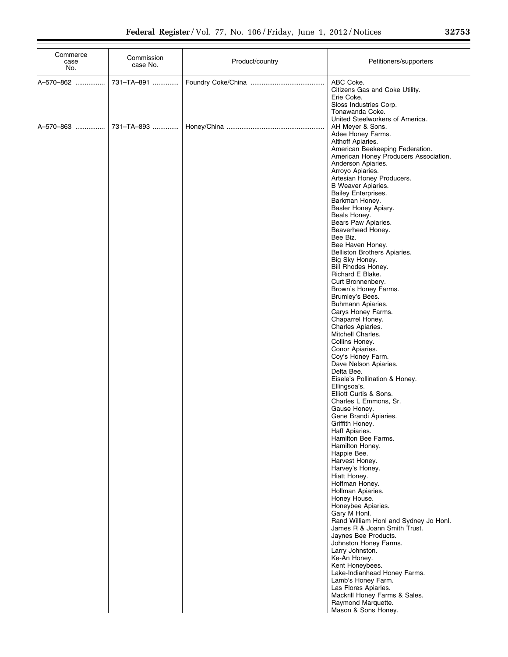| Commerce<br>case<br>No. | Commission<br>case No. | Product/country | Petitioners/supporters                                                                                                                                                                                                                                                                                                                                                                                                                                                                                                                                                                                                                                                                                                                                                                                                                                                                                                                                                                                                                                                                                                                                                                                                                                                                                                                                                                                                                                                                                              |
|-------------------------|------------------------|-----------------|---------------------------------------------------------------------------------------------------------------------------------------------------------------------------------------------------------------------------------------------------------------------------------------------------------------------------------------------------------------------------------------------------------------------------------------------------------------------------------------------------------------------------------------------------------------------------------------------------------------------------------------------------------------------------------------------------------------------------------------------------------------------------------------------------------------------------------------------------------------------------------------------------------------------------------------------------------------------------------------------------------------------------------------------------------------------------------------------------------------------------------------------------------------------------------------------------------------------------------------------------------------------------------------------------------------------------------------------------------------------------------------------------------------------------------------------------------------------------------------------------------------------|
| A-570-862               | 731-TA-891             |                 | ABC Coke.<br>Citizens Gas and Coke Utility.<br>Erie Coke.<br>Sloss Industries Corp.<br>Tonawanda Coke.                                                                                                                                                                                                                                                                                                                                                                                                                                                                                                                                                                                                                                                                                                                                                                                                                                                                                                                                                                                                                                                                                                                                                                                                                                                                                                                                                                                                              |
|                         | A-570-863  731-TA-893  |                 | United Steelworkers of America.<br>AH Meyer & Sons.<br>Adee Honey Farms.<br>Althoff Apiaries.<br>American Beekeeping Federation.<br>American Honey Producers Association.<br>Anderson Apiaries.<br>Arroyo Apiaries.<br>Artesian Honey Producers.<br><b>B</b> Weaver Apiaries.<br><b>Bailey Enterprises.</b><br>Barkman Honey.<br>Basler Honey Apiary.<br>Beals Honey.<br>Bears Paw Apiaries.<br>Beaverhead Honey.<br>Bee Biz.<br>Bee Haven Honey.<br>Belliston Brothers Apiaries.<br>Big Sky Honey.<br>Bill Rhodes Honey.<br>Richard E Blake.<br>Curt Bronnenbery.<br>Brown's Honey Farms.<br>Brumley's Bees.<br>Buhmann Apiaries.<br>Carys Honey Farms.<br>Chaparrel Honey.<br>Charles Apiaries.<br>Mitchell Charles.<br>Collins Honey.<br>Conor Apiaries.<br>Coy's Honey Farm.<br>Dave Nelson Apiaries.<br>Delta Bee.<br>Eisele's Pollination & Honey.<br>Ellingsoa's.<br>Elliott Curtis & Sons.<br>Charles L Emmons, Sr.<br>Gause Honey.<br>Gene Brandi Apiaries.<br>Griffith Honey.<br>Haff Apiaries.<br>Hamilton Bee Farms.<br>Hamilton Honey.<br>Happie Bee.<br>Harvest Honey.<br>Harvey's Honey.<br>Hiatt Honey.<br>Hoffman Honey.<br>Hollman Apiaries.<br>Honey House.<br>Honeybee Apiaries.<br>Gary M Honl.<br>Rand William Honl and Sydney Jo Honl.<br>James R & Joann Smith Trust.<br>Jaynes Bee Products.<br>Johnston Honey Farms.<br>Larry Johnston.<br>Ke-An Honey.<br>Kent Honeybees.<br>Lake-Indianhead Honey Farms.<br>Lamb's Honey Farm.<br>Las Flores Apiaries.<br>Mackrill Honey Farms & Sales. |
|                         |                        |                 | Raymond Marquette.<br>Mason & Sons Honey.                                                                                                                                                                                                                                                                                                                                                                                                                                                                                                                                                                                                                                                                                                                                                                                                                                                                                                                                                                                                                                                                                                                                                                                                                                                                                                                                                                                                                                                                           |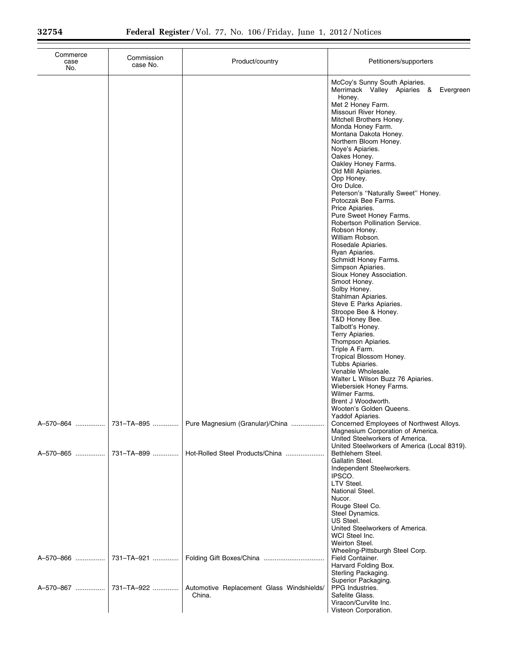| Commerce<br>case<br>No. | Commission<br>case No.   | Product/country                                     | Petitioners/supporters                                                                                                                                                                                                                                                                                                                                                                                                                                                                                                                                                                                                                                                                                                                                                                                                                                                                                                                                                                                                                                                                |
|-------------------------|--------------------------|-----------------------------------------------------|---------------------------------------------------------------------------------------------------------------------------------------------------------------------------------------------------------------------------------------------------------------------------------------------------------------------------------------------------------------------------------------------------------------------------------------------------------------------------------------------------------------------------------------------------------------------------------------------------------------------------------------------------------------------------------------------------------------------------------------------------------------------------------------------------------------------------------------------------------------------------------------------------------------------------------------------------------------------------------------------------------------------------------------------------------------------------------------|
|                         |                          |                                                     | McCoy's Sunny South Apiaries.<br>Merrimack Valley Apiaries & Evergreen<br>Honey.<br>Met 2 Honey Farm.<br>Missouri River Honey.<br>Mitchell Brothers Honey.<br>Monda Honey Farm.<br>Montana Dakota Honey.<br>Northern Bloom Honey.<br>Noye's Apiaries.<br>Oakes Honey.<br>Oakley Honey Farms.<br>Old Mill Apiaries.<br>Opp Honey.<br>Oro Dulce.<br>Peterson's "Naturally Sweet" Honey.<br>Potoczak Bee Farms.<br>Price Apiaries.<br>Pure Sweet Honey Farms.<br>Robertson Pollination Service.<br>Robson Honey.<br>William Robson.<br>Rosedale Apiaries.<br>Ryan Apiaries.<br>Schmidt Honey Farms.<br>Simpson Apiaries.<br>Sioux Honey Association.<br>Smoot Honey.<br>Solby Honey.<br>Stahlman Apiaries.<br>Steve E Parks Apiaries.<br>Stroope Bee & Honey.<br>T&D Honey Bee.<br>Talbott's Honey.<br>Terry Apiaries.<br>Thompson Apiaries.<br>Triple A Farm.<br>Tropical Blossom Honey.<br>Tubbs Apiaries.<br>Venable Wholesale.<br>Walter L Wilson Buzz 76 Apiaries.<br>Wiebersiek Honey Farms.<br>Wilmer Farms.<br>Brent J Woodworth.<br>Wooten's Golden Queens.<br>Yaddof Apiaries. |
| A-570-864               | 731-TA-895               | Pure Magnesium (Granular)/China                     | Concerned Employees of Northwest Alloys.<br>Magnesium Corporation of America.<br>United Steelworkers of America.<br>United Steelworkers of America (Local 8319).                                                                                                                                                                                                                                                                                                                                                                                                                                                                                                                                                                                                                                                                                                                                                                                                                                                                                                                      |
| A-570-865<br>A-570-866  | 731-TA-899<br>731-TA-921 | Hot-Rolled Steel Products/China                     | Bethlehem Steel.<br>Gallatin Steel.<br>Independent Steelworkers.<br>IPSCO.<br>LTV Steel.<br>National Steel.<br>Nucor.<br>Rouge Steel Co.<br>Steel Dynamics.<br>US Steel.<br>United Steelworkers of America.<br>WCI Steel Inc.<br>Weirton Steel.<br>Wheeling-Pittsburgh Steel Corp.<br>Field Container.<br>Harvard Folding Box.                                                                                                                                                                                                                                                                                                                                                                                                                                                                                                                                                                                                                                                                                                                                                        |
| A-570-867               | 731-TA-922               | Automotive Replacement Glass Windshields/<br>China. | Sterling Packaging.<br>Superior Packaging.<br>PPG Industries.<br>Safelite Glass.<br>Viracon/Curvlite Inc.<br>Visteon Corporation.                                                                                                                                                                                                                                                                                                                                                                                                                                                                                                                                                                                                                                                                                                                                                                                                                                                                                                                                                     |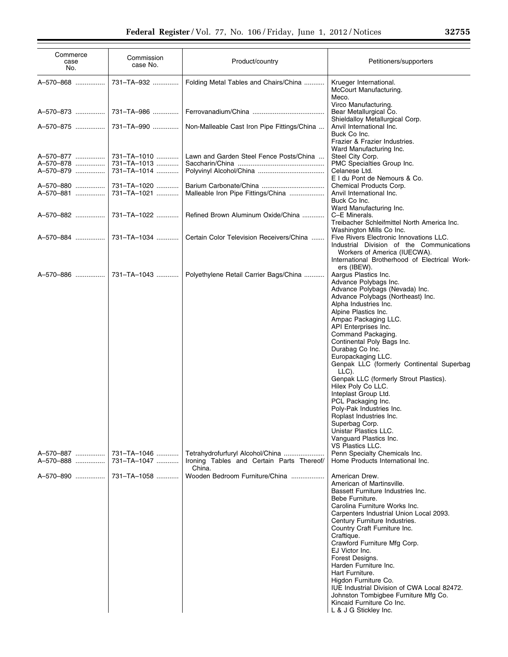| Commerce<br>case<br>No.             | Commission<br>case No.                    | Product/country                                                                                                           | Petitioners/supporters                                                                                                                                                                                                                                                                                                                                                                                                                                                                                                                                                                                                                                                                                                                                                                                                                                                                                                                                                                                                                                                                                                                                                           |
|-------------------------------------|-------------------------------------------|---------------------------------------------------------------------------------------------------------------------------|----------------------------------------------------------------------------------------------------------------------------------------------------------------------------------------------------------------------------------------------------------------------------------------------------------------------------------------------------------------------------------------------------------------------------------------------------------------------------------------------------------------------------------------------------------------------------------------------------------------------------------------------------------------------------------------------------------------------------------------------------------------------------------------------------------------------------------------------------------------------------------------------------------------------------------------------------------------------------------------------------------------------------------------------------------------------------------------------------------------------------------------------------------------------------------|
| A-570-868                           | 731-TA-932                                | Folding Metal Tables and Chairs/China                                                                                     | Krueger International.<br>McCourt Manufacturing.<br>Meco.                                                                                                                                                                                                                                                                                                                                                                                                                                                                                                                                                                                                                                                                                                                                                                                                                                                                                                                                                                                                                                                                                                                        |
| A-570-873                           | 731-TA-986                                |                                                                                                                           | Virco Manufacturing.<br>Bear Metallurgical Co.                                                                                                                                                                                                                                                                                                                                                                                                                                                                                                                                                                                                                                                                                                                                                                                                                                                                                                                                                                                                                                                                                                                                   |
| A-570-875                           | 731-TA-990                                | Non-Malleable Cast Iron Pipe Fittings/China                                                                               | Shieldalloy Metallurgical Corp.<br>Anvil International Inc.<br>Buck Co Inc.<br>Frazier & Frazier Industries.                                                                                                                                                                                                                                                                                                                                                                                                                                                                                                                                                                                                                                                                                                                                                                                                                                                                                                                                                                                                                                                                     |
| A-570-877<br>A-570-878<br>A-570-879 | 731-TA-1010<br>731-TA-1013<br>731-TA-1014 | Lawn and Garden Steel Fence Posts/China                                                                                   | Ward Manufacturing Inc.<br>Steel City Corp.<br>PMC Specialties Group Inc.<br>Celanese Ltd.                                                                                                                                                                                                                                                                                                                                                                                                                                                                                                                                                                                                                                                                                                                                                                                                                                                                                                                                                                                                                                                                                       |
| A-570-880<br>A-570-881              | 731-TA-1020<br>731-TA-1021                | Malleable Iron Pipe Fittings/China                                                                                        | E I du Pont de Nemours & Co.<br>Chemical Products Corp.<br>Anvil International Inc.<br>Buck Co Inc.                                                                                                                                                                                                                                                                                                                                                                                                                                                                                                                                                                                                                                                                                                                                                                                                                                                                                                                                                                                                                                                                              |
| A-570-882                           | 731-TA-1022                               | Refined Brown Aluminum Oxide/China                                                                                        | Ward Manufacturing Inc.<br>C-E Minerals.<br>Treibacher Schleifmittel North America Inc.                                                                                                                                                                                                                                                                                                                                                                                                                                                                                                                                                                                                                                                                                                                                                                                                                                                                                                                                                                                                                                                                                          |
|                                     |                                           | Certain Color Television Receivers/China                                                                                  | Washington Mills Co Inc.<br>Five Rivers Electronic Innovations LLC.<br>Industrial Division of the Communications<br>Workers of America (IUECWA).                                                                                                                                                                                                                                                                                                                                                                                                                                                                                                                                                                                                                                                                                                                                                                                                                                                                                                                                                                                                                                 |
|                                     |                                           | Polyethylene Retail Carrier Bags/China                                                                                    | International Brotherhood of Electrical Work-<br>ers (IBEW).<br>Aargus Plastics Inc.<br>Advance Polybags Inc.<br>Advance Polybags (Nevada) Inc.                                                                                                                                                                                                                                                                                                                                                                                                                                                                                                                                                                                                                                                                                                                                                                                                                                                                                                                                                                                                                                  |
| A-570-887<br>A-570-888<br>A-570-890 | 731-TA-1046<br>731-TA-1047<br>731-TA-1058 | Tetrahydrofurfuryl Alcohol/China<br>Ironing Tables and Certain Parts Thereof/<br>China.<br>Wooden Bedroom Furniture/China | Advance Polybags (Northeast) Inc.<br>Alpha Industries Inc.<br>Alpine Plastics Inc.<br>Ampac Packaging LLC.<br>API Enterprises Inc.<br>Command Packaging.<br>Continental Poly Bags Inc.<br>Durabag Co Inc.<br>Europackaging LLC.<br>Genpak LLC (formerly Continental Superbag<br>LLC).<br>Genpak LLC (formerly Strout Plastics).<br>Hilex Poly Co LLC.<br>Inteplast Group Ltd.<br>PCL Packaging Inc.<br>Poly-Pak Industries Inc.<br>Roplast Industries Inc.<br>Superbag Corp.<br>Unistar Plastics LLC.<br>Vanquard Plastics Inc.<br>VS Plastics LLC.<br>Penn Specialty Chemicals Inc.<br>Home Products International Inc.<br>American Drew.<br>American of Martinsville.<br>Bassett Furniture Industries Inc.<br>Bebe Furniture.<br>Carolina Furniture Works Inc.<br>Carpenters Industrial Union Local 2093.<br>Century Furniture Industries.<br>Country Craft Furniture Inc.<br>Craftique.<br>Crawford Furniture Mfg Corp.<br>EJ Victor Inc.<br>Forest Designs.<br>Harden Furniture Inc.<br>Hart Furniture.<br>Higdon Furniture Co.<br>IUE Industrial Division of CWA Local 82472.<br>Johnston Tombigbee Furniture Mfg Co.<br>Kincaid Furniture Co Inc.<br>L & J G Stickley Inc. |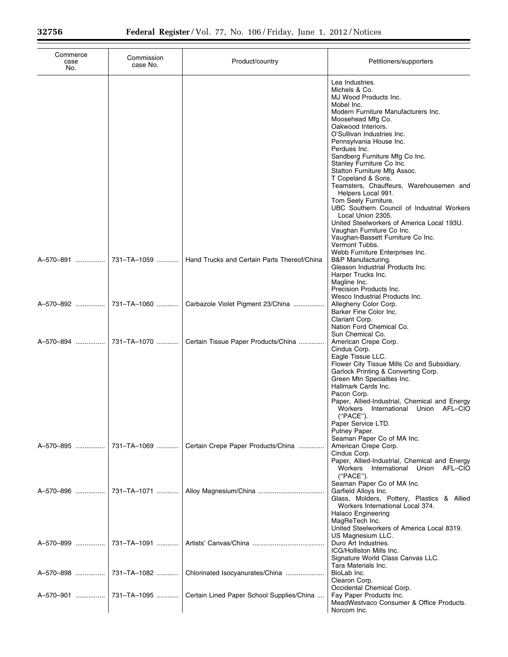| Commerce<br>case<br>No. | Commission<br>case No. | Product/country                             | Petitioners/supporters                                                                                                                                                                                                                                                                                                                                                                                                                                                                                                                                                                                                              |
|-------------------------|------------------------|---------------------------------------------|-------------------------------------------------------------------------------------------------------------------------------------------------------------------------------------------------------------------------------------------------------------------------------------------------------------------------------------------------------------------------------------------------------------------------------------------------------------------------------------------------------------------------------------------------------------------------------------------------------------------------------------|
|                         |                        |                                             | Lea Industries.<br>Michels & Co.<br>MJ Wood Products Inc.<br>Mobel Inc.<br>Modern Furniture Manufacturers Inc.<br>Moosehead Mfg Co.<br>Oakwood Interiors.<br>O'Sullivan Industries Inc.<br>Pennsylvania House Inc.<br>Perdues Inc.<br>Sandberg Furniture Mfg Co Inc.<br>Stanley Furniture Co Inc.<br>Statton Furniture Mfg Assoc.<br>T Copeland & Sons.<br>Teamsters, Chauffeurs, Warehousemen and<br>Helpers Local 991.<br>Tom Seely Furniture.<br>UBC Southern Council of Industrial Workers<br>Local Union 2305.<br>United Steelworkers of America Local 193U.<br>Vaughan Furniture Co Inc.<br>Vaughan-Bassett Furniture Co Inc. |
| A-570-891               | 731-TA-1059            | Hand Trucks and Certain Parts Thereof/China | Vermont Tubbs.<br>Webb Furniture Enterprises Inc.<br>B&P Manufacturing.<br>Gleason Industrial Products Inc.<br>Harper Trucks Inc.<br>Magline Inc.<br>Precision Products Inc.                                                                                                                                                                                                                                                                                                                                                                                                                                                        |
| A-570-892               | 731-TA-1060            | Carbazole Violet Pigment 23/China           | Wesco Industrial Products Inc.<br>Allegheny Color Corp.<br>Barker Fine Color Inc.<br>Clariant Corp.<br>Nation Ford Chemical Co.                                                                                                                                                                                                                                                                                                                                                                                                                                                                                                     |
| A-570-894               | 731-TA-1070            | Certain Tissue Paper Products/China         | Sun Chemical Co.<br>American Crepe Corp.<br>Cindus Corp.<br>Eagle Tissue LLC.<br>Flower City Tissue Mills Co and Subsidiary.<br>Garlock Printing & Converting Corp.<br>Green Mtn Specialties Inc.<br>Hallmark Cards Inc.<br>Pacon Corp.<br>Paper, Allied-Industrial, Chemical and Energy<br>Workers<br>International<br>Union AFL-CIO<br>("PACE").<br>Paper Service LTD.<br>Putney Paper.                                                                                                                                                                                                                                           |
| A-570-895               | 731-TA-1069            | Certain Crepe Paper Products/China          | Seaman Paper Co of MA Inc.<br>American Crepe Corp.<br>Cindus Corp.<br>Paper, Allied-Industrial, Chemical and Energy<br>International Union AFL-CIO<br>Workers<br>("PACE").                                                                                                                                                                                                                                                                                                                                                                                                                                                          |
| A-570-896               | 731-TA-1071            |                                             | Seaman Paper Co of MA Inc.<br>Garfield Alloys Inc.<br>Glass, Molders, Pottery, Plastics & Allied<br>Workers International Local 374.<br><b>Halaco Engineering</b><br>MagReTech Inc.<br>United Steelworkers of America Local 8319.                                                                                                                                                                                                                                                                                                                                                                                                   |
| A-570-899               | 731-TA-1091            |                                             | US Magnesium LLC.<br>Duro Art Industries.<br>ICG/Holliston Mills Inc.<br>Signature World Class Canvas LLC.                                                                                                                                                                                                                                                                                                                                                                                                                                                                                                                          |
| A-570-898               | 731-TA-1082            | Chlorinated Isocyanurates/China             | Tara Materials Inc.<br>BioLab Inc.<br>Clearon Corp.                                                                                                                                                                                                                                                                                                                                                                                                                                                                                                                                                                                 |
| A-570-901               | 731-TA-1095            | Certain Lined Paper School Supplies/China   | Occidental Chemical Corp.<br>Fay Paper Products Inc.<br>MeadWestvaco Consumer & Office Products.<br>Norcom Inc.                                                                                                                                                                                                                                                                                                                                                                                                                                                                                                                     |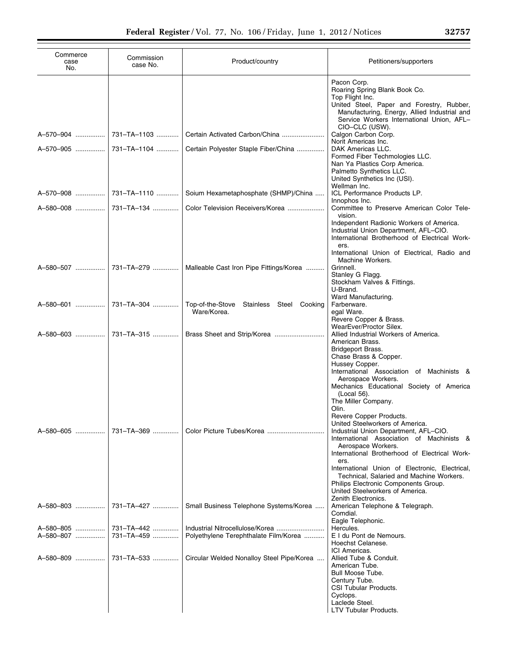| Commerce<br>case<br>No. | Commission<br>case No.   | Product/country                                            | Petitioners/supporters                                                                                                                                                                                                                                                                                                                                                                |
|-------------------------|--------------------------|------------------------------------------------------------|---------------------------------------------------------------------------------------------------------------------------------------------------------------------------------------------------------------------------------------------------------------------------------------------------------------------------------------------------------------------------------------|
|                         |                          |                                                            | Pacon Corp.<br>Roaring Spring Blank Book Co.<br>Top Flight Inc.<br>United Steel, Paper and Forestry, Rubber,<br>Manufacturing, Energy, Allied Industrial and<br>Service Workers International Union, AFL-<br>CIO-CLC (USW).                                                                                                                                                           |
|                         |                          | Certain Activated Carbon/China                             | Calgon Carbon Corp.<br>Norit Americas Inc.                                                                                                                                                                                                                                                                                                                                            |
|                         |                          | Certain Polyester Staple Fiber/China                       | DAK Americas LLC.<br>Formed Fiber Techmologies LLC.<br>Nan Ya Plastics Corp America.<br>Palmetto Synthetics LLC.<br>United Synthetics Inc (USI).<br>Wellman Inc.                                                                                                                                                                                                                      |
|                         |                          | Soium Hexametaphosphate (SHMP)/China                       | ICL Performance Products LP.                                                                                                                                                                                                                                                                                                                                                          |
|                         |                          | Color Television Receivers/Korea                           | Innophos Inc.<br>Committee to Preserve American Color Tele-<br>vision.<br>Independent Radionic Workers of America.                                                                                                                                                                                                                                                                    |
|                         |                          |                                                            | Industrial Union Department, AFL-CIO.<br>International Brotherhood of Electrical Work-<br>ers.<br>International Union of Electrical, Radio and                                                                                                                                                                                                                                        |
|                         |                          | Malleable Cast Iron Pipe Fittings/Korea                    | Machine Workers.<br>Grinnell.<br>Stanley G Flagg.<br>Stockham Valves & Fittings.<br>U-Brand.<br>Ward Manufacturing.                                                                                                                                                                                                                                                                   |
|                         |                          | Top-of-the-Stove<br>Stainless Steel Cooking<br>Ware/Korea. | Farberware.<br>egal Ware.<br>Revere Copper & Brass.                                                                                                                                                                                                                                                                                                                                   |
|                         |                          | A-580-603  731–TA-315    Brass Sheet and Strip/Korea       | WearEver/Proctor Silex.<br>Allied Industrial Workers of America.<br>American Brass.<br>Bridgeport Brass.<br>Chase Brass & Copper.<br>Hussey Copper.                                                                                                                                                                                                                                   |
| A-580-605               | 731-TA-369               |                                                            | International Association of Machinists &<br>Aerospace Workers.<br>Mechanics Educational Society of America<br>(Local 56).<br>The Miller Company.<br>Olin.<br>Revere Copper Products.<br>United Steelworkers of America.<br>Industrial Union Department, AFL-CIO.<br>International Association of Machinists &<br>Aerospace Workers.<br>International Brotherhood of Electrical Work- |
|                         |                          |                                                            | ers.<br>International Union of Electronic, Electrical,<br>Technical, Salaried and Machine Workers.<br>Philips Electronic Components Group.<br>United Steelworkers of America.<br>Zenith Electronics.                                                                                                                                                                                  |
| A-580-803               | 731-TA-427               | Small Business Telephone Systems/Korea                     | American Telephone & Telegraph.<br>Comdial.<br>Eagle Telephonic.                                                                                                                                                                                                                                                                                                                      |
| A-580-805<br>A-580-807  | 731-TA-442<br>731-TA-459 | Polyethylene Terephthalate Film/Korea                      | Hercules.<br>E I du Pont de Nemours.<br>Hoechst Celanese.                                                                                                                                                                                                                                                                                                                             |
| A-580-809               | 731-TA-533               | Circular Welded Nonalloy Steel Pipe/Korea                  | ICI Americas.<br>Allied Tube & Conduit.<br>American Tube.<br>Bull Moose Tube.<br>Century Tube.<br>CSI Tubular Products.<br>Cyclops.<br>Laclede Steel.<br>LTV Tubular Products.                                                                                                                                                                                                        |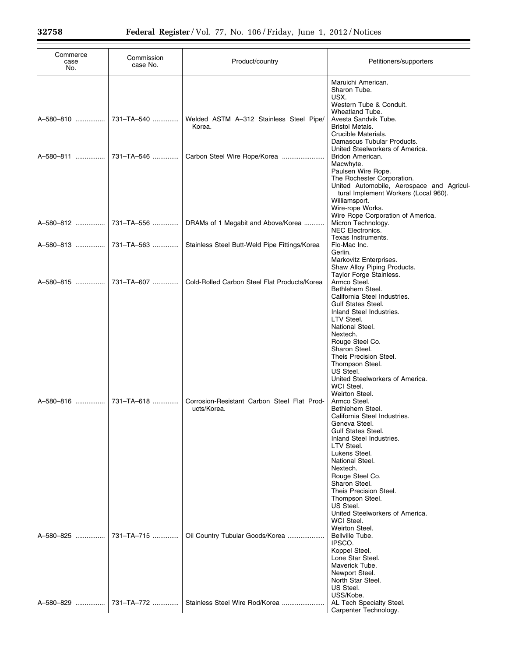| Commerce<br>case<br>No. | Commission<br>case No. | Product/country                                                                     | Petitioners/supporters                                                                                                                                                                                                                                                                                                                                                                                                                                     |
|-------------------------|------------------------|-------------------------------------------------------------------------------------|------------------------------------------------------------------------------------------------------------------------------------------------------------------------------------------------------------------------------------------------------------------------------------------------------------------------------------------------------------------------------------------------------------------------------------------------------------|
|                         |                        | Welded ASTM A-312 Stainless Steel Pipe/<br>Korea.<br>Carbon Steel Wire Rope/Korea   | Maruichi American.<br>Sharon Tube.<br>USX.<br>Western Tube & Conduit.<br>Wheatland Tube.<br>Avesta Sandvik Tube.<br><b>Bristol Metals.</b><br>Crucible Materials.<br>Damascus Tubular Products.<br>United Steelworkers of America.<br>Bridon American.<br>Macwhyte.<br>Paulsen Wire Rope.<br>The Rochester Corporation.                                                                                                                                    |
|                         | 731-TA-563             | DRAMs of 1 Megabit and Above/Korea<br>Stainless Steel Butt-Weld Pipe Fittings/Korea | United Automobile, Aerospace and Agricul-<br>tural Implement Workers (Local 960).<br>Williamsport.<br>Wire-rope Works.<br>Wire Rope Corporation of America.<br>Micron Technology.<br><b>NEC Electronics.</b><br>Texas Instruments.<br>Flo-Mac Inc.<br>Gerlin.                                                                                                                                                                                              |
|                         |                        | Cold-Rolled Carbon Steel Flat Products/Korea                                        | Markovitz Enterprises.<br>Shaw Alloy Piping Products.<br>Taylor Forge Stainless.<br>Armco Steel.<br>Bethlehem Steel.<br>California Steel Industries.<br><b>Gulf States Steel.</b><br>Inland Steel Industries.                                                                                                                                                                                                                                              |
| A-580-816               | 731-TA-618             | Corrosion-Resistant Carbon Steel Flat Prod-<br>ucts/Korea.                          | LTV Steel.<br>National Steel.<br>Nextech.<br>Rouge Steel Co.<br>Sharon Steel.<br>Theis Precision Steel.<br>Thompson Steel.<br>US Steel.<br>United Steelworkers of America.<br>WCI Steel.<br>Weirton Steel.<br>Armco Steel.<br>Bethlehem Steel.<br>California Steel Industries.<br>Geneva Steel.<br><b>Gulf States Steel.</b><br>Inland Steel Industries.<br>LTV Steel.<br>Lukens Steel.<br>National Steel.<br>Nextech.<br>Rouge Steel Co.<br>Sharon Steel. |
| A-580-825               | 731-TA-715             | Oil Country Tubular Goods/Korea                                                     | Theis Precision Steel.<br>Thompson Steel.<br>US Steel.<br>United Steelworkers of America.<br>WCI Steel.<br>Weirton Steel.<br>Bellville Tube.<br>IPSCO.<br>Koppel Steel.<br>Lone Star Steel.<br>Maverick Tube.<br>Newport Steel.<br>North Star Steel.<br>US Steel.                                                                                                                                                                                          |
| A-580-829               | 731-TA-772             | Stainless Steel Wire Rod/Korea                                                      | USS/Kobe.<br>AL Tech Specialty Steel.<br>Carpenter Technology.                                                                                                                                                                                                                                                                                                                                                                                             |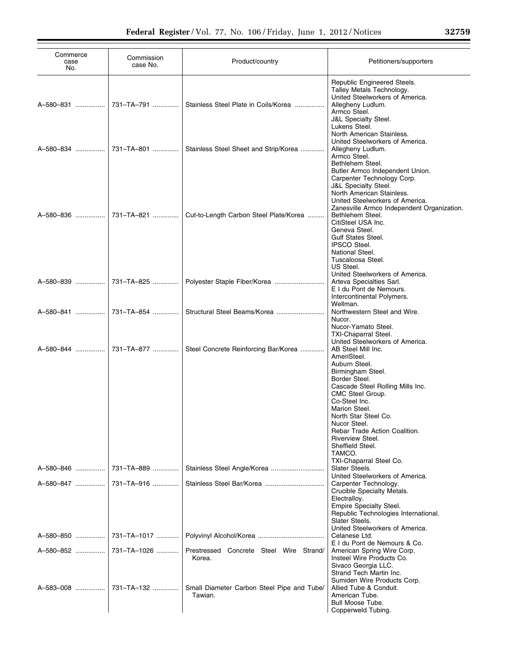| Commerce<br>case<br>No. | Commission<br>case No. | Product/country                                       | Petitioners/supporters                                                                                                                                                                                                                                                                                                                           |
|-------------------------|------------------------|-------------------------------------------------------|--------------------------------------------------------------------------------------------------------------------------------------------------------------------------------------------------------------------------------------------------------------------------------------------------------------------------------------------------|
| A-580-831               | 731-TA-791             | Stainless Steel Plate in Coils/Korea                  | Republic Engineered Steels.<br>Talley Metals Technology.<br>United Steelworkers of America.<br>Allegheny Ludlum.<br>Armco Steel.<br><b>J&amp;L Specialty Steel.</b><br>Lukens Steel.                                                                                                                                                             |
| A-580-834               | 731-TA-801             | Stainless Steel Sheet and Strip/Korea                 | North American Stainless.<br>United Steelworkers of America.<br>Allegheny Ludlum.<br>Armco Steel.<br>Bethlehem Steel.<br>Butler Armco Independent Union.                                                                                                                                                                                         |
| A-580-836               | 731-TA-821             | Cut-to-Length Carbon Steel Plate/Korea                | Carpenter Technology Corp.<br><b>J&amp;L Specialty Steel.</b><br>North American Stainless.<br>United Steelworkers of America.<br>Zanesville Armco Independent Organization.<br>Bethlehem Steel.<br>CitiSteel USA Inc.<br>Geneva Steel.<br><b>Gulf States Steel.</b><br><b>IPSCO Steel.</b><br>National Steel.                                    |
| A-580-839               |                        | 731-TA-825    Polyester Staple Fiber/Korea            | Tuscaloosa Steel.<br>US Steel.<br>United Steelworkers of America.<br>Arteva Specialties Sarl.<br>E I du Pont de Nemours.<br>Intercontinental Polymers.                                                                                                                                                                                           |
| A-580-841               | 731-TA-854             | Structural Steel Beams/Korea                          | Wellman.<br>Northwestern Steel and Wire.<br>Nucor.<br>Nucor-Yamato Steel.<br>TXI-Chaparral Steel.                                                                                                                                                                                                                                                |
| A-580-844               | 731-TA-877             | Steel Concrete Reinforcing Bar/Korea                  | United Steelworkers of America.<br>AB Steel Mill Inc.<br>AmeriSteel.<br>Auburn Steel.<br>Birmingham Steel.<br>Border Steel.<br>Cascade Steel Rolling Mills Inc.<br>CMC Steel Group.<br>Co-Steel Inc.<br>Marion Steel.<br>North Star Steel Co.<br>Nucor Steel.<br>Rebar Trade Action Coalition.<br>Riverview Steel.<br>Sheffield Steel.<br>TAMCO. |
| A-580-846               | 731-TA-889             |                                                       | TXI-Chaparral Steel Co.<br>Slater Steels.                                                                                                                                                                                                                                                                                                        |
| A–580–847 ……………         | 731-TA-916             |                                                       | United Steelworkers of America.<br>Carpenter Technology.<br>Crucible Specialty Metals.<br>Electralloy.<br>Empire Specialty Steel.<br>Republic Technologies International.<br>Slater Steels.                                                                                                                                                      |
| A-580-850               | 731-TA-1017            |                                                       | United Steelworkers of America.<br>Celanese Ltd.                                                                                                                                                                                                                                                                                                 |
| A-580-852               | 731-TA-1026            | Prestressed Concrete Steel Wire Strand/<br>Korea.     | E I du Pont de Nemours & Co.<br>American Spring Wire Corp.<br>Insteel Wire Products Co.<br>Sivaco Georgia LLC.<br>Strand Tech Martin Inc.                                                                                                                                                                                                        |
| A-583-008               | 731-TA-132             | Small Diameter Carbon Steel Pipe and Tube/<br>Tawian. | Sumiden Wire Products Corp.<br>Allied Tube & Conduit.<br>American Tube.<br><b>Bull Moose Tube.</b><br>Copperweld Tubing.                                                                                                                                                                                                                         |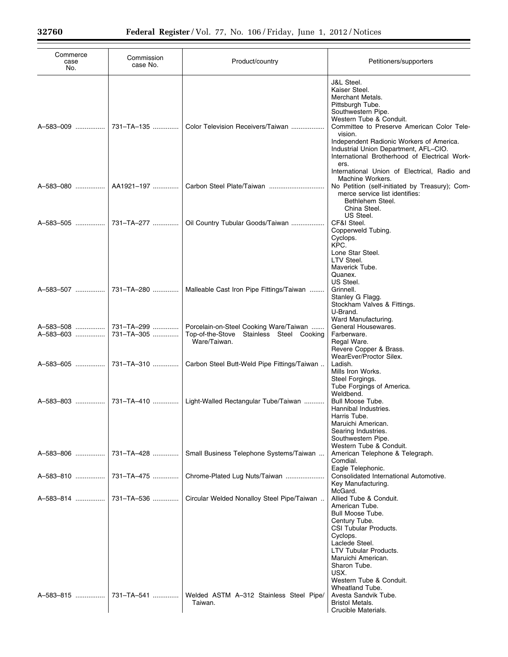Ξ

| Commerce<br>case<br>No. | Commission<br>case No.   | Product/country                                                                                    | Petitioners/supporters                                                                                                                                                                                                                                                                                                                 |
|-------------------------|--------------------------|----------------------------------------------------------------------------------------------------|----------------------------------------------------------------------------------------------------------------------------------------------------------------------------------------------------------------------------------------------------------------------------------------------------------------------------------------|
| A-583-009               | 731-TA-135               | Color Television Receivers/Taiwan                                                                  | <b>J&amp;L Steel.</b><br>Kaiser Steel.<br>Merchant Metals.<br>Pittsburgh Tube.<br>Southwestern Pipe.<br>Western Tube & Conduit.<br>Committee to Preserve American Color Tele-<br>vision.<br>Independent Radionic Workers of America.<br>Industrial Union Department, AFL-CIO.<br>International Brotherhood of Electrical Work-<br>ers. |
| A-583-080               | AA1921-197               |                                                                                                    | International Union of Electrical, Radio and<br>Machine Workers.<br>No Petition (self-initiated by Treasury); Com-<br>merce service list identifies:<br>Bethlehem Steel.                                                                                                                                                               |
| A-583-505               | 731-TA-277               | Oil Country Tubular Goods/Taiwan                                                                   | China Steel.<br>US Steel.<br>CF&I Steel.<br>Copperweld Tubing.<br>Cyclops.<br>KPC.                                                                                                                                                                                                                                                     |
|                         |                          |                                                                                                    | Lone Star Steel.<br>LTV Steel.<br>Maverick Tube.<br>Quanex.<br>US Steel.                                                                                                                                                                                                                                                               |
| A-583-507               | 731-TA-280               | Malleable Cast Iron Pipe Fittings/Taiwan                                                           | Grinnell.<br>Stanley G Flagg.<br>Stockham Valves & Fittings.<br>U-Brand.<br>Ward Manufacturing.                                                                                                                                                                                                                                        |
| A-583-508<br>A-583-603  | 731-TA-299<br>731-TA-305 | Porcelain-on-Steel Cooking Ware/Taiwan<br>Top-of-the-Stove Stainless Steel Cooking<br>Ware/Taiwan. | General Housewares.<br>Farberware.<br>Regal Ware.<br>Revere Copper & Brass.                                                                                                                                                                                                                                                            |
| A-583-605               | 731–TA–310               | Carbon Steel Butt-Weld Pipe Fittings/Taiwan                                                        | WearEver/Proctor Silex.<br>Ladish.<br>Mills Iron Works.<br>Steel Forgings.<br>Tube Forgings of America.                                                                                                                                                                                                                                |
| A-583-803               | 731-TA-410               | Light-Walled Rectangular Tube/Taiwan                                                               | Weldbend.<br>Bull Moose Tube.<br>Hannibal Industries.<br>Harris Tube.<br>Maruichi American.<br>Searing Industries.<br>Southwestern Pipe.                                                                                                                                                                                               |
| A-583-806               | 731-TA-428               | Small Business Telephone Systems/Taiwan                                                            | Western Tube & Conduit.<br>American Telephone & Telegraph.<br>Comdial.                                                                                                                                                                                                                                                                 |
| A-583-810               | 731-TA-475               | Chrome-Plated Lug Nuts/Taiwan                                                                      | Eagle Telephonic.<br>Consolidated International Automotive.<br>Key Manufacturing.                                                                                                                                                                                                                                                      |
| A-583-814               | 731-TA-536               | Circular Welded Nonalloy Steel Pipe/Taiwan                                                         | McGard.<br>Allied Tube & Conduit.<br>American Tube.<br>Bull Moose Tube.<br>Century Tube.<br>CSI Tubular Products.<br>Cyclops.<br>Laclede Steel.<br>LTV Tubular Products.<br>Maruichi American.<br>Sharon Tube.<br>USX.<br>Western Tube & Conduit.<br>Wheatland Tube.                                                                   |
| A-583-815               | 731-TA-541               | Welded ASTM A-312 Stainless Steel Pipe/<br>Taiwan.                                                 | Avesta Sandvik Tube.<br><b>Bristol Metals.</b><br>Crucible Materials.                                                                                                                                                                                                                                                                  |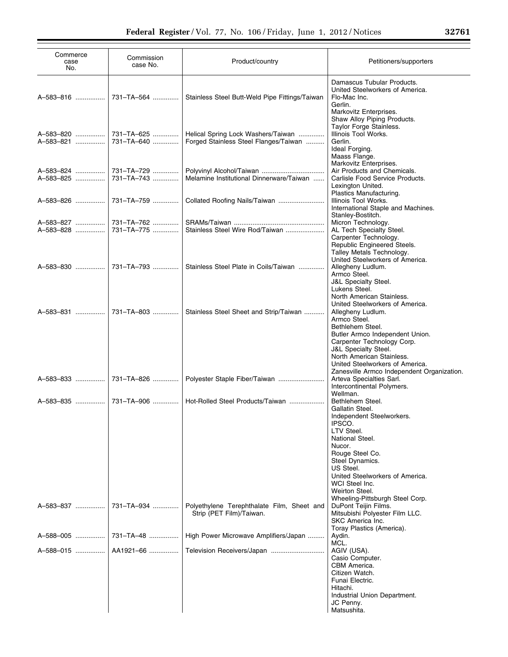| Commerce<br>case<br>No. | Commission<br>case No.   | Product/country                                                             | Petitioners/supporters                                                                                                                                                                                                                                      |
|-------------------------|--------------------------|-----------------------------------------------------------------------------|-------------------------------------------------------------------------------------------------------------------------------------------------------------------------------------------------------------------------------------------------------------|
|                         | A-583-816  731-TA-564    | Stainless Steel Butt-Weld Pipe Fittings/Taiwan                              | Damascus Tubular Products.<br>United Steelworkers of America.<br>Flo-Mac Inc.<br>Gerlin.<br>Markovitz Enterprises.<br>Shaw Alloy Piping Products.                                                                                                           |
| A-583-820<br>A-583-821  | 731-TA-625<br>731-TA-640 | Helical Spring Lock Washers/Taiwan<br>Forged Stainless Steel Flanges/Taiwan | Taylor Forge Stainless.<br>Illinois Tool Works.<br>Gerlin.<br>Ideal Forging.<br>Maass Flange.                                                                                                                                                               |
| A-583-824<br>A-583-825  | 731-TA-729<br>731-TA-743 | Melamine Institutional Dinnerware/Taiwan                                    | Markovitz Enterprises.<br>Air Products and Chemicals.<br>Carlisle Food Service Products.<br>Lexington United.                                                                                                                                               |
| A-583-826               | 731-TA-759               | Collated Roofing Nails/Taiwan                                               | Plastics Manufacturing.<br>Illinois Tool Works.<br>International Staple and Machines.<br>Stanley-Bostitch.                                                                                                                                                  |
| A-583-827<br>A-583-828  | 731-TA-762<br>731-TA-775 | Stainless Steel Wire Rod/Taiwan                                             | Micron Technology.<br>AL Tech Specialty Steel.<br>Carpenter Technology.<br>Republic Engineered Steels.<br>Talley Metals Technology.                                                                                                                         |
| A-583-830  I            | 731-TA-793               | Stainless Steel Plate in Coils/Taiwan                                       | United Steelworkers of America.<br>Allegheny Ludlum.<br>Armco Steel.<br><b>J&amp;L Specialty Steel.</b><br>Lukens Steel.<br>North American Stainless.                                                                                                       |
| A-583-831               | 731-TA-803               | Stainless Steel Sheet and Strip/Taiwan                                      | United Steelworkers of America.<br>Allegheny Ludlum.<br>Armco Steel.<br>Bethlehem Steel.<br>Butler Armco Independent Union.<br>Carpenter Technology Corp.<br>J&L Specialty Steel.<br>North American Stainless.<br>United Steelworkers of America.           |
| A-583-833               | 731-TA-826               | Polyester Staple Fiber/Taiwan                                               | Zanesville Armco Independent Organization.<br>Arteva Specialties Sarl.<br>Intercontinental Polymers.                                                                                                                                                        |
| A-583-835               | 731-TA-906               | Hot-Rolled Steel Products/Taiwan                                            | Wellman.<br>Bethlehem Steel.<br>Gallatin Steel.<br>Independent Steelworkers.<br>IPSCO.<br>LTV Steel.<br>National Steel.<br>Nucor.<br>Rouge Steel Co.<br>Steel Dynamics.<br>US Steel.<br>United Steelworkers of America.<br>WCI Steel Inc.<br>Weirton Steel. |
| A-583-837               | 731-TA-934               | Polyethylene Terephthalate Film, Sheet and<br>Strip (PET Film)/Taiwan.      | Wheeling-Pittsburgh Steel Corp.<br>DuPont Teijin Films.<br>Mitsubishi Polyester Film LLC.<br>SKC America Inc.<br>Toray Plastics (America).                                                                                                                  |
| A-588-005               | 731-TA-48                | High Power Microwave Amplifiers/Japan                                       | Aydin.                                                                                                                                                                                                                                                      |
| A-588-015               | AA1921-66                |                                                                             | MCL.<br>AGIV (USA).<br>Casio Computer.<br>CBM America.<br>Citizen Watch.<br>Funai Electric.<br>Hitachi.<br>Industrial Union Department.<br>JC Penny.<br>Matsushita.                                                                                         |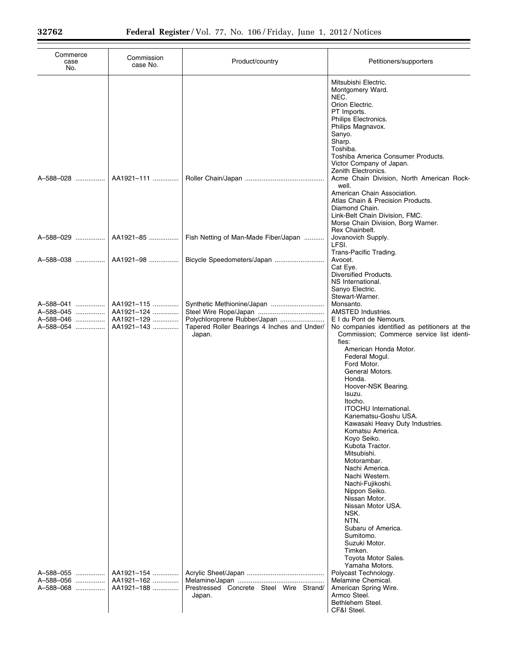| Commerce<br>case<br>No.                          | Commission<br>case No.                               | Product/country                                                                       | Petitioners/supporters                                                                                                                                                                                                                                                                                                                                                                               |
|--------------------------------------------------|------------------------------------------------------|---------------------------------------------------------------------------------------|------------------------------------------------------------------------------------------------------------------------------------------------------------------------------------------------------------------------------------------------------------------------------------------------------------------------------------------------------------------------------------------------------|
| A-588-028                                        | AA1921-111                                           |                                                                                       | Mitsubishi Electric.<br>Montgomery Ward.<br>NEC.<br>Orion Electric.<br>PT Imports.<br>Philips Electronics.<br>Philips Magnavox.<br>Sanyo.<br>Sharp.<br>Toshiba.<br>Toshiba America Consumer Products.<br>Victor Company of Japan.<br>Zenith Electronics.<br>Acme Chain Division, North American Rock-<br>well.<br>American Chain Association.<br>Atlas Chain & Precision Products.<br>Diamond Chain. |
| A-588-029                                        | AA1921-85                                            | Fish Netting of Man-Made Fiber/Japan                                                  | Link-Belt Chain Division, FMC.<br>Morse Chain Division, Borg Warner.<br>Rex Chainbelt.<br>Jovanovich Supply.<br>LFSI.                                                                                                                                                                                                                                                                                |
| A-588-038                                        | AA1921-98                                            | Bicycle Speedometers/Japan                                                            | Trans-Pacific Trading.<br>Avocet.<br>Cat Eye.<br>Diversified Products.<br>NS International.                                                                                                                                                                                                                                                                                                          |
| A-588-041<br>A-588-045<br>A-588-046<br>A-588-054 | AA1921-115<br>AA1921-124<br>AA1921-129<br>AA1921-143 | Polychloroprene Rubber/Japan<br>Tapered Roller Bearings 4 Inches and Under/<br>Japan. | Sanyo Electric.<br>Stewart-Warner.<br>Monsanto.<br>AMSTED Industries.<br>E I du Pont de Nemours.<br>No companies identified as petitioners at the<br>Commission; Commerce service list identi-<br>fies:<br>American Honda Motor.<br>Federal Mogul.                                                                                                                                                   |
|                                                  |                                                      |                                                                                       | Ford Motor.<br>General Motors.<br>Honda.<br>Hoover-NSK Bearing.<br>Isuzu.<br>Itocho.<br>ITOCHU International.<br>Kanematsu-Goshu USA.                                                                                                                                                                                                                                                                |
|                                                  |                                                      |                                                                                       | Kawasaki Heavy Duty Industries.<br>Komatsu America.<br>Kovo Seiko.<br>Kubota Tractor.<br>Mitsubishi.<br>Motorambar.                                                                                                                                                                                                                                                                                  |
|                                                  |                                                      |                                                                                       | Nachi America.<br>Nachi Western.<br>Nachi-Fujikoshi.<br>Nippon Seiko.<br>Nissan Motor.<br>Nissan Motor USA.<br>NSK.<br>NTN.                                                                                                                                                                                                                                                                          |
| A-588-055                                        | AA1921-154                                           |                                                                                       | Subaru of America.<br>Sumitomo.<br>Suzuki Motor.<br>Timken.<br>Toyota Motor Sales.<br>Yamaha Motors.<br>Polycast Technology.                                                                                                                                                                                                                                                                         |
| A-588-056<br>A–588–068                           | AA1921-162<br>AA1921-188                             | Prestressed Concrete Steel Wire Strand/<br>Japan.                                     | Melamine Chemical.<br>American Spring Wire.<br>Armco Steel.<br>Bethlehem Steel.<br>CF&I Steel.                                                                                                                                                                                                                                                                                                       |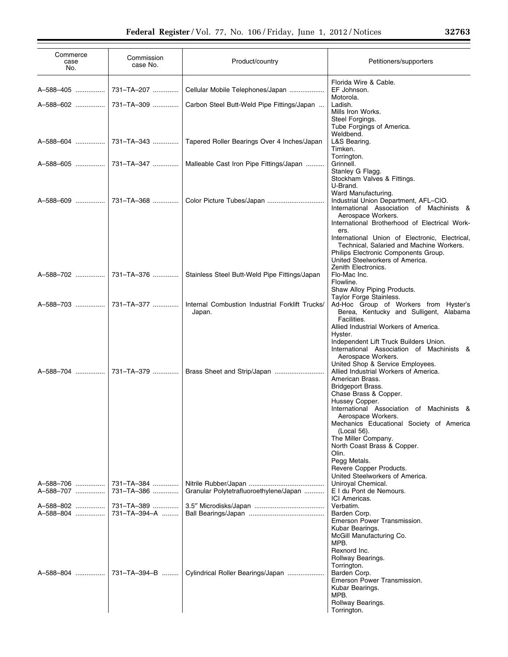| Commerce<br>case<br>No. | Commission<br>case No.     | Product/country                                           | Petitioners/supporters                                                                                                                                                                            |
|-------------------------|----------------------------|-----------------------------------------------------------|---------------------------------------------------------------------------------------------------------------------------------------------------------------------------------------------------|
| A-588-405               | 731-TA-207                 | Cellular Mobile Telephones/Japan                          | Florida Wire & Cable.<br>EF Johnson.<br>Motorola.                                                                                                                                                 |
| A-588-602               | l 731–TA–309 ………….         | Carbon Steel Butt-Weld Pipe Fittings/Japan                | Ladish.<br>Mills Iron Works.<br>Steel Forgings.<br>Tube Forgings of America.                                                                                                                      |
| A-588-604               | 731-TA-343                 | Tapered Roller Bearings Over 4 Inches/Japan               | Weldbend.<br>L&S Bearing.<br>Timken.                                                                                                                                                              |
| A-588-605               | 731-TA-347                 | Malleable Cast Iron Pipe Fittings/Japan                   | Torrington.<br>Grinnell.<br>Stanley G Flagg.<br>Stockham Valves & Fittings.                                                                                                                       |
|                         |                            | Color Picture Tubes/Japan                                 | U-Brand.<br>Ward Manufacturing.<br>Industrial Union Department, AFL-CIO.<br>International Association of Machinists &<br>Aerospace Workers.<br>International Brotherhood of Electrical Work-      |
|                         |                            |                                                           | ers.<br>International Union of Electronic, Electrical,<br>Technical, Salaried and Machine Workers.<br>Philips Electronic Components Group.<br>United Steelworkers of America.                     |
|                         |                            | Stainless Steel Butt-Weld Pipe Fittings/Japan             | Zenith Electronics.<br>Flo-Mac Inc.<br>Flowline.<br>Shaw Alloy Piping Products.                                                                                                                   |
| A-588-703               | 731–TA–377                 | Internal Combustion Industrial Forklift Trucks/<br>Japan. | Taylor Forge Stainless.<br>Ad-Hoc Group of Workers from Hyster's<br>Berea, Kentucky and Sulligent, Alabama<br>Facilities.                                                                         |
|                         |                            |                                                           | Allied Industrial Workers of America.<br>Hyster.<br>Independent Lift Truck Builders Union.<br>International Association of Machinists &<br>Aerospace Workers.<br>United Shop & Service Employees. |
|                         |                            | Brass Sheet and Strip/Japan                               | Allied Industrial Workers of America.<br>American Brass.<br><b>Bridgeport Brass.</b><br>Chase Brass & Copper.                                                                                     |
|                         |                            |                                                           | Hussey Copper.<br>International Association of Machinists &<br>Aerospace Workers.<br>Mechanics Educational Society of America                                                                     |
|                         |                            |                                                           | (Local 56).<br>The Miller Company.<br>North Coast Brass & Copper.                                                                                                                                 |
|                         |                            |                                                           | Olin.<br>Pegg Metals.<br>Revere Copper Products.<br>United Steelworkers of America.                                                                                                               |
| A-588-706<br>A-588-707  | 731-TA-384<br>731-TA-386   | Granular Polytetrafluoroethylene/Japan                    | Uniroyal Chemical.<br>E I du Pont de Nemours.<br>ICI Americas.                                                                                                                                    |
| A-588-802<br>A–588–804  | 731-TA-389<br>731-TA-394-A |                                                           | Verbatim.<br>Barden Corp.<br>Emerson Power Transmission.                                                                                                                                          |
|                         |                            |                                                           | Kubar Bearings.<br>McGill Manufacturing Co.<br>MPB.<br>Rexnord Inc.                                                                                                                               |
|                         | A-588-804    731-TA-394-B  | Cylindrical Roller Bearings/Japan                         | Rollway Bearings.<br>Torrington.<br>Barden Corp.<br>Emerson Power Transmission.<br>Kubar Bearings.<br>MPB.<br>Rollway Bearings.                                                                   |
|                         |                            |                                                           | Torrington.                                                                                                                                                                                       |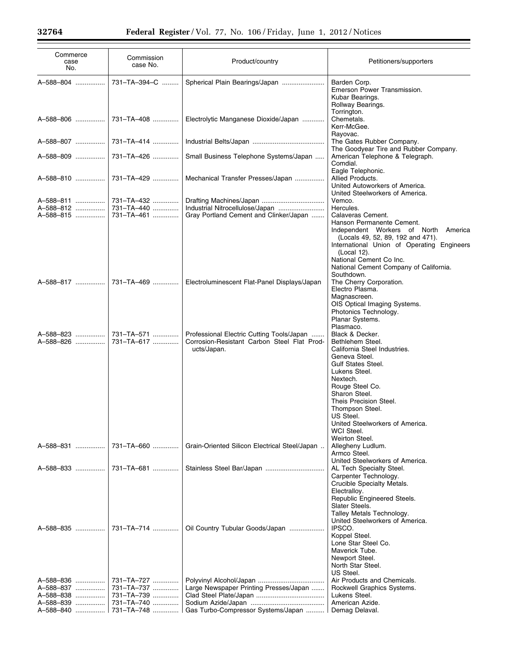Ξ

| Commerce<br>case<br>No.             | Commission<br>case No.                 | Product/country                                                                                         | Petitioners/supporters                                                                                                                                                                                                                                                                                                       |
|-------------------------------------|----------------------------------------|---------------------------------------------------------------------------------------------------------|------------------------------------------------------------------------------------------------------------------------------------------------------------------------------------------------------------------------------------------------------------------------------------------------------------------------------|
| A-588-804                           | 731-TA-394-C                           | Spherical Plain Bearings/Japan                                                                          | Barden Corp.<br>Emerson Power Transmission.<br>Kubar Bearings.<br>Rollway Bearings.                                                                                                                                                                                                                                          |
| A-588-806                           | 731–TA–408                             | Electrolytic Manganese Dioxide/Japan                                                                    | Torrington.<br>Chemetals.<br>Kerr-McGee.                                                                                                                                                                                                                                                                                     |
| A-588-807                           | 731-TA-414                             |                                                                                                         | Rayovac.<br>The Gates Rubber Company.<br>The Goodyear Tire and Rubber Company.                                                                                                                                                                                                                                               |
| A-588-809                           | 731-TA-426                             | Small Business Telephone Systems/Japan                                                                  | American Telephone & Telegraph.<br>Comdial.                                                                                                                                                                                                                                                                                  |
| A-588-810                           | 731–TA–429                             | Mechanical Transfer Presses/Japan                                                                       | Eagle Telephonic.<br>Allied Products.<br>United Autoworkers of America.<br>United Steelworkers of America.                                                                                                                                                                                                                   |
| A-588-811<br>A-588-812<br>A-588-815 | 731-TA-432<br>731-TA-440<br>731-TA-461 | Industrial Nitrocellulose/Japan<br>Gray Portland Cement and Clinker/Japan                               | Vemco.<br>Hercules.<br>Calaveras Cement.<br>Hanson Permanente Cement.<br>Independent Workers of North America<br>(Locals 49, 52, 89, 192 and 471).<br>International Union of Operating Engineers<br>(Local 12).<br>National Cement Co Inc.<br>National Cement Company of California.                                         |
| A-588-817                           | 731-TA-469                             | Electroluminescent Flat-Panel Displays/Japan                                                            | Southdown.<br>The Cherry Corporation.<br>Electro Plasma.<br>Magnascreen.<br>OIS Optical Imaging Systems.<br>Photonics Technology.<br>Planar Systems.                                                                                                                                                                         |
| A-588-823<br>A-588-826              | 731-TA-571<br>731-TA-617               | Professional Electric Cutting Tools/Japan<br>Corrosion-Resistant Carbon Steel Flat Prod-<br>ucts/Japan. | Plasmaco.<br>Black & Decker.<br>Bethlehem Steel.<br>California Steel Industries.<br>Geneva Steel.<br><b>Gulf States Steel.</b><br>Lukens Steel.<br>Nextech.<br>Rouge Steel Co.<br>Sharon Steel.<br>Theis Precision Steel.<br>Thompson Steel.<br>US Steel.<br>United Steelworkers of America.<br>WCI Steel.<br>Weirton Steel. |
| A-588-831                           | 731-TA-660                             | Grain-Oriented Silicon Electrical Steel/Japan                                                           | Allegheny Ludlum.<br>Armco Steel.<br>United Steelworkers of America.                                                                                                                                                                                                                                                         |
| A-588-833                           | 731-TA-681                             | Stainless Steel Bar/Japan                                                                               | AL Tech Specialty Steel.<br>Carpenter Technology.<br>Crucible Specialty Metals.<br>Electralloy.<br>Republic Engineered Steels.<br>Slater Steels.<br>Talley Metals Technology.                                                                                                                                                |
| A-588-835                           | 731-TA-714                             | Oil Country Tubular Goods/Japan                                                                         | United Steelworkers of America.<br>IPSCO.<br>Koppel Steel.<br>Lone Star Steel Co.<br>Maverick Tube.<br>Newport Steel.<br>North Star Steel.<br>US Steel.                                                                                                                                                                      |
| A-588-836                           | 731-TA-727                             |                                                                                                         | Air Products and Chemicals.                                                                                                                                                                                                                                                                                                  |
| A-588-837<br>A-588-838              | 731-TA-737<br>731-TA-739               | Large Newspaper Printing Presses/Japan                                                                  | Rockwell Graphics Systems.<br>Lukens Steel.                                                                                                                                                                                                                                                                                  |
| A-588-839                           | 731-TA-740                             |                                                                                                         | American Azide.                                                                                                                                                                                                                                                                                                              |
| A-588-840                           | 731-TA-748                             | Gas Turbo-Compressor Systems/Japan                                                                      | Demag Delaval.                                                                                                                                                                                                                                                                                                               |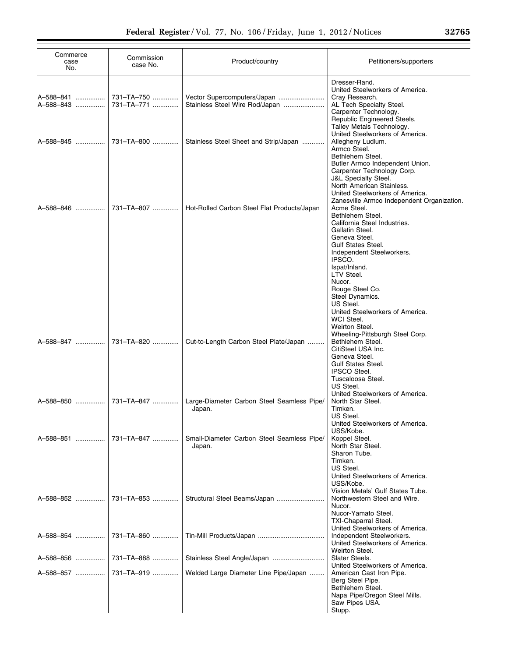| Commerce<br>case<br>No. | Commission<br>case No.   | Product/country                                               | Petitioners/supporters                                                                                                                                                                                                                         |
|-------------------------|--------------------------|---------------------------------------------------------------|------------------------------------------------------------------------------------------------------------------------------------------------------------------------------------------------------------------------------------------------|
| A-588-841<br>A-588-843  | 731-TA-750<br>731-TA-771 | Vector Supercomputers/Japan<br>Stainless Steel Wire Rod/Japan | Dresser-Rand.<br>United Steelworkers of America.<br>Cray Research.<br>AL Tech Specialty Steel.<br>Carpenter Technology.<br>Republic Engineered Steels.                                                                                         |
| A-588-845               | 731-TA-800               | Stainless Steel Sheet and Strip/Japan                         | Talley Metals Technology.<br>United Steelworkers of America.<br>Allegheny Ludlum.<br>Armco Steel.<br>Bethlehem Steel.<br>Butler Armco Independent Union.                                                                                       |
| A-588-846               | 731-TA-807               | Hot-Rolled Carbon Steel Flat Products/Japan                   | Carpenter Technology Corp.<br><b>J&amp;L Specialty Steel.</b><br>North American Stainless.<br>United Steelworkers of America.<br>Zanesville Armco Independent Organization.<br>Acme Steel.<br>Bethlehem Steel.<br>California Steel Industries. |
|                         |                          |                                                               | Gallatin Steel.<br>Geneva Steel.<br><b>Gulf States Steel.</b><br>Independent Steelworkers.<br>IPSCO.<br>Ispat/Inland.                                                                                                                          |
|                         |                          |                                                               | LTV Steel.<br>Nucor.<br>Rouge Steel Co.<br>Steel Dynamics.<br>US Steel.<br>United Steelworkers of America.<br>WCI Steel.                                                                                                                       |
| A-588-847               | 731-TA-820               | Cut-to-Length Carbon Steel Plate/Japan                        | Weirton Steel.<br>Wheeling-Pittsburgh Steel Corp.<br>Bethlehem Steel.<br>CitiSteel USA Inc.<br>Geneva Steel.<br>Gulf States Steel.                                                                                                             |
| A-588-850               | 731-TA-847               | Large-Diameter Carbon Steel Seamless Pipe/<br>Japan.          | <b>IPSCO Steel.</b><br>Tuscaloosa Steel.<br>US Steel.<br>United Steelworkers of America.<br>North Star Steel.<br>Timken.                                                                                                                       |
| A-588-851               | 731-TA-847               | Small-Diameter Carbon Steel Seamless Pipe/<br>Japan.          | US Steel.<br>United Steelworkers of America.<br>USS/Kobe.<br>Koppel Steel.<br>North Star Steel.<br>Sharon Tube.                                                                                                                                |
| A-588-852               | 731-TA-853               | Structural Steel Beams/Japan                                  | Timken.<br>US Steel.<br>United Steelworkers of America.<br>USS/Kobe.<br>Vision Metals' Gulf States Tube.<br>Northwestern Steel and Wire.                                                                                                       |
|                         |                          |                                                               | Nucor.<br>Nucor-Yamato Steel.<br><b>TXI-Chaparral Steel.</b><br>United Steelworkers of America.                                                                                                                                                |
| A-588-854               | 731-TA-860               |                                                               | Independent Steelworkers.<br>United Steelworkers of America.<br>Weirton Steel.                                                                                                                                                                 |
| A-588-856               | 731-TA-888               | Stainless Steel Angle/Japan                                   | Slater Steels.<br>United Steelworkers of America.                                                                                                                                                                                              |
| A-588-857               | 731-TA-919               | Welded Large Diameter Line Pipe/Japan                         | American Cast Iron Pipe.<br>Berg Steel Pipe.<br>Bethlehem Steel.<br>Napa Pipe/Oregon Steel Mills.<br>Saw Pipes USA.<br>Stupp.                                                                                                                  |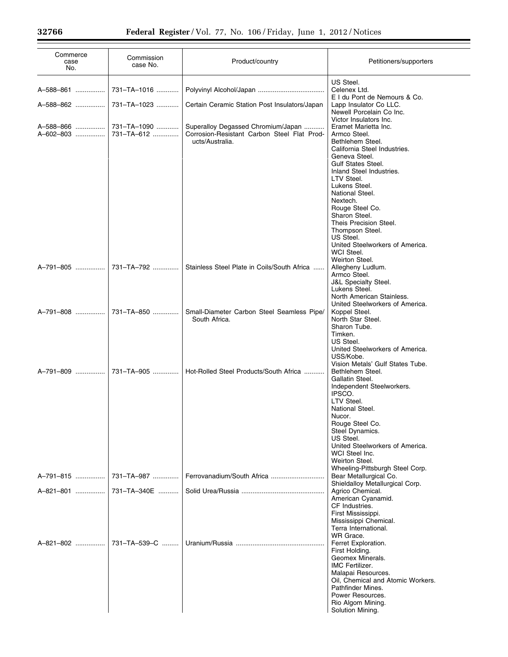| Commerce<br>case<br>No. | Commission<br>case No.    | Product/country                                                                                      | Petitioners/supporters                                                                                                                                                                                                                                                                                                                                                                            |
|-------------------------|---------------------------|------------------------------------------------------------------------------------------------------|---------------------------------------------------------------------------------------------------------------------------------------------------------------------------------------------------------------------------------------------------------------------------------------------------------------------------------------------------------------------------------------------------|
| A-588-861               | 731-TA-1016               |                                                                                                      | US Steel.<br>Celenex Ltd.<br>E I du Pont de Nemours & Co.                                                                                                                                                                                                                                                                                                                                         |
| A-588-862               | 731-TA-1023               | Certain Ceramic Station Post Insulators/Japan                                                        | Lapp Insulator Co LLC.<br>Newell Porcelain Co Inc.<br>Victor Insulators Inc.                                                                                                                                                                                                                                                                                                                      |
| A-588-866<br>A-602-803  | 731-TA-1090<br>731-TA-612 | Superalloy Degassed Chromium/Japan<br>Corrosion-Resistant Carbon Steel Flat Prod-<br>ucts/Australia. | Eramet Marietta Inc.<br>Armco Steel.<br>Bethlehem Steel.<br>California Steel Industries.<br>Geneva Steel.<br><b>Gulf States Steel.</b><br>Inland Steel Industries.<br>LTV Steel.<br>Lukens Steel.<br>National Steel.<br>Nextech.<br>Rouge Steel Co.<br>Sharon Steel.<br>Theis Precision Steel.<br>Thompson Steel.<br>US Steel.<br>United Steelworkers of America.<br>WCI Steel.<br>Weirton Steel. |
| A-791-805               | 731-TA-792                | Stainless Steel Plate in Coils/South Africa                                                          | Allegheny Ludlum.<br>Armco Steel.<br><b>J&amp;L Specialty Steel.</b><br>Lukens Steel.<br>North American Stainless.<br>United Steelworkers of America.                                                                                                                                                                                                                                             |
| A-791-808               | 731-TA-850                | Small-Diameter Carbon Steel Seamless Pipe/<br>South Africa.                                          | Koppel Steel.<br>North Star Steel.<br>Sharon Tube.<br>Timken.<br>US Steel.<br>United Steelworkers of America.<br>USS/Kobe.<br>Vision Metals' Gulf States Tube.                                                                                                                                                                                                                                    |
| A-791-809               | 731-TA-905                | Hot-Rolled Steel Products/South Africa                                                               | Bethlehem Steel.<br>Gallatin Steel.<br>Independent Steelworkers.<br>IPSCO.<br>LTV Steel.<br>National Steel.<br>Nucor.<br>Rouge Steel Co.<br>Steel Dynamics.<br>US Steel.<br>United Steelworkers of America.<br>WCI Steel Inc.<br>Weirton Steel.<br>Wheeling-Pittsburgh Steel Corp.                                                                                                                |
| A-791-815               | 731-TA-987                |                                                                                                      | Bear Metallurgical Co.<br>Shieldalloy Metallurgical Corp.                                                                                                                                                                                                                                                                                                                                         |
| A-821-801               | 731-TA-340E               |                                                                                                      | Agrico Chemical.<br>American Cyanamid.<br>CF Industries.<br>First Mississippi.<br>Mississippi Chemical.<br>Terra International.<br>WR Grace.                                                                                                                                                                                                                                                      |
| A-821-802               | 731-TA-539-C              |                                                                                                      | Ferret Exploration.<br>First Holding.<br>Geomex Minerals.<br><b>IMC Fertilizer.</b><br>Malapai Resources.<br>Oil, Chemical and Atomic Workers.<br>Pathfinder Mines.<br>Power Resources.<br>Rio Algom Mining.<br>Solution Mining.                                                                                                                                                                  |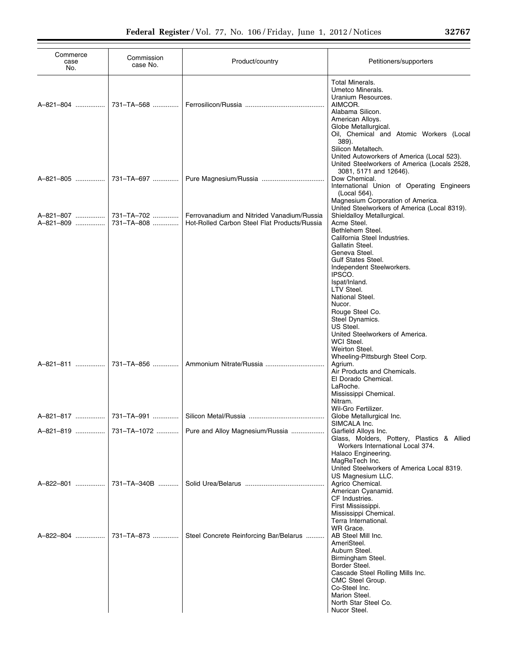| Commerce<br>case<br>No. | Commission<br>case No.   | Product/country                                                                            | Petitioners/supporters                                                                                                                                                                                                                                                                                                  |
|-------------------------|--------------------------|--------------------------------------------------------------------------------------------|-------------------------------------------------------------------------------------------------------------------------------------------------------------------------------------------------------------------------------------------------------------------------------------------------------------------------|
| A-821-804               | 731-TA-568               |                                                                                            | <b>Total Minerals.</b><br>Umetco Minerals.<br>Uranium Resources.<br>AIMCOR.<br>Alabama Silicon.<br>American Alloys.<br>Globe Metallurgical.<br>Oil, Chemical and Atomic Workers (Local                                                                                                                                  |
| A-821-805               | 731-TA-697               |                                                                                            | 389).<br>Silicon Metaltech.<br>United Autoworkers of America (Local 523).<br>United Steelworkers of America (Locals 2528,<br>3081, 5171 and 12646).<br>Dow Chemical.<br>International Union of Operating Engineers<br>(Local 564).<br>Magnesium Corporation of America.<br>United Steelworkers of America (Local 8319). |
| A-821-807<br>A-821-809  | 731-TA-702<br>731-TA-808 | Ferrovanadium and Nitrided Vanadium/Russia<br>Hot-Rolled Carbon Steel Flat Products/Russia | Shieldalloy Metallurgical.<br>Acme Steel.<br>Bethlehem Steel.<br>California Steel Industries.                                                                                                                                                                                                                           |
|                         |                          |                                                                                            | Gallatin Steel.<br>Geneva Steel.<br>Gulf States Steel.<br>Independent Steelworkers.<br>IPSCO.<br>Ispat/Inland.<br>LTV Steel.<br>National Steel.<br>Nucor.<br>Rouge Steel Co.<br>Steel Dynamics.<br>US Steel.<br>United Steelworkers of America.<br>WCI Steel.<br>Weirton Steel.                                         |
| A-821-811               | 731-TA-856               |                                                                                            | Wheeling-Pittsburgh Steel Corp.<br>Agrium.<br>Air Products and Chemicals.<br>El Dorado Chemical.<br>LaRoche.<br>Mississippi Chemical.<br>Nitram.                                                                                                                                                                        |
|                         |                          |                                                                                            | Wil-Gro Fertilizer.<br>Globe Metallurgical Inc.<br>SIMCALA Inc.                                                                                                                                                                                                                                                         |
| A-821-819               | 731-TA-1072              | Pure and Alloy Magnesium/Russia                                                            | Garfield Alloys Inc.<br>Glass, Molders, Pottery, Plastics & Allied<br>Workers International Local 374.<br>Halaco Engineering.<br>MagReTech Inc.                                                                                                                                                                         |
| A-822-801               | 731-TA-340B              |                                                                                            | United Steelworkers of America Local 8319.<br>US Magnesium LLC.<br>Agrico Chemical.<br>American Cyanamid.<br>CF Industries.<br>First Mississippi.                                                                                                                                                                       |
| A-822-804               | 731-TA-873               | Steel Concrete Reinforcing Bar/Belarus                                                     | Mississippi Chemical.<br>Terra International.<br>WR Grace.<br>AB Steel Mill Inc.<br>AmeriSteel.<br>Auburn Steel.<br>Birmingham Steel.<br>Border Steel.<br>Cascade Steel Rolling Mills Inc.<br>CMC Steel Group.<br>Co-Steel Inc.<br>Marion Steel.<br>North Star Steel Co.                                                |
|                         |                          |                                                                                            | Nucor Steel.                                                                                                                                                                                                                                                                                                            |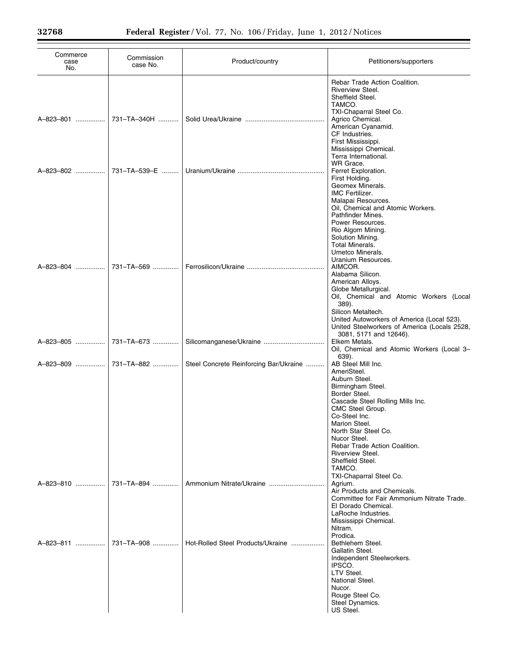| Commerce<br>case<br>No. | Commission<br>case No. | Product/country                        | Petitioners/supporters                                                                                                                                                                                                |
|-------------------------|------------------------|----------------------------------------|-----------------------------------------------------------------------------------------------------------------------------------------------------------------------------------------------------------------------|
| A-823-801               | 731-TA-340H            |                                        | Rebar Trade Action Coalition.<br>Riverview Steel.<br>Sheffield Steel.<br>TAMCO.<br>TXI-Chaparral Steel Co.<br>Agrico Chemical.<br>American Cyanamid.<br>CF Industries.<br>First Mississippi.<br>Mississippi Chemical. |
| A-823-802               | 731-TA-539-E           |                                        | Terra International.<br>WR Grace.<br>Ferret Exploration.<br>First Holding.<br>Geomex Minerals.<br>IMC Fertilizer.<br>Malapai Resources.                                                                               |
|                         |                        |                                        | Oil, Chemical and Atomic Workers.<br>Pathfinder Mines.<br>Power Resources.<br>Rio Algom Mining.<br>Solution Mining.<br><b>Total Minerals.</b><br>Umetco Minerals.<br>Uranium Resources.                               |
| A-823-804               | 731-TA-569             |                                        | AIMCOR.<br>Alabama Silicon.<br>American Alloys.<br>Globe Metallurgical.<br>Oil, Chemical and Atomic Workers (Local<br>389).<br>Silicon Metaltech.                                                                     |
| A-823-805               | 731-TA-673             | Silicomanganese/Ukraine                | United Autoworkers of America (Local 523).<br>United Steelworkers of America (Locals 2528,<br>3081, 5171 and 12646).<br>Elkem Metals.<br>Oil, Chemical and Atomic Workers (Local 3-<br>639).                          |
| A-823-809               | 731-TA-882             | Steel Concrete Reinforcing Bar/Ukraine | AB Steel Mill Inc.<br>AmeriSteel.<br>Auburn Steel.<br>Birmingham Steel.<br>Border Steel.<br>Cascade Steel Rolling Mills Inc.<br>CMC Steel Group.                                                                      |
|                         |                        |                                        | Co-Steel Inc.<br>Marion Steel.<br>North Star Steel Co.<br>Nucor Steel.<br>Rebar Trade Action Coalition.<br>Riverview Steel.                                                                                           |
| A-823-810               | 731-TA-894             |                                        | Sheffield Steel.<br>TAMCO.<br>TXI-Chaparral Steel Co.<br>Agrium.<br>Air Products and Chemicals.                                                                                                                       |
|                         |                        |                                        | Committee for Fair Ammonium Nitrate Trade.<br>El Dorado Chemical.<br>LaRoche Industries.<br>Mississippi Chemical.<br>Nitram.<br>Prodica.                                                                              |
| A-823-811               | 731-TA-908             | Hot-Rolled Steel Products/Ukraine      | Bethlehem Steel.<br>Gallatin Steel.<br>Independent Steelworkers.<br>IPSCO.<br>LTV Steel.<br>National Steel.<br>Nucor.<br>Rouge Steel Co.<br>Steel Dynamics.<br>US Steel.                                              |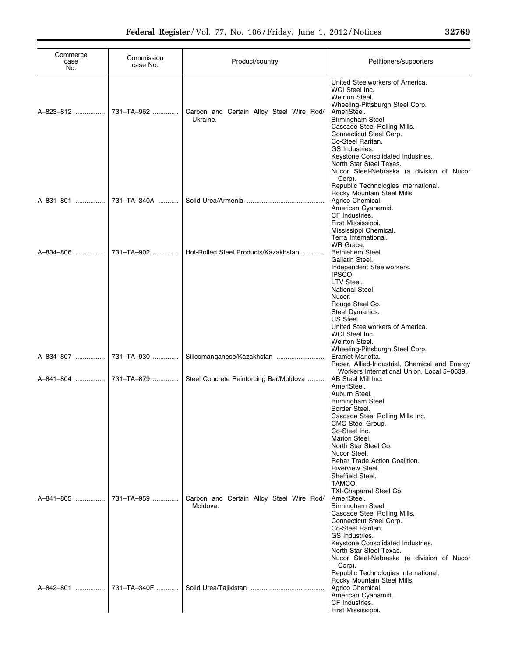| Commerce<br>case<br>No. | Commission<br>case No. | Product/country                                      | Petitioners/supporters                                                                                                                                                                                                                                                                                                                                    |
|-------------------------|------------------------|------------------------------------------------------|-----------------------------------------------------------------------------------------------------------------------------------------------------------------------------------------------------------------------------------------------------------------------------------------------------------------------------------------------------------|
| A-823-812               | 731-TA-962             | Carbon and Certain Alloy Steel Wire Rod/<br>Ukraine. | United Steelworkers of America.<br>WCI Steel Inc.<br>Weirton Steel.<br>Wheeling-Pittsburgh Steel Corp.<br>AmeriSteel.<br>Birmingham Steel.<br>Cascade Steel Rolling Mills.<br>Connecticut Steel Corp.<br>Co-Steel Raritan.<br>GS Industries.<br>Keystone Consolidated Industries.<br>North Star Steel Texas.<br>Nucor Steel-Nebraska (a division of Nucor |
| A-831-801               | 731-TA-340A            |                                                      | Corp).<br>Republic Technologies International.<br>Rocky Mountain Steel Mills.<br>Agrico Chemical.<br>American Cyanamid.<br>CF Industries.<br>First Mississippi.<br>Mississippi Chemical.<br>Terra International.                                                                                                                                          |
| A-834-806               | 731-TA-902             | Hot-Rolled Steel Products/Kazakhstan                 | WR Grace.<br>Bethlehem Steel.<br>Gallatin Steel.<br>Independent Steelworkers.<br>IPSCO.<br>LTV Steel.<br>National Steel.<br>Nucor.<br>Rouge Steel Co.                                                                                                                                                                                                     |
| A-834-807               | 731-TA-930             |                                                      | Steel Dymanics.<br>US Steel.<br>United Steelworkers of America.<br>WCI Steel Inc.<br>Weirton Steel.<br>Wheeling-Pittsburgh Steel Corp.<br>Eramet Marietta.                                                                                                                                                                                                |
| A-841-804               | 731-TA-879             | Steel Concrete Reinforcing Bar/Moldova               | Paper, Allied-Industrial, Chemical and Energy<br>Workers International Union, Local 5-0639.<br>AB Steel Mill Inc.<br>AmeriSteel.<br>Auburn Steel.<br>Birmingham Steel.<br>Border Steel.<br>Cascade Steel Rolling Mills Inc.                                                                                                                               |
| A-841-805               | 731-TA-959             | Carbon and Certain Alloy Steel Wire Rod/<br>Moldova. | CMC Steel Group.<br>Co-Steel Inc.<br>Marion Steel.<br>North Star Steel Co.<br>Nucor Steel.<br>Rebar Trade Action Coalition.<br>Riverview Steel.<br>Sheffield Steel.<br>TAMCO.<br>TXI-Chaparral Steel Co.<br>AmeriSteel.<br>Birmingham Steel.<br>Cascade Steel Rolling Mills.<br>Connecticut Steel Corp.<br>Co-Steel Raritan.                              |
| A-842-801               | 731-TA-340F            |                                                      | GS Industries.<br>Keystone Consolidated Industries.<br>North Star Steel Texas.<br>Nucor Steel-Nebraska (a division of Nucor<br>Corp).<br>Republic Technologies International.<br>Rocky Mountain Steel Mills.<br>Agrico Chemical.<br>American Cyanamid.<br>CF Industries.<br>First Mississippi.                                                            |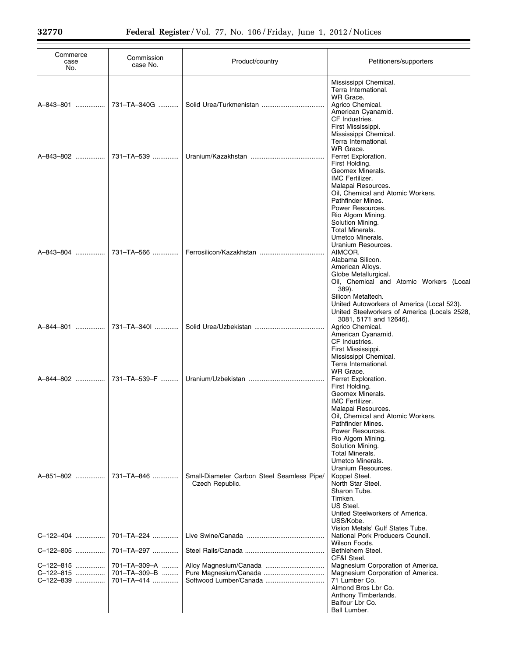| Commerce<br>case<br>No.                          | Commission<br>case No.                                   | Product/country                                               | Petitioners/supporters                                                                                                                                                                                                                                                                                                 |
|--------------------------------------------------|----------------------------------------------------------|---------------------------------------------------------------|------------------------------------------------------------------------------------------------------------------------------------------------------------------------------------------------------------------------------------------------------------------------------------------------------------------------|
| A-843-801                                        | 731-TA-340G                                              |                                                               | Mississippi Chemical.<br>Terra International.<br>WR Grace.<br>Agrico Chemical.<br>American Cyanamid.<br>CF Industries.<br>First Mississippi.                                                                                                                                                                           |
| A-843-802                                        | 731-TA-539                                               |                                                               | Mississippi Chemical.<br>Terra International.<br>WR Grace.<br>Ferret Exploration.<br>First Holding.<br>Geomex Minerals.<br><b>IMC Fertilizer.</b><br>Malapai Resources.                                                                                                                                                |
| A-843-804                                        | 731-TA-566                                               |                                                               | Oil, Chemical and Atomic Workers.<br>Pathfinder Mines.<br>Power Resources.<br>Rio Algom Mining.<br>Solution Mining.<br><b>Total Minerals.</b><br>Umetco Minerals.<br>Uranium Resources.<br>AIMCOR.<br>Alabama Silicon.<br>American Alloys.<br>Globe Metallurgical.<br>Oil, Chemical and Atomic Workers (Local<br>389). |
| A-844-801                                        | 731-TA-340I                                              |                                                               | Silicon Metaltech.<br>United Autoworkers of America (Local 523).<br>United Steelworkers of America (Locals 2528,<br>3081, 5171 and 12646).<br>Agrico Chemical.<br>American Cyanamid.<br>CF Industries.                                                                                                                 |
| A-844-802                                        | 731-TA-539-F                                             |                                                               | First Mississippi.<br>Mississippi Chemical.<br>Terra International.<br>WR Grace.<br>Ferret Exploration.<br>First Holding.<br>Geomex Minerals.<br>IMC Fertilizer.<br>Malapai Resources.                                                                                                                                 |
| A-851-802                                        | 731-TA-846                                               | Small-Diameter Carbon Steel Seamless Pipe/<br>Czech Republic. | Oil, Chemical and Atomic Workers.<br>Pathfinder Mines.<br>Power Resources.<br>Rio Algom Mining.<br>Solution Mining.<br>Total Minerals.<br>Umetco Minerals.<br>Uranium Resources.<br>Koppel Steel.<br>North Star Steel.<br>Sharon Tube.<br>Timken.                                                                      |
| C-122-404                                        | 701-TA-224                                               |                                                               | US Steel.<br>United Steelworkers of America.<br>USS/Kobe.<br>Vision Metals' Gulf States Tube.<br>National Pork Producers Council.<br>Wilson Foods.                                                                                                                                                                     |
| C-122-805<br>C-122-815<br>C-122-815<br>C-122-839 | 701-TA-297<br>701-TA-309-A<br>701-TA-309-B<br>701-TA-414 | Softwood Lumber/Canada                                        | Bethlehem Steel.<br>CF&I Steel.<br>Magnesium Corporation of America.<br>Magnesium Corporation of America.<br>71 Lumber Co.<br>Almond Bros Lbr Co.<br>Anthony Timberlands.<br>Balfour Lbr Co.<br>Ball Lumber.                                                                                                           |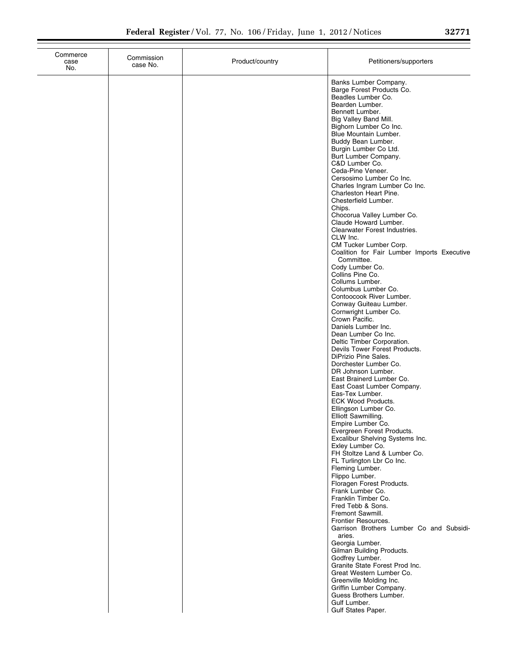| Commerce<br>case<br>No. | Commission<br>case No. | Product/country | Petitioners/supporters                                                                                                                                                                                                                                                                                                                                                                                                                                                                                                                                                                                                                                                                                                                                                                                                                                                                                                                                                                                                                                                                                                                                                                                                                                                                                                                                                                                                                                                                                                                                                                                                                                                                                                                                                          |
|-------------------------|------------------------|-----------------|---------------------------------------------------------------------------------------------------------------------------------------------------------------------------------------------------------------------------------------------------------------------------------------------------------------------------------------------------------------------------------------------------------------------------------------------------------------------------------------------------------------------------------------------------------------------------------------------------------------------------------------------------------------------------------------------------------------------------------------------------------------------------------------------------------------------------------------------------------------------------------------------------------------------------------------------------------------------------------------------------------------------------------------------------------------------------------------------------------------------------------------------------------------------------------------------------------------------------------------------------------------------------------------------------------------------------------------------------------------------------------------------------------------------------------------------------------------------------------------------------------------------------------------------------------------------------------------------------------------------------------------------------------------------------------------------------------------------------------------------------------------------------------|
|                         |                        |                 | Banks Lumber Company.<br>Barge Forest Products Co.<br>Beadles Lumber Co.<br>Bearden Lumber.<br>Bennett Lumber.<br>Big Valley Band Mill.<br>Bighorn Lumber Co Inc.<br>Blue Mountain Lumber.<br>Buddy Bean Lumber.<br>Burgin Lumber Co Ltd.<br>Burt Lumber Company.<br>C&D Lumber Co.<br>Ceda-Pine Veneer.<br>Cersosimo Lumber Co Inc.<br>Charles Ingram Lumber Co Inc.<br>Charleston Heart Pine.<br>Chesterfield Lumber.<br>Chips.<br>Chocorua Valley Lumber Co.<br>Claude Howard Lumber.<br>Clearwater Forest Industries.<br>CLW Inc.<br>CM Tucker Lumber Corp.<br>Coalition for Fair Lumber Imports Executive<br>Committee.<br>Cody Lumber Co.<br>Collins Pine Co.<br>Collums Lumber.<br>Columbus Lumber Co.<br>Contoocook River Lumber.<br>Conway Guiteau Lumber.<br>Cornwright Lumber Co.<br>Crown Pacific.<br>Daniels Lumber Inc.<br>Dean Lumber Co Inc.<br>Deltic Timber Corporation.<br>Devils Tower Forest Products.<br>DiPrizio Pine Sales.<br>Dorchester Lumber Co.<br>DR Johnson Lumber.<br>East Brainerd Lumber Co.<br>East Coast Lumber Company.<br>Eas-Tex Lumber.<br>ECK Wood Products.<br>Ellingson Lumber Co.<br>Elliott Sawmilling.<br>Empire Lumber Co.<br>Evergreen Forest Products.<br>Excalibur Shelving Systems Inc.<br>Exley Lumber Co.<br>FH Stoltze Land & Lumber Co.<br>FL Turlington Lbr Co Inc.<br>Fleming Lumber.<br>Flippo Lumber.<br>Floragen Forest Products.<br>Frank Lumber Co.<br>Franklin Timber Co.<br>Fred Tebb & Sons.<br>Fremont Sawmill.<br>Frontier Resources.<br>Garrison Brothers Lumber Co and Subsidi-<br>aries.<br>Georgia Lumber.<br>Gilman Building Products.<br>Godfrey Lumber.<br>Granite State Forest Prod Inc.<br>Great Western Lumber Co.<br>Greenville Molding Inc.<br>Griffin Lumber Company.<br>Guess Brothers Lumber. |
|                         |                        |                 | Gulf Lumber.<br>Gulf States Paper.                                                                                                                                                                                                                                                                                                                                                                                                                                                                                                                                                                                                                                                                                                                                                                                                                                                                                                                                                                                                                                                                                                                                                                                                                                                                                                                                                                                                                                                                                                                                                                                                                                                                                                                                              |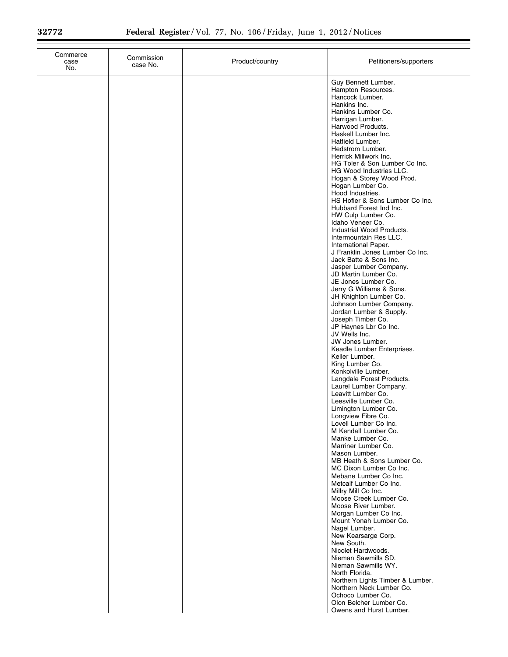| Commerce<br>case<br>No. | Commission<br>case No. | Product/country | Petitioners/supporters                                                                                                                                                                                                                                                                                                                                                                                                                                                                                                                                                                                                                                                                                                                                                                                                                                                                                                                                                                                                                                                                                                                                                                                                                                                                                                                                                                                                                                                                                                                                                                                                                                                                                                                                                                   |
|-------------------------|------------------------|-----------------|------------------------------------------------------------------------------------------------------------------------------------------------------------------------------------------------------------------------------------------------------------------------------------------------------------------------------------------------------------------------------------------------------------------------------------------------------------------------------------------------------------------------------------------------------------------------------------------------------------------------------------------------------------------------------------------------------------------------------------------------------------------------------------------------------------------------------------------------------------------------------------------------------------------------------------------------------------------------------------------------------------------------------------------------------------------------------------------------------------------------------------------------------------------------------------------------------------------------------------------------------------------------------------------------------------------------------------------------------------------------------------------------------------------------------------------------------------------------------------------------------------------------------------------------------------------------------------------------------------------------------------------------------------------------------------------------------------------------------------------------------------------------------------------|
|                         |                        |                 | Guy Bennett Lumber.<br>Hampton Resources.<br>Hancock Lumber.<br>Hankins Inc.<br>Hankins Lumber Co.<br>Harrigan Lumber.<br>Harwood Products.<br>Haskell Lumber Inc.<br>Hatfield Lumber.<br>Hedstrom Lumber.<br>Herrick Millwork Inc.<br>HG Toler & Son Lumber Co Inc.<br>HG Wood Industries LLC.<br>Hogan & Storey Wood Prod.<br>Hogan Lumber Co.<br>Hood Industries.<br>HS Hofler & Sons Lumber Co Inc.<br>Hubbard Forest Ind Inc.<br>HW Culp Lumber Co.<br>Idaho Veneer Co.<br>Industrial Wood Products.<br>Intermountain Res LLC.<br>International Paper.<br>J Franklin Jones Lumber Co Inc.<br>Jack Batte & Sons Inc.<br>Jasper Lumber Company.<br>JD Martin Lumber Co.<br>JE Jones Lumber Co.<br>Jerry G Williams & Sons.<br>JH Knighton Lumber Co.<br>Johnson Lumber Company.<br>Jordan Lumber & Supply.<br>Joseph Timber Co.<br>JP Haynes Lbr Co Inc.<br>JV Wells Inc.<br>JW Jones Lumber.<br>Keadle Lumber Enterprises.<br>Keller Lumber.<br>King Lumber Co.<br>Konkolville Lumber.<br>Langdale Forest Products.<br>Laurel Lumber Company.<br>Leavitt Lumber Co.<br>Leesville Lumber Co.<br>Limington Lumber Co.<br>Longview Fibre Co.<br>Lovell Lumber Co Inc.<br>M Kendall Lumber Co.<br>Manke Lumber Co.<br>Marriner Lumber Co.<br>Mason Lumber.<br>MB Heath & Sons Lumber Co.<br>MC Dixon Lumber Co Inc.<br>Mebane Lumber Co Inc.<br>Metcalf Lumber Co Inc.<br>Millry Mill Co Inc.<br>Moose Creek Lumber Co.<br>Moose River Lumber.<br>Morgan Lumber Co Inc.<br>Mount Yonah Lumber Co.<br>Nagel Lumber.<br>New Kearsarge Corp.<br>New South.<br>Nicolet Hardwoods.<br>Nieman Sawmills SD.<br>Nieman Sawmills WY.<br>North Florida.<br>Northern Lights Timber & Lumber.<br>Northern Neck Lumber Co.<br>Ochoco Lumber Co.<br>Olon Belcher Lumber Co.<br>Owens and Hurst Lumber. |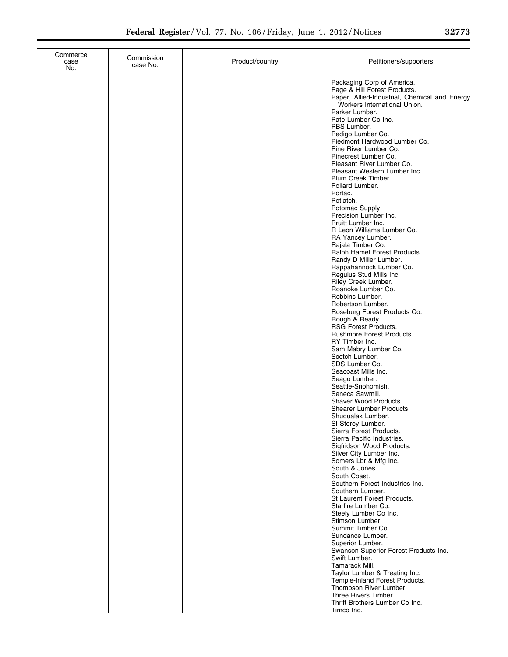| Commerce<br>case<br>No. | Commission<br>case No. | Product/country | Petitioners/supporters                                                                                                                                                                                                                                                                                                                                                                                                                                                                                                                                                                                                                                                                                                                                                                                                                                                                                                                                                                                                                                                                                                                                                                                                                                                                                                                                                                                                                                                                                                                                                                                                                                                                                                                                                                                                |
|-------------------------|------------------------|-----------------|-----------------------------------------------------------------------------------------------------------------------------------------------------------------------------------------------------------------------------------------------------------------------------------------------------------------------------------------------------------------------------------------------------------------------------------------------------------------------------------------------------------------------------------------------------------------------------------------------------------------------------------------------------------------------------------------------------------------------------------------------------------------------------------------------------------------------------------------------------------------------------------------------------------------------------------------------------------------------------------------------------------------------------------------------------------------------------------------------------------------------------------------------------------------------------------------------------------------------------------------------------------------------------------------------------------------------------------------------------------------------------------------------------------------------------------------------------------------------------------------------------------------------------------------------------------------------------------------------------------------------------------------------------------------------------------------------------------------------------------------------------------------------------------------------------------------------|
|                         |                        |                 | Packaging Corp of America.<br>Page & Hill Forest Products.<br>Paper, Allied-Industrial, Chemical and Energy<br>Workers International Union.<br>Parker Lumber.<br>Pate Lumber Co Inc.<br>PBS Lumber.<br>Pedigo Lumber Co.<br>Piedmont Hardwood Lumber Co.<br>Pine River Lumber Co.<br>Pinecrest Lumber Co.<br>Pleasant River Lumber Co.<br>Pleasant Western Lumber Inc.<br>Plum Creek Timber.<br>Pollard Lumber.<br>Portac.<br>Potlatch.<br>Potomac Supply.<br>Precision Lumber Inc.<br>Pruitt Lumber Inc.<br>R Leon Williams Lumber Co.<br>RA Yancey Lumber.<br>Rajala Timber Co.<br>Ralph Hamel Forest Products.<br>Randy D Miller Lumber.<br>Rappahannock Lumber Co.<br>Regulus Stud Mills Inc.<br>Riley Creek Lumber.<br>Roanoke Lumber Co.<br>Robbins Lumber.<br>Robertson Lumber.<br>Roseburg Forest Products Co.<br>Rough & Ready.<br><b>RSG Forest Products.</b><br>Rushmore Forest Products.<br>RY Timber Inc.<br>Sam Mabry Lumber Co.<br>Scotch Lumber.<br>SDS Lumber Co.<br>Seacoast Mills Inc.<br>Seago Lumber.<br>Seattle-Snohomish.<br>Seneca Sawmill.<br>Shaver Wood Products.<br>Shearer Lumber Products.<br>Shuqualak Lumber.<br>SI Storey Lumber.<br>Sierra Forest Products.<br>Sierra Pacific Industries.<br>Sigfridson Wood Products.<br>Silver City Lumber Inc.<br>Somers Lbr & Mfg Inc.<br>South & Jones.<br>South Coast.<br>Southern Forest Industries Inc.<br>Southern Lumber.<br>St Laurent Forest Products.<br>Starfire Lumber Co.<br>Steely Lumber Co Inc.<br>Stimson Lumber.<br>Summit Timber Co.<br>Sundance Lumber.<br>Superior Lumber.<br>Swanson Superior Forest Products Inc.<br>Swift Lumber.<br>Tamarack Mill.<br>Taylor Lumber & Treating Inc.<br>Temple-Inland Forest Products.<br>Thompson River Lumber.<br>Three Rivers Timber.<br>Thrift Brothers Lumber Co Inc.<br>Timco Inc. |
|                         |                        |                 |                                                                                                                                                                                                                                                                                                                                                                                                                                                                                                                                                                                                                                                                                                                                                                                                                                                                                                                                                                                                                                                                                                                                                                                                                                                                                                                                                                                                                                                                                                                                                                                                                                                                                                                                                                                                                       |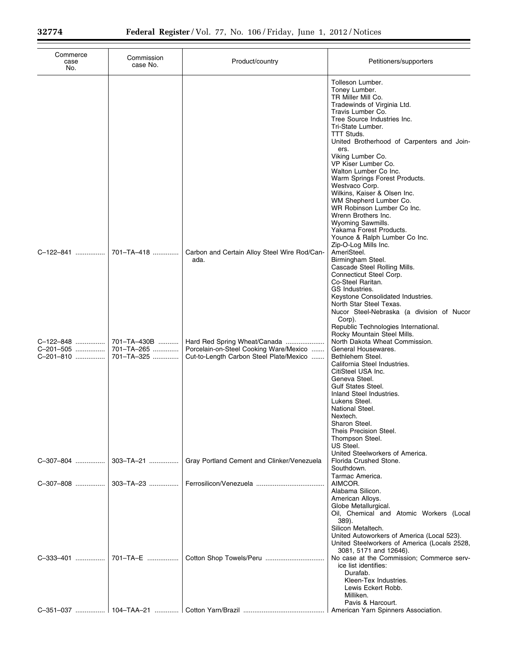×,

| Commerce<br>case<br>No.             | Commission<br>case No.                  | Product/country                                                                                                   | Petitioners/supporters                                                                                                                                                                                                                                                                                                                                                                                                                                                                                                                                             |
|-------------------------------------|-----------------------------------------|-------------------------------------------------------------------------------------------------------------------|--------------------------------------------------------------------------------------------------------------------------------------------------------------------------------------------------------------------------------------------------------------------------------------------------------------------------------------------------------------------------------------------------------------------------------------------------------------------------------------------------------------------------------------------------------------------|
|                                     |                                         |                                                                                                                   | Tolleson Lumber.<br>Toney Lumber.<br>TR Miller Mill Co.<br>Tradewinds of Virginia Ltd.<br>Travis Lumber Co.<br>Tree Source Industries Inc.<br>Tri-State Lumber.<br><b>TTT Studs.</b><br>United Brotherhood of Carpenters and Join-<br>ers.<br>Viking Lumber Co.<br>VP Kiser Lumber Co.<br>Walton Lumber Co Inc.<br>Warm Springs Forest Products.<br>Westvaco Corp.<br>Wilkins, Kaiser & Olsen Inc.<br>WM Shepherd Lumber Co.<br>WR Robinson Lumber Co Inc.<br>Wrenn Brothers Inc.<br>Wyoming Sawmills.<br>Yakama Forest Products.<br>Younce & Ralph Lumber Co Inc. |
| C-122-841                           | 701-TA-418                              | Carbon and Certain Alloy Steel Wire Rod/Can-<br>ada.                                                              | Zip-O-Log Mills Inc.<br>AmeriSteel.<br>Birmingham Steel.<br>Cascade Steel Rolling Mills.<br>Connecticut Steel Corp.<br>Co-Steel Raritan.<br>GS Industries.<br>Keystone Consolidated Industries.<br>North Star Steel Texas.<br>Nucor Steel-Nebraska (a division of Nucor<br>Corp).<br>Republic Technologies International.                                                                                                                                                                                                                                          |
| C-122-848<br>C-201-505<br>C-201-810 | 701-TA-430B<br>701-TA-265<br>701-TA-325 | Hard Red Spring Wheat/Canada<br>Porcelain-on-Steel Cooking Ware/Mexico<br>Cut-to-Length Carbon Steel Plate/Mexico | Rocky Mountain Steel Mills.<br>North Dakota Wheat Commission.<br>General Housewares.<br>Bethlehem Steel.<br>California Steel Industries.<br>CitiSteel USA Inc.<br>Geneva Steel.<br><b>Gulf States Steel.</b><br>Inland Steel Industries.<br>Lukens Steel.<br>National Steel.<br>Nextech.<br>Sharon Steel.<br>Theis Precision Steel.<br>Thompson Steel.<br>US Steel.                                                                                                                                                                                                |
| C-307-804                           | 303-TA-21<br>$303 - T A - 23$           | Gray Portland Cement and Clinker/Venezuela                                                                        | United Steelworkers of America.<br>Florida Crushed Stone.<br>Southdown.<br>Tarmac America.<br>AIMCOR.                                                                                                                                                                                                                                                                                                                                                                                                                                                              |
|                                     |                                         |                                                                                                                   | Alabama Silicon.<br>American Alloys.<br>Globe Metallurgical.<br>Oil, Chemical and Atomic Workers (Local<br>389).<br>Silicon Metaltech.<br>United Autoworkers of America (Local 523).<br>United Steelworkers of America (Locals 2528,<br>3081, 5171 and 12646).<br>No case at the Commission; Commerce serv-<br>ice list identifies:<br>Durafab.<br>Kleen-Tex Industries.<br>Lewis Eckert Robb.<br>Milliken.<br>Pavis & Harcourt.                                                                                                                                   |
|                                     |                                         |                                                                                                                   |                                                                                                                                                                                                                                                                                                                                                                                                                                                                                                                                                                    |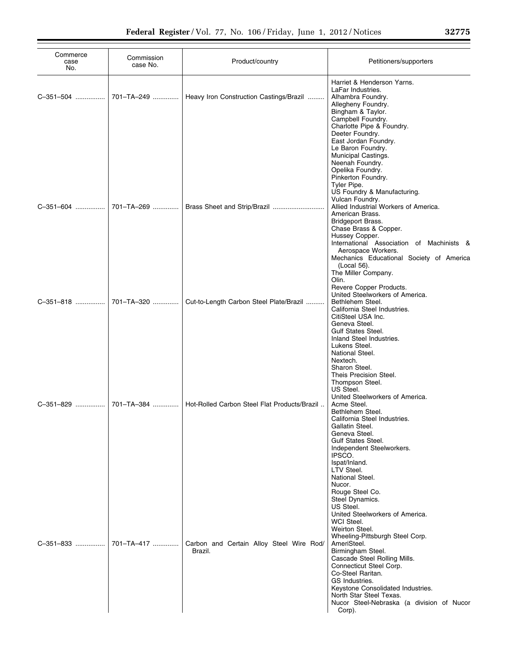| Commerce<br>case<br>No. | Commission<br>case No. | Product/country                                     | Petitioners/supporters                                                                                                                                                                                                                                                                                                                                                                                                                          |
|-------------------------|------------------------|-----------------------------------------------------|-------------------------------------------------------------------------------------------------------------------------------------------------------------------------------------------------------------------------------------------------------------------------------------------------------------------------------------------------------------------------------------------------------------------------------------------------|
| C-351-504               | 701-TA-249             | Heavy Iron Construction Castings/Brazil             | Harriet & Henderson Yarns.<br>LaFar Industries.<br>Alhambra Foundry.<br>Allegheny Foundry.<br>Bingham & Taylor.<br>Campbell Foundry.<br>Charlotte Pipe & Foundry.<br>Deeter Foundry.<br>East Jordan Foundry.<br>Le Baron Foundry.                                                                                                                                                                                                               |
| C-351-604               | 701-TA-269             | Brass Sheet and Strip/Brazil                        | Municipal Castings.<br>Neenah Foundry.<br>Opelika Foundry.<br>Pinkerton Foundry.<br>Tyler Pipe.<br>US Foundry & Manufacturing.<br>Vulcan Foundry.<br>Allied Industrial Workers of America.<br>American Brass.<br>Bridgeport Brass.<br>Chase Brass & Copper.<br>Hussey Copper.<br>International Association of Machinists &<br>Aerospace Workers.<br>Mechanics Educational Society of America                                                    |
| C-351-818               | 701-TA-320             | Cut-to-Length Carbon Steel Plate/Brazil             | (Local 56).<br>The Miller Company.<br>Olin.<br>Revere Copper Products.<br>United Steelworkers of America.<br>Bethlehem Steel.<br>California Steel Industries.<br>CitiSteel USA Inc.<br>Geneva Steel.<br><b>Gulf States Steel.</b>                                                                                                                                                                                                               |
| C-351-829               | 701-TA-384             | Hot-Rolled Carbon Steel Flat Products/Brazil        | Inland Steel Industries.<br>Lukens Steel.<br>National Steel.<br>Nextech.<br>Sharon Steel.<br>Theis Precision Steel.<br>Thompson Steel.<br>US Steel.<br>United Steelworkers of America.<br>Acme Steel.<br>Bethlehem Steel.<br>California Steel Industries.<br>Gallatin Steel.<br>Geneva Steel.<br><b>Gulf States Steel.</b><br>Independent Steelworkers.<br>IPSCO.<br>Ispat/Inland.<br>LTV Steel.                                                |
|                         |                        | Carbon and Certain Alloy Steel Wire Rod/<br>Brazil. | National Steel.<br>Nucor.<br>Rouge Steel Co.<br>Steel Dynamics.<br>US Steel.<br>United Steelworkers of America.<br>WCI Steel.<br>Weirton Steel.<br>Wheeling-Pittsburgh Steel Corp.<br>AmeriSteel.<br>Birmingham Steel.<br>Cascade Steel Rolling Mills.<br>Connecticut Steel Corp.<br>Co-Steel Raritan.<br>GS Industries.<br>Keystone Consolidated Industries.<br>North Star Steel Texas.<br>Nucor Steel-Nebraska (a division of Nucor<br>Corp). |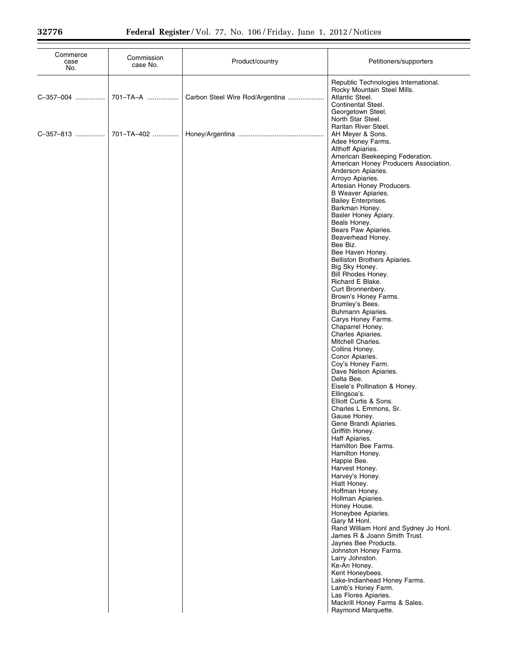| Commerce<br>case<br>No. | Commission<br>case No. | Product/country                 | Petitioners/supporters                                                                                                                                 |
|-------------------------|------------------------|---------------------------------|--------------------------------------------------------------------------------------------------------------------------------------------------------|
| C-357-004               | 701-TA-A               | Carbon Steel Wire Rod/Argentina | Republic Technologies International.<br>Rocky Mountain Steel Mills.<br>Atlantic Steel.<br>Continental Steel.<br>Georgetown Steel.<br>North Star Steel. |
| C-357-813               | 701-TA-402             |                                 | Raritan River Steel.<br>AH Meyer & Sons.<br>Adee Honey Farms.<br>Althoff Apiaries.<br>American Beekeeping Federation.                                  |
|                         |                        |                                 | American Honey Producers Association.<br>Anderson Apiaries.<br>Arroyo Apiaries.                                                                        |
|                         |                        |                                 | Artesian Honey Producers.<br>B Weaver Apiaries.<br><b>Bailey Enterprises.</b><br>Barkman Honey.                                                        |
|                         |                        |                                 | Basler Honey Apiary.<br>Beals Honey.<br>Bears Paw Apiaries.                                                                                            |
|                         |                        |                                 | Beaverhead Honey.<br>Bee Biz.<br>Bee Haven Honey.                                                                                                      |
|                         |                        |                                 | Belliston Brothers Apiaries.<br>Big Sky Honey.<br>Bill Rhodes Honey.<br>Richard E Blake.                                                               |
|                         |                        |                                 | Curt Bronnenbery.<br>Brown's Honey Farms.<br>Brumley's Bees.                                                                                           |
|                         |                        |                                 | Buhmann Apiaries.<br>Carys Honey Farms.<br>Chaparrel Honey.<br>Charles Apiaries.                                                                       |
|                         |                        |                                 | Mitchell Charles.<br>Collins Honey.<br>Conor Apiaries.                                                                                                 |
|                         |                        |                                 | Coy's Honey Farm.<br>Dave Nelson Apiaries.<br>Delta Bee.<br>Eisele's Pollination & Honey.                                                              |
|                         |                        |                                 | Ellingsoa's.<br>Elliott Curtis & Sons.<br>Charles L Emmons, Sr.                                                                                        |
|                         |                        |                                 | Gause Honey.<br>Gene Brandi Apiaries.<br>Griffith Honey.<br>Haff Apiaries.                                                                             |
|                         |                        |                                 | Hamilton Bee Farms.<br>Hamilton Honey.<br>Happie Bee.                                                                                                  |
|                         |                        |                                 | Harvest Honey.<br>Harvey's Honey.<br>Hiatt Honey.<br>Hoffman Honey.                                                                                    |
|                         |                        |                                 | Hollman Apiaries.<br>Honey House.<br>Honeybee Apiaries.                                                                                                |
|                         |                        |                                 | Gary M Honl.<br>Rand William Honl and Sydney Jo Honl.<br>James R & Joann Smith Trust.<br>Jaynes Bee Products.                                          |
|                         |                        |                                 | Johnston Honey Farms.<br>Larry Johnston.<br>Ke-An Honey.                                                                                               |
|                         |                        |                                 | Kent Honeybees.<br>Lake-Indianhead Honey Farms.<br>Lamb's Honey Farm.<br>Las Flores Apiaries.                                                          |
|                         |                        |                                 | Mackrill Honey Farms & Sales.<br>Raymond Marquette.                                                                                                    |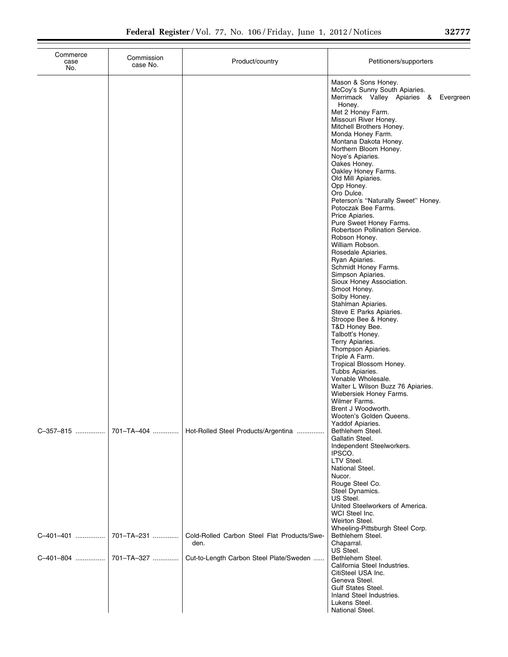| Commerce<br>case<br>No. | Commission<br>case No.   | Product/country                                                                                | Petitioners/supporters                                                                                                                                                                                                                                                                                                                                                                                                                                                                                                                                                                                                                                                                                                                                                                                                                                                                                                                                                                                                 |
|-------------------------|--------------------------|------------------------------------------------------------------------------------------------|------------------------------------------------------------------------------------------------------------------------------------------------------------------------------------------------------------------------------------------------------------------------------------------------------------------------------------------------------------------------------------------------------------------------------------------------------------------------------------------------------------------------------------------------------------------------------------------------------------------------------------------------------------------------------------------------------------------------------------------------------------------------------------------------------------------------------------------------------------------------------------------------------------------------------------------------------------------------------------------------------------------------|
|                         |                          |                                                                                                | Mason & Sons Honey.<br>McCoy's Sunny South Apiaries.<br>Merrimack Valley Apiaries & Evergreen<br>Honey.<br>Met 2 Honey Farm.<br>Missouri River Honey.<br>Mitchell Brothers Honey.<br>Monda Honey Farm.<br>Montana Dakota Honey.<br>Northern Bloom Honey.<br>Noye's Apiaries.<br>Oakes Honey.<br>Oakley Honey Farms.<br>Old Mill Apiaries.<br>Opp Honey.<br>Oro Dulce.<br>Peterson's "Naturally Sweet" Honey.<br>Potoczak Bee Farms.<br>Price Apiaries.<br>Pure Sweet Honey Farms.<br>Robertson Pollination Service.<br>Robson Honey.<br>William Robson.<br>Rosedale Apiaries.<br>Ryan Apiaries.<br>Schmidt Honey Farms.<br>Simpson Apiaries.<br>Sioux Honey Association.<br>Smoot Honey.<br>Solby Honey.<br>Stahlman Apiaries.<br>Steve E Parks Apiaries.<br>Stroope Bee & Honey.<br>T&D Honey Bee.<br>Talbott's Honey.<br>Terry Apiaries.<br>Thompson Apiaries.<br>Triple A Farm.<br>Tropical Blossom Honey.<br>Tubbs Apiaries.<br>Venable Wholesale.<br>Walter L Wilson Buzz 76 Apiaries.<br>Wiebersiek Honey Farms. |
| C-357-815               | 701-TA-404               | Hot-Rolled Steel Products/Argentina                                                            | Wilmer Farms.<br>Brent J Woodworth.<br>Wooten's Golden Queens.<br>Yaddof Apiaries.<br>Bethlehem Steel.<br>Gallatin Steel.<br>Independent Steelworkers.<br>IPSCO.<br>LTV Steel.<br>National Steel.<br>Nucor.<br>Rouge Steel Co.<br>Steel Dynamics.                                                                                                                                                                                                                                                                                                                                                                                                                                                                                                                                                                                                                                                                                                                                                                      |
| C-401-401<br>C-401-804  | 701-TA-231<br>701-TA-327 | Cold-Rolled Carbon Steel Flat Products/Swe-<br>den.<br>Cut-to-Length Carbon Steel Plate/Sweden | US Steel.<br>United Steelworkers of America.<br>WCI Steel Inc.<br>Weirton Steel.<br>Wheeling-Pittsburgh Steel Corp.<br>Bethlehem Steel.<br>Chaparral.<br>US Steel.<br>Bethlehem Steel.<br>California Steel Industries.<br>CitiSteel USA Inc.<br>Geneva Steel.<br><b>Gulf States Steel.</b><br>Inland Steel Industries.<br>Lukens Steel.<br>National Steel.                                                                                                                                                                                                                                                                                                                                                                                                                                                                                                                                                                                                                                                             |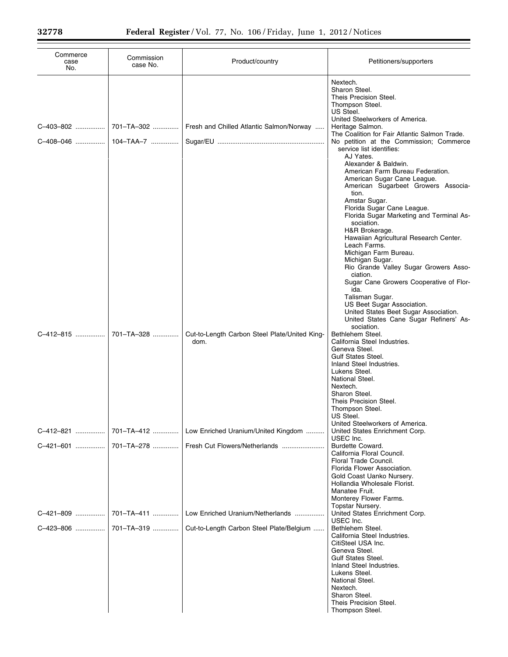| Commerce<br>case<br>No. | Commission<br>case No.  | Product/country                                       | Petitioners/supporters                                                                                                                                                                                                                                                                                                                                |
|-------------------------|-------------------------|-------------------------------------------------------|-------------------------------------------------------------------------------------------------------------------------------------------------------------------------------------------------------------------------------------------------------------------------------------------------------------------------------------------------------|
| C-403-802<br>C-408-046  | 701-TA-302<br>104-TAA-7 | Fresh and Chilled Atlantic Salmon/Norway              | Nextech.<br>Sharon Steel.<br>Theis Precision Steel.<br>Thompson Steel.<br>US Steel.<br>United Steelworkers of America.<br>Heritage Salmon.<br>The Coalition for Fair Atlantic Salmon Trade.<br>No petition at the Commission; Commerce<br>service list identifies:<br>AJ Yates.                                                                       |
|                         |                         |                                                       | Alexander & Baldwin.<br>American Farm Bureau Federation.<br>American Sugar Cane League.<br>American Sugarbeet Growers Associa-<br>tion.<br>Amstar Sugar.<br>Florida Sugar Cane League.<br>Florida Sugar Marketing and Terminal As-<br>sociation.<br>H&R Brokerage.<br>Hawaiian Agricultural Research Center.<br>Leach Farms.<br>Michigan Farm Bureau. |
|                         |                         |                                                       | Michigan Sugar.<br>Rio Grande Valley Sugar Growers Asso-<br>ciation.<br>Sugar Cane Growers Cooperative of Flor-<br>ida.<br>Talisman Sugar.<br>US Beet Sugar Association.<br>United States Beet Sugar Association.<br>United States Cane Sugar Refiners' As-                                                                                           |
| C-412-815               | 701-TA-328              | Cut-to-Length Carbon Steel Plate/United King-<br>dom. | sociation.<br>Bethlehem Steel.<br>California Steel Industries.<br>Geneva Steel.<br><b>Gulf States Steel.</b><br>Inland Steel Industries.<br>Lukens Steel.<br>National Steel.<br>Nextech.<br>Sharon Steel.<br>Theis Precision Steel.<br>Thompson Steel.<br>US Steel.                                                                                   |
| C-412-821               | 701-TA-412              | Low Enriched Uranium/United Kingdom                   | United Steelworkers of America.<br>United States Enrichment Corp.                                                                                                                                                                                                                                                                                     |
| C-421-601               | 701-TA-278              |                                                       | USEC Inc.<br>Burdette Coward.<br>California Floral Council.<br>Floral Trade Council.<br>Florida Flower Association.<br>Gold Coast Uanko Nursery.<br>Hollandia Wholesale Florist.<br>Manatee Fruit.<br>Monterey Flower Farms.                                                                                                                          |
| C-421-809               | 701-TA-411              | Low Enriched Uranium/Netherlands                      | Topstar Nursery.<br>United States Enrichment Corp.                                                                                                                                                                                                                                                                                                    |
| C-423-806               | 701-TA-319              | Cut-to-Length Carbon Steel Plate/Belgium              | USEC Inc.<br>Bethlehem Steel.<br>California Steel Industries.<br>CitiSteel USA Inc.<br>Geneva Steel.<br><b>Gulf States Steel.</b><br>Inland Steel Industries.<br>Lukens Steel.<br>National Steel.<br>Nextech.<br>Sharon Steel.<br>Theis Precision Steel.<br>Thompson Steel.                                                                           |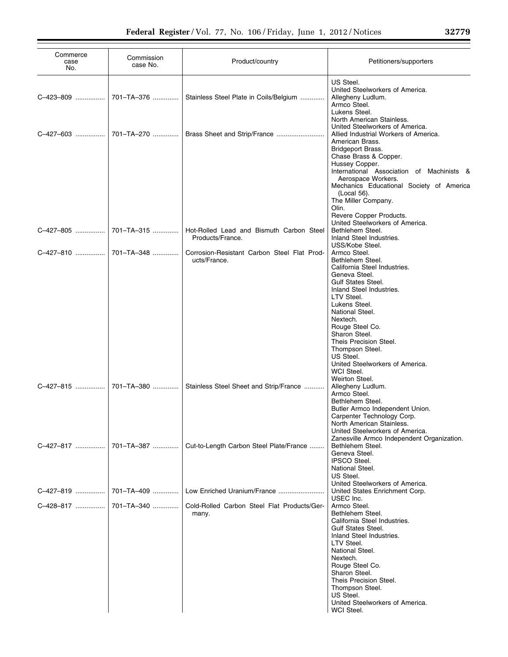| Commerce<br>case<br>No. | Commission<br>case No. | Product/country                                              | Petitioners/supporters                                                                                                                                                                                                                                                                                                             |
|-------------------------|------------------------|--------------------------------------------------------------|------------------------------------------------------------------------------------------------------------------------------------------------------------------------------------------------------------------------------------------------------------------------------------------------------------------------------------|
| C-423-809               | 701-TA-376             | Stainless Steel Plate in Coils/Belgium                       | US Steel.<br>United Steelworkers of America.<br>Allegheny Ludlum.<br>Armco Steel.<br>Lukens Steel.<br>North American Stainless.                                                                                                                                                                                                    |
|                         | C-427-603  701-TA-270  | Brass Sheet and Strip/France                                 | United Steelworkers of America.<br>Allied Industrial Workers of America.<br>American Brass.<br>Bridgeport Brass.<br>Chase Brass & Copper.<br>Hussey Copper.<br>International Association of Machinists &<br>Aerospace Workers.<br>Mechanics Educational Society of America                                                         |
| C-427-805               | 701-TA-315             | Hot-Rolled Lead and Bismuth Carbon Steel<br>Products/France. | (Local 56).<br>The Miller Company.<br>Olin.<br>Revere Copper Products.<br>United Steelworkers of America.<br>Bethlehem Steel.<br>Inland Steel Industries.                                                                                                                                                                          |
|                         |                        | Corrosion-Resistant Carbon Steel Flat Prod-<br>ucts/France.  | USS/Kobe Steel.<br>Armco Steel.<br>Bethlehem Steel.<br>California Steel Industries.                                                                                                                                                                                                                                                |
|                         |                        |                                                              | Geneva Steel.<br><b>Gulf States Steel.</b><br>Inland Steel Industries.<br>LTV Steel.<br>Lukens Steel.<br>National Steel.<br>Nextech.<br>Rouge Steel Co.<br>Sharon Steel.<br>Theis Precision Steel.<br>Thompson Steel.<br>US Steel.<br>United Steelworkers of America.<br>WCI Steel.<br>Weirton Steel.                              |
| C-427-815               | 701-TA-380             | Stainless Steel Sheet and Strip/France                       | Allegheny Ludlum.<br>Armco Steel.<br>Bethlehem Steel.<br>Butler Armco Independent Union.<br>Carpenter Technology Corp.<br>North American Stainless.<br>United Steelworkers of America.<br>Zanesville Armco Independent Organization.                                                                                               |
| C-427-817               | 701-TA-387             | Cut-to-Length Carbon Steel Plate/France                      | Bethlehem Steel.<br>Geneva Steel.<br><b>IPSCO Steel.</b><br>National Steel.<br>US Steel.<br>United Steelworkers of America.                                                                                                                                                                                                        |
| C-427-819               | 701-TA-409             | Low Enriched Uranium/France                                  | United States Enrichment Corp.                                                                                                                                                                                                                                                                                                     |
|                         |                        | Cold-Rolled Carbon Steel Flat Products/Ger-<br>many.         | USEC Inc.<br>Armco Steel.<br>Bethlehem Steel.<br>California Steel Industries.<br><b>Gulf States Steel.</b><br>Inland Steel Industries.<br>LTV Steel.<br>National Steel.<br>Nextech.<br>Rouge Steel Co.<br>Sharon Steel.<br>Theis Precision Steel.<br>Thompson Steel.<br>US Steel.<br>United Steelworkers of America.<br>WCI Steel. |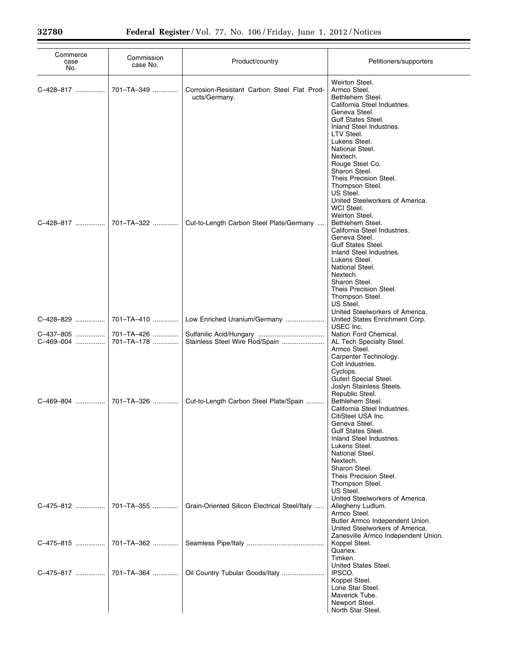| Commerce<br>case<br>No. | Commission<br>case No. | Product/country                                              | Petitioners/supporters                                                                                                                                                                                                                                                                                                                                                                                                                                          |
|-------------------------|------------------------|--------------------------------------------------------------|-----------------------------------------------------------------------------------------------------------------------------------------------------------------------------------------------------------------------------------------------------------------------------------------------------------------------------------------------------------------------------------------------------------------------------------------------------------------|
| C-428-817               | 701-TA-349             | Corrosion-Resistant Carbon Steel Flat Prod-<br>ucts/Germany. | Weirton Steel.<br>Armco Steel.<br>Bethlehem Steel.<br>California Steel Industries.<br>Geneva Steel.<br><b>Gulf States Steel.</b><br>Inland Steel Industries.<br>LTV Steel.<br>Lukens Steel.<br>National Steel.<br>Nextech.<br>Rouge Steel Co.<br>Sharon Steel.<br>Theis Precision Steel.<br>Thompson Steel.<br>US Steel.<br>United Steelworkers of America.<br>WCI Steel.                                                                                       |
| C-428-817               | 701-TA-322             | Cut-to-Length Carbon Steel Plate/Germany                     | Weirton Steel.<br>Bethlehem Steel.<br>California Steel Industries.<br>Geneva Steel.<br><b>Gulf States Steel.</b><br>Inland Steel Industries.<br>Lukens Steel.<br>National Steel.<br>Nextech.<br>Sharon Steel.<br>Theis Precision Steel.<br>Thompson Steel.<br>US Steel.<br>United Steelworkers of America.                                                                                                                                                      |
| C-428-829               | 701-TA-410             | Low Enriched Uranium/Germany                                 | United States Enrichment Corp.<br>USEC Inc.                                                                                                                                                                                                                                                                                                                                                                                                                     |
| C-437-805               | 701-TA-426             |                                                              | Nation Ford Chemical.                                                                                                                                                                                                                                                                                                                                                                                                                                           |
| C-469-004               | 701-TA-178             | Stainless Steel Wire Rod/Spain                               | AL Tech Specialty Steel.                                                                                                                                                                                                                                                                                                                                                                                                                                        |
| C-469-804<br>C-475-812  | 701-TA-326             | Cut-to-Length Carbon Steel Plate/Spain                       | Armco Steel.<br>Carpenter Technology.<br>Colt Industries.<br>Cyclops.<br>Guterl Special Steel.<br>Joslyn Stainless Steels.<br>Republic Steel.<br>Bethlehem Steel.<br>California Steel Industries.<br>CitiSteel USA Inc.<br>Geneva Steel.<br><b>Gulf States Steel.</b><br>Inland Steel Industries.<br>Lukens Steel.<br>National Steel.<br>Nextech.<br>Sharon Steel.<br>Theis Precision Steel.<br>Thompson Steel.<br>US Steel.<br>United Steelworkers of America. |
|                         | 701-TA-355             | Grain-Oriented Silicon Electrical Steel/Italy                | Allegheny Ludlum.<br>Armco Steel.<br>Butler Armco Independent Union.<br>United Steelworkers of America.<br>Zanesville Armco Independent Union.                                                                                                                                                                                                                                                                                                                  |
| C-475-815               | 701-TA-362             |                                                              | Koppel Steel.<br>Quanex.<br>Timken.                                                                                                                                                                                                                                                                                                                                                                                                                             |
| C-475-817               | 701-TA-364             | Oil Country Tubular Goods/Italy                              | United States Steel.<br>IPSCO.<br>Koppel Steel.<br>Lone Star Steel.<br>Maverick Tube.<br>Newport Steel.<br>North Star Steel.                                                                                                                                                                                                                                                                                                                                    |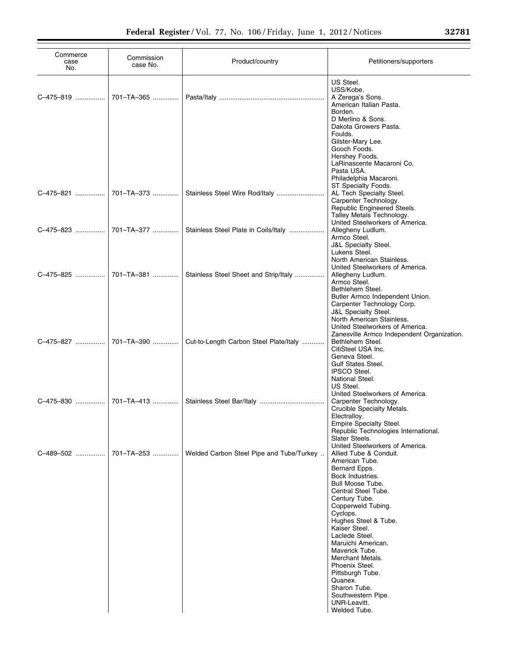| Commerce<br>case<br>No. | Commission<br>case No. | Product/country                          | Petitioners/supporters                                                                                                                                                                                                                                                                                                                                                    |
|-------------------------|------------------------|------------------------------------------|---------------------------------------------------------------------------------------------------------------------------------------------------------------------------------------------------------------------------------------------------------------------------------------------------------------------------------------------------------------------------|
| C-475-819               | 701-TA-365             |                                          | US Steel.<br>USS/Kobe.<br>A Zerega's Sons.<br>American Italian Pasta.<br>Borden.<br>D Merlino & Sons.<br>Dakota Growers Pasta.<br>Foulds.<br>Gilster-Mary Lee.                                                                                                                                                                                                            |
|                         |                        |                                          | Gooch Foods.<br>Hershey Foods.<br>LaRinascente Macaroni Co.<br>Pasta USA.<br>Philadelphia Macaroni.<br>ST Specialty Foods.<br>AL Tech Specialty Steel.<br>Carpenter Technology.<br>Republic Engineered Steels.<br>Talley Metals Technology.                                                                                                                               |
|                         | C-475-823  701-TA-377  | Stainless Steel Plate in Coils/Italy     | United Steelworkers of America.<br>Allegheny Ludlum.<br>Armco Steel.<br><b>J&amp;L Specialty Steel.</b><br>Lukens Steel.<br>North American Stainless.                                                                                                                                                                                                                     |
|                         | C-475-825  701-TA-381  | Stainless Steel Sheet and Strip/Italy    | United Steelworkers of America.<br>Allegheny Ludlum.<br>Armco Steel.<br>Bethlehem Steel.<br>Butler Armco Independent Union.<br>Carpenter Technology Corp.<br><b>J&amp;L Specialty Steel.</b><br>North American Stainless.                                                                                                                                                 |
|                         |                        | Cut-to-Length Carbon Steel Plate/Italy   | United Steelworkers of America.<br>Zanesville Armco Independent Organization.<br>Bethlehem Steel.<br>CitiSteel USA Inc.<br>Geneva Steel.<br><b>Gulf States Steel.</b><br><b>IPSCO Steel.</b><br>National Steel.                                                                                                                                                           |
|                         |                        |                                          | US Steel.<br>United Steelworkers of America.<br>Carpenter Technology.<br>Crucible Specialty Metals.<br>Electralloy.<br>Empire Specialty Steel.<br>Republic Technologies International.                                                                                                                                                                                    |
| C-489-502               | 701-TA-253             | Welded Carbon Steel Pipe and Tube/Turkey | Slater Steels.<br>United Steelworkers of America.<br>Allied Tube & Conduit.<br>American Tube.<br>Bernard Epps.<br>Bock Industries.<br>Bull Moose Tube.<br>Central Steel Tube.<br>Century Tube.<br>Copperweld Tubing.<br>Cyclops.<br>Hughes Steel & Tube.<br>Kaiser Steel.<br>Laclede Steel.<br>Maruichi American.<br>Maverick Tube.<br>Merchant Metals.<br>Phoenix Steel. |
|                         |                        |                                          | Pittsburgh Tube.<br>Quanex.<br>Sharon Tube.<br>Southwestern Pipe.<br>UNR-Leavitt.<br>Welded Tube.                                                                                                                                                                                                                                                                         |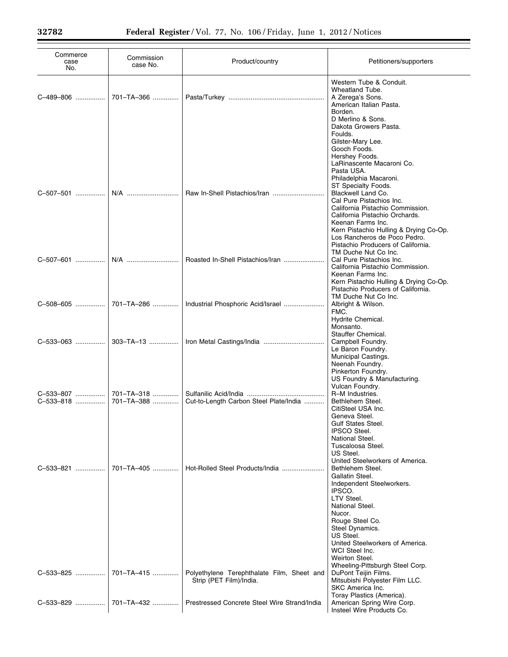| Commerce<br>case<br>No. | Commission<br>case No. | Product/country                                                       | Petitioners/supporters                                                                                                                                                                                                          |
|-------------------------|------------------------|-----------------------------------------------------------------------|---------------------------------------------------------------------------------------------------------------------------------------------------------------------------------------------------------------------------------|
| C-489-806               | 701-TA-366             |                                                                       | Western Tube & Conduit.<br>Wheatland Tube.<br>A Zerega's Sons.<br>American Italian Pasta.<br>Borden.<br>D Merlino & Sons.<br>Dakota Growers Pasta.                                                                              |
| C-507-501               | N/A                    |                                                                       | Foulds.<br>Gilster-Mary Lee.<br>Gooch Foods.<br>Hershey Foods.<br>LaRinascente Macaroni Co.<br>Pasta USA.<br>Philadelphia Macaroni.<br>ST Specialty Foods.<br>Blackwell Land Co.<br>Cal Pure Pistachios Inc.                    |
|                         |                        |                                                                       | California Pistachio Commission.<br>California Pistachio Orchards.<br>Keenan Farms Inc.<br>Kern Pistachio Hulling & Drying Co-Op.<br>Los Rancheros de Poco Pedro.<br>Pistachio Producers of California.<br>TM Duche Nut Co Inc. |
| C-507-601               | N/A                    | Roasted In-Shell Pistachios/Iran                                      | Cal Pure Pistachios Inc.<br>California Pistachio Commission.<br>Keenan Farms Inc.<br>Kern Pistachio Hulling & Drying Co-Op.<br>Pistachio Producers of California.<br>TM Duche Nut Co Inc.                                       |
| C-508-605               | 701-TA-286             | Industrial Phosphoric Acid/Israel                                     | Albright & Wilson.<br>FMC.<br>Hydrite Chemical.<br>Monsanto.<br>Stauffer Chemical.                                                                                                                                              |
| C-533-063               | 303-TA-13              |                                                                       | Campbell Foundry.<br>Le Baron Foundry.<br>Municipal Castings.<br>Neenah Foundry.<br>Pinkerton Foundry.<br>US Foundry & Manufacturing.<br>Vulcan Foundry.                                                                        |
| C-533-807               | 701-TA-318             |                                                                       | R-M Industries.                                                                                                                                                                                                                 |
| C-533-818               | 701-TA-388             | Cut-to-Length Carbon Steel Plate/India                                | Bethlehem Steel.<br>CitiSteel USA Inc.<br>Geneva Steel.<br>Gulf States Steel.                                                                                                                                                   |
|                         |                        |                                                                       | <b>IPSCO Steel.</b><br>National Steel.<br>Tuscaloosa Steel.<br>US Steel.<br>United Steelworkers of America.                                                                                                                     |
| C-533-821               | 701-TA-405             | Hot-Rolled Steel Products/India                                       | Bethlehem Steel.<br>Gallatin Steel.<br>Independent Steelworkers.<br>IPSCO.<br>LTV Steel.<br>National Steel.<br>Nucor.<br>Rouge Steel Co.<br>Steel Dynamics.                                                                     |
|                         |                        |                                                                       | US Steel.<br>United Steelworkers of America.<br>WCI Steel Inc.<br>Weirton Steel.                                                                                                                                                |
| C-533-825               | 701-TA-415             | Polyethylene Terephthalate Film, Sheet and<br>Strip (PET Film)/India. | Wheeling-Pittsburgh Steel Corp.<br>DuPont Teijin Films.<br>Mitsubishi Polyester Film LLC.<br>SKC America Inc.                                                                                                                   |
| C-533-829               | 701-TA-432             | Prestressed Concrete Steel Wire Strand/India                          | Toray Plastics (America).<br>American Spring Wire Corp.<br>Insteel Wire Products Co.                                                                                                                                            |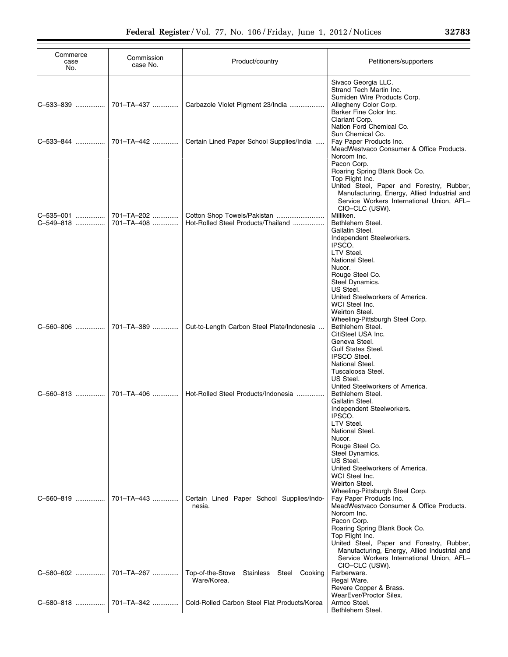| Commerce<br>case<br>No. | Commission<br>case No.   | Product/country                                            | Petitioners/supporters                                                                                                                                                                                                                                                                                                                                                                                                                                                 |
|-------------------------|--------------------------|------------------------------------------------------------|------------------------------------------------------------------------------------------------------------------------------------------------------------------------------------------------------------------------------------------------------------------------------------------------------------------------------------------------------------------------------------------------------------------------------------------------------------------------|
| C-533-839               | 701-TA-437               | Carbazole Violet Pigment 23/India                          | Sivaco Georgia LLC.<br>Strand Tech Martin Inc.<br>Sumiden Wire Products Corp.<br>Allegheny Color Corp.<br>Barker Fine Color Inc.<br>Clariant Corp.<br>Nation Ford Chemical Co.                                                                                                                                                                                                                                                                                         |
| C-533-844               | 701-TA-442               | Certain Lined Paper School Supplies/India                  | Sun Chemical Co.<br>Fay Paper Products Inc.<br>MeadWestvaco Consumer & Office Products.<br>Norcom Inc.                                                                                                                                                                                                                                                                                                                                                                 |
| C-535-001<br>C-549-818  | 701-TA-202<br>701-TA-408 | Hot-Rolled Steel Products/Thailand                         | Pacon Corp.<br>Roaring Spring Blank Book Co.<br>Top Flight Inc.<br>United Steel, Paper and Forestry, Rubber,<br>Manufacturing, Energy, Allied Industrial and<br>Service Workers International Union, AFL-<br>CIO-CLC (USW).<br>Milliken.<br>Bethlehem Steel.<br>Gallatin Steel.<br>Independent Steelworkers.<br>IPSCO.<br>LTV Steel.<br>National Steel.<br>Nucor.<br>Rouge Steel Co.                                                                                   |
| C-560-806               | 701-TA-389               | Cut-to-Length Carbon Steel Plate/Indonesia                 | Steel Dynamics.<br>US Steel.<br>United Steelworkers of America.<br>WCI Steel Inc.<br>Weirton Steel.<br>Wheeling-Pittsburgh Steel Corp.<br>Bethlehem Steel.<br>CitiSteel USA Inc.<br>Geneva Steel.<br><b>Gulf States Steel.</b><br><b>IPSCO Steel.</b>                                                                                                                                                                                                                  |
| C-560-813               | 701-TA-406               | Hot-Rolled Steel Products/Indonesia                        | National Steel.<br>Tuscaloosa Steel.<br>US Steel.<br>United Steelworkers of America.<br>Bethlehem Steel.<br>Gallatin Steel.<br>Independent Steelworkers.<br>IPSCO.<br>LTV Steel.<br>National Steel.                                                                                                                                                                                                                                                                    |
| C-560-819               | 701-TA-443               | Certain Lined Paper School Supplies/Indo-<br>nesia.        | Nucor.<br>Rouge Steel Co.<br>Steel Dynamics.<br>US Steel.<br>United Steelworkers of America.<br>WCI Steel Inc.<br>Weirton Steel.<br>Wheeling-Pittsburgh Steel Corp.<br>Fay Paper Products Inc.<br>MeadWestvaco Consumer & Office Products.<br>Norcom Inc.<br>Pacon Corp.<br>Roaring Spring Blank Book Co.<br>Top Flight Inc.<br>United Steel, Paper and Forestry, Rubber,<br>Manufacturing, Energy, Allied Industrial and<br>Service Workers International Union, AFL- |
| C-580-602               | 701-TA-267               | Top-of-the-Stove<br>Stainless Steel Cooking<br>Ware/Korea. | CIO-CLC (USW).<br>Farberware.<br>Regal Ware.<br>Revere Copper & Brass.                                                                                                                                                                                                                                                                                                                                                                                                 |
| C-580-818               | 701-TA-342               | Cold-Rolled Carbon Steel Flat Products/Korea               | WearEver/Proctor Silex.<br>Armco Steel.<br>Bethlehem Steel.                                                                                                                                                                                                                                                                                                                                                                                                            |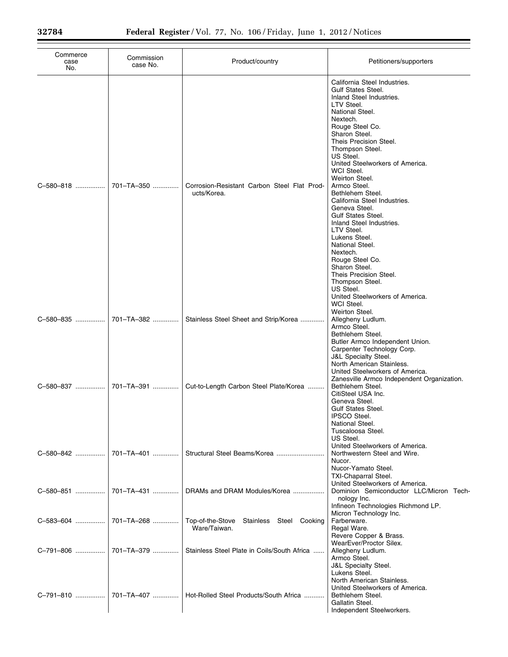| Commerce<br>case<br>No. | Commission<br>case No. | Product/country                                             | Petitioners/supporters                                                                                                                                                                                                                                                                                                                                                                                                                                                                                                                                                                                        |
|-------------------------|------------------------|-------------------------------------------------------------|---------------------------------------------------------------------------------------------------------------------------------------------------------------------------------------------------------------------------------------------------------------------------------------------------------------------------------------------------------------------------------------------------------------------------------------------------------------------------------------------------------------------------------------------------------------------------------------------------------------|
| C-580-818               | 701-TA-350             | Corrosion-Resistant Carbon Steel Flat Prod-<br>ucts/Korea.  | California Steel Industries.<br><b>Gulf States Steel.</b><br>Inland Steel Industries.<br>LTV Steel.<br>National Steel.<br>Nextech.<br>Rouge Steel Co.<br>Sharon Steel.<br>Theis Precision Steel.<br>Thompson Steel.<br>US Steel.<br>United Steelworkers of America.<br>WCI Steel.<br>Weirton Steel.<br>Armco Steel.<br>Bethlehem Steel.<br>California Steel Industries.<br>Geneva Steel.<br><b>Gulf States Steel.</b><br>Inland Steel Industries.<br>LTV Steel.<br>Lukens Steel.<br>National Steel.<br>Nextech.<br>Rouge Steel Co.<br>Sharon Steel.<br>Theis Precision Steel.<br>Thompson Steel.<br>US Steel. |
| C-580-835               | 701-TA-382             | Stainless Steel Sheet and Strip/Korea                       | United Steelworkers of America.<br>WCI Steel.<br>Weirton Steel.<br>Allegheny Ludlum.<br>Armco Steel.<br>Bethlehem Steel.<br>Butler Armco Independent Union.                                                                                                                                                                                                                                                                                                                                                                                                                                                   |
|                         |                        | Cut-to-Length Carbon Steel Plate/Korea                      | Carpenter Technology Corp.<br><b>J&amp;L Specialty Steel.</b><br>North American Stainless.<br>United Steelworkers of America.<br>Zanesville Armco Independent Organization.<br>Bethlehem Steel.<br>CitiSteel USA Inc.<br>Geneva Steel.<br><b>Gulf States Steel.</b><br><b>IPSCO Steel.</b><br>National Steel.                                                                                                                                                                                                                                                                                                 |
| C-580-842               | 701-TA-401             |                                                             | Tuscaloosa Steel.<br>US Steel.<br>United Steelworkers of America.<br>Northwestern Steel and Wire.<br>Nucor.<br>Nucor-Yamato Steel.<br><b>TXI-Chaparral Steel.</b><br>United Steelworkers of America.                                                                                                                                                                                                                                                                                                                                                                                                          |
| C-580-851               | 701-TA-431             | DRAMs and DRAM Modules/Korea                                | Dominion Semiconductor LLC/Micron Tech-<br>nology Inc.<br>Infineon Technologies Richmond LP.                                                                                                                                                                                                                                                                                                                                                                                                                                                                                                                  |
| C-583-604               | 701-TA-268             | Top-of-the-Stove<br>Stainless Steel Cooking<br>Ware/Taiwan. | Micron Technology Inc.<br>Farberware.<br>Regal Ware.<br>Revere Copper & Brass.                                                                                                                                                                                                                                                                                                                                                                                                                                                                                                                                |
| C-791-806               | 701-TA-379             | Stainless Steel Plate in Coils/South Africa                 | WearEver/Proctor Silex.<br>Allegheny Ludlum.<br>Armco Steel.<br><b>J&amp;L Specialty Steel.</b>                                                                                                                                                                                                                                                                                                                                                                                                                                                                                                               |
| C-791-810               | 701–TA–407 ………….       | Hot-Rolled Steel Products/South Africa                      | Lukens Steel.<br>North American Stainless.<br>United Steelworkers of America.<br>Bethlehem Steel.<br>Gallatin Steel.<br>Independent Steelworkers.                                                                                                                                                                                                                                                                                                                                                                                                                                                             |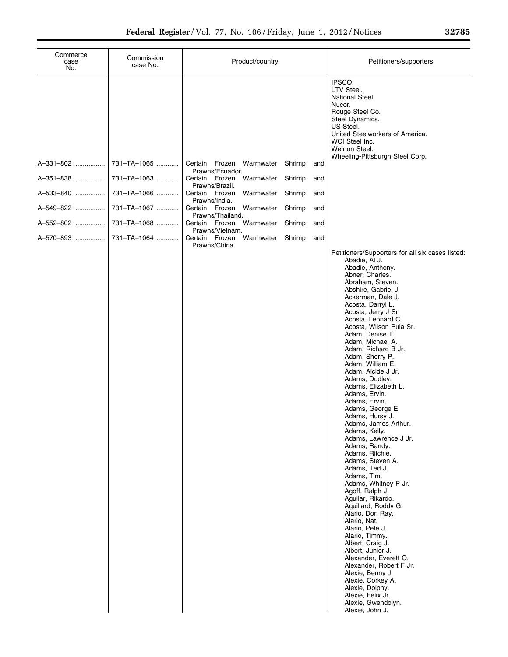| Commerce<br>case<br>No. | Commission<br>case No.     | Product/country                                                                           |                                | Petitioners/supporters                                                                                                                                                                                                                                                                                                                                                                                                                                                                                                                                                                                                                                                                                                                                                                                                                                                                                                                                                                                                                                              |
|-------------------------|----------------------------|-------------------------------------------------------------------------------------------|--------------------------------|---------------------------------------------------------------------------------------------------------------------------------------------------------------------------------------------------------------------------------------------------------------------------------------------------------------------------------------------------------------------------------------------------------------------------------------------------------------------------------------------------------------------------------------------------------------------------------------------------------------------------------------------------------------------------------------------------------------------------------------------------------------------------------------------------------------------------------------------------------------------------------------------------------------------------------------------------------------------------------------------------------------------------------------------------------------------|
| A-331-802<br>A-351-838  | 731-TA-1065<br>731-TA-1063 | Certain Frozen Warmwater<br>Prawns/Ecuador.<br>Certain Frozen Warmwater<br>Prawns/Brazil. | Shrimp<br>and<br>Shrimp<br>and | IPSCO.<br>LTV Steel.<br>National Steel.<br>Nucor.<br>Rouge Steel Co.<br>Steel Dynamics.<br>US Steel.<br>United Steelworkers of America.<br>WCI Steel Inc.<br>Weirton Steel.<br>Wheeling-Pittsburgh Steel Corp.                                                                                                                                                                                                                                                                                                                                                                                                                                                                                                                                                                                                                                                                                                                                                                                                                                                      |
| A-533-840               | 731-TA-1066                | Certain Frozen<br>Warmwater<br>Prawns/India.                                              | Shrimp<br>and                  |                                                                                                                                                                                                                                                                                                                                                                                                                                                                                                                                                                                                                                                                                                                                                                                                                                                                                                                                                                                                                                                                     |
| A-549-822               | 731-TA-1067                | Certain Frozen Warmwater<br>Prawns/Thailand.                                              | Shrimp<br>and                  |                                                                                                                                                                                                                                                                                                                                                                                                                                                                                                                                                                                                                                                                                                                                                                                                                                                                                                                                                                                                                                                                     |
| A-552-802               | 731-TA-1068                | Certain Frozen Warmwater<br>Prawns/Vietnam.                                               | Shrimp<br>and                  |                                                                                                                                                                                                                                                                                                                                                                                                                                                                                                                                                                                                                                                                                                                                                                                                                                                                                                                                                                                                                                                                     |
| A-570-893               | 731-TA-1064                | Certain Frozen Warmwater<br>Prawns/China.                                                 | Shrimp<br>and                  | Petitioners/Supporters for all six cases listed:<br>Abadie, Al J.<br>Abadie, Anthony.<br>Abner, Charles.<br>Abraham, Steven.<br>Abshire, Gabriel J.<br>Ackerman, Dale J.<br>Acosta, Darryl L.<br>Acosta, Jerry J Sr.<br>Acosta, Leonard C.<br>Acosta, Wilson Pula Sr.<br>Adam, Denise T.<br>Adam, Michael A.<br>Adam, Richard B Jr.<br>Adam, Sherry P.<br>Adam, William E.<br>Adam, Alcide J Jr.<br>Adams, Dudley.<br>Adams, Elizabeth L.<br>Adams, Ervin.<br>Adams, Ervin.<br>Adams, George E.<br>Adams, Hursy J.<br>Adams, James Arthur.<br>Adams, Kelly.<br>Adams, Lawrence J Jr.<br>Adams, Randy.<br>Adams, Ritchie.<br>Adams, Steven A.<br>Adams, Ted J.<br>Adams, Tim.<br>Adams, Whitney P Jr.<br>Agoff, Ralph J.<br>Aguilar, Rikardo.<br>Aguillard, Roddy G.<br>Alario, Don Ray.<br>Alario, Nat.<br>Alario, Pete J.<br>Alario, Timmy.<br>Albert, Craig J.<br>Albert, Junior J.<br>Alexander, Everett O.<br>Alexander, Robert F Jr.<br>Alexie, Benny J.<br>Alexie, Corkey A.<br>Alexie, Dolphy.<br>Alexie, Felix Jr.<br>Alexie, Gwendolyn.<br>Alexie, John J. |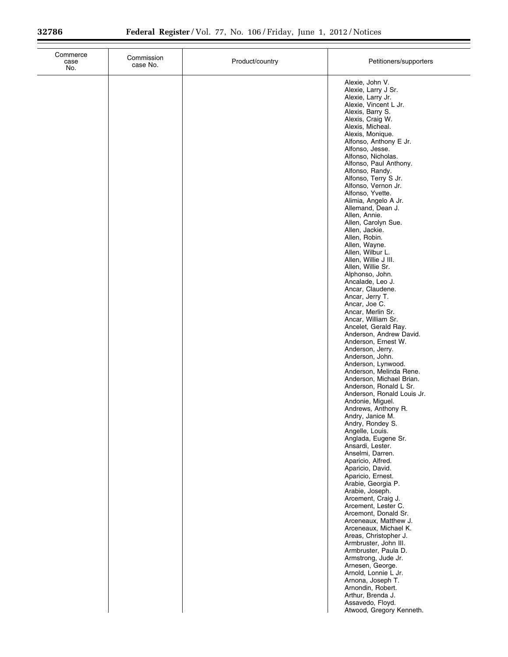| Commerce<br>case<br>No. | Commission<br>case No. | Product/country | Petitioners/supporters                                                                                                                                                                                                                                                                                                                                                                                                                                                                                                                                                                                                                                                                                                                                                                                                                                                                                                                                                                                                                                                                                                                                                                                                                                                                                                                                                                                                                                                                                                                                                                                                           |
|-------------------------|------------------------|-----------------|----------------------------------------------------------------------------------------------------------------------------------------------------------------------------------------------------------------------------------------------------------------------------------------------------------------------------------------------------------------------------------------------------------------------------------------------------------------------------------------------------------------------------------------------------------------------------------------------------------------------------------------------------------------------------------------------------------------------------------------------------------------------------------------------------------------------------------------------------------------------------------------------------------------------------------------------------------------------------------------------------------------------------------------------------------------------------------------------------------------------------------------------------------------------------------------------------------------------------------------------------------------------------------------------------------------------------------------------------------------------------------------------------------------------------------------------------------------------------------------------------------------------------------------------------------------------------------------------------------------------------------|
|                         |                        |                 | Alexie, John V.<br>Alexie, Larry J Sr.<br>Alexie, Larry Jr.<br>Alexie, Vincent L Jr.<br>Alexis, Barry S.<br>Alexis, Craig W.<br>Alexis, Micheal.<br>Alexis, Monique.<br>Alfonso, Anthony E Jr.<br>Alfonso, Jesse.<br>Alfonso, Nicholas.<br>Alfonso, Paul Anthony.<br>Alfonso, Randy.<br>Alfonso, Terry S Jr.<br>Alfonso, Vernon Jr.<br>Alfonso, Yvette.<br>Alimia, Angelo A Jr.<br>Allemand, Dean J.<br>Allen, Annie.<br>Allen, Carolyn Sue.<br>Allen, Jackie.<br>Allen, Robin.<br>Allen, Wayne.<br>Allen, Wilbur L.<br>Allen, Willie J III.<br>Allen, Willie Sr.<br>Alphonso, John.<br>Ancalade, Leo J.<br>Ancar, Claudene.<br>Ancar, Jerry T.<br>Ancar, Joe C.<br>Ancar, Merlin Sr.<br>Ancar, William Sr.<br>Ancelet, Gerald Ray.<br>Anderson, Andrew David.<br>Anderson, Ernest W.<br>Anderson, Jerry.<br>Anderson, John.<br>Anderson, Lynwood.<br>Anderson, Melinda Rene.<br>Anderson, Michael Brian.<br>Anderson, Ronald L Sr.<br>Anderson, Ronald Louis Jr.<br>Andonie, Miguel.<br>Andrews, Anthony R.<br>Andry, Janice M.<br>Andry, Rondey S.<br>Angelle, Louis.<br>Anglada, Eugene Sr.<br>Ansardi, Lester.<br>Anselmi, Darren.<br>Aparicio, Alfred.<br>Aparicio, David.<br>Aparicio, Ernest.<br>Arabie, Georgia P.<br>Arabie, Joseph.<br>Arcement, Craig J.<br>Arcement, Lester C.<br>Arcemont, Donald Sr.<br>Arceneaux, Matthew J.<br>Arceneaux, Michael K.<br>Areas, Christopher J.<br>Armbruster, John III.<br>Armbruster, Paula D.<br>Armstrong, Jude Jr.<br>Arnesen, George.<br>Arnold, Lonnie L Jr.<br>Arnona, Joseph T.<br>Arnondin, Robert.<br>Arthur, Brenda J.<br>Assavedo, Floyd.<br>Atwood, Gregory Kenneth. |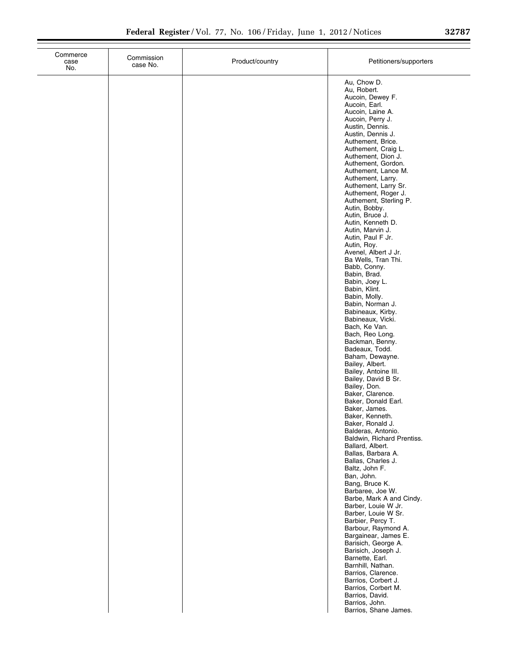| Commerce<br>case<br>No. | Commission<br>case No. | Product/country | Petitioners/supporters                                                                                                                                                                                                                                                                                                                                                                                                                                                                                                                                                                                                                                                                                                                                                                                                                                                                                                                                                                                                                                                                                                                                                                                                                                                                                                                                                                                                                                                                                                          |
|-------------------------|------------------------|-----------------|---------------------------------------------------------------------------------------------------------------------------------------------------------------------------------------------------------------------------------------------------------------------------------------------------------------------------------------------------------------------------------------------------------------------------------------------------------------------------------------------------------------------------------------------------------------------------------------------------------------------------------------------------------------------------------------------------------------------------------------------------------------------------------------------------------------------------------------------------------------------------------------------------------------------------------------------------------------------------------------------------------------------------------------------------------------------------------------------------------------------------------------------------------------------------------------------------------------------------------------------------------------------------------------------------------------------------------------------------------------------------------------------------------------------------------------------------------------------------------------------------------------------------------|
|                         |                        |                 | Au, Chow D.<br>Au, Robert.<br>Aucoin, Dewey F.<br>Aucoin, Earl.<br>Aucoin, Laine A.<br>Aucoin, Perry J.<br>Austin, Dennis.<br>Austin, Dennis J.<br>Authement, Brice.<br>Authement, Craig L.<br>Authement, Dion J.<br>Authement, Gordon.<br>Authement, Lance M.<br>Authement, Larry.<br>Authement, Larry Sr.<br>Authement, Roger J.<br>Authement, Sterling P.<br>Autin, Bobby.<br>Autin, Bruce J.<br>Autin, Kenneth D.<br>Autin, Marvin J.<br>Autin, Paul F Jr.<br>Autin, Roy.<br>Avenel, Albert J Jr.<br>Ba Wells, Tran Thi.<br>Babb, Conny.<br>Babin, Brad.<br>Babin, Joey L.<br>Babin, Klint.<br>Babin, Molly.<br>Babin, Norman J.<br>Babineaux, Kirby.<br>Babineaux, Vicki.<br>Bach, Ke Van.<br>Bach, Reo Long.<br>Backman, Benny.<br>Badeaux, Todd.<br>Baham, Dewayne.<br>Bailey, Albert.<br>Bailey, Antoine III.<br>Bailey, David B Sr.<br>Bailey, Don.<br>Baker, Clarence.<br>Baker, Donald Earl.<br>Baker, James.<br>Baker, Kenneth.<br>Baker, Ronald J.<br>Balderas, Antonio.<br>Baldwin, Richard Prentiss.<br>Ballard, Albert.<br>Ballas, Barbara A.<br>Ballas, Charles J.<br>Baltz, John F.<br>Ban, John.<br>Bang, Bruce K.<br>Barbaree, Joe W.<br>Barbe, Mark A and Cindy.<br>Barber, Louie W Jr.<br>Barber, Louie W Sr.<br>Barbier, Percy T.<br>Barbour, Raymond A.<br>Bargainear, James E.<br>Barisich, George A.<br>Barisich, Joseph J.<br>Barnette, Earl.<br>Barnhill, Nathan.<br>Barrios, Clarence.<br>Barrios, Corbert J.<br>Barrios, Corbert M.<br>Barrios, David.<br>Barrios, John.<br>Barrios, Shane James. |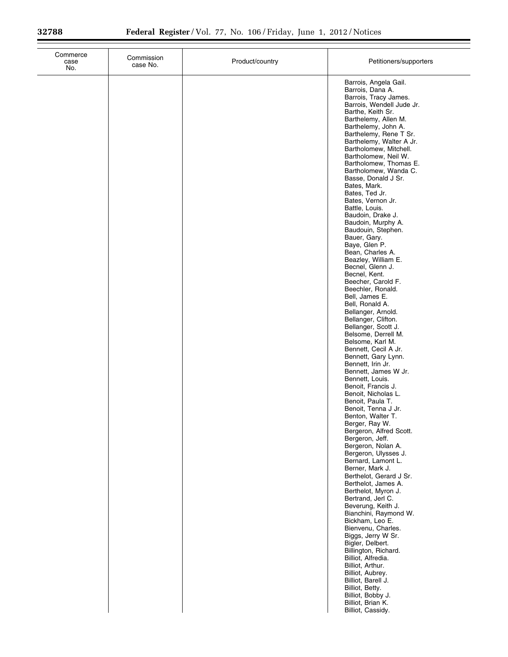| Commerce<br>case<br>No. | Commission<br>case No. | Product/country | Petitioners/supporters                                                                                                                                                                                                                                                                                                                                                                                                                                                                                                                                                                                                                                                                                                                                                                                                                                                                                                                                                                                                                                                                                                                                                                                                                                                                                                                                                                                                             |
|-------------------------|------------------------|-----------------|------------------------------------------------------------------------------------------------------------------------------------------------------------------------------------------------------------------------------------------------------------------------------------------------------------------------------------------------------------------------------------------------------------------------------------------------------------------------------------------------------------------------------------------------------------------------------------------------------------------------------------------------------------------------------------------------------------------------------------------------------------------------------------------------------------------------------------------------------------------------------------------------------------------------------------------------------------------------------------------------------------------------------------------------------------------------------------------------------------------------------------------------------------------------------------------------------------------------------------------------------------------------------------------------------------------------------------------------------------------------------------------------------------------------------------|
|                         |                        |                 | Barrois, Angela Gail.<br>Barrois, Dana A.<br>Barrois, Tracy James.<br>Barrois, Wendell Jude Jr.<br>Barthe, Keith Sr.<br>Barthelemy, Allen M.<br>Barthelemy, John A.<br>Barthelemy, Rene T Sr.<br>Barthelemy, Walter A Jr.<br>Bartholomew, Mitchell.<br>Bartholomew, Neil W.<br>Bartholomew, Thomas E.<br>Bartholomew, Wanda C.<br>Basse, Donald J Sr.<br>Bates, Mark.<br>Bates, Ted Jr.<br>Bates, Vernon Jr.<br>Battle, Louis.<br>Baudoin, Drake J.<br>Baudoin, Murphy A.<br>Baudouin, Stephen.<br>Bauer, Gary.<br>Baye, Glen P.<br>Bean, Charles A.<br>Beazley, William E.<br>Becnel, Glenn J.<br>Becnel, Kent.<br>Beecher, Carold F.<br>Beechler, Ronald.<br>Bell, James E.<br>Bell, Ronald A.<br>Bellanger, Arnold.<br>Bellanger, Clifton.<br>Bellanger, Scott J.<br>Belsome, Derrell M.<br>Belsome, Karl M.<br>Bennett, Cecil A Jr.<br>Bennett, Gary Lynn.<br>Bennett, Irin Jr.<br>Bennett, James W Jr.<br>Bennett, Louis.<br>Benoit, Francis J.<br>Benoit, Nicholas L.<br>Benoit, Paula T.<br>Benoit, Tenna J Jr.<br>Benton, Walter T.<br>Berger, Ray W.<br>Bergeron, Alfred Scott.<br>Bergeron, Jeff.<br>Bergeron, Nolan A.<br>Bergeron, Ulysses J.<br>Bernard, Lamont L.<br>Berner, Mark J.<br>Berthelot, Gerard J Sr.<br>Berthelot, James A.<br>Berthelot, Myron J.<br>Bertrand, Jerl C.<br>Beverung, Keith J.<br>Bianchini, Raymond W.<br>Bickham, Leo E.<br>Bienvenu, Charles.<br>Biggs, Jerry W Sr.<br>Bigler, Delbert. |
|                         |                        |                 | Billington, Richard.<br>Billiot, Alfredia.<br>Billiot, Arthur.<br>Billiot, Aubrey.<br>Billiot, Barell J.<br>Billiot, Betty.<br>Billiot, Bobby J.<br>Billiot, Brian K.<br>Billiot, Cassidy.                                                                                                                                                                                                                                                                                                                                                                                                                                                                                                                                                                                                                                                                                                                                                                                                                                                                                                                                                                                                                                                                                                                                                                                                                                         |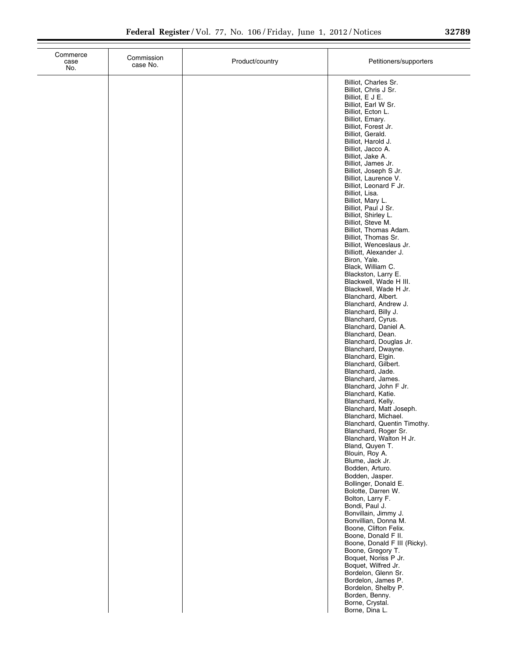| Commerce<br>case<br>No. | Commission<br>case No. | Product/country | Petitioners/supporters                                                                                                                                                                                                                                                                                                                                                                                                                                                                                                                                                                                                                                                                                                                                                                                                                                                                                                                                                                                                                                                                                                                                                                                                                                                                                                                                                                                                                                                                                                                                                                                                                                                    |
|-------------------------|------------------------|-----------------|---------------------------------------------------------------------------------------------------------------------------------------------------------------------------------------------------------------------------------------------------------------------------------------------------------------------------------------------------------------------------------------------------------------------------------------------------------------------------------------------------------------------------------------------------------------------------------------------------------------------------------------------------------------------------------------------------------------------------------------------------------------------------------------------------------------------------------------------------------------------------------------------------------------------------------------------------------------------------------------------------------------------------------------------------------------------------------------------------------------------------------------------------------------------------------------------------------------------------------------------------------------------------------------------------------------------------------------------------------------------------------------------------------------------------------------------------------------------------------------------------------------------------------------------------------------------------------------------------------------------------------------------------------------------------|
|                         |                        |                 | Billiot, Charles Sr.<br>Billiot, Chris J Sr.<br>Billiot, E J E.<br>Billiot, Earl W Sr.<br>Billiot, Ecton L.<br>Billiot, Emary.<br>Billiot, Forest Jr.<br>Billiot, Gerald.<br>Billiot, Harold J.<br>Billiot, Jacco A.<br>Billiot, Jake A.<br>Billiot, James Jr.<br>Billiot, Joseph S Jr.<br>Billiot, Laurence V.<br>Billiot, Leonard F Jr.<br>Billiot, Lisa.<br>Billiot, Mary L.<br>Billiot, Paul J Sr.<br>Billiot, Shirley L.<br>Billiot, Steve M.<br>Billiot, Thomas Adam.<br>Billiot, Thomas Sr.<br>Billiot, Wenceslaus Jr.<br>Billiott, Alexander J.<br>Biron, Yale.<br>Black, William C.<br>Blackston, Larry E.<br>Blackwell, Wade H III.<br>Blackwell, Wade H Jr.<br>Blanchard, Albert.<br>Blanchard, Andrew J.<br>Blanchard, Billy J.<br>Blanchard, Cyrus.<br>Blanchard, Daniel A.<br>Blanchard, Dean.<br>Blanchard, Douglas Jr.<br>Blanchard, Dwayne.<br>Blanchard, Elgin.<br>Blanchard, Gilbert.<br>Blanchard, Jade.<br>Blanchard, James.<br>Blanchard, John F Jr.<br>Blanchard, Katie.<br>Blanchard, Kelly.<br>Blanchard, Matt Joseph.<br>Blanchard, Michael.<br>Blanchard, Quentin Timothy.<br>Blanchard, Roger Sr.<br>Blanchard, Walton H Jr.<br>Bland, Quyen T.<br>Blouin, Roy A.<br>Blume, Jack Jr.<br>Bodden, Arturo.<br>Bodden, Jasper.<br>Bollinger, Donald E.<br>Bolotte, Darren W.<br>Bolton, Larry F.<br>Bondi, Paul J.<br>Bonvillain, Jimmy J.<br>Bonvillian, Donna M.<br>Boone, Clifton Felix.<br>Boone, Donald F II.<br>Boone, Donald F III (Ricky).<br>Boone, Gregory T.<br>Boquet, Noriss P Jr.<br>Boquet, Wilfred Jr.<br>Bordelon, Glenn Sr.<br>Bordelon, James P.<br>Bordelon, Shelby P.<br>Borden, Benny.<br>Borne, Crystal.<br>Borne, Dina L. |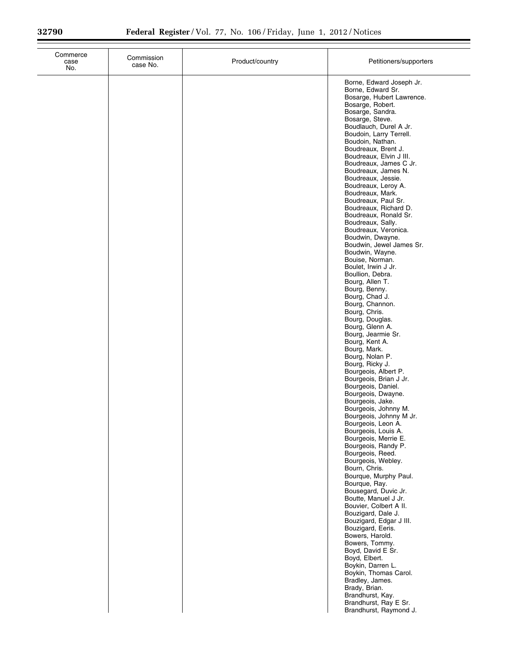| Commerce<br>case<br>No. | Commission<br>case No. | Product/country | Petitioners/supporters                                                                                                                                                                                                                                                                                                                                                                                                                                                                                                                                                                                                                                                                                                                                                                                                                                                                                                                                                                                                                                                                                                                                                                                                                                                                                                                                                                                                                                                                                                                    |
|-------------------------|------------------------|-----------------|-------------------------------------------------------------------------------------------------------------------------------------------------------------------------------------------------------------------------------------------------------------------------------------------------------------------------------------------------------------------------------------------------------------------------------------------------------------------------------------------------------------------------------------------------------------------------------------------------------------------------------------------------------------------------------------------------------------------------------------------------------------------------------------------------------------------------------------------------------------------------------------------------------------------------------------------------------------------------------------------------------------------------------------------------------------------------------------------------------------------------------------------------------------------------------------------------------------------------------------------------------------------------------------------------------------------------------------------------------------------------------------------------------------------------------------------------------------------------------------------------------------------------------------------|
|                         |                        |                 | Borne, Edward Joseph Jr.<br>Borne, Edward Sr.<br>Bosarge, Hubert Lawrence.<br>Bosarge, Robert.<br>Bosarge, Sandra.<br>Bosarge, Steve.<br>Boudlauch, Durel A Jr.<br>Boudoin, Larry Terrell.<br>Boudoin, Nathan.<br>Boudreaux, Brent J.<br>Boudreaux, Elvin J III.<br>Boudreaux, James C Jr.<br>Boudreaux, James N.<br>Boudreaux, Jessie.<br>Boudreaux, Leroy A.<br>Boudreaux, Mark.<br>Boudreaux, Paul Sr.<br>Boudreaux, Richard D.<br>Boudreaux, Ronald Sr.<br>Boudreaux, Sally.<br>Boudreaux, Veronica.<br>Boudwin, Dwayne.<br>Boudwin, Jewel James Sr.<br>Boudwin, Wayne.<br>Bouise, Norman.<br>Boulet, Irwin J Jr.<br>Boullion, Debra.<br>Bourg, Allen T.<br>Bourg, Benny.<br>Bourg, Chad J.<br>Bourg, Channon.<br>Bourg, Chris.<br>Bourg, Douglas.<br>Bourg, Glenn A.<br>Bourg, Jearmie Sr.<br>Bourg, Kent A.<br>Bourg, Mark.<br>Bourg, Nolan P.<br>Bourg, Ricky J.<br>Bourgeois, Albert P.<br>Bourgeois, Brian J Jr.<br>Bourgeois, Daniel.<br>Bourgeois, Dwayne.<br>Bourgeois, Jake.<br>Bourgeois, Johnny M.<br>Bourgeois, Johnny M Jr.<br>Bourgeois, Leon A.<br>Bourgeois, Louis A.<br>Bourgeois, Merrie E.<br>Bourgeois, Randy P.<br>Bourgeois, Reed.<br>Bourgeois, Webley.<br>Bourn, Chris.<br>Bourque, Murphy Paul.<br>Bourque, Ray.<br>Bousegard, Duvic Jr.<br>Boutte, Manuel J Jr.<br>Bouvier, Colbert A II.<br>Bouzigard, Dale J.<br>Bouzigard, Edgar J III.<br>Bouzigard, Eeris.<br>Bowers, Harold.<br>Bowers, Tommy.<br>Boyd, David E Sr.<br>Boyd, Elbert.<br>Boykin, Darren L.<br>Boykin, Thomas Carol.<br>Bradley, James. |
|                         |                        |                 | Brady, Brian.<br>Brandhurst, Kay.<br>Brandhurst, Ray E Sr.<br>Brandhurst, Raymond J.                                                                                                                                                                                                                                                                                                                                                                                                                                                                                                                                                                                                                                                                                                                                                                                                                                                                                                                                                                                                                                                                                                                                                                                                                                                                                                                                                                                                                                                      |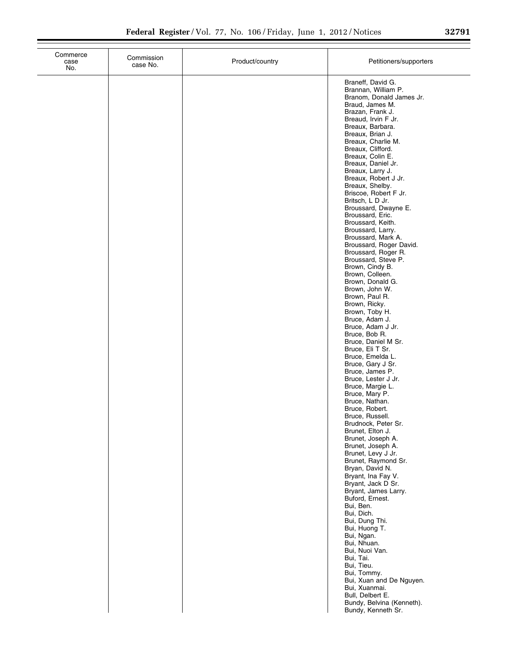|  | ۹ | ٠<br>r.<br>× |  |
|--|---|--------------|--|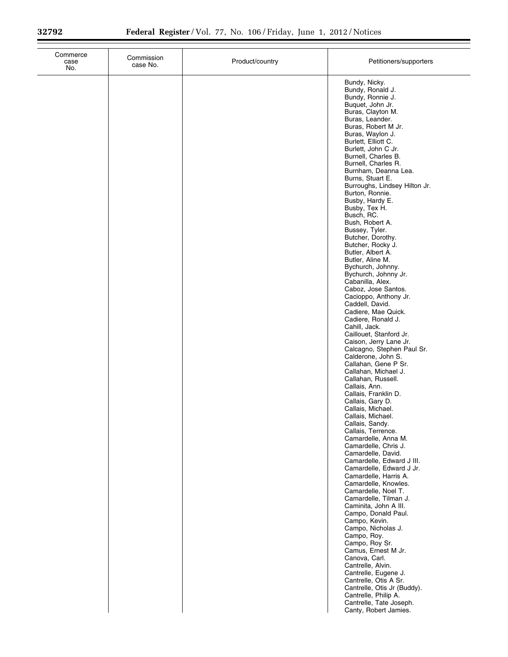$\equiv$ 

| case<br>No. | Commission<br>case No. | Product/country | Petitioners/supporters                                                                                                                                                                                                                                                                                                                                                                                                                                                                                                                                                                                                                                                                                                                                                                                                                                                                                                                                                                                                                                                                                                                                                                                                                                                                                                                                                                                                                                                                                          |
|-------------|------------------------|-----------------|-----------------------------------------------------------------------------------------------------------------------------------------------------------------------------------------------------------------------------------------------------------------------------------------------------------------------------------------------------------------------------------------------------------------------------------------------------------------------------------------------------------------------------------------------------------------------------------------------------------------------------------------------------------------------------------------------------------------------------------------------------------------------------------------------------------------------------------------------------------------------------------------------------------------------------------------------------------------------------------------------------------------------------------------------------------------------------------------------------------------------------------------------------------------------------------------------------------------------------------------------------------------------------------------------------------------------------------------------------------------------------------------------------------------------------------------------------------------------------------------------------------------|
|             |                        |                 | Bundy, Nicky.<br>Bundy, Ronald J.<br>Bundy, Ronnie J.<br>Buquet, John Jr.<br>Buras, Clayton M.<br>Buras, Leander.<br>Buras, Robert M Jr.<br>Buras, Waylon J.<br>Burlett, Elliott C.<br>Burlett, John C Jr.<br>Burnell, Charles B.<br>Burnell, Charles R.<br>Burnham, Deanna Lea.<br>Burns, Stuart E.<br>Burroughs, Lindsey Hilton Jr.<br>Burton, Ronnie.<br>Busby, Hardy E.<br>Busby, Tex H.<br>Busch, RC.<br>Bush, Robert A.<br>Bussey, Tyler.<br>Butcher, Dorothy.<br>Butcher, Rocky J.<br>Butler, Albert A.<br>Butler, Aline M.<br>Bychurch, Johnny.<br>Bychurch, Johnny Jr.<br>Cabanilla, Alex.<br>Caboz, Jose Santos.<br>Cacioppo, Anthony Jr.<br>Caddell, David.<br>Cadiere, Mae Quick.<br>Cadiere, Ronald J.<br>Cahill, Jack.<br>Caillouet, Stanford Jr.<br>Caison, Jerry Lane Jr.<br>Calcagno, Stephen Paul Sr.<br>Calderone, John S.<br>Callahan, Gene P Sr.<br>Callahan, Michael J.<br>Callahan, Russell.<br>Callais, Ann.<br>Callais, Franklin D.<br>Callais, Gary D.<br>Callais, Michael.<br>Callais, Michael.<br>Callais, Sandy.<br>Callais, Terrence.<br>Camardelle, Anna M.<br>Camardelle, Chris J.<br>Camardelle, David.<br>Camardelle, Edward J III.<br>Camardelle, Edward J Jr.<br>Camardelle, Harris A.<br>Camardelle, Knowles.<br>Camardelle, Noel T.<br>Camardelle, Tilman J.<br>Caminita, John A III.<br>Campo, Donald Paul.<br>Campo, Kevin.<br>Campo, Nicholas J.<br>Campo, Roy.<br>Campo, Roy Sr.<br>Camus, Ernest M Jr.<br>Canova, Carl.<br>Cantrelle, Alvin.<br>Cantrelle, Eugene J. |
|             |                        |                 | Cantrelle, Otis A Sr.<br>Cantrelle, Otis Jr (Buddy).<br>Cantrelle, Philip A.<br>Cantrelle, Tate Joseph.<br>Canty, Robert Jamies.                                                                                                                                                                                                                                                                                                                                                                                                                                                                                                                                                                                                                                                                                                                                                                                                                                                                                                                                                                                                                                                                                                                                                                                                                                                                                                                                                                                |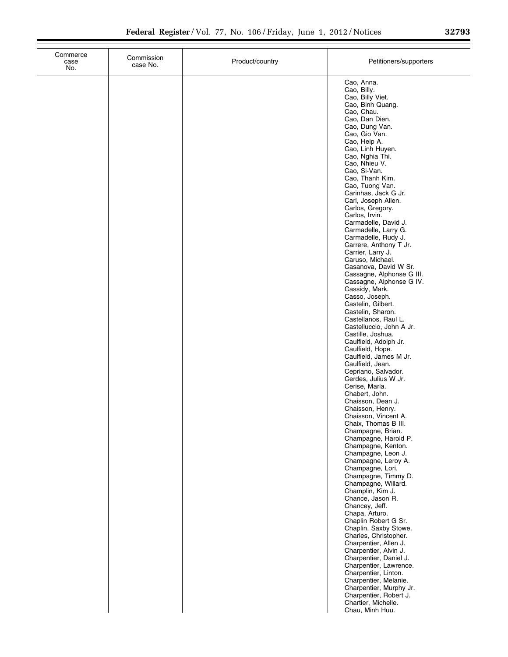| Commerce<br>case<br>No. | Commission<br>case No. | Product/country | Petitioners/supporters                                                                                                                                                                                                                                                                                                                                                                                                                                                                                                                                                                                                                                                                                                                                                                                                                                                                                                                                                                                                                                                                                                                                                                                                                                                                                   |
|-------------------------|------------------------|-----------------|----------------------------------------------------------------------------------------------------------------------------------------------------------------------------------------------------------------------------------------------------------------------------------------------------------------------------------------------------------------------------------------------------------------------------------------------------------------------------------------------------------------------------------------------------------------------------------------------------------------------------------------------------------------------------------------------------------------------------------------------------------------------------------------------------------------------------------------------------------------------------------------------------------------------------------------------------------------------------------------------------------------------------------------------------------------------------------------------------------------------------------------------------------------------------------------------------------------------------------------------------------------------------------------------------------|
|                         |                        |                 | Cao, Anna.<br>Cao, Billy.<br>Cao, Billy Viet.<br>Cao, Binh Quang.<br>Cao, Chau.<br>Cao, Dan Dien.<br>Cao, Dung Van.<br>Cao, Gio Van.<br>Cao, Heip A.<br>Cao, Linh Huyen.<br>Cao, Nghia Thi.<br>Cao, Nhieu V.<br>Cao, Si-Van.<br>Cao, Thanh Kim.<br>Cao, Tuong Van.<br>Carinhas, Jack G Jr.<br>Carl, Joseph Allen.<br>Carlos, Gregory.<br>Carlos, Irvin.<br>Carmadelle, David J.<br>Carmadelle, Larry G.<br>Carmadelle, Rudy J.<br>Carrere, Anthony T Jr.<br>Carrier, Larry J.<br>Caruso, Michael.<br>Casanova, David W Sr.<br>Cassagne, Alphonse G III.<br>Cassagne, Alphonse G IV.<br>Cassidy, Mark.<br>Casso, Joseph.<br>Castelin, Gilbert.<br>Castelin, Sharon.<br>Castellanos, Raul L.<br>Castelluccio, John A Jr.<br>Castille, Joshua.<br>Caulfield, Adolph Jr.<br>Caulfield, Hope.<br>Caulfield, James M Jr.<br>Caulfield, Jean.<br>Cepriano, Salvador.<br>Cerdes, Julius W Jr.<br>Cerise, Marla.<br>Chabert, John.<br>Chaisson, Dean J.<br>Chaisson, Henry.<br>Chaisson, Vincent A.<br>Chaix, Thomas B III.<br>Champagne, Brian.<br>Champagne, Harold P.<br>Champagne, Kenton.<br>Champagne, Leon J.<br>Champagne, Leroy A.<br>Champagne, Lori.<br>Champagne, Timmy D.<br>Champagne, Willard.<br>Champlin, Kim J.<br>Chance, Jason R.<br>Chancey, Jeff.<br>Chapa, Arturo.<br>Chaplin Robert G Sr. |
|                         |                        |                 | Chaplin, Saxby Stowe.<br>Charles, Christopher.<br>Charpentier, Allen J.<br>Charpentier, Alvin J.<br>Charpentier, Daniel J.<br>Charpentier, Lawrence.<br>Charpentier, Linton.<br>Charpentier, Melanie.<br>Charpentier, Murphy Jr.<br>Charpentier, Robert J.<br>Chartier, Michelle.<br>Chau, Minh Huu.                                                                                                                                                                                                                                                                                                                                                                                                                                                                                                                                                                                                                                                                                                                                                                                                                                                                                                                                                                                                     |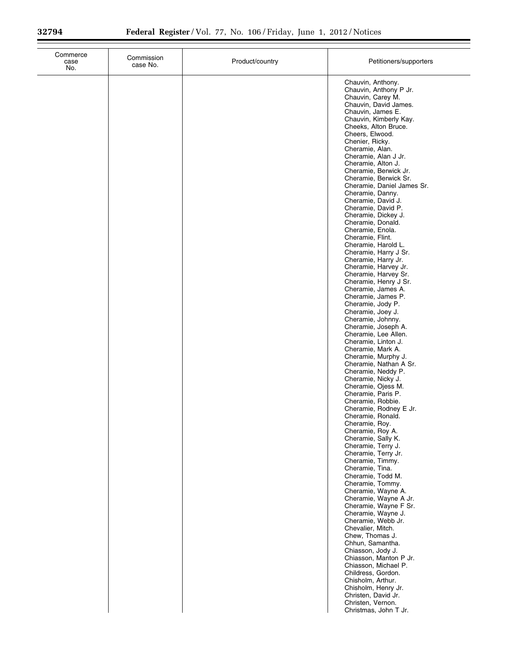$\equiv$ 

| Commerce<br>case<br>No. | Commission<br>case No. | Product/country | Petitioners/supporters                                                                                                                                                                                                                                                                                                                                                                                                                                                                                                                                                                                                                                                                                                                                                                                                                                                                                                                                                                                                                                                                                                                                                                                                                                                                                                                                                                                                                                  |
|-------------------------|------------------------|-----------------|---------------------------------------------------------------------------------------------------------------------------------------------------------------------------------------------------------------------------------------------------------------------------------------------------------------------------------------------------------------------------------------------------------------------------------------------------------------------------------------------------------------------------------------------------------------------------------------------------------------------------------------------------------------------------------------------------------------------------------------------------------------------------------------------------------------------------------------------------------------------------------------------------------------------------------------------------------------------------------------------------------------------------------------------------------------------------------------------------------------------------------------------------------------------------------------------------------------------------------------------------------------------------------------------------------------------------------------------------------------------------------------------------------------------------------------------------------|
|                         |                        |                 | Chauvin, Anthony.<br>Chauvin, Anthony P Jr.<br>Chauvin, Carey M.<br>Chauvin, David James.<br>Chauvin, James E.<br>Chauvin, Kimberly Kay.<br>Cheeks, Alton Bruce.<br>Cheers, Elwood.<br>Chenier, Ricky.<br>Cheramie, Alan.<br>Cheramie, Alan J Jr.<br>Cheramie, Alton J.<br>Cheramie, Berwick Jr.<br>Cheramie, Berwick Sr.<br>Cheramie, Daniel James Sr.<br>Cheramie, Danny.<br>Cheramie, David J.<br>Cheramie, David P.<br>Cheramie, Dickey J.<br>Cheramie, Donald.<br>Cheramie, Enola.<br>Cheramie, Flint.<br>Cheramie, Harold L.<br>Cheramie, Harry J Sr.<br>Cheramie, Harry Jr.<br>Cheramie, Harvey Jr.<br>Cheramie, Harvey Sr.<br>Cheramie, Henry J Sr.<br>Cheramie, James A.<br>Cheramie, James P.<br>Cheramie, Jody P.<br>Cheramie, Joey J.<br>Cheramie, Johnny.<br>Cheramie, Joseph A.<br>Cheramie, Lee Allen.<br>Cheramie, Linton J.<br>Cheramie, Mark A.<br>Cheramie, Murphy J.<br>Cheramie, Nathan A Sr.<br>Cheramie, Neddy P.<br>Cheramie, Nicky J.<br>Cheramie, Ojess M.<br>Cheramie, Paris P.<br>Cheramie, Robbie.<br>Cheramie, Rodney E Jr.<br>Cheramie, Ronald.<br>Cheramie, Hoy.<br>Cheramie, Roy A.<br>Cheramie, Sally K.<br>Cheramie, Terry J.<br>Cheramie, Terry Jr.<br>Cheramie, Timmy.<br>Cheramie, Tina.<br>Cheramie, Todd M.<br>Cheramie, Tommy.<br>Cheramie, Wayne A.<br>Cheramie, Wayne A Jr.<br>Cheramie, Wayne F Sr.<br>Cheramie, Wayne J.<br>Cheramie, Webb Jr.<br>Chevalier, Mitch.<br>Chew, Thomas J.<br>Chhun, Samantha. |
|                         |                        |                 | Chiasson, Jody J.<br>Chiasson, Manton P Jr.<br>Chiasson, Michael P.<br>Childress, Gordon.<br>Chisholm, Arthur.<br>Chisholm, Henry Jr.<br>Christen, David Jr.<br>Christen, Vernon.<br>Christmas, John T Jr.                                                                                                                                                                                                                                                                                                                                                                                                                                                                                                                                                                                                                                                                                                                                                                                                                                                                                                                                                                                                                                                                                                                                                                                                                                              |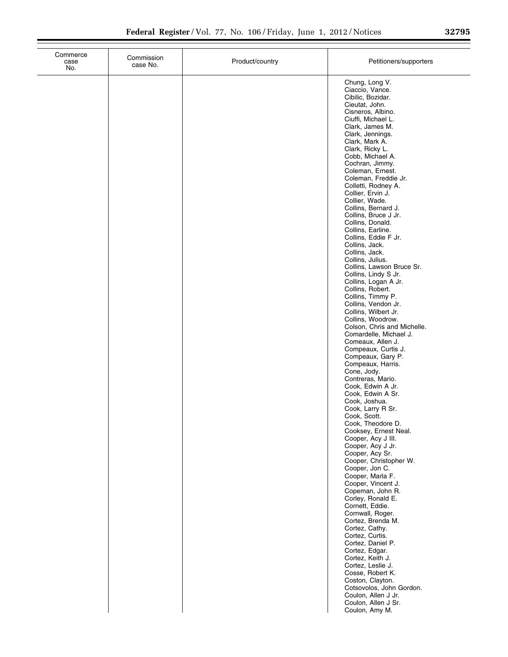| Commerce<br>case<br>No. | Commission<br>case No. | Product/country | Petitioners/supporters                                                                                                                         |
|-------------------------|------------------------|-----------------|------------------------------------------------------------------------------------------------------------------------------------------------|
|                         |                        |                 | Chung, Long V.<br>Ciaccio, Vance.<br>Cibilic, Bozidar.<br>Cieutat, John.<br>Cisneros, Albino.<br>Ciuffi, Michael L.<br>Clark, James M.         |
|                         |                        |                 | Clark, Jennings.<br>Clark, Mark A.<br>Clark, Ricky L.<br>Cobb, Michael A.<br>Cochran, Jimmy.                                                   |
|                         |                        |                 | Coleman, Ernest.<br>Coleman, Freddie Jr.<br>Colletti, Rodney A.<br>Collier, Ervin J.<br>Collier, Wade.<br>Collins, Bernard J.                  |
|                         |                        |                 | Collins, Bruce J Jr.<br>Collins, Donald.<br>Collins, Earline.<br>Collins, Eddie F Jr.<br>Collins, Jack.<br>Collins, Jack.                      |
|                         |                        |                 | Collins, Julius.<br>Collins, Lawson Bruce Sr.<br>Collins, Lindy S Jr.<br>Collins, Logan A Jr.<br>Collins, Robert.                              |
|                         |                        |                 | Collins, Timmy P.<br>Collins, Vendon Jr.<br>Collins, Wilbert Jr.<br>Collins, Woodrow.<br>Colson, Chris and Michelle.<br>Comardelle, Michael J. |
|                         |                        |                 | Comeaux, Allen J.<br>Compeaux, Curtis J.<br>Compeaux, Gary P.<br>Compeaux, Harris.<br>Cone, Jody.                                              |
|                         |                        |                 | Contreras, Mario.<br>Cook, Edwin A Jr.<br>Cook, Edwin A Sr.<br>Cook, Joshua.<br>Cook, Larry R Sr.<br>Cook, Scott.                              |
|                         |                        |                 | Cook, Theodore D.<br>Cooksey, Ernest Neal.<br>Cooper, Acy J III.<br>Cooper, Acy J Jr.<br>Cooper, Acy Sr.                                       |
|                         |                        |                 | Cooper, Christopher W.<br>Cooper, Jon C.<br>Cooper, Marla F.<br>Cooper, Vincent J.<br>Copeman, John R.                                         |
|                         |                        |                 | Corley, Ronald E.<br>Cornett, Eddie.<br>Cornwall, Roger.<br>Cortez, Brenda M.<br>Cortez, Cathy.<br>Cortez, Curtis.                             |
|                         |                        |                 | Cortez, Daniel P.<br>Cortez, Edgar.<br>Cortez, Keith J.<br>Cortez, Leslie J.<br>Cosse, Robert K.                                               |
|                         |                        |                 | Coston, Clayton.<br>Cotsovolos, John Gordon.<br>Coulon, Allen J Jr.<br>Coulon, Allen J Sr.<br>Coulon, Amy M.                                   |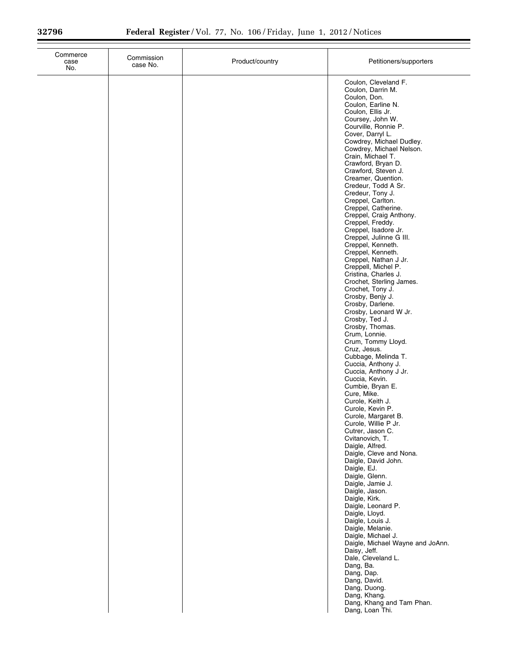| Commerce<br>case<br>No. | Commission<br>case No. | Product/country | Petitioners/supporters                                                                                                                                                                                                                                                                                                                                                                                                                                                                                                                                                                                                                                                                                                                                                                                                                                                                                                                                                                                                                                                                                                                                                                                                                                                                                                                                                                                                                                                                                                                                                        |
|-------------------------|------------------------|-----------------|-------------------------------------------------------------------------------------------------------------------------------------------------------------------------------------------------------------------------------------------------------------------------------------------------------------------------------------------------------------------------------------------------------------------------------------------------------------------------------------------------------------------------------------------------------------------------------------------------------------------------------------------------------------------------------------------------------------------------------------------------------------------------------------------------------------------------------------------------------------------------------------------------------------------------------------------------------------------------------------------------------------------------------------------------------------------------------------------------------------------------------------------------------------------------------------------------------------------------------------------------------------------------------------------------------------------------------------------------------------------------------------------------------------------------------------------------------------------------------------------------------------------------------------------------------------------------------|
|                         |                        |                 | Coulon, Cleveland F.<br>Coulon, Darrin M.<br>Coulon, Don.<br>Coulon, Earline N.<br>Coulon, Ellis Jr.<br>Coursey, John W.<br>Courville, Ronnie P.<br>Cover, Darryl L.<br>Cowdrey, Michael Dudley.<br>Cowdrey, Michael Nelson.<br>Crain, Michael T.<br>Crawford, Bryan D.<br>Crawford, Steven J.<br>Creamer, Quention.<br>Credeur, Todd A Sr.<br>Credeur, Tony J.<br>Creppel, Carlton.<br>Creppel, Catherine.<br>Creppel, Craig Anthony.<br>Creppel, Freddy.<br>Creppel, Isadore Jr.<br>Creppel, Julinne G III.<br>Creppel, Kenneth.<br>Creppel, Kenneth.<br>Creppel, Nathan J Jr.<br>Creppell, Michel P.<br>Cristina, Charles J.<br>Crochet, Sterling James.<br>Crochet, Tony J.<br>Crosby, Benjy J.<br>Crosby, Darlene.<br>Crosby, Leonard W Jr.<br>Crosby, Ted J.<br>Crosby, Thomas.<br>Crum, Lonnie.<br>Crum, Tommy Lloyd.<br>Cruz, Jesus.<br>Cubbage, Melinda T.<br>Cuccia, Anthony J.<br>Cuccia, Anthony J Jr.<br>Cuccia, Kevin.<br>Cumbie, Bryan E.<br>Cure, Mike.<br>Curole, Keith J.<br>Curole, Kevin P.<br>Curole, Margaret B.<br>Curole, Willie P Jr.<br>Cutrer, Jason C.<br>Cvitanovich, T.<br>Daigle, Alfred.<br>Daigle, Cleve and Nona.<br>Daigle, David John.<br>Daigle, EJ.<br>Daigle, Glenn.<br>Daigle, Jamie J.<br>Daigle, Jason.<br>Daigle, Kirk.<br>Daigle, Leonard P.<br>Daigle, Lloyd.<br>Daigle, Louis J.<br>Daigle, Melanie.<br>Daigle, Michael J.<br>Daigle, Michael Wayne and JoAnn.<br>Daisy, Jeff.<br>Dale, Cleveland L.<br>Dang, Ba.<br>Dang, Dap.<br>Dang, David.<br>Dang, Duong.<br>Dang, Khang.<br>Dang, Khang and Tam Phan.<br>Dang, Loan Thi. |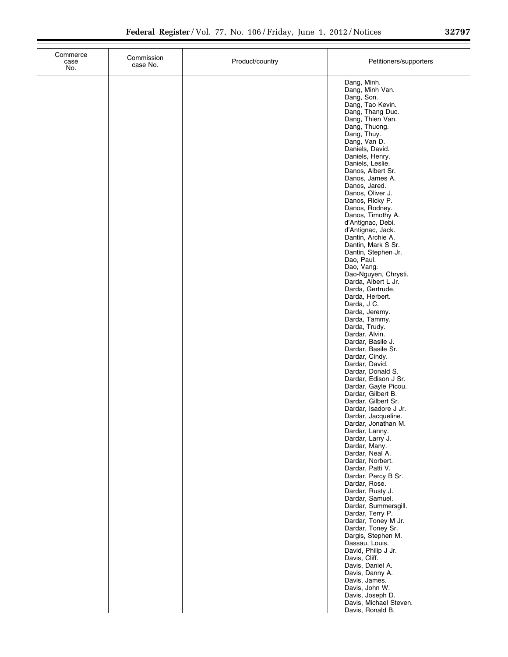| Commerce<br>case<br>No. | Commission<br>case No. | Product/country | Petitioners/supporters                                                                                                                                                                                                                                                                                                                                                                                                                                                                                                                                                                                                                                                                                                                                                                                                                                                        |
|-------------------------|------------------------|-----------------|-------------------------------------------------------------------------------------------------------------------------------------------------------------------------------------------------------------------------------------------------------------------------------------------------------------------------------------------------------------------------------------------------------------------------------------------------------------------------------------------------------------------------------------------------------------------------------------------------------------------------------------------------------------------------------------------------------------------------------------------------------------------------------------------------------------------------------------------------------------------------------|
|                         |                        |                 | Dang, Minh.<br>Dang, Minh Van.<br>Dang, Son.<br>Dang, Tao Kevin.<br>Dang, Thang Duc.<br>Dang, Thien Van.<br>Dang, Thuong.<br>Dang, Thuy.<br>Dang, Van D.<br>Daniels, David.<br>Daniels, Henry.<br>Daniels, Leslie.<br>Danos, Albert Sr.<br>Danos, James A.<br>Danos, Jared.<br>Danos, Oliver J.<br>Danos, Ricky P.<br>Danos, Rodney.<br>Danos, Timothy A.<br>d'Antignac, Debi.<br>d'Antignac, Jack.<br>Dantin, Archie A.<br>Dantin, Mark S Sr.<br>Dantin, Stephen Jr.<br>Dao, Paul.<br>Dao, Vang.<br>Dao-Nguyen, Chrysti.<br>Darda, Albert L Jr.<br>Darda, Gertrude.<br>Darda, Herbert.<br>Darda, J C.<br>Darda, Jeremy.<br>Darda, Tammy.<br>Darda, Trudy.<br>Dardar, Alvin.<br>Dardar, Basile J.<br>Dardar, Basile Sr.<br>Dardar, Cindy.<br>Dardar, David.<br>Dardar, Donald S.<br>Dardar, Edison J Sr.<br>Dardar, Gayle Picou.<br>Dardar, Gilbert B.<br>Dardar, Gilbert Sr. |
|                         |                        |                 | Dardar, Isadore J Jr.<br>Dardar, Jacqueline.<br>Dardar, Jonathan M.<br>Dardar, Lanny.<br>Dardar, Larry J.<br>Dardar, Many.<br>Dardar, Neal A.<br>Dardar, Norbert.<br>Dardar, Patti V.<br>Dardar, Percy B Sr.<br>Dardar, Rose.<br>Dardar, Rusty J.<br>Dardar, Samuel.<br>Dardar, Summersgill.                                                                                                                                                                                                                                                                                                                                                                                                                                                                                                                                                                                  |
|                         |                        |                 | Dardar, Terry P.<br>Dardar, Toney M Jr.<br>Dardar, Toney Sr.<br>Dargis, Stephen M.<br>Dassau, Louis.<br>David, Philip J Jr.<br>Davis, Cliff.<br>Davis, Daniel A.<br>Davis, Danny A.<br>Davis, James.<br>Davis, John W.<br>Davis, Joseph D.<br>Davis, Michael Steven.<br>Davis, Ronald B.                                                                                                                                                                                                                                                                                                                                                                                                                                                                                                                                                                                      |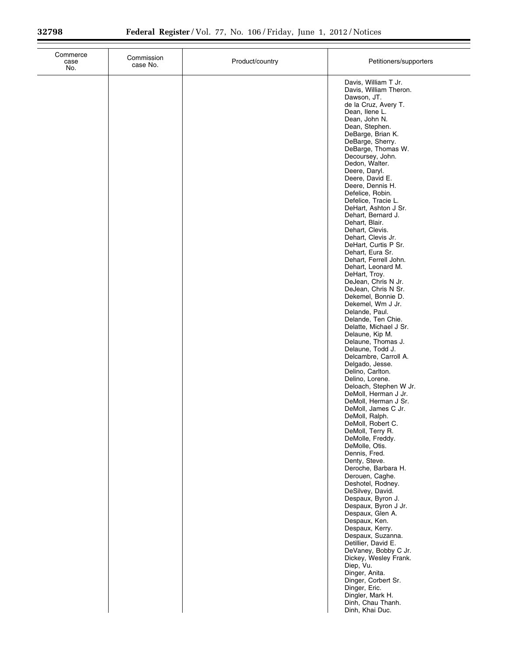| Commerce<br>case<br>No. | Commission<br>case No. | Product/country | Petitioners/supporters                                                                                                                                                                                                                                                                                                                                                                                                                                                                                                                                                                                                                                                                                                                                                                                                                                                                                                                                                                                                                                                                                                                                                                                                                                                                                                                                                                                                                                                                                                                         |
|-------------------------|------------------------|-----------------|------------------------------------------------------------------------------------------------------------------------------------------------------------------------------------------------------------------------------------------------------------------------------------------------------------------------------------------------------------------------------------------------------------------------------------------------------------------------------------------------------------------------------------------------------------------------------------------------------------------------------------------------------------------------------------------------------------------------------------------------------------------------------------------------------------------------------------------------------------------------------------------------------------------------------------------------------------------------------------------------------------------------------------------------------------------------------------------------------------------------------------------------------------------------------------------------------------------------------------------------------------------------------------------------------------------------------------------------------------------------------------------------------------------------------------------------------------------------------------------------------------------------------------------------|
|                         |                        |                 | Davis, William T Jr.<br>Davis, William Theron.<br>Dawson, JT.<br>de la Cruz, Avery T.<br>Dean, Ilene L.<br>Dean, John N.<br>Dean, Stephen.<br>DeBarge, Brian K.<br>DeBarge, Sherry.<br>DeBarge, Thomas W.<br>Decoursey, John.<br>Dedon, Walter.<br>Deere, Daryl.<br>Deere, David E.<br>Deere, Dennis H.<br>Defelice, Robin.<br>Defelice, Tracie L.<br>DeHart, Ashton J Sr.<br>Dehart, Bernard J.<br>Dehart, Blair.<br>Dehart, Clevis.<br>Dehart, Clevis Jr.<br>DeHart, Curtis P Sr.<br>Dehart, Eura Sr.<br>Dehart, Ferrell John.<br>Dehart, Leonard M.<br>DeHart, Troy.<br>DeJean, Chris N Jr.<br>DeJean, Chris N Sr.<br>Dekemel, Bonnie D.<br>Dekemel, Wm J Jr.<br>Delande, Paul.<br>Delande, Ten Chie.<br>Delatte, Michael J Sr.<br>Delaune, Kip M.<br>Delaune, Thomas J.<br>Delaune, Todd J.<br>Delcambre, Carroll A.<br>Delgado, Jesse.<br>Delino, Carlton.<br>Delino, Lorene.<br>Deloach, Stephen W Jr.<br>DeMoll, Herman J Jr.<br>DeMoll, Herman J Sr.<br>DeMoll, James C Jr.<br>DeMoll, Ralph.<br>DeMoll, Robert C.<br>DeMoll, Terry R.<br>DeMolle, Freddy.<br>DeMolle, Otis.<br>Dennis, Fred.<br>Denty, Steve.<br>Deroche, Barbara H.<br>Derouen, Caghe.<br>Deshotel, Rodney.<br>DeSilvey, David.<br>Despaux, Byron J.<br>Despaux, Byron J Jr.<br>Despaux, Glen A.<br>Despaux, Ken.<br>Despaux, Kerry.<br>Despaux, Suzanna.<br>Detillier, David E.<br>DeVaney, Bobby C Jr.<br>Dickey, Wesley Frank.<br>Diep, Vu.<br>Dinger, Anita.<br>Dinger, Corbert Sr.<br>Dinger, Eric.<br>Dingler, Mark H.<br>Dinh, Chau Thanh.<br>Dinh, Khai Duc. |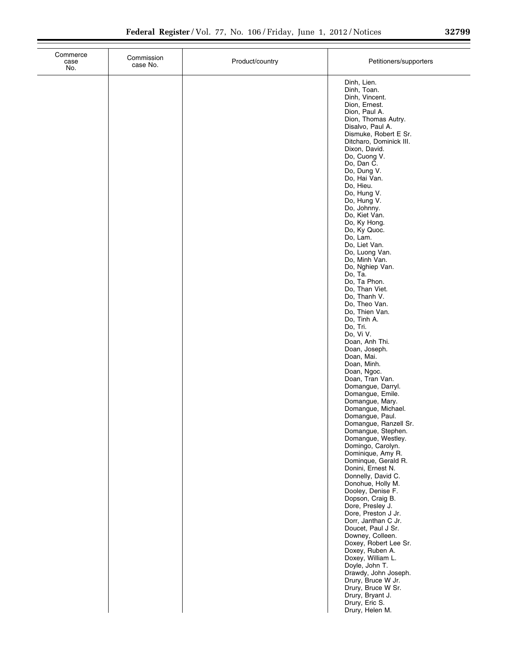| Commerce<br>case<br>No. | Commission<br>case No. | Product/country | Petitioners/supporters                                                                                                                                                                                                                                                                                                                                                                                                                                                                                                                                                                                                                                                                                                                                                                                                                                                                                                  |
|-------------------------|------------------------|-----------------|-------------------------------------------------------------------------------------------------------------------------------------------------------------------------------------------------------------------------------------------------------------------------------------------------------------------------------------------------------------------------------------------------------------------------------------------------------------------------------------------------------------------------------------------------------------------------------------------------------------------------------------------------------------------------------------------------------------------------------------------------------------------------------------------------------------------------------------------------------------------------------------------------------------------------|
|                         |                        |                 | Dinh, Lien.<br>Dinh, Toan.<br>Dinh, Vincent.<br>Dion, Ernest.<br>Dion, Paul A.<br>Dion, Thomas Autry.<br>Disalvo, Paul A.<br>Dismuke, Robert E Sr.<br>Ditcharo, Dominick III.<br>Dixon, David.<br>Do, Cuong V.<br>Do, Dan C.<br>Do, Dung V.<br>Do, Hai Van.<br>Do, Hieu.<br>Do, Hung V.<br>Do, Hung V.<br>Do, Johnny.<br>Do, Kiet Van.<br>Do, Ky Hong.<br>Do, Ky Quoc.<br>Do, Lam.<br>Do, Liet Van.<br>Do, Luong Van.<br>Do, Minh Van.<br>Do, Nghiep Van.<br>Do, Ta.<br>Do, Ta Phon.<br>Do, Than Viet.<br>Do, Thanh V.<br>Do, Theo Van.<br>Do, Thien Van.<br>Do, Tinh A.<br>Do, Tri.<br>Do, Vi V.<br>Doan, Anh Thi.<br>Doan, Joseph.<br>Doan, Mai.<br>Doan, Minh.<br>Doan, Ngoc.<br>Doan, Tran Van.<br>Domangue, Darryl.<br>Domangue, Emile.<br>Domangue, Mary.<br>Domangue, Michael.<br>Domangue, Paul.<br>Domangue, Ranzell Sr.<br>Domangue, Stephen.<br>Domangue, Westley.<br>Domingo, Carolyn.<br>Dominique, Amy R. |
|                         |                        |                 | Dominque, Gerald R.<br>Donini, Ernest N.<br>Donnelly, David C.<br>Donohue, Holly M.<br>Dooley, Denise F.<br>Dopson, Craig B.<br>Dore, Presley J.                                                                                                                                                                                                                                                                                                                                                                                                                                                                                                                                                                                                                                                                                                                                                                        |
|                         |                        |                 | Dore, Preston J Jr.<br>Dorr, Janthan C Jr.<br>Doucet, Paul J Sr.<br>Downey, Colleen.<br>Doxey, Robert Lee Sr.<br>Doxey, Ruben A.<br>Doxey, William L.<br>Doyle, John T.<br>Drawdy, John Joseph.<br>Drury, Bruce W Jr.<br>Drury, Bruce W Sr.<br>Drury, Bryant J.<br>Drury, Eric S.<br>Drury, Helen M.                                                                                                                                                                                                                                                                                                                                                                                                                                                                                                                                                                                                                    |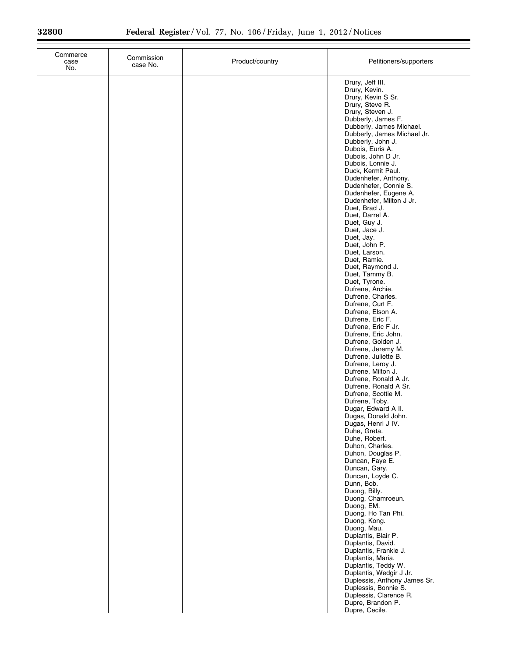| Commerce<br>case<br>No. | Commission<br>case No. | Product/country | Petitioners/supporters                                                                                                                                                                                                                                                                                                                                                                                                                                                                                                                                                                                                                                                                                                                                                                                                                                                                                                                                                                                                                                                                                                                                                                                                                                                                                                                                                                                                                                                                                                                                     |
|-------------------------|------------------------|-----------------|------------------------------------------------------------------------------------------------------------------------------------------------------------------------------------------------------------------------------------------------------------------------------------------------------------------------------------------------------------------------------------------------------------------------------------------------------------------------------------------------------------------------------------------------------------------------------------------------------------------------------------------------------------------------------------------------------------------------------------------------------------------------------------------------------------------------------------------------------------------------------------------------------------------------------------------------------------------------------------------------------------------------------------------------------------------------------------------------------------------------------------------------------------------------------------------------------------------------------------------------------------------------------------------------------------------------------------------------------------------------------------------------------------------------------------------------------------------------------------------------------------------------------------------------------------|
|                         |                        |                 | Drury, Jeff III.<br>Drury, Kevin.<br>Drury, Kevin S Sr.<br>Drury, Steve R.<br>Drury, Steven J.<br>Dubberly, James F.<br>Dubberly, James Michael.<br>Dubberly, James Michael Jr.<br>Dubberly, John J.<br>Dubois, Euris A.<br>Dubois, John D Jr.<br>Dubois, Lonnie J.<br>Duck, Kermit Paul.<br>Dudenhefer, Anthony.<br>Dudenhefer, Connie S.<br>Dudenhefer, Eugene A.<br>Dudenhefer, Milton J Jr.<br>Duet, Brad J.<br>Duet, Darrel A.<br>Duet, Guy J.<br>Duet, Jace J.<br>Duet, Jay.<br>Duet, John P.<br>Duet, Larson.<br>Duet, Ramie.<br>Duet, Raymond J.<br>Duet, Tammy B.<br>Duet, Tyrone.<br>Dufrene, Archie.<br>Dufrene, Charles.<br>Dufrene, Curt F.<br>Dufrene, Elson A.<br>Dufrene, Eric F.<br>Dufrene, Eric F Jr.<br>Dufrene, Eric John.<br>Dufrene, Golden J.<br>Dufrene, Jeremy M.<br>Dufrene, Juliette B.<br>Dufrene, Leroy J.<br>Dufrene, Milton J.<br>Dufrene, Ronald A Jr.<br>Dufrene, Ronald A Sr.<br>Dufrene, Scottie M.<br>Dufrene, Toby.<br>Dugar, Edward A II.<br>Dugas, Donald John.<br>Dugas, Henri J IV.<br>Duhe, Greta.<br>Duhe, Robert.<br>Duhon, Charles.<br>Duhon, Douglas P.<br>Duncan, Faye E.<br>Duncan, Gary.<br>Duncan, Loyde C.<br>Dunn, Bob.<br>Duong, Billy.<br>Duong, Chamroeun.<br>Duong, EM.<br>Duong, Ho Tan Phi.<br>Duong, Kong.<br>Duong, Mau.<br>Duplantis, Blair P.<br>Duplantis, David.<br>Duplantis, Frankie J.<br>Duplantis, Maria.<br>Duplantis, Teddy W.<br>Duplantis, Wedgir J Jr.<br>Duplessis, Anthony James Sr.<br>Duplessis, Bonnie S.<br>Duplessis, Clarence R.<br>Dupre, Brandon P.<br>Dupre, Cecile. |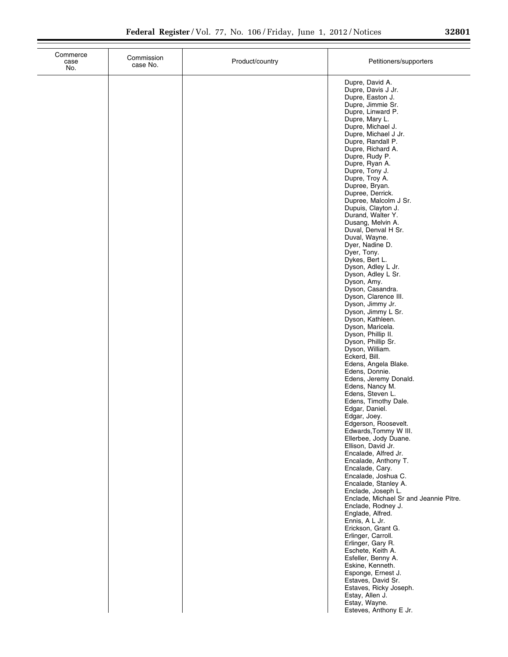| Commerce<br>case<br>No. | Commission<br>case No. | Product/country | Petitioners/supporters                                                                                                                                                       |
|-------------------------|------------------------|-----------------|------------------------------------------------------------------------------------------------------------------------------------------------------------------------------|
|                         |                        |                 | Dupre, David A.<br>Dupre, Davis J Jr.<br>Dupre, Easton J.<br>Dupre, Jimmie Sr.<br>Dupre, Linward P.<br>Dupre, Mary L.<br>Dupre, Michael J.<br>Dupre, Michael J Jr.           |
|                         |                        |                 | Dupre, Randall P.<br>Dupre, Richard A.<br>Dupre, Rudy P.<br>Dupre, Ryan A.<br>Dupre, Tony J.<br>Dupre, Troy A.<br>Dupree, Bryan.                                             |
|                         |                        |                 | Dupree, Derrick.<br>Dupree, Malcolm J Sr.<br>Dupuis, Clayton J.<br>Durand, Walter Y.<br>Dusang, Melvin A.<br>Duval, Denval H Sr.<br>Duval, Wayne.<br>Dyer, Nadine D.         |
|                         |                        |                 | Dyer, Tony.<br>Dykes, Bert L.<br>Dyson, Adley L Jr.<br>Dyson, Adley L Sr.<br>Dyson, Amy.<br>Dyson, Casandra.<br>Dyson, Clarence III.                                         |
|                         |                        |                 | Dyson, Jimmy Jr.<br>Dyson, Jimmy L Sr.<br>Dyson, Kathleen.<br>Dyson, Maricela.<br>Dyson, Phillip II.<br>Dyson, Phillip Sr.<br>Dyson, William.                                |
|                         |                        |                 | Eckerd, Bill.<br>Edens, Angela Blake.<br>Edens, Donnie.<br>Edens, Jeremy Donald.<br>Edens, Nancy M.<br>Edens, Steven L.<br>Edens, Timothy Dale.                              |
|                         |                        |                 | Edgar, Daniel.<br>Edgar, Joey.<br>Edgerson, Roosevelt.<br>Edwards, Tommy W III.<br>Ellerbee, Jody Duane.<br>Ellison, David Jr.<br>Encalade, Alfred Jr.                       |
|                         |                        |                 | Encalade, Anthony T.<br>Encalade, Cary.<br>Encalade, Joshua C.<br>Encalade, Stanley A.<br>Enclade, Joseph L.<br>Enclade, Michael Sr and Jeannie Pitre.<br>Enclade, Rodney J. |
|                         |                        |                 | Englade, Alfred.<br>Ennis, A L Jr.<br>Erickson, Grant G.<br>Erlinger, Carroll.<br>Erlinger, Gary R.<br>Eschete, Keith A.<br>Esfeller, Benny A.                               |
|                         |                        |                 | Eskine, Kenneth.<br>Esponge, Ernest J.<br>Estaves, David Sr.<br>Estaves, Ricky Joseph.<br>Estay, Allen J.<br>Estay, Wayne.<br>Esteves, Anthony E Jr.                         |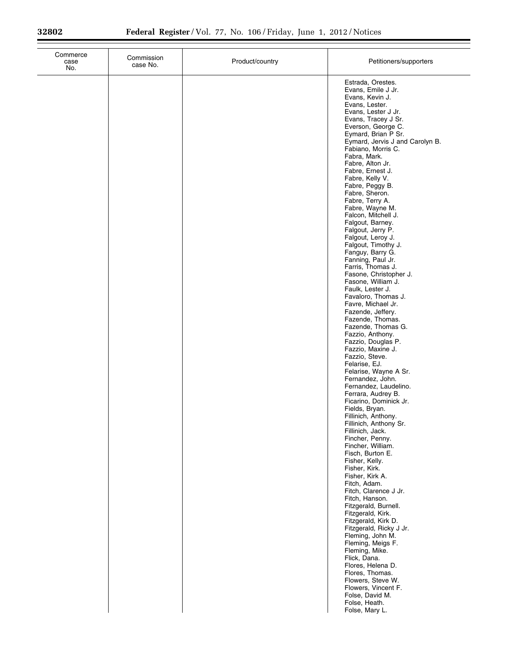| Commerce<br>case<br>No. | Commission<br>case No. | Product/country | Petitioners/supporters                                                                                                                                                                                                                                                                                                                                                                                                                                                                                                                                                                                                                                                                                                                                                                                                                                                                                                                                                                                                                                                                                                                                                                                                                                                                                                                                                                                                                                         |
|-------------------------|------------------------|-----------------|----------------------------------------------------------------------------------------------------------------------------------------------------------------------------------------------------------------------------------------------------------------------------------------------------------------------------------------------------------------------------------------------------------------------------------------------------------------------------------------------------------------------------------------------------------------------------------------------------------------------------------------------------------------------------------------------------------------------------------------------------------------------------------------------------------------------------------------------------------------------------------------------------------------------------------------------------------------------------------------------------------------------------------------------------------------------------------------------------------------------------------------------------------------------------------------------------------------------------------------------------------------------------------------------------------------------------------------------------------------------------------------------------------------------------------------------------------------|
|                         |                        |                 | Estrada, Orestes.<br>Evans, Emile J Jr.<br>Evans, Kevin J.<br>Evans, Lester.<br>Evans, Lester J Jr.<br>Evans, Tracey J Sr.<br>Everson, George C.<br>Eymard, Brian P Sr.<br>Eymard, Jervis J and Carolyn B.<br>Fabiano, Morris C.<br>Fabra, Mark.<br>Fabre, Alton Jr.<br>Fabre, Ernest J.<br>Fabre, Kelly V.<br>Fabre, Peggy B.<br>Fabre, Sheron.<br>Fabre, Terry A.<br>Fabre, Wayne M.<br>Falcon, Mitchell J.<br>Falgout, Barney.<br>Falgout, Jerry P.<br>Falgout, Leroy J.<br>Falgout, Timothy J.<br>Fanguy, Barry G.<br>Fanning, Paul Jr.<br>Farris, Thomas J.<br>Fasone, Christopher J.<br>Fasone, William J.<br>Faulk, Lester J.<br>Favaloro, Thomas J.<br>Favre, Michael Jr.<br>Fazende, Jeffery.<br>Fazende, Thomas.<br>Fazende, Thomas G.<br>Fazzio, Anthony.<br>Fazzio, Douglas P.<br>Fazzio, Maxine J.<br>Fazzio, Steve.<br>Felarise, EJ.<br>Felarise, Wayne A Sr.<br>Fernandez, John.<br>Fernandez, Laudelino.<br>Ferrara, Audrey B.<br>Ficarino, Dominick Jr.<br>Fields, Bryan.<br>Fillinich, Anthony.<br>Fillinich, Anthony Sr.<br>Fillinich, Jack.<br>Fincher, Penny.<br>Fincher, William.<br>Fisch, Burton E.<br>Fisher, Kelly.<br>Fisher, Kirk.<br>Fisher, Kirk A.<br>Fitch, Adam.<br>Fitch, Clarence J Jr.<br>Fitch, Hanson.<br>Fitzgerald, Burnell.<br>Fitzgerald, Kirk.<br>Fitzgerald, Kirk D.<br>Fitzgerald, Ricky J Jr.<br>Fleming, John M.<br>Fleming, Meigs F.<br>Fleming, Mike.<br>Flick, Dana.<br>Flores, Helena D.<br>Flores, Thomas. |
|                         |                        |                 | Flowers, Steve W.<br>Flowers, Vincent F.<br>Folse, David M.<br>Folse, Heath.<br>Folse, Mary L.                                                                                                                                                                                                                                                                                                                                                                                                                                                                                                                                                                                                                                                                                                                                                                                                                                                                                                                                                                                                                                                                                                                                                                                                                                                                                                                                                                 |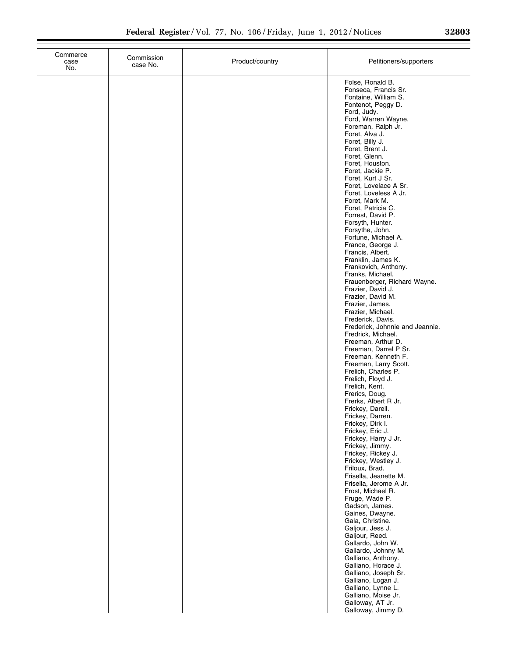| Commerce<br>case<br>No. | Commission<br>case No. | Product/country | Petitioners/supporters                                                                                                                                                                                                                                                                                                                                                                                                                                                                                                                                                                                                                                                                                                                                                                                                                                                                                                     |
|-------------------------|------------------------|-----------------|----------------------------------------------------------------------------------------------------------------------------------------------------------------------------------------------------------------------------------------------------------------------------------------------------------------------------------------------------------------------------------------------------------------------------------------------------------------------------------------------------------------------------------------------------------------------------------------------------------------------------------------------------------------------------------------------------------------------------------------------------------------------------------------------------------------------------------------------------------------------------------------------------------------------------|
|                         |                        |                 | Folse, Ronald B.<br>Fonseca, Francis Sr.<br>Fontaine, William S.<br>Fontenot, Peggy D.<br>Ford, Judy.<br>Ford, Warren Wayne.<br>Foreman, Ralph Jr.<br>Foret, Alva J.<br>Foret, Billy J.<br>Foret, Brent J.<br>Foret, Glenn.<br>Foret, Houston.<br>Foret, Jackie P.<br>Foret, Kurt J Sr.<br>Foret, Lovelace A Sr.<br>Foret, Loveless A Jr.<br>Foret, Mark M.<br>Foret, Patricia C.<br>Forrest, David P.<br>Forsyth, Hunter.<br>Forsythe, John.<br>Fortune, Michael A.<br>France, George J.<br>Francis, Albert.<br>Franklin, James K.<br>Frankovich, Anthony.<br>Franks, Michael.<br>Frauenberger, Richard Wayne.<br>Frazier, David J.<br>Frazier, David M.<br>Frazier, James.<br>Frazier, Michael.<br>Frederick, Davis.<br>Frederick, Johnnie and Jeannie.<br>Fredrick, Michael.<br>Freeman, Arthur D.<br>Freeman, Darrel P Sr.<br>Freeman, Kenneth F.<br>Freeman, Larry Scott.<br>Frelich, Charles P.<br>Frelich, Floyd J. |
|                         |                        |                 | Frelich, Kent.<br>Frerics, Doug.<br>Frerks, Albert R Jr.<br>Frickey, Darell.<br>Frickey, Darren.<br>Frickey, Dirk I.<br>Frickey, Eric J.<br>Frickey, Harry J Jr.<br>Frickey, Jimmy.<br>Frickey, Rickey J.<br>Frickey, Westley J.<br>Friloux, Brad.<br>Frisella, Jeanette M.<br>Frisella, Jerome A Jr.<br>Frost, Michael R.<br>Fruge, Wade P.<br>Gadson, James.                                                                                                                                                                                                                                                                                                                                                                                                                                                                                                                                                             |
|                         |                        |                 | Gaines, Dwayne.<br>Gala, Christine.<br>Galjour, Jess J.<br>Galjour, Reed.<br>Gallardo, John W.<br>Gallardo, Johnny M.<br>Galliano, Anthony.<br>Galliano, Horace J.<br>Galliano, Joseph Sr.<br>Galliano, Logan J.<br>Galliano, Lynne L.<br>Galliano, Moise Jr.<br>Galloway, AT Jr.<br>Galloway, Jimmy D.                                                                                                                                                                                                                                                                                                                                                                                                                                                                                                                                                                                                                    |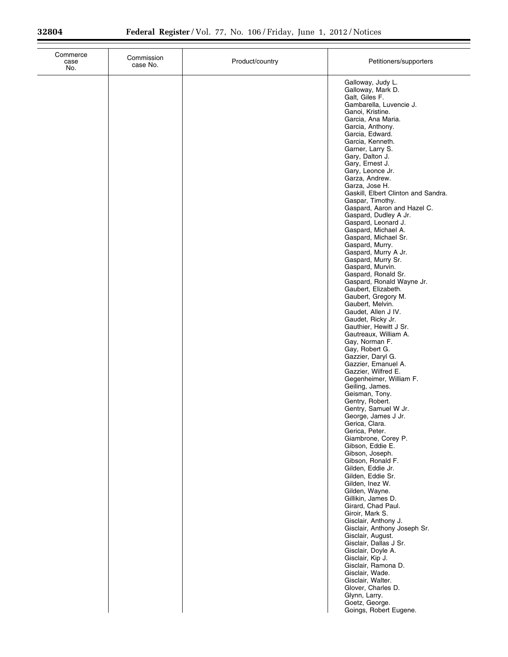| Commerce<br>case<br>No. | Commission<br>case No. | Product/country | Petitioners/supporters                                                                                                                                                                                                                                                                                                                                                                                                                                                                                                                                                                                                                                                                                                                                                                                                                                                                                                                                                                                                                                                                                                                                                                                                                                                                                                                                                                                                                                                                                                                                                                               |
|-------------------------|------------------------|-----------------|------------------------------------------------------------------------------------------------------------------------------------------------------------------------------------------------------------------------------------------------------------------------------------------------------------------------------------------------------------------------------------------------------------------------------------------------------------------------------------------------------------------------------------------------------------------------------------------------------------------------------------------------------------------------------------------------------------------------------------------------------------------------------------------------------------------------------------------------------------------------------------------------------------------------------------------------------------------------------------------------------------------------------------------------------------------------------------------------------------------------------------------------------------------------------------------------------------------------------------------------------------------------------------------------------------------------------------------------------------------------------------------------------------------------------------------------------------------------------------------------------------------------------------------------------------------------------------------------------|
|                         |                        |                 | Galloway, Judy L.<br>Galloway, Mark D.<br>Galt, Giles F.<br>Gambarella, Luvencie J.<br>Ganoi, Kristine.<br>Garcia, Ana Maria.<br>Garcia, Anthony.<br>Garcia, Edward.<br>Garcia, Kenneth.<br>Garner, Larry S.<br>Gary, Dalton J.<br>Gary, Ernest J.<br>Gary, Leonce Jr.<br>Garza, Andrew.<br>Garza, Jose H.<br>Gaskill, Elbert Clinton and Sandra.<br>Gaspar, Timothy.<br>Gaspard, Aaron and Hazel C.<br>Gaspard, Dudley A Jr.<br>Gaspard, Leonard J.<br>Gaspard, Michael A.<br>Gaspard, Michael Sr.<br>Gaspard, Murry.<br>Gaspard, Murry A Jr.<br>Gaspard, Murry Sr.<br>Gaspard, Murvin.<br>Gaspard, Ronald Sr.<br>Gaspard, Ronald Wayne Jr.<br>Gaubert, Elizabeth.<br>Gaubert, Gregory M.<br>Gaubert, Melvin.<br>Gaudet, Allen J IV.<br>Gaudet, Ricky Jr.<br>Gauthier, Hewitt J Sr.<br>Gautreaux, William A.<br>Gay, Norman F.<br>Gay, Robert G.<br>Gazzier, Daryl G.<br>Gazzier, Emanuel A.<br>Gazzier, Wilfred E.<br>Gegenheimer, William F.<br>Geiling, James.<br>Geisman, Tony.<br>Gentry, Robert.<br>Gentry, Samuel W Jr.<br>George, James J Jr.<br>Gerica, Clara.<br>Gerica, Peter.<br>Giambrone, Corey P.<br>Gibson, Eddie E.<br>Gibson, Joseph.<br>Gibson, Ronald F.<br>Gilden, Eddie Jr.<br>Gilden, Eddie Sr.<br>Gilden, Inez W.<br>Gilden, Wayne.<br>Gillikin, James D.<br>Girard, Chad Paul.<br>Giroir, Mark S.<br>Gisclair, Anthony J.<br>Gisclair, Anthony Joseph Sr.<br>Gisclair, August.<br>Gisclair, Dallas J Sr.<br>Gisclair, Doyle A.<br>Gisclair, Kip J.<br>Gisclair, Ramona D.<br>Gisclair, Wade.<br>Gisclair, Walter.<br>Glover, Charles D.<br>Glynn, Larry.<br>Goetz, George. |
|                         |                        |                 | Goings, Robert Eugene.                                                                                                                                                                                                                                                                                                                                                                                                                                                                                                                                                                                                                                                                                                                                                                                                                                                                                                                                                                                                                                                                                                                                                                                                                                                                                                                                                                                                                                                                                                                                                                               |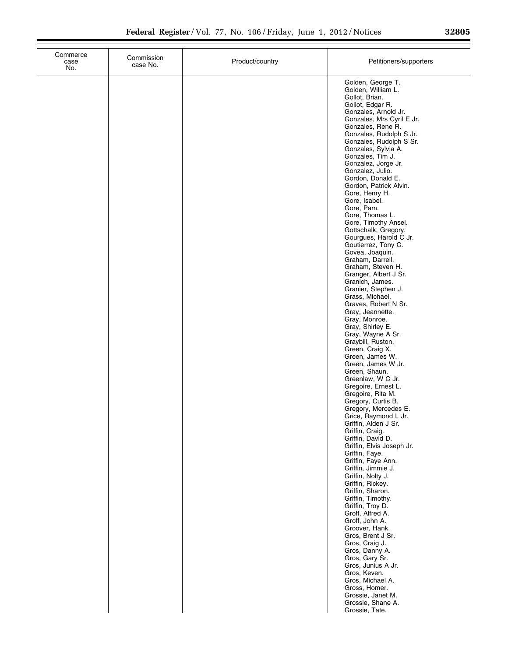| 32805 |  |  |
|-------|--|--|
|       |  |  |

| Commerce<br>case<br>No. | Commission<br>case No. | Product/country | Petitioners/supporters                                                                                                                                                                                                                                                                                                                                                                                                                                                                                                                                                                                                                                                                                                                                                                                                                                                                                                                                                                                                                                                                                                                                                                                                                                                                                                                                                                                                                                                                 |
|-------------------------|------------------------|-----------------|----------------------------------------------------------------------------------------------------------------------------------------------------------------------------------------------------------------------------------------------------------------------------------------------------------------------------------------------------------------------------------------------------------------------------------------------------------------------------------------------------------------------------------------------------------------------------------------------------------------------------------------------------------------------------------------------------------------------------------------------------------------------------------------------------------------------------------------------------------------------------------------------------------------------------------------------------------------------------------------------------------------------------------------------------------------------------------------------------------------------------------------------------------------------------------------------------------------------------------------------------------------------------------------------------------------------------------------------------------------------------------------------------------------------------------------------------------------------------------------|
|                         |                        |                 | Golden, George T.<br>Golden, William L.<br>Gollot, Brian.<br>Gollot, Edgar R.<br>Gonzales, Arnold Jr.<br>Gonzales, Mrs Cyril E Jr.<br>Gonzales, Rene R.<br>Gonzales, Rudolph S Jr.<br>Gonzales, Rudolph S Sr.<br>Gonzales, Sylvia A.<br>Gonzales, Tim J.<br>Gonzalez, Jorge Jr.<br>Gonzalez, Julio.<br>Gordon, Donald E.<br>Gordon, Patrick Alvin.<br>Gore, Henry H.<br>Gore, Isabel.<br>Gore, Pam.<br>Gore, Thomas L.<br>Gore, Timothy Ansel.<br>Gottschalk, Gregory.<br>Gourgues, Harold C Jr.<br>Goutierrez, Tony C.<br>Govea, Joaquin.<br>Graham, Darrell.<br>Graham, Steven H.<br>Granger, Albert J Sr.<br>Granich, James.<br>Granier, Stephen J.<br>Grass, Michael.<br>Graves, Robert N Sr.<br>Gray, Jeannette.<br>Gray, Monroe.<br>Gray, Shirley E.<br>Gray, Wayne A Sr.<br>Graybill, Ruston.<br>Green, Craig X.<br>Green, James W.<br>Green, James W Jr.<br>Green, Shaun.<br>Greenlaw, W C Jr.<br>Gregoire, Ernest L.<br>Gregoire, Rita M.<br>Gregory, Curtis B.<br>Gregory, Mercedes E.<br>Grice, Raymond L Jr.<br>Griffin, Alden J Sr.<br>Griffin, Craig.<br>Griffin, David D.<br>Griffin, Elvis Joseph Jr.<br>Griffin, Faye.<br>Griffin, Faye Ann.<br>Griffin, Jimmie J.<br>Griffin, Nolty J.<br>Griffin, Rickey.<br>Griffin, Sharon.<br>Griffin, Timothy.<br>Griffin, Troy D.<br>Groff, Alfred A.<br>Groff, John A.<br>Groover, Hank.<br>Gros, Brent J Sr.<br>Gros, Craig J.<br>Gros, Danny A.<br>Gros, Gary Sr.<br>Gros, Junius A Jr.<br>Gros, Keven.<br>Gros, Michael A. |
|                         |                        |                 | Gross, Homer.<br>Grossie, Janet M.<br>Grossie, Shane A.<br>Grossie, Tate.                                                                                                                                                                                                                                                                                                                                                                                                                                                                                                                                                                                                                                                                                                                                                                                                                                                                                                                                                                                                                                                                                                                                                                                                                                                                                                                                                                                                              |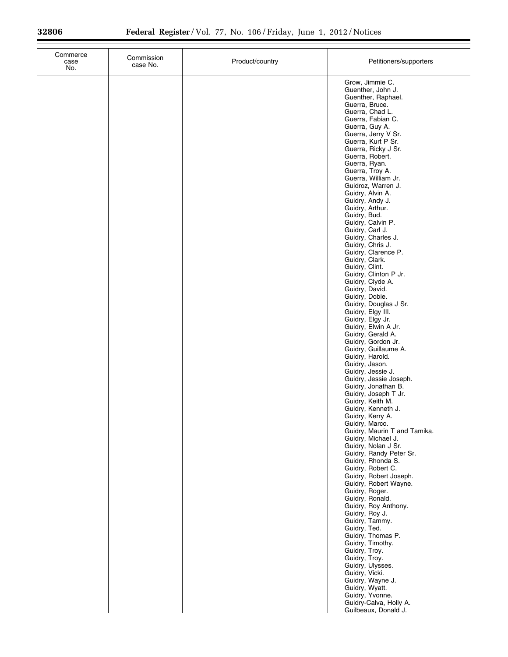$\equiv$ 

| Commerce<br>case<br>No. | Commission<br>case No. | Product/country | Petitioners/supporters                                                                                                                                                                                                                                                                                                                                                                                                                                                                                                                                                                                                                                                                                                                                                                                                                                                                                                                                                                                                                                                                                                             |
|-------------------------|------------------------|-----------------|------------------------------------------------------------------------------------------------------------------------------------------------------------------------------------------------------------------------------------------------------------------------------------------------------------------------------------------------------------------------------------------------------------------------------------------------------------------------------------------------------------------------------------------------------------------------------------------------------------------------------------------------------------------------------------------------------------------------------------------------------------------------------------------------------------------------------------------------------------------------------------------------------------------------------------------------------------------------------------------------------------------------------------------------------------------------------------------------------------------------------------|
|                         |                        |                 | Grow, Jimmie C.<br>Guenther, John J.<br>Guenther, Raphael.<br>Guerra, Bruce.<br>Guerra, Chad L.<br>Guerra, Fabian C.<br>Guerra, Guy A.<br>Guerra, Jerry V Sr.<br>Guerra, Kurt P Sr.<br>Guerra, Ricky J Sr.<br>Guerra, Robert.<br>Guerra, Ryan.<br>Guerra, Troy A.<br>Guerra, William Jr.<br>Guidroz, Warren J.<br>Guidry, Alvin A.<br>Guidry, Andy J.<br>Guidry, Arthur.<br>Guidry, Bud.<br>Guidry, Calvin P.<br>Guidry, Carl J.<br>Guidry, Charles J.<br>Guidry, Chris J.<br>Guidry, Clarence P.<br>Guidry, Clark.<br>Guidry, Clint.<br>Guidry, Clinton P Jr.<br>Guidry, Clyde A.<br>Guidry, David.<br>Guidry, Dobie.<br>Guidry, Douglas J Sr.<br>Guidry, Elgy III.<br>Guidry, Elgy Jr.<br>Guidry, Elwin A Jr.<br>Guidry, Gerald A.<br>Guidry, Gordon Jr.<br>Guidry, Guillaume A.<br>Guidry, Harold.<br>Guidry, Jason.<br>Guidry, Jessie J.<br>Guidry, Jessie Joseph.<br>Guidry, Jonathan B.<br>Guidry, Joseph T Jr.<br>Guidry, Keith M.<br>Guidry, Kenneth J.<br>Guidry, Kerry A.<br>Guidry, Marco.<br>Guidry, Maurin T and Tamika.<br>Guidry, Michael J.<br>Guidry, Nolan J Sr.<br>Guidry, Randy Peter Sr.<br>Guidry, Rhonda S. |
|                         |                        |                 | Guidry, Robert C.<br>Guidry, Robert Joseph.<br>Guidry, Robert Wayne.<br>Guidry, Roger.                                                                                                                                                                                                                                                                                                                                                                                                                                                                                                                                                                                                                                                                                                                                                                                                                                                                                                                                                                                                                                             |
|                         |                        |                 | Guidry, Ronald.<br>Guidry, Roy Anthony.<br>Guidry, Roy J.<br>Guidry, Tammy.<br>Guidry, Ted.<br>Guidry, Thomas P.<br>Guidry, Timothy.<br>Guidry, Troy.                                                                                                                                                                                                                                                                                                                                                                                                                                                                                                                                                                                                                                                                                                                                                                                                                                                                                                                                                                              |
|                         |                        |                 | Guidry, Troy.<br>Guidry, Ulysses.<br>Guidry, Vicki.<br>Guidry, Wayne J.<br>Guidry, Wyatt.<br>Guidry, Yvonne.<br>Guidry-Calva, Holly A.<br>Guilbeaux, Donald J.                                                                                                                                                                                                                                                                                                                                                                                                                                                                                                                                                                                                                                                                                                                                                                                                                                                                                                                                                                     |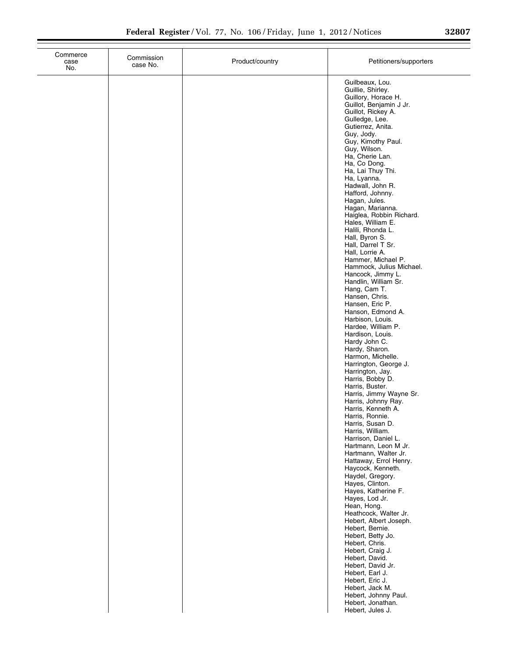| Commerce<br>case<br>No. | Commission<br>case No. | Product/country | Petitioners/supporters                                                                                                                                                                                                                                                                                                                                                                                                                                                                                                                                                                                                                                                                                                                                                                                                                                                                                                                                  |
|-------------------------|------------------------|-----------------|---------------------------------------------------------------------------------------------------------------------------------------------------------------------------------------------------------------------------------------------------------------------------------------------------------------------------------------------------------------------------------------------------------------------------------------------------------------------------------------------------------------------------------------------------------------------------------------------------------------------------------------------------------------------------------------------------------------------------------------------------------------------------------------------------------------------------------------------------------------------------------------------------------------------------------------------------------|
|                         |                        |                 | Guilbeaux, Lou.<br>Guillie, Shirley.<br>Guillory, Horace H.<br>Guillot, Benjamin J Jr.<br>Guillot, Rickey A.<br>Gulledge, Lee.<br>Gutierrez, Anita.<br>Guy, Jody.<br>Guy, Kimothy Paul.<br>Guy, Wilson.<br>Ha, Cherie Lan.<br>Ha, Co Dong.<br>Ha, Lai Thuy Thi.<br>Ha, Lyanna.<br>Hadwall, John R.<br>Hafford, Johnny.<br>Hagan, Jules.<br>Hagan, Marianna.<br>Haiglea, Robbin Richard.<br>Hales, William E.<br>Halili, Rhonda L.<br>Hall, Byron S.<br>Hall, Darrel T Sr.<br>Hall, Lorrie A.<br>Hammer, Michael P.<br>Hammock, Julius Michael.<br>Hancock, Jimmy L.<br>Handlin, William Sr.<br>Hang, Cam T.<br>Hansen, Chris.<br>Hansen, Eric P.<br>Hanson, Edmond A.<br>Harbison, Louis.<br>Hardee, William P.<br>Hardison, Louis.<br>Hardy John C.<br>Hardy, Sharon.<br>Harmon, Michelle.<br>Harrington, George J.<br>Harrington, Jay.<br>Harris, Bobby D.<br>Harris, Buster.<br>Harris, Jimmy Wayne Sr.<br>Harris, Johnny Ray.<br>Harris, Kenneth A. |
|                         |                        |                 | Harris, Ronnie.<br>Harris, Susan D.<br>Harris, William.<br>Harrison, Daniel L.<br>Hartmann, Leon M Jr.<br>Hartmann, Walter Jr.<br>Hattaway, Errol Henry.<br>Haycock, Kenneth.<br>Haydel, Gregory.<br>Hayes, Clinton.<br>Hayes, Katherine F.<br>Hayes, Lod Jr.<br>Hean, Hong.<br>Heathcock, Walter Jr.<br>Hebert, Albert Joseph.<br>Hebert, Bernie.<br>Hebert, Betty Jo.<br>Hebert, Chris.<br>Hebert, Craig J.<br>Hebert, David.<br>Hebert, David Jr.<br>Hebert, Earl J.<br>Hebert, Eric J.<br>Hebert, Jack M.<br>Hebert, Johnny Paul.<br>Hebert, Jonathan.<br>Hebert, Jules J.                                                                                                                                                                                                                                                                                                                                                                          |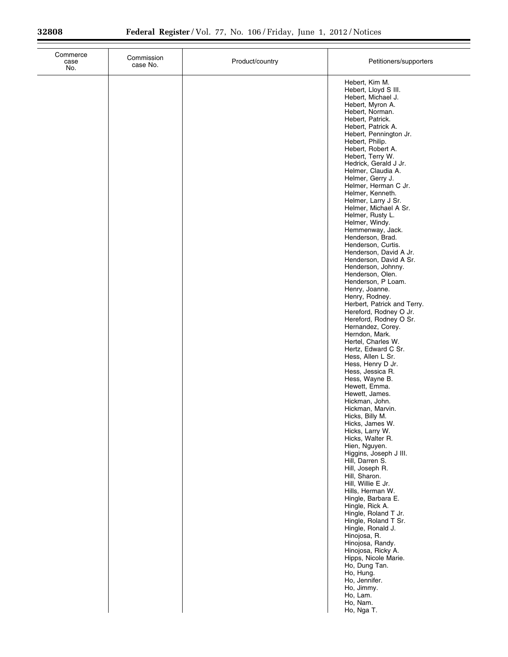| Commerce<br>case<br>No. | Commission<br>case No. | Product/country | Petitioners/supporters                                                                                                                                                                                                                                                                                                                                                                                                                                                                                                                                                                                                                                                                                                                                                                                                                                                                                                                                                                                                                                  |
|-------------------------|------------------------|-----------------|---------------------------------------------------------------------------------------------------------------------------------------------------------------------------------------------------------------------------------------------------------------------------------------------------------------------------------------------------------------------------------------------------------------------------------------------------------------------------------------------------------------------------------------------------------------------------------------------------------------------------------------------------------------------------------------------------------------------------------------------------------------------------------------------------------------------------------------------------------------------------------------------------------------------------------------------------------------------------------------------------------------------------------------------------------|
|                         |                        |                 | Hebert, Kim M.<br>Hebert, Lloyd S III.<br>Hebert, Michael J.<br>Hebert, Myron A.<br>Hebert, Norman.<br>Hebert, Patrick.<br>Hebert, Patrick A.<br>Hebert, Pennington Jr.<br>Hebert, Philip.<br>Hebert, Robert A.<br>Hebert, Terry W.<br>Hedrick, Gerald J Jr.<br>Helmer, Claudia A.<br>Helmer, Gerry J.<br>Helmer, Herman C Jr.<br>Helmer, Kenneth.<br>Helmer, Larry J Sr.<br>Helmer, Michael A Sr.<br>Helmer, Rusty L.<br>Helmer, Windy.<br>Hemmenway, Jack.<br>Henderson, Brad.<br>Henderson, Curtis.<br>Henderson, David A Jr.<br>Henderson, David A Sr.<br>Henderson, Johnny.<br>Henderson, Olen.<br>Henderson, P Loam.<br>Henry, Joanne.<br>Henry, Rodney.<br>Herbert, Patrick and Terry.<br>Hereford, Rodney O Jr.<br>Hereford, Rodney O Sr.<br>Hernandez, Corey.<br>Herndon, Mark.<br>Hertel, Charles W.<br>Hertz, Edward C Sr.<br>Hess, Allen L Sr.<br>Hess, Henry D Jr.<br>Hess, Jessica R.<br>Hess, Wayne B.<br>Hewett, Emma.<br>Hewett, James.<br>Hickman, John.<br>Hickman, Marvin.<br>Hicks, Billy M.<br>Hicks, James W.<br>Hicks, Larry W. |
|                         |                        |                 | Hicks, Walter R.<br>Hien, Nguyen.<br>Higgins, Joseph J III.<br>Hill, Darren S.<br>Hill, Joseph R.<br>Hill, Sharon.<br>Hill, Willie E Jr.<br>Hills, Herman W.<br>Hingle, Barbara E.<br>Hingle, Rick A.<br>Hingle, Roland T Jr.<br>Hingle, Roland T Sr.<br>Hingle, Ronald J.<br>Hinojosa, R.<br>Hinojosa, Randy.<br>Hinojosa, Ricky A.<br>Hipps, Nicole Marie.<br>Ho, Dung Tan.<br>Ho, Hung.<br>Ho, Jennifer.<br>Ho, Jimmy.<br>Ho, Lam.<br>Ho, Nam.<br>Ho, Nga T.                                                                                                                                                                                                                                                                                                                                                                                                                                                                                                                                                                                         |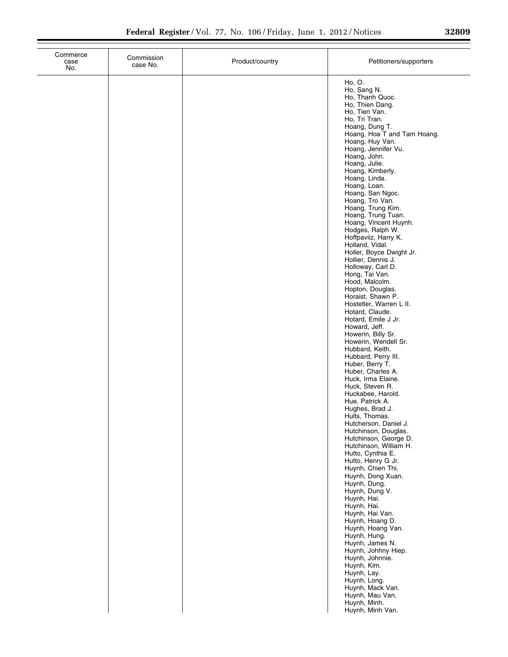| Commerce<br>case<br>No. | Commission<br>case No. | Product/country | Petitioners/supporters                                                                                                                                                                                                                                                                                                                                                                                                                                                                                                                                                                                                                                                                                                                                                                                                                                                                                                                                                                                                                                                                                                                                                                                                                                                                                                                                                                                                      |
|-------------------------|------------------------|-----------------|-----------------------------------------------------------------------------------------------------------------------------------------------------------------------------------------------------------------------------------------------------------------------------------------------------------------------------------------------------------------------------------------------------------------------------------------------------------------------------------------------------------------------------------------------------------------------------------------------------------------------------------------------------------------------------------------------------------------------------------------------------------------------------------------------------------------------------------------------------------------------------------------------------------------------------------------------------------------------------------------------------------------------------------------------------------------------------------------------------------------------------------------------------------------------------------------------------------------------------------------------------------------------------------------------------------------------------------------------------------------------------------------------------------------------------|
|                         |                        |                 | Ho, O.<br>Ho, Sang N.<br>Ho, Thanh Quoc.<br>Ho, Thien Dang.<br>Ho, Tien Van.<br>Ho, Tri Tran.<br>Hoang, Dung T.<br>Hoang, Hoa T and Tam Hoang.<br>Hoang, Huy Van.<br>Hoang, Jennifer Vu.<br>Hoang, John.<br>Hoang, Julie.<br>Hoang, Kimberly.<br>Hoang, Linda.<br>Hoang, Loan.<br>Hoang, San Ngoc.<br>Hoang, Tro Van.<br>Hoang, Trung Kim.<br>Hoang, Trung Tuan.<br>Hoang, Vincent Huynh.<br>Hodges, Ralph W.<br>Hoffpaviiz, Harry K.<br>Holland, Vidal.<br>Holler, Boyce Dwight Jr.<br>Hollier, Dennis J.<br>Holloway, Carl D.<br>Hong, Tai Van.<br>Hood, Malcolm.<br>Hopton, Douglas.<br>Horaist, Shawn P.<br>Hostetler, Warren L II.<br>Hotard, Claude.<br>Hotard, Emile J Jr.<br>Howard, Jeff.<br>Howerin, Billy Sr.<br>Howerin, Wendell Sr.<br>Hubbard, Keith.<br>Hubbard, Perry III.<br>Huber, Berry T.<br>Huber, Charles A.<br>Huck, Irma Elaine.<br>Huck, Steven R.<br>Huckabee, Harold.<br>Hue, Patrick A.<br>Hughes, Brad J.<br>Hults, Thomas.<br>Hutcherson, Daniel J.<br>Hutchinson, Douglas.<br>Hutchinson, George D.<br>Hutchinson, William H.<br>Hutto, Cynthia E.<br>Hutto, Henry G Jr.<br>Huynh, Chien Thi.<br>Huynh, Dong Xuan.<br>Huynh, Dung.<br>Huynh, Dung V.<br>Huynh, Hai.<br>Huynh, Hai.<br>Huynh, Hai Van.<br>Huynh, Hoang D.<br>Huynh, Hoang Van.<br>Huynh, Hung.<br>Huynh, James N.<br>Huynh, Johhny Hiep.<br>Huynh, Johnnie.<br>Huynh, Kim.<br>Huynh, Lay.<br>Huynh, Long.<br>Huynh, Mack Van. |
|                         |                        |                 | Huynh, Mau Van.<br>Huynh, Minh.<br>Huynh, Minh Van.                                                                                                                                                                                                                                                                                                                                                                                                                                                                                                                                                                                                                                                                                                                                                                                                                                                                                                                                                                                                                                                                                                                                                                                                                                                                                                                                                                         |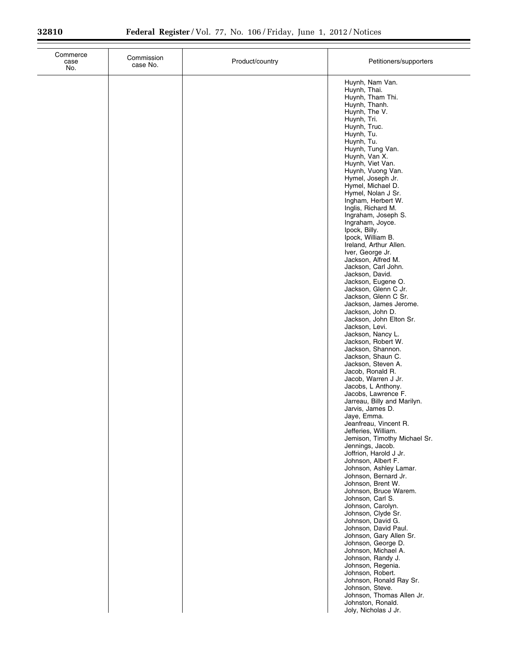| case<br>No. | Commission<br>case No. | Product/country | Petitioners/supporters                                                                         |
|-------------|------------------------|-----------------|------------------------------------------------------------------------------------------------|
|             |                        |                 | Huynh, Nam Van.<br>Huynh, Thai.<br>Huynh, Tham Thi.<br>Huynh, Thanh.                           |
|             |                        |                 | Huynh, The V.<br>Huynh, Tri.<br>Huynh, Truc.<br>Huynh, Tu.                                     |
|             |                        |                 | Huynh, Tu.<br>Huynh, Tung Van.<br>Huynh, Van X.                                                |
|             |                        |                 | Huynh, Viet Van.<br>Huynh, Vuong Van.<br>Hymel, Joseph Jr.<br>Hymel, Michael D.                |
|             |                        |                 | Hymel, Nolan J Sr.<br>Ingham, Herbert W.<br>Inglis, Richard M.                                 |
|             |                        |                 | Ingraham, Joseph S.<br>Ingraham, Joyce.<br>Ipock, Billy.<br>Ipock, William B.                  |
|             |                        |                 | Ireland, Arthur Allen.<br>Iver, George Jr.<br>Jackson, Alfred M.                               |
|             |                        |                 | Jackson, Carl John.<br>Jackson, David.<br>Jackson, Eugene O.<br>Jackson, Glenn C Jr.           |
|             |                        |                 | Jackson, Glenn C Sr.<br>Jackson, James Jerome.<br>Jackson, John D.<br>Jackson, John Elton Sr.  |
|             |                        |                 | Jackson, Levi.<br>Jackson, Nancy L.<br>Jackson, Robert W.                                      |
|             |                        |                 | Jackson, Shannon.<br>Jackson, Shaun C.<br>Jackson, Steven A.<br>Jacob, Ronald R.               |
|             |                        |                 | Jacob, Warren J Jr.<br>Jacobs, L Anthony.<br>Jacobs, Lawrence F.                               |
|             |                        |                 | Jarreau, Billy and Marilyn.<br>Jarvis, James D.<br>Jaye, Emma.<br>Jeanfreau, Vincent R.        |
|             |                        |                 | Jefferies, William.<br>Jemison, Timothy Michael Sr.<br>Jennings, Jacob.                        |
|             |                        |                 | Joffrion, Harold J Jr.<br>Johnson, Albert F.<br>Johnson, Ashley Lamar.<br>Johnson, Bernard Jr. |
|             |                        |                 | Johnson, Brent W.<br>Johnson, Bruce Warem.<br>Johnson, Carl S.                                 |
|             |                        |                 | Johnson, Carolyn.<br>Johnson, Clyde Sr.<br>Johnson, David G.<br>Johnson, David Paul.           |
|             |                        |                 | Johnson, Gary Allen Sr.<br>Johnson, George D.<br>Johnson, Michael A.                           |
|             |                        |                 | Johnson, Randy J.<br>Johnson, Regenia.<br>Johnson, Robert.<br>Johnson, Ronald Ray Sr.          |
|             |                        |                 | Johnson, Steve.<br>Johnson, Thomas Allen Jr.<br>Johnston, Ronald.<br>Joly, Nicholas J Jr.      |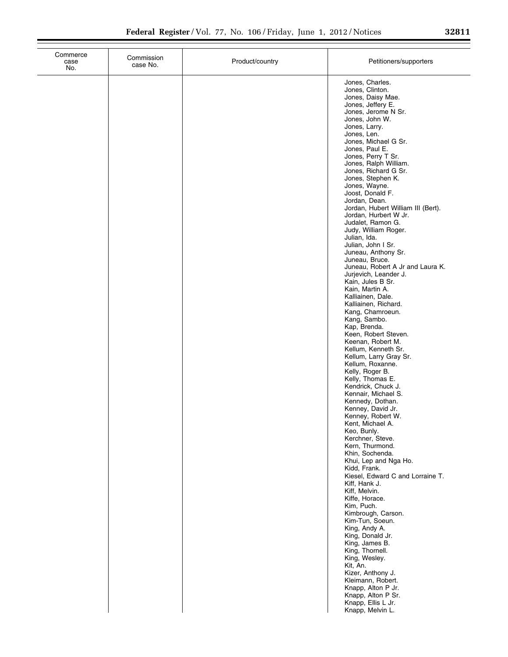| Commerce<br>case<br>No. | Commission<br>case No. | Product/country | Petitioners/supporters                                                                                                                                                                                                                                                 |
|-------------------------|------------------------|-----------------|------------------------------------------------------------------------------------------------------------------------------------------------------------------------------------------------------------------------------------------------------------------------|
|                         |                        |                 | Jones, Charles.<br>Jones, Clinton.<br>Jones, Daisy Mae.<br>Jones, Jeffery E.<br>Jones, Jerome N Sr.<br>Jones, John W.<br>Jones, Larry.<br>Jones, Len.<br>Jones, Michael G Sr.<br>Jones, Paul E.<br>Jones, Perry T Sr.<br>Jones, Ralph William.<br>Jones, Richard G Sr. |
|                         |                        |                 | Jones, Stephen K.<br>Jones, Wayne.<br>Joost, Donald F.<br>Jordan, Dean.<br>Jordan, Hubert William III (Bert).<br>Jordan, Hurbert W Jr.<br>Judalet, Ramon G.<br>Judy, William Roger.<br>Julian, Ida.<br>Julian, John I Sr.<br>Juneau, Anthony Sr.<br>Juneau, Bruce.     |
|                         |                        |                 | Juneau, Robert A Jr and Laura K.<br>Jurjevich, Leander J.<br>Kain, Jules B Sr.<br>Kain, Martin A.<br>Kalliainen, Dale.<br>Kalliainen, Richard.<br>Kang, Chamroeun.<br>Kang, Sambo.<br>Kap, Brenda.<br>Keen, Robert Steven.<br>Keenan, Robert M.<br>Kellum, Kenneth Sr. |
|                         |                        |                 | Kellum, Larry Gray Sr.<br>Kellum, Roxanne.<br>Kelly, Roger B.<br>Kelly, Thomas E.<br>Kendrick, Chuck J.<br>Kennair, Michael S.<br>Kennedy, Dothan.<br>Kenney, David Jr.<br>Kenney, Robert W.<br>Kent, Michael A.<br>Keo, Bunly.                                        |
|                         |                        |                 | Kerchner, Steve.<br>Kern, Thurmond.<br>Khin, Sochenda.<br>Khui, Lep and Nga Ho.<br>Kidd, Frank.<br>Kiesel, Edward C and Lorraine T.<br>Kiff, Hank J.<br>Kiff, Melvin.<br>Kiffe, Horace.<br>Kim, Puch.<br>Kimbrough, Carson.                                            |
|                         |                        |                 | Kim-Tun, Soeun.<br>King, Andy A.<br>King, Donald Jr.<br>King, James B.<br>King, Thornell.<br>King, Wesley.<br>Kit, An.<br>Kizer, Anthony J.<br>Kleimann, Robert.<br>Knapp, Alton P Jr.<br>Knapp, Alton P Sr.<br>Knapp, Ellis L Jr.<br>Knapp, Melvin L.                 |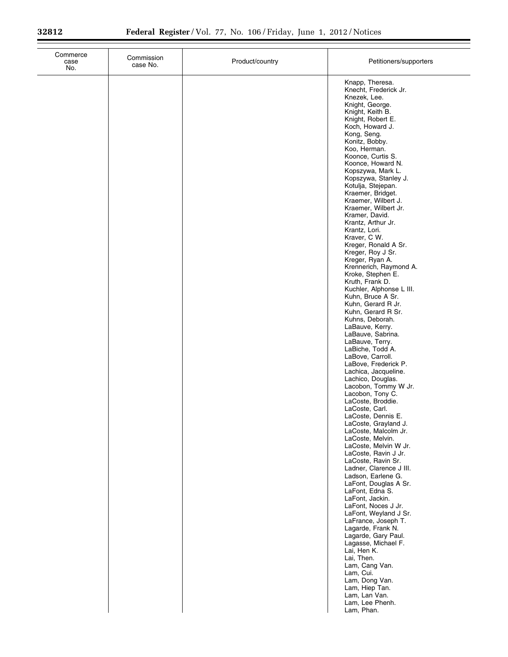| Commerce<br>case<br>No. | Commission<br>case No. | Product/country | Petitioners/supporters                                                                                                                                                                                                                                                                                                                                                                                                                                                                                                                                                                                                                                                                                                                                                                                                                                                                                                                                                                                                                                                                                                                                                                                                                                                                                                                                                                                                  |
|-------------------------|------------------------|-----------------|-------------------------------------------------------------------------------------------------------------------------------------------------------------------------------------------------------------------------------------------------------------------------------------------------------------------------------------------------------------------------------------------------------------------------------------------------------------------------------------------------------------------------------------------------------------------------------------------------------------------------------------------------------------------------------------------------------------------------------------------------------------------------------------------------------------------------------------------------------------------------------------------------------------------------------------------------------------------------------------------------------------------------------------------------------------------------------------------------------------------------------------------------------------------------------------------------------------------------------------------------------------------------------------------------------------------------------------------------------------------------------------------------------------------------|
|                         |                        |                 | Knapp, Theresa.<br>Knecht, Frederick Jr.<br>Knezek, Lee.<br>Knight, George.<br>Knight, Keith B.<br>Knight, Robert E.<br>Koch, Howard J.<br>Kong, Seng.<br>Konitz, Bobby.<br>Koo, Herman.<br>Koonce, Curtis S.<br>Koonce, Howard N.<br>Kopszywa, Mark L.<br>Kopszywa, Stanley J.<br>Kotulja, Stejepan.<br>Kraemer, Bridget.<br>Kraemer, Wilbert J.<br>Kraemer, Wilbert Jr.<br>Kramer, David.<br>Krantz, Arthur Jr.<br>Krantz, Lori.<br>Kraver, C W.<br>Kreger, Ronald A Sr.<br>Kreger, Roy J Sr.<br>Kreger, Ryan A.<br>Krennerich, Raymond A.<br>Kroke, Stephen E.<br>Kruth, Frank D.<br>Kuchler, Alphonse L III.<br>Kuhn, Bruce A Sr.<br>Kuhn, Gerard R Jr.<br>Kuhn, Gerard R Sr.<br>Kuhns, Deborah.<br>LaBauve, Kerry.<br>LaBauve, Sabrina.<br>LaBauve, Terry.<br>LaBiche, Todd A.<br>LaBove, Carroll.<br>LaBove, Frederick P.<br>Lachica, Jacqueline.<br>Lachico, Douglas.<br>Lacobon, Tommy W Jr.<br>Lacobon, Tony C.<br>LaCoste, Broddie.<br>LaCoste, Carl.<br>LaCoste, Dennis E.<br>LaCoste, Grayland J.<br>LaCoste, Malcolm Jr.<br>LaCoste, Melvin.<br>LaCoste, Melvin W Jr.<br>LaCoste, Ravin J Jr.<br>LaCoste, Ravin Sr.<br>Ladner, Clarence J III.<br>Ladson, Earlene G.<br>LaFont, Douglas A Sr.<br>LaFont, Edna S.<br>LaFont, Jackin.<br>LaFont, Noces J Jr.<br>LaFont, Weyland J Sr.<br>LaFrance, Joseph T.<br>Lagarde, Frank N.<br>Lagarde, Gary Paul.<br>Lagasse, Michael F.<br>Lai, Hen K.<br>Lai, Then. |
|                         |                        |                 | Lam, Cang Van.<br>Lam, Cui.<br>Lam, Dong Van.<br>Lam, Hiep Tan.<br>Lam, Lan Van.<br>Lam, Lee Phenh.<br>Lam, Phan.                                                                                                                                                                                                                                                                                                                                                                                                                                                                                                                                                                                                                                                                                                                                                                                                                                                                                                                                                                                                                                                                                                                                                                                                                                                                                                       |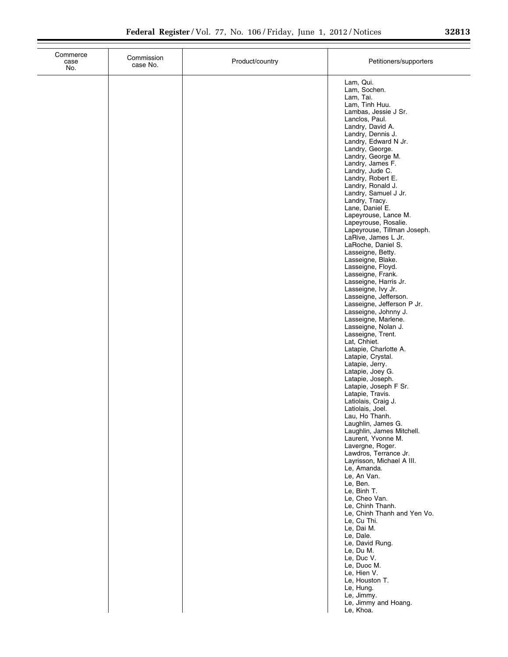| Commerce<br>case<br>No. | Commission<br>case No. | Product/country | Petitioners/supporters                                                                                                                                                                                                                                                                                                                                                                                                                                                                                                                                                                                                                                                                                                                                                                                                                                                                                                                                                                                                                                                                                                                                                                                                                                                                                                                                                                                                                                                                                |
|-------------------------|------------------------|-----------------|-------------------------------------------------------------------------------------------------------------------------------------------------------------------------------------------------------------------------------------------------------------------------------------------------------------------------------------------------------------------------------------------------------------------------------------------------------------------------------------------------------------------------------------------------------------------------------------------------------------------------------------------------------------------------------------------------------------------------------------------------------------------------------------------------------------------------------------------------------------------------------------------------------------------------------------------------------------------------------------------------------------------------------------------------------------------------------------------------------------------------------------------------------------------------------------------------------------------------------------------------------------------------------------------------------------------------------------------------------------------------------------------------------------------------------------------------------------------------------------------------------|
|                         |                        |                 | Lam, Qui.<br>Lam, Sochen.<br>Lam, Tai.<br>Lam, Tinh Huu.<br>Lambas, Jessie J Sr.<br>Lanclos, Paul.<br>Landry, David A.<br>Landry, Dennis J.<br>Landry, Edward N Jr.<br>Landry, George.<br>Landry, George M.<br>Landry, James F.<br>Landry, Jude C.<br>Landry, Robert E.<br>Landry, Ronald J.<br>Landry, Samuel J Jr.<br>Landry, Tracy.<br>Lane, Daniel E.<br>Lapeyrouse, Lance M.<br>Lapeyrouse, Rosalie.<br>Lapeyrouse, Tillman Joseph.<br>LaRive, James L Jr.<br>LaRoche, Daniel S.<br>Lasseigne, Betty.<br>Lasseigne, Blake.<br>Lasseigne, Floyd.<br>Lasseigne, Frank.<br>Lasseigne, Harris Jr.<br>Lasseigne, Ivy Jr.<br>Lasseigne, Jefferson.<br>Lasseigne, Jefferson P Jr.<br>Lasseigne, Johnny J.<br>Lasseigne, Marlene.<br>Lasseigne, Nolan J.<br>Lasseigne, Trent.<br>Lat, Chhiet.<br>Latapie, Charlotte A.<br>Latapie, Crystal.<br>Latapie, Jerry.<br>Latapie, Joey G.<br>Latapie, Joseph.<br>Latapie, Joseph F Sr.<br>Latapie, Travis.<br>Latiolais, Craig J.<br>Latiolais, Joel.<br>Lau, Ho Thanh.<br>Laughlin, James G.<br>Laughlin, James Mitchell.<br>Laurent, Yvonne M.<br>Lavergne, Roger.<br>Lawdros, Terrance Jr.<br>Layrisson, Michael A III.<br>Le, Amanda.<br>Le, An Van.<br>Le, Ben.<br>Le, Binh T.<br>Le, Cheo Van.<br>Le, Chinh Thanh.<br>Le, Chinh Thanh and Yen Vo.<br>Le, Cu Thi.<br>Le, Dai M.<br>Le, Dale.<br>Le, David Rung.<br>Le, Du M.<br>Le, Duc V.<br>Le, Duoc M.<br>Le, Hien V.<br>Le, Houston T.<br>Le, Hung.<br>Le, Jimmy.<br>Le, Jimmy and Hoang.<br>Le, Khoa. |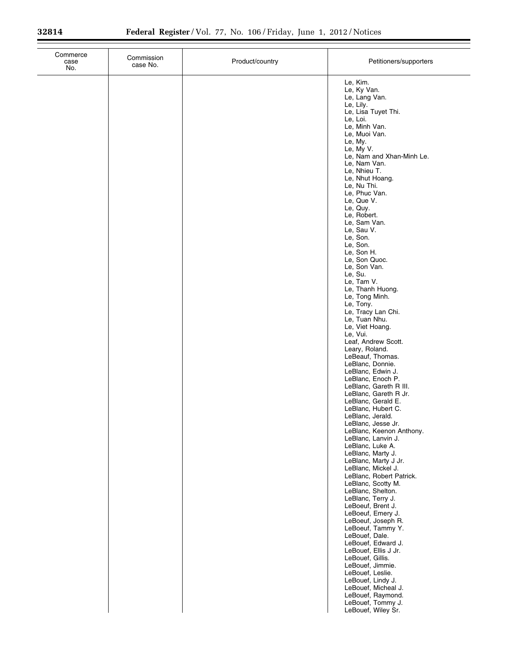$\equiv$ 

| Commerce<br>case<br>No. | Commission<br>case No. | Product/country | Petitioners/supporters                                                                                                                                                                                                                                                                                                                                                                                                                                                                                                                                                                                                                                                                                                                                                                                                             |
|-------------------------|------------------------|-----------------|------------------------------------------------------------------------------------------------------------------------------------------------------------------------------------------------------------------------------------------------------------------------------------------------------------------------------------------------------------------------------------------------------------------------------------------------------------------------------------------------------------------------------------------------------------------------------------------------------------------------------------------------------------------------------------------------------------------------------------------------------------------------------------------------------------------------------------|
|                         |                        |                 | Le, Kim.<br>Le, Ky Van.<br>Le, Lang Van.<br>Le, Lily.<br>Le, Lisa Tuyet Thi.<br>Le, Loi.<br>Le, Minh Van.<br>Le, Muoi Van.<br>Le, My.<br>Le, My V.<br>Le, Nam and Xhan-Minh Le.<br>Le, Nam Van.<br>Le, Nhieu T.<br>Le, Nhut Hoang.<br>Le, Nu Thi.<br>Le, Phuc Van.<br>Le, Que V.<br>Le, Quy.<br>Le, Robert.<br>Le, Sam Van.<br>Le, Sau V.<br>Le, Son.<br>Le, Son.<br>Le, Son H.<br>Le, Son Quoc.<br>Le, Son Van.<br>Le, Su.<br>Le, Tam V.<br>Le, Thanh Huong.<br>Le, Tong Minh.<br>Le, Tony.<br>Le, Tracy Lan Chi.<br>Le, Tuan Nhu.<br>Le, Viet Hoang.<br>Le, Vui.                                                                                                                                                                                                                                                                 |
|                         |                        |                 | Leaf, Andrew Scott.<br>Leary, Roland.<br>LeBeauf, Thomas.<br>LeBlanc, Donnie.<br>LeBlanc, Edwin J.<br>LeBlanc, Enoch P.<br>LeBlanc, Gareth R III.<br>LeBlanc, Gareth R Jr.<br>LeBlanc, Gerald E.<br>LeBlanc, Hubert C.<br>LeBlanc, Jerald.<br>LeBlanc, Jesse Jr.<br>LeBlanc, Keenon Anthony.<br>LeBlanc, Lanvin J.<br>LeBlanc, Luke A.<br>LeBlanc, Marty J.<br>LeBlanc, Marty J Jr.<br>LeBlanc, Mickel J.<br>LeBlanc, Robert Patrick.<br>LeBlanc, Scotty M.<br>LeBlanc, Shelton.<br>LeBlanc, Terry J.<br>LeBoeuf, Brent J.<br>LeBoeuf, Emery J.<br>LeBoeuf, Joseph R.<br>LeBoeuf, Tammy Y.<br>LeBouef, Dale.<br>LeBouef, Edward J.<br>LeBouef, Ellis J Jr.<br>LeBouef, Gillis.<br>LeBouef, Jimmie.<br>LeBouef, Leslie.<br>LeBouef, Lindy J.<br>LeBouef, Micheal J.<br>LeBouef, Raymond.<br>LeBouef, Tommy J.<br>LeBouef, Wiley Sr. |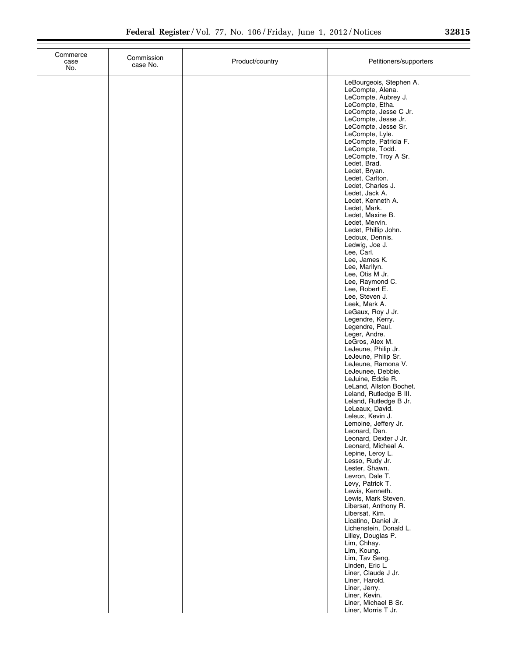| п<br>.<br>п.   |  |
|----------------|--|
| $\bullet$<br>ے |  |

| Commerce<br>case<br>No. | Commission<br>case No. | Product/country | Petitioners/supporters                                                                                                                                                                                                                                                                                                                                                                                                                                                                                                                                                                                                                                                                                                                                                                                                                                                                                                                                                                                                                                                                                                                                                                                                                                                                                                                                                                                                                                                                                                   |
|-------------------------|------------------------|-----------------|--------------------------------------------------------------------------------------------------------------------------------------------------------------------------------------------------------------------------------------------------------------------------------------------------------------------------------------------------------------------------------------------------------------------------------------------------------------------------------------------------------------------------------------------------------------------------------------------------------------------------------------------------------------------------------------------------------------------------------------------------------------------------------------------------------------------------------------------------------------------------------------------------------------------------------------------------------------------------------------------------------------------------------------------------------------------------------------------------------------------------------------------------------------------------------------------------------------------------------------------------------------------------------------------------------------------------------------------------------------------------------------------------------------------------------------------------------------------------------------------------------------------------|
|                         |                        |                 | LeBourgeois, Stephen A.<br>LeCompte, Alena.<br>LeCompte, Aubrey J.<br>LeCompte, Etha.<br>LeCompte, Jesse C Jr.<br>LeCompte, Jesse Jr.<br>LeCompte, Jesse Sr.<br>LeCompte, Lyle.<br>LeCompte, Patricia F.<br>LeCompte, Todd.<br>LeCompte, Troy A Sr.<br>Ledet, Brad.<br>Ledet, Bryan.<br>Ledet, Carlton.<br>Ledet, Charles J.<br>Ledet, Jack A.<br>Ledet, Kenneth A.<br>Ledet, Mark.<br>Ledet, Maxine B.<br>Ledet, Mervin.<br>Ledet, Phillip John.<br>Ledoux, Dennis.<br>Ledwig, Joe J.<br>Lee, Carl.<br>Lee, James K.<br>Lee, Marilyn.<br>Lee, Otis M Jr.<br>Lee, Raymond C.<br>Lee, Robert E.<br>Lee, Steven J.<br>Leek, Mark A.<br>LeGaux, Roy J Jr.<br>Legendre, Kerry.<br>Legendre, Paul.<br>Leger, Andre.<br>LeGros, Alex M.<br>LeJeune, Philip Jr.<br>LeJeune, Philip Sr.<br>LeJeune, Ramona V.<br>LeJeunee, Debbie.<br>LeJuine, Eddie R.<br>LeLand, Allston Bochet.<br>Leland, Rutledge B III.<br>Leland, Rutledge B Jr.<br>LeLeaux, David.<br>Leleux, Kevin J.<br>Lemoine, Jeffery Jr.<br>Leonard, Dan.<br>Leonard, Dexter J Jr.<br>Leonard, Micheal A.<br>Lepine, Leroy L.<br>Lesso, Rudy Jr.<br>Lester, Shawn.<br>Levron, Dale T.<br>Levy, Patrick T.<br>Lewis, Kenneth.<br>Lewis, Mark Steven.<br>Libersat, Anthony R.<br>Libersat, Kim.<br>Licatino, Daniel Jr.<br>Lichenstein, Donald L.<br>Lilley, Douglas P.<br>Lim, Chhay.<br>Lim, Koung.<br>Lim, Tav Seng.<br>Linden, Eric L.<br>Liner, Claude J Jr.<br>Liner, Harold.<br>Liner, Jerry.<br>Liner, Kevin.<br>Liner, Michael B Sr.<br>Liner, Morris T Jr. |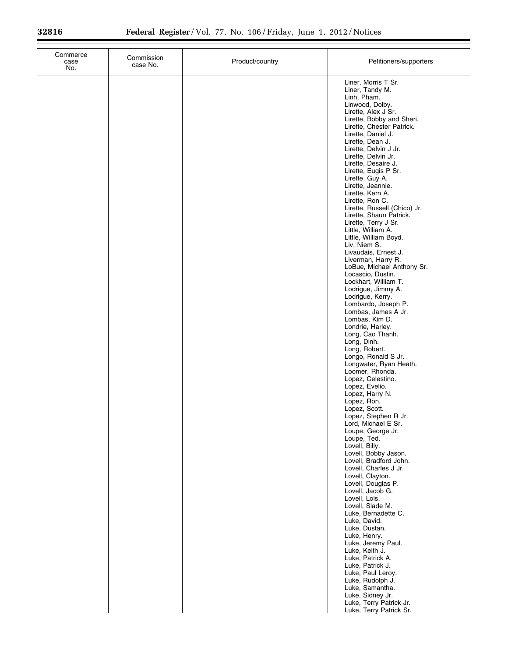| Commerce<br>case<br>No. | Commission<br>case No. | Product/country | Petitioners/supporters                                                                                                                                                                                                                                                                                                                                                                                                                                                                                                                                                                                                                                                                                                                                                                                                                                                                                                                                                                                                                                                                                                                                                                                                                                                                          |
|-------------------------|------------------------|-----------------|-------------------------------------------------------------------------------------------------------------------------------------------------------------------------------------------------------------------------------------------------------------------------------------------------------------------------------------------------------------------------------------------------------------------------------------------------------------------------------------------------------------------------------------------------------------------------------------------------------------------------------------------------------------------------------------------------------------------------------------------------------------------------------------------------------------------------------------------------------------------------------------------------------------------------------------------------------------------------------------------------------------------------------------------------------------------------------------------------------------------------------------------------------------------------------------------------------------------------------------------------------------------------------------------------|
|                         |                        |                 | Liner, Morris T Sr.<br>Liner, Tandy M.<br>Linh, Pham.<br>Linwood, Dolby.<br>Lirette, Alex J Sr.<br>Lirette, Bobby and Sheri.<br>Lirette, Chester Patrick.<br>Lirette, Daniel J.<br>Lirette, Dean J.<br>Lirette, Delvin J Jr.<br>Lirette, Delvin Jr.<br>Lirette, Desaire J.<br>Lirette, Eugis P Sr.<br>Lirette, Guy A.<br>Lirette, Jeannie.<br>Lirette, Kern A.<br>Lirette, Ron C.<br>Lirette, Russell (Chico) Jr.<br>Lirette, Shaun Patrick.<br>Lirette, Terry J Sr.<br>Little, William A.<br>Little, William Boyd.<br>Liv, Niem S.<br>Livaudais, Ernest J.<br>Liverman, Harry R.<br>LoBue, Michael Anthony Sr.<br>Locascio, Dustin.<br>Lockhart, William T.<br>Lodrigue, Jimmy A.<br>Lodrigue, Kerry.<br>Lombardo, Joseph P.<br>Lombas, James A Jr.<br>Lombas, Kim D.<br>Londrie, Harley.<br>Long, Cao Thanh.<br>Long, Dinh.<br>Long, Robert.<br>Longo, Ronald S Jr.<br>Longwater, Ryan Heath.<br>Loomer, Rhonda.<br>Lopez, Celestino.<br>Lopez, Evelio.<br>Lopez, Harry N.<br>Lopez, Ron.<br>Lopez, Scott.<br>Lopez, Stephen R Jr.<br>Lord, Michael E Sr.<br>Loupe, George Jr.<br>Loupe, Ted.<br>Lovell, Billy.<br>Lovell, Bobby Jason.<br>Lovell, Bradford John.<br>Lovell, Charles J Jr.<br>Lovell, Clayton.<br>Lovell, Douglas P.<br>Lovell, Jacob G.<br>Lovell, Lois.<br>Lovell, Slade M. |
|                         |                        |                 | Luke, Bernadette C.<br>Luke, David.<br>Luke, Dustan.<br>Luke, Henry.<br>Luke, Jeremy Paul.<br>Luke, Keith J.<br>Luke, Patrick A.<br>Luke, Patrick J.                                                                                                                                                                                                                                                                                                                                                                                                                                                                                                                                                                                                                                                                                                                                                                                                                                                                                                                                                                                                                                                                                                                                            |
|                         |                        |                 | Luke, Paul Leroy.<br>Luke, Rudolph J.<br>Luke, Samantha.<br>Luke, Sidney Jr.<br>Luke, Terry Patrick Jr.<br>Luke, Terry Patrick Sr.                                                                                                                                                                                                                                                                                                                                                                                                                                                                                                                                                                                                                                                                                                                                                                                                                                                                                                                                                                                                                                                                                                                                                              |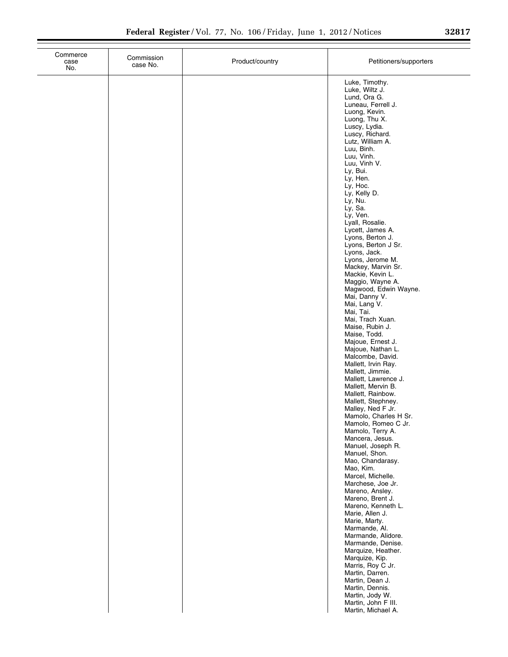| Commerce<br>case<br>No. | Commission<br>case No. | Product/country | Petitioners/supporters                                                                                                                                                                                                                                                                                                                                                                                                                                                                                                                                                                                                                                                                                                                                                                                                                                                                                                                                                                                                                                                                                                                                                                                                                                                                                                                                    |
|-------------------------|------------------------|-----------------|-----------------------------------------------------------------------------------------------------------------------------------------------------------------------------------------------------------------------------------------------------------------------------------------------------------------------------------------------------------------------------------------------------------------------------------------------------------------------------------------------------------------------------------------------------------------------------------------------------------------------------------------------------------------------------------------------------------------------------------------------------------------------------------------------------------------------------------------------------------------------------------------------------------------------------------------------------------------------------------------------------------------------------------------------------------------------------------------------------------------------------------------------------------------------------------------------------------------------------------------------------------------------------------------------------------------------------------------------------------|
|                         |                        |                 | Luke, Timothy.<br>Luke, Wiltz J.<br>Lund, Ora G.<br>Luneau, Ferrell J.<br>Luong, Kevin.<br>Luong, Thu X.<br>Luscy, Lydia.<br>Luscy, Richard.<br>Lutz, William A.<br>Luu, Binh.<br>Luu, Vinh.<br>Luu, Vinh V.<br>Ly, Bui.<br>Ly, Hen.<br>Ly, Hoc.<br>Ly, Kelly D.<br>Ly, Nu.<br>Ly, Sa.<br>Ly, Ven.<br>Lyall, Rosalie.<br>Lycett, James A.<br>Lyons, Berton J.<br>Lyons, Berton J Sr.<br>Lyons, Jack.<br>Lyons, Jerome M.<br>Mackey, Marvin Sr.<br>Mackie, Kevin L.<br>Maggio, Wayne A.<br>Magwood, Edwin Wayne.<br>Mai, Danny V.<br>Mai, Lang V.<br>Mai, Tai.<br>Mai, Trach Xuan.<br>Maise, Rubin J.<br>Maise, Todd.<br>Majoue, Ernest J.<br>Majoue, Nathan L.<br>Malcombe, David.<br>Mallett, Irvin Ray.<br>Mallett, Jimmie.<br>Mallett, Lawrence J.<br>Mallett, Mervin B.<br>Mallett, Rainbow.<br>Mallett, Stephney.<br>Malley, Ned F Jr.<br>Mamolo, Charles H Sr.<br>Mamolo, Romeo C Jr.<br>Mamolo, Terry A.<br>Mancera, Jesus.<br>Manuel, Joseph R.<br>Manuel, Shon.<br>Mao, Chandarasy.<br>Mao, Kim.<br>Marcel, Michelle.<br>Marchese, Joe Jr.<br>Mareno, Ansley.<br>Mareno, Brent J.<br>Mareno, Kenneth L.<br>Marie, Allen J.<br>Marie, Marty.<br>Marmande, Al.<br>Marmande, Alidore.<br>Marmande, Denise.<br>Marquize, Heather.<br>Marquize, Kip.<br>Marris, Roy C Jr.<br>Martin, Darren.<br>Martin, Dean J.<br>Martin, Dennis.<br>Martin, Jody W. |
|                         |                        |                 | Martin, John F III.<br>Martin, Michael A.                                                                                                                                                                                                                                                                                                                                                                                                                                                                                                                                                                                                                                                                                                                                                                                                                                                                                                                                                                                                                                                                                                                                                                                                                                                                                                                 |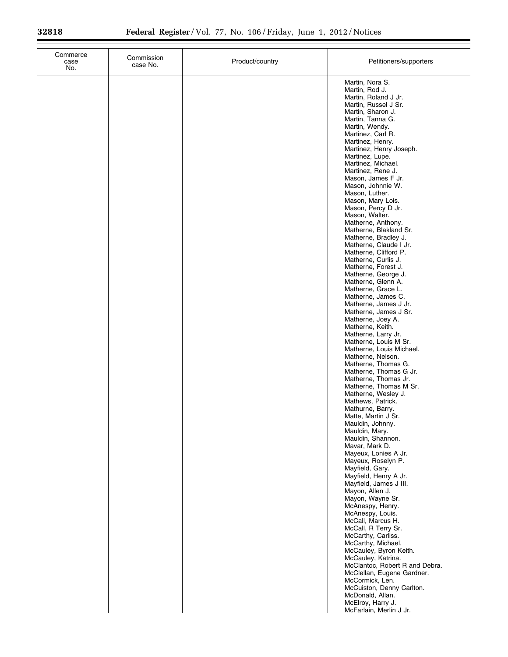| Commerce<br>case<br>No. | Commission<br>case No. | Product/country | Petitioners/supporters                                                                                                                                                                                                                                                                                                                                                                                                                                                                                                                                     |
|-------------------------|------------------------|-----------------|------------------------------------------------------------------------------------------------------------------------------------------------------------------------------------------------------------------------------------------------------------------------------------------------------------------------------------------------------------------------------------------------------------------------------------------------------------------------------------------------------------------------------------------------------------|
|                         |                        |                 | Martin, Nora S.<br>Martin, Rod J.<br>Martin, Roland J Jr.<br>Martin, Russel J Sr.<br>Martin, Sharon J.<br>Martin, Tanna G.<br>Martin, Wendy.<br>Martinez, Carl R.<br>Martinez, Henry.<br>Martinez, Henry Joseph.<br>Martinez, Lupe.<br>Martinez, Michael.<br>Martinez, Rene J.<br>Mason, James F Jr.<br>Mason, Johnnie W.<br>Mason, Luther.<br>Mason, Mary Lois.<br>Mason, Percy D Jr.<br>Mason, Walter.<br>Matherne, Anthony.<br>Matherne, Blakland Sr.<br>Matherne, Bradley J.<br>Matherne, Claude I Jr.<br>Matherne, Clifford P.<br>Matherne, Curlis J. |
|                         |                        |                 | Matherne, Forest J.<br>Matherne, George J.<br>Matherne, Glenn A.<br>Matherne, Grace L.<br>Matherne, James C.<br>Matherne, James J Jr.<br>Matherne, James J Sr.<br>Matherne, Joey A.<br>Matherne, Keith.<br>Matherne, Larry Jr.<br>Matherne, Louis M Sr.<br>Matherne, Louis Michael.<br>Matherne, Nelson.<br>Matherne, Thomas G.<br>Matherne, Thomas G Jr.<br>Matherne, Thomas Jr.<br>Matherne, Thomas M Sr.<br>Matherne, Wesley J.<br>Mathews, Patrick.<br>Mathurne, Barry.                                                                                |
|                         |                        |                 | Matte, Martin J Sr.<br>Mauldin, Johnny.<br>Mauldin, Mary.<br>Mauldin, Shannon.<br>Mavar, Mark D.<br>Mayeux, Lonies A Jr.<br>Mayeux, Roselyn P.<br>Mayfield, Gary.<br>Mayfield, Henry A Jr.<br>Mayfield, James J III.<br>Mayon, Allen J.<br>Mayon, Wayne Sr.<br>McAnespy, Henry.<br>McAnespy, Louis.<br>McCall, Marcus H.<br>McCall, R Terry Sr.<br>McCarthy, Carliss.<br>McCarthy, Michael.<br>McCauley, Byron Keith.<br>McCauley, Katrina.<br>McClantoc, Robert R and Debra.<br>McClellan, Eugene Gardner.                                                |
|                         |                        |                 | McCormick, Len.<br>McCuiston, Denny Carlton.<br>McDonald, Allan.<br>McElroy, Harry J.<br>McFarlain, Merlin J Jr.                                                                                                                                                                                                                                                                                                                                                                                                                                           |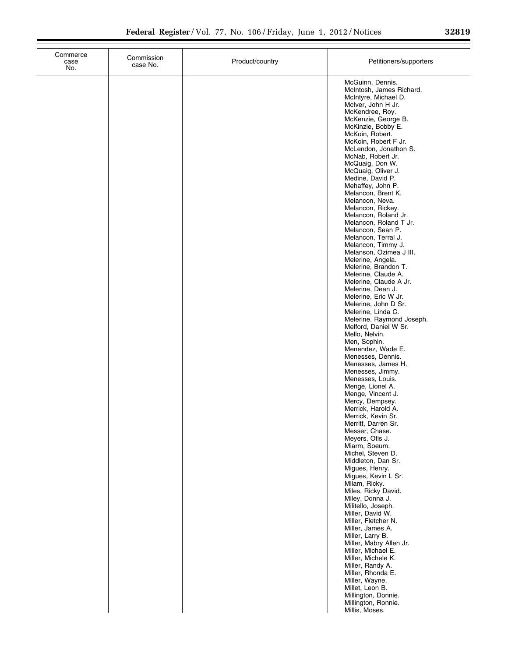|  |  | 32819 |
|--|--|-------|
|  |  |       |

| Commerce<br>case<br>No. | Commission<br>case No. | Product/country | Petitioners/supporters                                                                                                                                                                                                                                                                                                                                                                                                                                                                                                                                                                                                                                                                                                                                                                                                                                                                                                                                                                                                                                                                                                                                                                                                                                                                                                                                               |
|-------------------------|------------------------|-----------------|----------------------------------------------------------------------------------------------------------------------------------------------------------------------------------------------------------------------------------------------------------------------------------------------------------------------------------------------------------------------------------------------------------------------------------------------------------------------------------------------------------------------------------------------------------------------------------------------------------------------------------------------------------------------------------------------------------------------------------------------------------------------------------------------------------------------------------------------------------------------------------------------------------------------------------------------------------------------------------------------------------------------------------------------------------------------------------------------------------------------------------------------------------------------------------------------------------------------------------------------------------------------------------------------------------------------------------------------------------------------|
|                         |                        |                 | McGuinn, Dennis.<br>McIntosh, James Richard.<br>McIntyre, Michael D.<br>McIver, John H Jr.<br>McKendree, Roy.<br>McKenzie, George B.<br>McKinzie, Bobby E.<br>McKoin, Robert.<br>McKoin, Robert F Jr.<br>McLendon, Jonathon S.<br>McNab, Robert Jr.<br>McQuaig, Don W.<br>McQuaig, Oliver J.<br>Medine, David P.<br>Mehaffey, John P.<br>Melancon, Brent K.<br>Melancon, Neva.<br>Melancon, Rickey.<br>Melancon, Roland Jr.<br>Melancon, Roland T Jr.<br>Melancon, Sean P.<br>Melancon, Terral J.<br>Melancon, Timmy J.<br>Melanson, Ozimea J III.<br>Melerine, Angela.<br>Melerine, Brandon T.<br>Melerine, Claude A.<br>Melerine, Claude A Jr.<br>Melerine, Dean J.<br>Melerine, Eric W Jr.<br>Melerine, John D Sr.<br>Melerine, Linda C.<br>Melerine, Raymond Joseph.<br>Melford, Daniel W Sr.<br>Mello, Nelvin.<br>Men, Sophin.<br>Menendez, Wade E.<br>Menesses, Dennis.<br>Menesses, James H.<br>Menesses, Jimmy.<br>Menesses, Louis.<br>Menge, Lionel A.<br>Menge, Vincent J.<br>Mercy, Dempsey.<br>Merrick, Harold A.<br>Merrick, Kevin Sr.<br>Merritt, Darren Sr.<br>Messer, Chase.<br>Meyers, Otis J.<br>Miarm, Soeum.<br>Michel, Steven D.<br>Middleton, Dan Sr.<br>Migues, Henry.<br>Migues, Kevin L Sr.<br>Milam, Ricky.<br>Miles, Ricky David.<br>Miley, Donna J.<br>Militello, Joseph.<br>Miller, David W.<br>Miller, Fletcher N.<br>Miller, James A. |
|                         |                        |                 | Miller, Larry B.<br>Miller, Mabry Allen Jr.<br>Miller, Michael E.<br>Miller, Michele K.<br>Miller, Randy A.<br>Miller, Rhonda E.<br>Miller, Wayne.<br>Millet, Leon B.<br>Millington, Donnie.<br>Millington, Ronnie.<br>Millis, Moses.                                                                                                                                                                                                                                                                                                                                                                                                                                                                                                                                                                                                                                                                                                                                                                                                                                                                                                                                                                                                                                                                                                                                |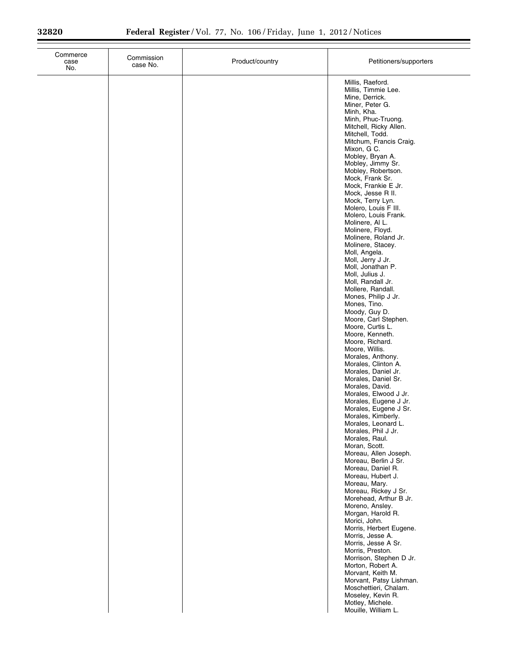| Commerce<br>case<br>No. | Commission<br>case No. | Product/country | Petitioners/supporters                                                                                                                                                                                                                                                                                                                                                                                                                                                                                                                                                                                                                                                                                                                                                                                                                                                                                                                                                                                                                                                                                                                                                                                                                                                                                                                                                                                                                                                 |
|-------------------------|------------------------|-----------------|------------------------------------------------------------------------------------------------------------------------------------------------------------------------------------------------------------------------------------------------------------------------------------------------------------------------------------------------------------------------------------------------------------------------------------------------------------------------------------------------------------------------------------------------------------------------------------------------------------------------------------------------------------------------------------------------------------------------------------------------------------------------------------------------------------------------------------------------------------------------------------------------------------------------------------------------------------------------------------------------------------------------------------------------------------------------------------------------------------------------------------------------------------------------------------------------------------------------------------------------------------------------------------------------------------------------------------------------------------------------------------------------------------------------------------------------------------------------|
|                         |                        |                 | Millis, Raeford.<br>Millis, Timmie Lee.<br>Mine, Derrick.<br>Miner, Peter G.<br>Minh, Kha.<br>Minh, Phuc-Truong.<br>Mitchell, Ricky Allen.<br>Mitchell, Todd.<br>Mitchum, Francis Craig.<br>Mixon, G C.<br>Mobley, Bryan A.<br>Mobley, Jimmy Sr.<br>Mobley, Robertson.<br>Mock, Frank Sr.<br>Mock, Frankie E Jr.<br>Mock, Jesse R II.<br>Mock, Terry Lyn.<br>Molero, Louis F III.<br>Molero, Louis Frank.<br>Molinere, Al L.<br>Molinere, Floyd.<br>Molinere, Roland Jr.<br>Molinere, Stacey.<br>Moll, Angela.<br>Moll, Jerry J Jr.<br>Moll, Jonathan P.<br>Moll, Julius J.<br>Moll, Randall Jr.<br>Mollere, Randall.<br>Mones, Philip J Jr.<br>Mones, Tino.<br>Moody, Guy D.<br>Moore, Carl Stephen.<br>Moore, Curtis L.<br>Moore, Kenneth.<br>Moore, Richard.<br>Moore, Willis.<br>Morales, Anthony.<br>Morales, Clinton A.<br>Morales, Daniel Jr.<br>Morales, Daniel Sr.<br>Morales, David.<br>Morales, Elwood J Jr.<br>Morales, Eugene J Jr.<br>Morales, Eugene J Sr.<br>Morales, Kimberly.<br>Morales, Leonard L.<br>Morales, Phil J Jr.<br>Morales, Raul.<br>Moran, Scott.<br>Moreau, Allen Joseph.<br>Moreau, Berlin J Sr.<br>Moreau, Daniel R.<br>Moreau, Hubert J.<br>Moreau, Mary.<br>Moreau, Rickey J Sr.<br>Morehead, Arthur B Jr.<br>Moreno, Ansley.<br>Morgan, Harold R.<br>Morici, John.<br>Morris, Herbert Eugene.<br>Morris, Jesse A.<br>Morris, Jesse A Sr.<br>Morris, Preston.<br>Morrison, Stephen D Jr.<br>Morton, Robert A.<br>Morvant, Keith M. |
|                         |                        |                 | Morvant, Patsy Lishman.<br>Moschettieri, Chalam.<br>Moseley, Kevin R.<br>Motley, Michele.<br>Mouille, William L.                                                                                                                                                                                                                                                                                                                                                                                                                                                                                                                                                                                                                                                                                                                                                                                                                                                                                                                                                                                                                                                                                                                                                                                                                                                                                                                                                       |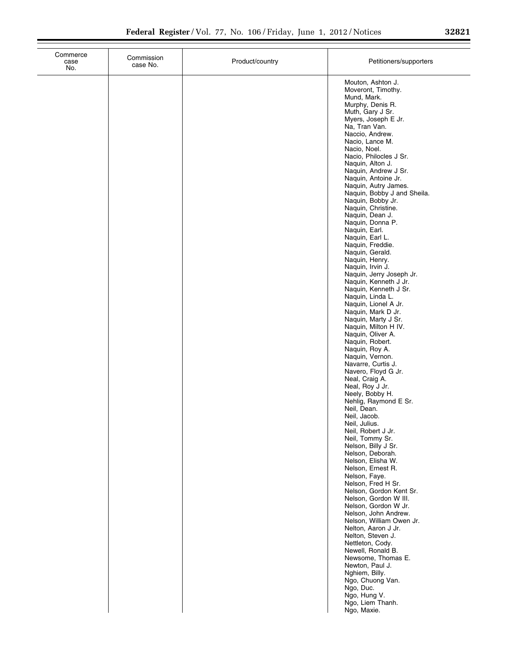| 32821 |  |
|-------|--|

| Commerce<br>case<br>No. | Commission<br>case No. | Product/country | Petitioners/supporters                                                                                                                                                                                                                                                                                                                                                                                                                                                                                                                                                                                                                                                                                                                                                                                                                                                                                                                                                                                                                                                                                                                                                                                                                                                                                                                    |
|-------------------------|------------------------|-----------------|-------------------------------------------------------------------------------------------------------------------------------------------------------------------------------------------------------------------------------------------------------------------------------------------------------------------------------------------------------------------------------------------------------------------------------------------------------------------------------------------------------------------------------------------------------------------------------------------------------------------------------------------------------------------------------------------------------------------------------------------------------------------------------------------------------------------------------------------------------------------------------------------------------------------------------------------------------------------------------------------------------------------------------------------------------------------------------------------------------------------------------------------------------------------------------------------------------------------------------------------------------------------------------------------------------------------------------------------|
|                         |                        |                 | Mouton, Ashton J.<br>Moveront, Timothy.<br>Mund, Mark.<br>Murphy, Denis R.<br>Muth, Gary J Sr.<br>Myers, Joseph E Jr.<br>Na, Tran Van.<br>Naccio, Andrew.<br>Nacio, Lance M.<br>Nacio, Noel.<br>Nacio, Philocles J Sr.<br>Naquin, Alton J.<br>Naquin, Andrew J Sr.<br>Naquin, Antoine Jr.<br>Naquin, Autry James.<br>Naquin, Bobby J and Sheila.<br>Naquin, Bobby Jr.<br>Naquin, Christine.<br>Naquin, Dean J.<br>Naquin, Donna P.<br>Naquin, Earl.<br>Naquin, Earl L.<br>Naquin, Freddie.<br>Naquin, Gerald.<br>Naquin, Henry.<br>Naquin, Irvin J.<br>Naquin, Jerry Joseph Jr.<br>Naquin, Kenneth J Jr.<br>Naquin, Kenneth J Sr.<br>Naquin, Linda L.<br>Naquin, Lionel A Jr.<br>Naquin, Mark D Jr.<br>Naquin, Marty J Sr.<br>Naquin, Milton H IV.<br>Naquin, Oliver A.<br>Naquin, Robert.<br>Naquin, Roy A.<br>Naquin, Vernon.<br>Navarre, Curtis J.<br>Navero, Floyd G Jr.<br>Neal, Craig A.<br>Neal, Roy J Jr.<br>Neely, Bobby H.<br>Nehlig, Raymond E Sr.<br>Neil, Dean.<br>Neil, Jacob.<br>Neil, Julius.<br>Neil, Robert J Jr.<br>Neil, Tommy Sr.<br>Nelson, Billy J Sr.<br>Nelson, Deborah.<br>Nelson, Elisha W.<br>Nelson, Ernest R.<br>Nelson, Faye.<br>Nelson, Fred H Sr.<br>Nelson, Gordon Kent Sr.<br>Nelson, Gordon W III.<br>Nelson, Gordon W Jr.<br>Nelson, John Andrew.<br>Nelson, William Owen Jr.<br>Nelton, Aaron J Jr. |
|                         |                        |                 | Nelton, Steven J.<br>Nettleton, Cody.<br>Newell, Ronald B.<br>Newsome, Thomas E.<br>Newton, Paul J.<br>Nghiem, Billy.<br>Ngo, Chuong Van.<br>Ngo, Duc.<br>Ngo, Hung V.<br>Ngo, Liem Thanh.<br>Ngo, Maxie.                                                                                                                                                                                                                                                                                                                                                                                                                                                                                                                                                                                                                                                                                                                                                                                                                                                                                                                                                                                                                                                                                                                                 |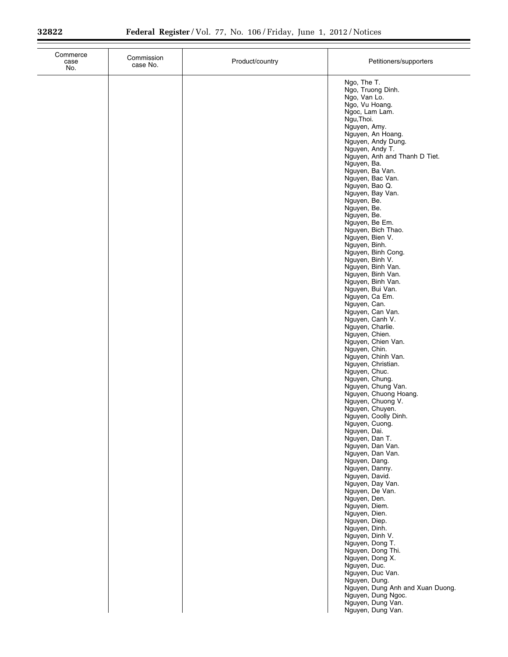$\equiv$ 

Ξ

| Commerce<br>case<br>No. | Commission<br>case No. | Product/country | Petitioners/supporters                                                                                                                                                                                                                                                                                                                                                                                                                                                                                                                                                                                                                                                                                                                                                                                                                                                                                                                                                                                                                                                                      |
|-------------------------|------------------------|-----------------|---------------------------------------------------------------------------------------------------------------------------------------------------------------------------------------------------------------------------------------------------------------------------------------------------------------------------------------------------------------------------------------------------------------------------------------------------------------------------------------------------------------------------------------------------------------------------------------------------------------------------------------------------------------------------------------------------------------------------------------------------------------------------------------------------------------------------------------------------------------------------------------------------------------------------------------------------------------------------------------------------------------------------------------------------------------------------------------------|
|                         |                        |                 | Ngo, The T.<br>Ngo, Truong Dinh.<br>Ngo, Van Lo.<br>Ngo, Vu Hoang.<br>Ngoc, Lam Lam.<br>Ngu, Thoi.<br>Nguyen, Amy.<br>Nguyen, An Hoang.<br>Nguyen, Andy Dung.<br>Nguyen, Andy T.<br>Nguyen, Anh and Thanh D Tiet.<br>Nguyen, Ba.<br>Nguyen, Ba Van.<br>Nguyen, Bac Van.<br>Nguyen, Bao Q.<br>Nguyen, Bay Van.<br>Nguyen, Be.<br>Nguyen, Be.<br>Nguyen, Be.<br>Nguyen, Be Em.<br>Nguyen, Bich Thao.<br>Nguyen, Bien V.<br>Nguyen, Binh.<br>Nguyen, Binh Cong.<br>Nguyen, Binh V.<br>Nguyen, Binh Van.<br>Nguyen, Binh Van.<br>Nguyen, Binh Van.<br>Nguyen, Bui Van.<br>Nguyen, Ca Em.<br>Nguyen, Can.<br>Nguyen, Can Van.<br>Nguyen, Canh V.<br>Nguyen, Charlie.<br>Nguyen, Chien.<br>Nguyen, Chien Van.<br>Nguyen, Chin.<br>Nguyen, Chinh Van.<br>Nguyen, Christian.<br>Nguyen, Chuc.<br>Nguyen, Chung.<br>Nguyen, Chung Van.<br>Nguyen, Chuong Hoang.<br>Nguyen, Chuong V.<br>Nguyen, Chuyen.<br>Nguyen, Coolly Dinh.<br>Nguyen, Cuong.<br>Nguyen, Dai.<br>Nguyen, Dan T.<br>Nguyen, Dan Van.<br>Nguyen, Dan Van.<br>Nguyen, Dang.<br>Nguyen, Danny.<br>Nguyen, David.<br>Nguyen, Day Van. |
|                         |                        |                 | Nguyen, De Van.<br>Nguyen, Den.<br>Nguyen, Diem.                                                                                                                                                                                                                                                                                                                                                                                                                                                                                                                                                                                                                                                                                                                                                                                                                                                                                                                                                                                                                                            |
|                         |                        |                 | Nguyen, Dien.<br>Nguyen, Diep.<br>Nguyen, Dinh.<br>Nguyen, Dinh V.<br>Nguyen, Dong T.                                                                                                                                                                                                                                                                                                                                                                                                                                                                                                                                                                                                                                                                                                                                                                                                                                                                                                                                                                                                       |
|                         |                        |                 | Nguyen, Dong Thi.<br>Nguyen, Dong X.<br>Nguyen, Duc.<br>Nguyen, Duc Van.<br>Nguyen, Dung.<br>Nguyen, Dung Anh and Xuan Duong.                                                                                                                                                                                                                                                                                                                                                                                                                                                                                                                                                                                                                                                                                                                                                                                                                                                                                                                                                               |
|                         |                        |                 | Nguyen, Dung Ngoc.<br>Nguyen, Dung Van.<br>Nguyen, Dung Van.                                                                                                                                                                                                                                                                                                                                                                                                                                                                                                                                                                                                                                                                                                                                                                                                                                                                                                                                                                                                                                |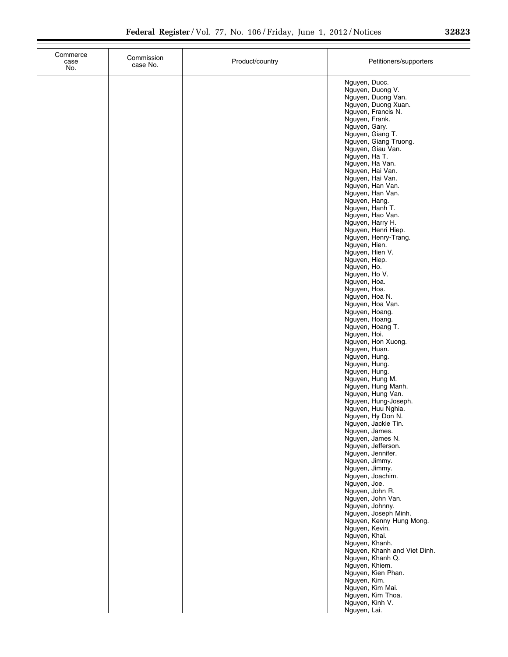| Commerce<br>case<br>No. | Commission<br>case No. | Product/country | Petitioners/supporters                                                         |
|-------------------------|------------------------|-----------------|--------------------------------------------------------------------------------|
|                         |                        |                 | Nguyen, Duoc.<br>Nguyen, Duong V.<br>Nguyen, Duong Van.<br>Nguyen, Duong Xuan. |
|                         |                        |                 | Nguyen, Francis N.<br>Nguyen, Frank.                                           |
|                         |                        |                 | Nguyen, Gary.<br>Nguyen, Giang T.                                              |
|                         |                        |                 | Nguyen, Giang Truong.<br>Nguyen, Giau Van.<br>Nguyen, Ha T.                    |
|                         |                        |                 | Nguyen, Ha Van.<br>Nguyen, Hai Van.                                            |
|                         |                        |                 | Nguyen, Hai Van.<br>Nguyen, Han Van.<br>Nguyen, Han Van.                       |
|                         |                        |                 | Nguyen, Hang.<br>Nguyen, Hanh T.                                               |
|                         |                        |                 | Nguyen, Hao Van.<br>Nguyen, Harry H.<br>Nguyen, Henri Hiep.                    |
|                         |                        |                 | Nguyen, Henry-Trang.<br>Nguyen, Hien.                                          |
|                         |                        |                 | Nguyen, Hien V.<br>Nguyen, Hiep.<br>Nguyen, Ho.                                |
|                         |                        |                 | Nguyen, Ho V.<br>Nguyen, Hoa.                                                  |
|                         |                        |                 | Nguyen, Hoa.<br>Nguyen, Hoa N.<br>Nguyen, Hoa Van.                             |
|                         |                        |                 | Nguyen, Hoang.<br>Nguyen, Hoang.                                               |
|                         |                        |                 | Nguyen, Hoang T.<br>Nguyen, Hoi.<br>Nguyen, Hon Xuong.                         |
|                         |                        |                 | Nguyen, Huan.<br>Nguyen, Hung.                                                 |
|                         |                        |                 | Nguyen, Hung.<br>Nguyen, Hung.<br>Nguyen, Hung M.                              |
|                         |                        |                 | Nguyen, Hung Manh.<br>Nguyen, Hung Van.<br>Nguyen, Hung-Joseph.                |
|                         |                        |                 | Nguyen, Huu Nghia.<br>Nguyen, Hy Don N.                                        |
|                         |                        |                 | Nguyen, Jackie Tin.<br>Nguyen, James.                                          |
|                         |                        |                 | Nguyen, James N.<br>Nguyen, Jefferson.<br>Nguyen, Jennifer.                    |
|                         |                        |                 | Nguyen, Jimmy.<br>Nguyen, Jimmy.<br>Nguyen, Joachim.                           |
|                         |                        |                 | Nguyen, Joe.<br>Nguyen, John R.                                                |
|                         |                        |                 | Nguyen, John Van.<br>Nguyen, Johnny.<br>Nguyen, Joseph Minh.                   |
|                         |                        |                 | Nguyen, Kenny Hung Mong.<br>Nguyen, Kevin.                                     |
|                         |                        |                 | Nguyen, Khai.<br>Nguyen, Khanh.<br>Nguyen, Khanh and Viet Dinh.                |
|                         |                        |                 | Nguyen, Khanh Q.<br>Nguyen, Khiem.                                             |
|                         |                        |                 | Nguyen, Kien Phan.<br>Nguyen, Kim.<br>Nguyen, Kim Mai.                         |
|                         |                        |                 | Nguyen, Kim Thoa.<br>Nguyen, Kinh V.                                           |
|                         |                        |                 | Nguyen, Lai.                                                                   |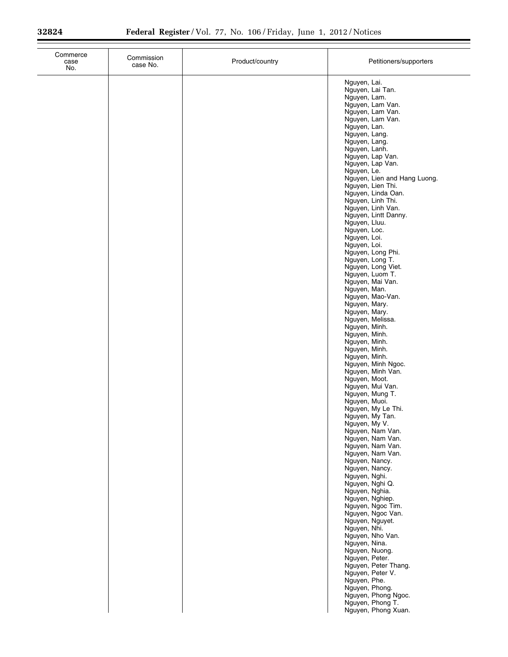| Commerce<br>case<br>No. | Commission<br>case No. | Product/country | Petitioners/supporters                  |
|-------------------------|------------------------|-----------------|-----------------------------------------|
|                         |                        |                 | Nguyen, Lai.<br>Nguyen, Lai Tan.        |
|                         |                        |                 | Nguyen, Lam.                            |
|                         |                        |                 | Nguyen, Lam Van.<br>Nguyen, Lam Van.    |
|                         |                        |                 | Nguyen, Lam Van.                        |
|                         |                        |                 | Nguyen, Lan.                            |
|                         |                        |                 | Nguyen, Lang.<br>Nguyen, Lang.          |
|                         |                        |                 | Nguyen, Lanh.                           |
|                         |                        |                 | Nguyen, Lap Van.                        |
|                         |                        |                 | Nguyen, Lap Van.<br>Nguyen, Le.         |
|                         |                        |                 | Nguyen, Lien and Hang Luong.            |
|                         |                        |                 | Nguyen, Lien Thi.                       |
|                         |                        |                 | Nguyen, Linda Oan.                      |
|                         |                        |                 | Nguyen, Linh Thi.<br>Nguyen, Linh Van.  |
|                         |                        |                 | Nguyen, Lintt Danny.                    |
|                         |                        |                 | Nguyen, Lluu.                           |
|                         |                        |                 | Nguyen, Loc.<br>Nguyen, Loi.            |
|                         |                        |                 | Nguyen, Loi.                            |
|                         |                        |                 | Nguyen, Long Phi.                       |
|                         |                        |                 | Nguyen, Long T.<br>Nguyen, Long Viet.   |
|                         |                        |                 | Nguyen, Luom T.                         |
|                         |                        |                 | Nguyen, Mai Van.                        |
|                         |                        |                 | Nguyen, Man.<br>Nguyen, Mao-Van.        |
|                         |                        |                 | Nguyen, Mary.                           |
|                         |                        |                 | Nguyen, Mary.                           |
|                         |                        |                 | Nguyen, Melissa.                        |
|                         |                        |                 | Nguyen, Minh.<br>Nguyen, Minh.          |
|                         |                        |                 | Nguyen, Minh.                           |
|                         |                        |                 | Nguyen, Minh.                           |
|                         |                        |                 | Nguyen, Minh.<br>Nguyen, Minh Ngoc.     |
|                         |                        |                 | Nguyen, Minh Van.                       |
|                         |                        |                 | Nguyen, Moot.                           |
|                         |                        |                 | Nguyen, Mui Van.<br>Nguyen, Mung T.     |
|                         |                        |                 | Nguyen, Muoi.                           |
|                         |                        |                 | Nguyen, My Le Thi.                      |
|                         |                        |                 | Nguyen, My Tan.<br>Nguyen, My V.        |
|                         |                        |                 | Nguyen, Nam Van.                        |
|                         |                        |                 | Nguyen, Nam Van.                        |
|                         |                        |                 | Nguyen, Nam Van.<br>Nguyen, Nam Van.    |
|                         |                        |                 | Nguyen, Nancy.                          |
|                         |                        |                 | Nguyen, Nancy.                          |
|                         |                        |                 | Nguyen, Nghi.<br>Nguyen, Nghi Q.        |
|                         |                        |                 | Nguyen, Nghia.                          |
|                         |                        |                 | Nguyen, Nghiep.                         |
|                         |                        |                 | Nguyen, Ngoc Tim.<br>Nguyen, Ngoc Van.  |
|                         |                        |                 | Nguyen, Nguyet.                         |
|                         |                        |                 | Nguyen, Nhi.                            |
|                         |                        |                 | Nguyen, Nho Van.<br>Nguyen, Nina.       |
|                         |                        |                 | Nguyen, Nuong.                          |
|                         |                        |                 | Nguyen, Peter.                          |
|                         |                        |                 | Nguyen, Peter Thang.                    |
|                         |                        |                 | Nguyen, Peter V.<br>Nguyen, Phe.        |
|                         |                        |                 | Nguyen, Phong.                          |
|                         |                        |                 | Nguyen, Phong Ngoc.                     |
|                         |                        |                 | Nguyen, Phong T.<br>Nguyen, Phong Xuan. |
|                         |                        |                 |                                         |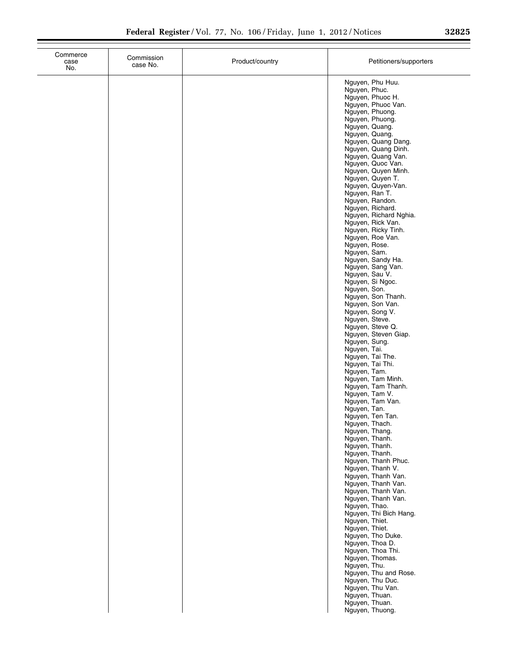| Commerce<br>case<br>No. | Commission<br>case No. | Product/country | Petitioners/supporters                                |
|-------------------------|------------------------|-----------------|-------------------------------------------------------|
|                         |                        |                 | Nguyen, Phu Huu.<br>Nguyen, Phuc.<br>Nguyen, Phuoc H. |
|                         |                        |                 | Nguyen, Phuoc Van.<br>Nguyen, Phuong.                 |
|                         |                        |                 | Nguyen, Phuong.<br>Nguyen, Quang.                     |
|                         |                        |                 | Nguyen, Quang.<br>Nguyen, Quang Dang.                 |
|                         |                        |                 | Nguyen, Quang Dinh.                                   |
|                         |                        |                 | Nguyen, Quang Van.<br>Nguyen, Quoc Van.               |
|                         |                        |                 | Nguyen, Quyen Minh.<br>Nguyen, Quyen T.               |
|                         |                        |                 | Nguyen, Quyen-Van.<br>Nguyen, Ran T.                  |
|                         |                        |                 | Nguyen, Randon.<br>Nguyen, Richard.                   |
|                         |                        |                 | Nguyen, Richard Nghia.<br>Nguyen, Rick Van.           |
|                         |                        |                 | Nguyen, Ricky Tinh.<br>Nguyen, Roe Van.               |
|                         |                        |                 | Nguyen, Rose.<br>Nguyen, Sam.                         |
|                         |                        |                 | Nguyen, Sandy Ha.                                     |
|                         |                        |                 | Nguyen, Sang Van.<br>Nguyen, Sau V.                   |
|                         |                        |                 | Nguyen, Si Ngoc.<br>Nguyen, Son.                      |
|                         |                        |                 | Nguyen, Son Thanh.<br>Nguyen, Son Van.                |
|                         |                        |                 | Nguyen, Song V.<br>Nguyen, Steve.                     |
|                         |                        |                 | Nguyen, Steve Q.                                      |
|                         |                        |                 | Nguyen, Steven Giap.<br>Nguyen, Sung.                 |
|                         |                        |                 | Nguyen, Tai.<br>Nguyen, Tai The.                      |
|                         |                        |                 | Nguyen, Tai Thi.<br>Nguyen, Tam.                      |
|                         |                        |                 | Nguyen, Tam Minh.<br>Nguyen, Tam Thanh.               |
|                         |                        |                 | Nguyen, Tam V.<br>Nguyen, Tam Van.                    |
|                         |                        |                 | Nguyen, Tan.                                          |
|                         |                        |                 | Nguyen, Ten Tan.<br>Nguyen, Thach.                    |
|                         |                        |                 | Nguyen, Thang.<br>Nguyen, Thanh.                      |
|                         |                        |                 | Nguyen, Thanh.<br>Nguyen, Thanh.                      |
|                         |                        |                 | Nguyen, Thanh Phuc.<br>Nguyen, Thanh V.               |
|                         |                        |                 | Nguyen, Thanh Van.<br>Nguyen, Thanh Van.              |
|                         |                        |                 | Nguyen, Thanh Van.                                    |
|                         |                        |                 | Nguyen, Thanh Van.<br>Nguyen, Thao.                   |
|                         |                        |                 | Nguyen, Thi Bich Hang.<br>Nguyen, Thiet.              |
|                         |                        |                 | Nguyen, Thiet.<br>Nguyen, Tho Duke.                   |
|                         |                        |                 | Nguyen, Thoa D.<br>Nguyen, Thoa Thi.                  |
|                         |                        |                 | Nguyen, Thomas.<br>Nguyen, Thu.                       |
|                         |                        |                 | Nguyen, Thu and Rose.                                 |
|                         |                        |                 | Nguyen, Thu Duc.<br>Nguyen, Thu Van.                  |
|                         |                        |                 | Nguyen, Thuan.<br>Nguyen, Thuan.                      |
|                         |                        |                 | Nguyen, Thuong.                                       |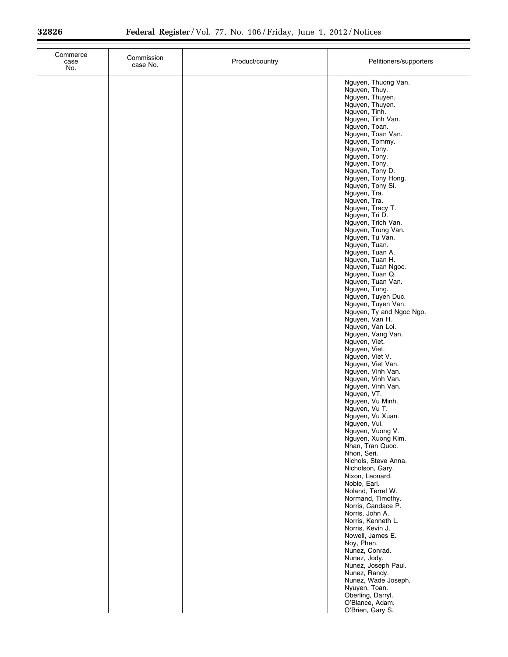| Commerce<br>case<br>No. | Commission<br>case No. | Product/country | Petitioners/supporters                                                                                                                                                                                                                                                                                                                                                                                                                                                                                                                                                                                                                                                                                                                                                                                                                                                                              |
|-------------------------|------------------------|-----------------|-----------------------------------------------------------------------------------------------------------------------------------------------------------------------------------------------------------------------------------------------------------------------------------------------------------------------------------------------------------------------------------------------------------------------------------------------------------------------------------------------------------------------------------------------------------------------------------------------------------------------------------------------------------------------------------------------------------------------------------------------------------------------------------------------------------------------------------------------------------------------------------------------------|
|                         |                        |                 | Nguyen, Thuong Van.<br>Nguyen, Thuy.<br>Nguyen, Thuyen.<br>Nguyen, Thuyen.<br>Nguyen, Tinh.<br>Nguyen, Tinh Van.<br>Nguyen, Toan.<br>Nguyen, Toan Van.<br>Nguyen, Tommy.<br>Nguyen, Tony.<br>Nguyen, Tony.<br>Nguyen, Tony.<br>Nguyen, Tony D.<br>Nguyen, Tony Hong.<br>Nguyen, Tony Si.<br>Nguyen, Tra.<br>Nguyen, Tra.<br>Nguyen, Tracy T.<br>Nguyen, Tri D.<br>Nguyen, Trich Van.<br>Nguyen, Trung Van.<br>Nguyen, Tu Van.<br>Nguyen, Tuan.<br>Nguyen, Tuan A.<br>Nguyen, Tuan H.<br>Nguyen, Tuan Ngoc.<br>Nguyen, Tuan Q.<br>Nguyen, Tuan Van.<br>Nguyen, Tung.<br>Nguyen, Tuyen Duc.<br>Nguyen, Tuyen Van.<br>Nguyen, Ty and Ngoc Ngo.<br>Nguyen, Van H.<br>Nguyen, Van Loi.<br>Nguyen, Vang Van.<br>Nguyen, Viet.<br>Nguyen, Viet.<br>Nguyen, Viet V.<br>Nguyen, Viet Van.<br>Nguyen, Vinh Van.<br>Nguyen, Vinh Van.<br>Nguyen, Vinh Van.<br>Nguyen, VT.<br>Nguyen, Vu Minh.<br>Nguyen, Vu T. |
|                         |                        |                 | Nguyen, Vu Xuan.<br>Nguyen, Vui.<br>Nguyen, Vuong V.<br>Nguyen, Xuong Kim.<br>Nhan, Tran Quoc.<br>Nhon, Seri.<br>Nichols, Steve Anna.<br>Nicholson, Gary.                                                                                                                                                                                                                                                                                                                                                                                                                                                                                                                                                                                                                                                                                                                                           |
|                         |                        |                 | Nixon, Leonard.<br>Noble, Earl.<br>Noland, Terrel W.<br>Normand, Timothy.<br>Norris, Candace P.<br>Norris, John A.<br>Norris, Kenneth L.<br>Norris, Kevin J.<br>Nowell, James E.<br>Noy, Phen.<br>Nunez, Conrad.<br>Nunez, Jody.<br>Nunez, Joseph Paul.<br>Nunez, Randy.<br>Nunez, Wade Joseph.<br>Nyuyen, Toan.                                                                                                                                                                                                                                                                                                                                                                                                                                                                                                                                                                                    |
|                         |                        |                 | Oberling, Darryl.<br>O'Blance, Adam.<br>O'Brien, Gary S.                                                                                                                                                                                                                                                                                                                                                                                                                                                                                                                                                                                                                                                                                                                                                                                                                                            |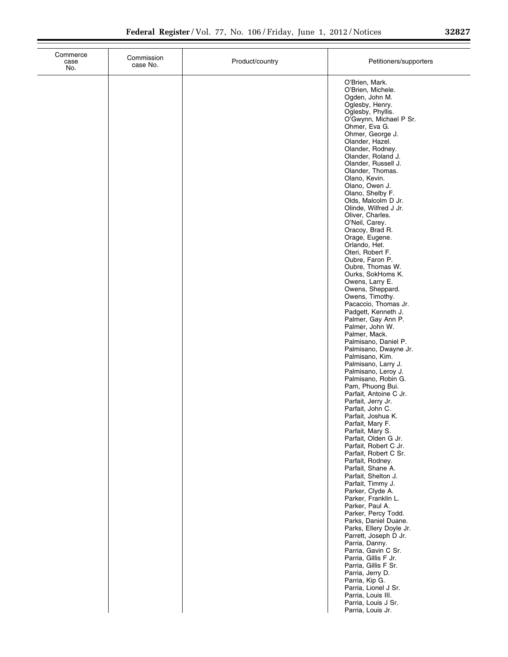| Commerce<br>case<br>No. | Commission<br>case No. | Product/country | Petitioners/supporters                                                                                                                                                                                                                                                                                                                                                                                                                                                                                                                                                                                                                    |
|-------------------------|------------------------|-----------------|-------------------------------------------------------------------------------------------------------------------------------------------------------------------------------------------------------------------------------------------------------------------------------------------------------------------------------------------------------------------------------------------------------------------------------------------------------------------------------------------------------------------------------------------------------------------------------------------------------------------------------------------|
|                         |                        |                 | O'Brien, Mark.<br>O'Brien, Michele.<br>Ogden, John M.<br>Oglesby, Henry.<br>Oglesby, Phyllis.<br>O'Gwynn, Michael P Sr.<br>Ohmer, Eva G.<br>Ohmer, George J.<br>Olander, Hazel.<br>Olander, Rodney.<br>Olander, Roland J.<br>Olander, Russell J.<br>Olander, Thomas.<br>Olano, Kevin.<br>Olano, Owen J.<br>Olano, Shelby F.<br>Olds, Malcolm D Jr.<br>Olinde, Wilfred J Jr.<br>Oliver, Charles.<br>O'Neil, Carey.<br>Oracoy, Brad R.<br>Orage, Eugene.<br>Orlando, Het.<br>Oteri, Robert F.<br>Oubre, Faron P.<br>Oubre, Thomas W.<br>Ourks, SokHoms K.<br>Owens, Larry E.<br>Owens, Sheppard.<br>Owens, Timothy.<br>Pacaccio, Thomas Jr. |
|                         |                        |                 | Padgett, Kenneth J.<br>Palmer, Gay Ann P.<br>Palmer, John W.<br>Palmer, Mack.<br>Palmisano, Daniel P.<br>Palmisano, Dwayne Jr.<br>Palmisano, Kim.                                                                                                                                                                                                                                                                                                                                                                                                                                                                                         |
|                         |                        |                 | Palmisano, Larry J.<br>Palmisano, Leroy J.<br>Palmisano, Robin G.<br>Pam, Phuong Bui.<br>Parfait, Antoine C Jr.<br>Parfait, Jerry Jr.<br>Parfait, John C.                                                                                                                                                                                                                                                                                                                                                                                                                                                                                 |
|                         |                        |                 | Parfait, Joshua K.<br>Parfait, Mary F.<br>Parfait, Mary S.<br>Parfait, Olden G Jr.<br>Parfait, Robert C Jr.<br>Parfait, Robert C Sr.<br>Parfait, Rodney.<br>Parfait, Shane A.                                                                                                                                                                                                                                                                                                                                                                                                                                                             |
|                         |                        |                 | Parfait, Shelton J.<br>Parfait, Timmy J.<br>Parker, Clyde A.<br>Parker, Franklin L.<br>Parker, Paul A.<br>Parker, Percy Todd.<br>Parks, Daniel Duane.                                                                                                                                                                                                                                                                                                                                                                                                                                                                                     |
|                         |                        |                 | Parks, Ellery Doyle Jr.<br>Parrett, Joseph D Jr.<br>Parria, Danny.<br>Parria, Gavin C Sr.<br>Parria, Gillis F Jr.<br>Parria, Gillis F Sr.<br>Parria, Jerry D.                                                                                                                                                                                                                                                                                                                                                                                                                                                                             |
|                         |                        |                 | Parria, Kip G.<br>Parria, Lionel J Sr.<br>Parria, Louis III.<br>Parria, Louis J Sr.<br>Parria, Louis Jr.                                                                                                                                                                                                                                                                                                                                                                                                                                                                                                                                  |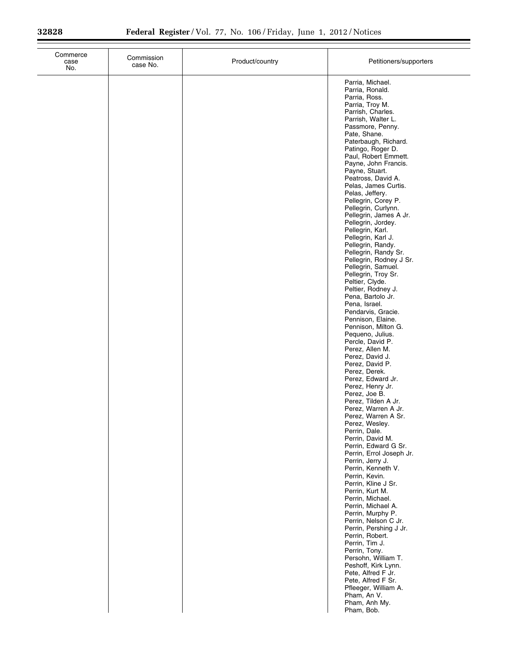| Commerce<br>case<br>No. | Commission<br>case No. | Product/country | Petitioners/supporters                                                                                                                                                                                                                                                                                                                                                                                                                                                                                                                                                                                                                                                                                                                                                                                                                                                                                                                                                                                                                                                                                                                                                                                                                                                                                                                                     |
|-------------------------|------------------------|-----------------|------------------------------------------------------------------------------------------------------------------------------------------------------------------------------------------------------------------------------------------------------------------------------------------------------------------------------------------------------------------------------------------------------------------------------------------------------------------------------------------------------------------------------------------------------------------------------------------------------------------------------------------------------------------------------------------------------------------------------------------------------------------------------------------------------------------------------------------------------------------------------------------------------------------------------------------------------------------------------------------------------------------------------------------------------------------------------------------------------------------------------------------------------------------------------------------------------------------------------------------------------------------------------------------------------------------------------------------------------------|
|                         |                        |                 | Parria, Michael.<br>Parria, Ronald.<br>Parria, Ross.<br>Parria, Troy M.<br>Parrish, Charles.<br>Parrish, Walter L.<br>Passmore, Penny.<br>Pate, Shane.<br>Paterbaugh, Richard.<br>Patingo, Roger D.<br>Paul, Robert Emmett.<br>Payne, John Francis.<br>Payne, Stuart.<br>Peatross, David A.<br>Pelas, James Curtis.<br>Pelas, Jeffery.<br>Pellegrin, Corey P.<br>Pellegrin, Curlynn.<br>Pellegrin, James A Jr.<br>Pellegrin, Jordey.<br>Pellegrin, Karl.<br>Pellegrin, Karl J.<br>Pellegrin, Randy.<br>Pellegrin, Randy Sr.<br>Pellegrin, Rodney J Sr.<br>Pellegrin, Samuel.<br>Pellegrin, Troy Sr.<br>Peltier, Clyde.<br>Peltier, Rodney J.<br>Pena, Bartolo Jr.<br>Pena, Israel.<br>Pendarvis, Gracie.<br>Pennison, Elaine.<br>Pennison, Milton G.<br>Pequeno, Julius.<br>Percle, David P.<br>Perez, Allen M.<br>Perez, David J.<br>Perez, David P.<br>Perez, Derek.<br>Perez, Edward Jr.<br>Perez, Henry Jr.<br>Perez, Joe B.<br>Perez, Tilden A Jr.<br>Perez, Warren A Jr.<br>Perez, Warren A Sr.<br>Perez, Wesley.<br>Perrin, Dale.<br>Perrin, David M.<br>Perrin, Edward G Sr.<br>Perrin, Errol Joseph Jr.<br>Perrin, Jerry J.<br>Perrin, Kenneth V.<br>Perrin, Kevin.<br>Perrin, Kline J Sr.<br>Perrin, Kurt M.<br>Perrin, Michael.<br>Perrin, Michael A.<br>Perrin, Murphy P.<br>Perrin, Nelson C Jr.<br>Perrin, Pershing J Jr.<br>Perrin, Robert. |
|                         |                        |                 | Perrin, Tim J.<br>Perrin, Tony.<br>Persohn, William T.<br>Peshoff, Kirk Lynn.<br>Pete, Alfred F Jr.<br>Pete, Alfred F Sr.<br>Pfleeger, William A.<br>Pham, An V.<br>Pham, Anh My.<br>Pham, Bob.                                                                                                                                                                                                                                                                                                                                                                                                                                                                                                                                                                                                                                                                                                                                                                                                                                                                                                                                                                                                                                                                                                                                                            |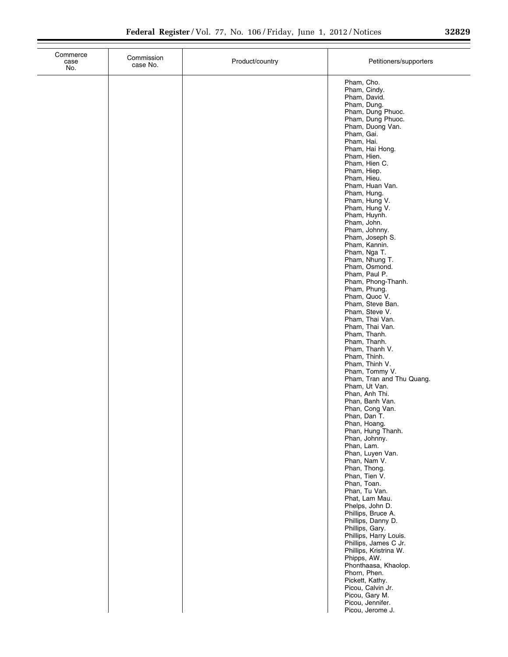| Commerce<br>case<br>No. | Commission<br>case No. | Product/country | Petitioners/supporters                                                                                                                                                                                                                                                                                                    |
|-------------------------|------------------------|-----------------|---------------------------------------------------------------------------------------------------------------------------------------------------------------------------------------------------------------------------------------------------------------------------------------------------------------------------|
|                         |                        |                 | Pham, Cho.<br>Pham, Cindy.<br>Pham, David.<br>Pham, Dung.<br>Pham, Dung Phuoc.<br>Pham, Dung Phuoc.<br>Pham, Duong Van.<br>Pham, Gai.<br>Pham, Hai.<br>Pham, Hai Hong.<br>Pham, Hien.<br>Pham, Hien C.<br>Pham, Hiep.<br>Pham, Hieu.<br>Pham, Huan Van.<br>Pham, Hung.<br>Pham, Hung V.<br>Pham, Hung V.                  |
|                         |                        |                 | Pham, Huynh.<br>Pham, John.<br>Pham, Johnny.<br>Pham, Joseph S.<br>Pham, Kannin.<br>Pham, Nga T.<br>Pham, Nhung T.<br>Pham, Osmond.<br>Pham, Paul P.<br>Pham, Phong-Thanh.<br>Pham, Phung.<br>Pham, Quoc V.<br>Pham, Steve Ban.<br>Pham, Steve V.<br>Pham, Thai Van.<br>Pham, Thai Van.                                   |
|                         |                        |                 | Pham, Thanh.<br>Pham, Thanh.<br>Pham, Thanh V.<br>Pham, Thinh.<br>Pham, Thinh V.<br>Pham, Tommy V.<br>Pham, Tran and Thu Quang.<br>Pham, Ut Van.<br>Phan, Anh Thi.<br>Phan, Banh Van.<br>Phan, Cong Van.<br>Phan, Dan T.<br>Phan, Hoang.<br>Phan, Hung Thanh.<br>Phan, Johnny.<br>Phan, Lam.                              |
|                         |                        |                 | Phan, Luyen Van.<br>Phan, Nam V.<br>Phan, Thong.<br>Phan, Tien V.<br>Phan, Toan.<br>Phan, Tu Van.<br>Phat, Lam Mau.<br>Phelps, John D.<br>Phillips, Bruce A.<br>Phillips, Danny D.<br>Phillips, Gary.<br>Phillips, Harry Louis.<br>Phillips, James C Jr.<br>Phillips, Kristrina W.<br>Phipps, AW.<br>Phonthaasa, Khaolop. |
|                         |                        |                 | Phorn, Phen.<br>Pickett, Kathy.<br>Picou, Calvin Jr.<br>Picou, Gary M.<br>Picou, Jennifer.<br>Picou, Jerome J.                                                                                                                                                                                                            |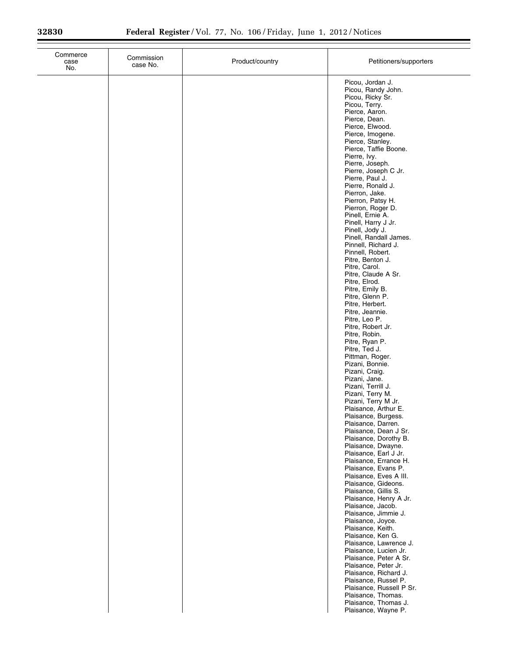| Commerce<br>case<br>No. | Commission<br>case No. | Product/country | Petitioners/supporters                                     |
|-------------------------|------------------------|-----------------|------------------------------------------------------------|
|                         |                        |                 | Picou, Jordan J.<br>Picou, Randy John.<br>Picou, Ricky Sr. |
|                         |                        |                 | Picou, Terry.<br>Pierce, Aaron.<br>Pierce, Dean.           |
|                         |                        |                 | Pierce, Elwood.                                            |
|                         |                        |                 | Pierce, Imogene.<br>Pierce, Stanley.                       |
|                         |                        |                 | Pierce, Taffie Boone.<br>Pierre, Ivy.                      |
|                         |                        |                 | Pierre, Joseph.<br>Pierre, Joseph C Jr.                    |
|                         |                        |                 | Pierre, Paul J.<br>Pierre, Ronald J.                       |
|                         |                        |                 | Pierron, Jake.<br>Pierron, Patsy H.                        |
|                         |                        |                 | Pierron, Roger D.<br>Pinell, Ernie A.                      |
|                         |                        |                 | Pinell, Harry J Jr.<br>Pinell, Jody J.                     |
|                         |                        |                 | Pinell, Randall James.                                     |
|                         |                        |                 | Pinnell, Richard J.<br>Pinnell, Robert.                    |
|                         |                        |                 | Pitre, Benton J.<br>Pitre, Carol.                          |
|                         |                        |                 | Pitre, Claude A Sr.<br>Pitre, Elrod.                       |
|                         |                        |                 | Pitre, Emily B.<br>Pitre, Glenn P.                         |
|                         |                        |                 | Pitre, Herbert.<br>Pitre, Jeannie.                         |
|                         |                        |                 | Pitre, Leo P.<br>Pitre, Robert Jr.                         |
|                         |                        |                 | Pitre, Robin.                                              |
|                         |                        |                 | Pitre, Ryan P.<br>Pitre, Ted J.                            |
|                         |                        |                 | Pittman, Roger.<br>Pizani, Bonnie.                         |
|                         |                        |                 | Pizani, Craig.<br>Pizani, Jane.                            |
|                         |                        |                 | Pizani, Terrill J.<br>Pizani, Terry M.                     |
|                         |                        |                 | Pizani, Terry M Jr.<br>Plaisance, Arthur E.                |
|                         |                        |                 | Plaisance, Burgess.<br>Plaisance, Darren.                  |
|                         |                        |                 | Plaisance, Dean J Sr.<br>Plaisance, Dorothy B.             |
|                         |                        |                 | Plaisance, Dwayne.<br>Plaisance, Earl J Jr.                |
|                         |                        |                 | Plaisance, Errance H.                                      |
|                         |                        |                 | Plaisance, Evans P.<br>Plaisance, Eves A III.              |
|                         |                        |                 | Plaisance, Gideons.<br>Plaisance, Gillis S.                |
|                         |                        |                 | Plaisance, Henry A Jr.<br>Plaisance, Jacob.                |
|                         |                        |                 | Plaisance, Jimmie J.<br>Plaisance, Joyce.                  |
|                         |                        |                 | Plaisance, Keith.<br>Plaisance, Ken G.                     |
|                         |                        |                 | Plaisance, Lawrence J.<br>Plaisance, Lucien Jr.            |
|                         |                        |                 | Plaisance, Peter A Sr.<br>Plaisance, Peter Jr.             |
|                         |                        |                 | Plaisance, Richard J.                                      |
|                         |                        |                 | Plaisance, Russel P.<br>Plaisance, Russell P Sr.           |
|                         |                        |                 | Plaisance, Thomas.<br>Plaisance, Thomas J.                 |
|                         |                        |                 | Plaisance, Wayne P.                                        |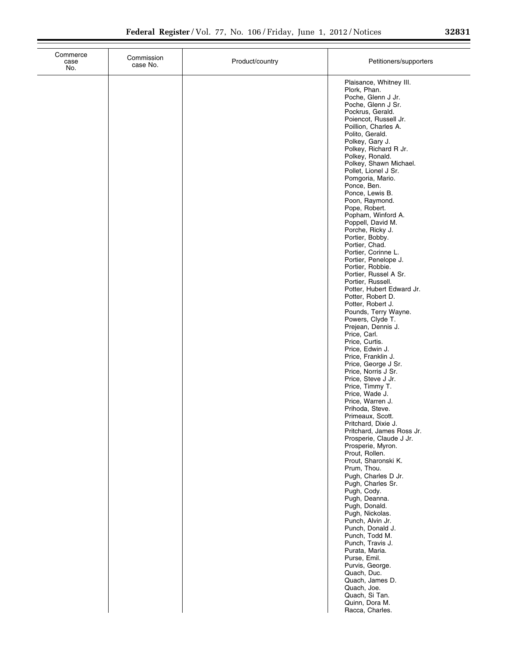| Commerce<br>case<br>No. | Commission<br>case No. | Product/country | Petitioners/supporters                                              |
|-------------------------|------------------------|-----------------|---------------------------------------------------------------------|
|                         |                        |                 | Plaisance, Whitney III.<br>Plork, Phan.<br>Poche, Glenn J Jr.       |
|                         |                        |                 | Poche, Glenn J Sr.<br>Pockrus, Gerald.<br>Poiencot, Russell Jr.     |
|                         |                        |                 | Poillion, Charles A.<br>Polito, Gerald.                             |
|                         |                        |                 | Polkey, Gary J.<br>Polkey, Richard R Jr.                            |
|                         |                        |                 | Polkey, Ronald.<br>Polkey, Shawn Michael.<br>Pollet, Lionel J Sr.   |
|                         |                        |                 | Pomgoria, Mario.<br>Ponce, Ben.                                     |
|                         |                        |                 | Ponce, Lewis B.<br>Poon, Raymond.<br>Pope, Robert.                  |
|                         |                        |                 | Popham, Winford A.<br>Poppell, David M.                             |
|                         |                        |                 | Porche, Ricky J.<br>Portier, Bobby.                                 |
|                         |                        |                 | Portier, Chad.<br>Portier, Corinne L.<br>Portier, Penelope J.       |
|                         |                        |                 | Portier, Robbie.<br>Portier, Russel A Sr.                           |
|                         |                        |                 | Portier, Russell.<br>Potter, Hubert Edward Jr.<br>Potter, Robert D. |
|                         |                        |                 | Potter, Robert J.<br>Pounds, Terry Wayne.                           |
|                         |                        |                 | Powers, Clyde T.<br>Prejean, Dennis J.<br>Price, Carl.              |
|                         |                        |                 | Price, Curtis.<br>Price, Edwin J.                                   |
|                         |                        |                 | Price, Franklin J.<br>Price, George J Sr.<br>Price, Norris J Sr.    |
|                         |                        |                 | Price, Steve J Jr.<br>Price, Timmy T.                               |
|                         |                        |                 | Price, Wade J.<br>Price, Warren J.                                  |
|                         |                        |                 | Prihoda, Steve.<br>Primeaux, Scott.<br>Pritchard, Dixie J.          |
|                         |                        |                 | Pritchard, James Ross Jr.<br>Prosperie, Claude J Jr.                |
|                         |                        |                 | Prosperie, Myron.<br>Prout, Rollen.<br>Prout, Sharonski K.          |
|                         |                        |                 | Prum, Thou.<br>Pugh, Charles D Jr.                                  |
|                         |                        |                 | Pugh, Charles Sr.<br>Pugh, Cody.<br>Pugh, Deanna.                   |
|                         |                        |                 | Pugh, Donald.<br>Pugh, Nickolas.                                    |
|                         |                        |                 | Punch, Alvin Jr.<br>Punch, Donald J.<br>Punch, Todd M.              |
|                         |                        |                 | Punch, Travis J.<br>Purata, Maria.                                  |
|                         |                        |                 | Purse, Emil.<br>Purvis, George.<br>Quach, Duc.                      |
|                         |                        |                 | Quach, James D.<br>Quach, Joe.                                      |
|                         |                        |                 | Quach, Si Tan.<br>Quinn, Dora M.                                    |
|                         |                        |                 | Racca, Charles.                                                     |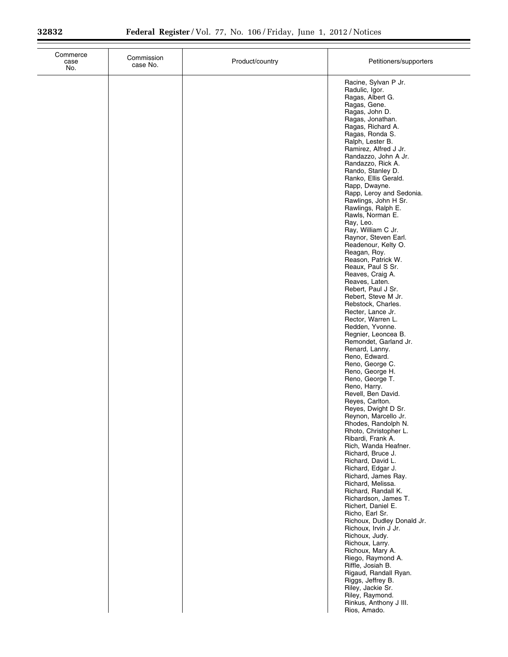| Commerce<br>case<br>No. | Commission<br>case No. | Product/country | Petitioners/supporters                                                                                                                                                                                                                                                                                                                                                                                                                                                                                                                                                                                                                                                                                                                                                                                                                                                                                                                                                                                                                                                                                                                                                                                                                                                                                                                      |
|-------------------------|------------------------|-----------------|---------------------------------------------------------------------------------------------------------------------------------------------------------------------------------------------------------------------------------------------------------------------------------------------------------------------------------------------------------------------------------------------------------------------------------------------------------------------------------------------------------------------------------------------------------------------------------------------------------------------------------------------------------------------------------------------------------------------------------------------------------------------------------------------------------------------------------------------------------------------------------------------------------------------------------------------------------------------------------------------------------------------------------------------------------------------------------------------------------------------------------------------------------------------------------------------------------------------------------------------------------------------------------------------------------------------------------------------|
|                         |                        |                 | Racine, Sylvan P Jr.<br>Radulic, Igor.<br>Ragas, Albert G.<br>Ragas, Gene.<br>Ragas, John D.<br>Ragas, Jonathan.<br>Ragas, Richard A.<br>Ragas, Ronda S.<br>Ralph, Lester B.<br>Ramirez, Alfred J Jr.<br>Randazzo, John A Jr.<br>Randazzo, Rick A.<br>Rando, Stanley D.<br>Ranko, Ellis Gerald.<br>Rapp, Dwayne.<br>Rapp, Leroy and Sedonia.<br>Rawlings, John H Sr.<br>Rawlings, Ralph E.<br>Rawls, Norman E.<br>Ray, Leo.<br>Ray, William C Jr.<br>Raynor, Steven Earl.<br>Readenour, Kelty O.<br>Reagan, Roy.<br>Reason, Patrick W.<br>Reaux, Paul S Sr.<br>Reaves, Craig A.<br>Reaves, Laten.<br>Rebert, Paul J Sr.<br>Rebert, Steve M Jr.<br>Rebstock, Charles.<br>Recter, Lance Jr.<br>Rector, Warren L.<br>Redden, Yvonne.<br>Regnier, Leoncea B.<br>Remondet, Garland Jr.<br>Renard, Lanny.<br>Reno, Edward.<br>Reno, George C.<br>Reno, George H.<br>Reno, George T.<br>Reno, Harry.<br>Revell, Ben David.<br>Reyes, Carlton.<br>Reyes, Dwight D Sr.<br>Reynon, Marcello Jr.<br>Rhodes, Randolph N.<br>Rhoto, Christopher L.<br>Ribardi, Frank A.<br>Rich, Wanda Heafner.<br>Richard, Bruce J.<br>Richard, David L.<br>Richard, Edgar J.<br>Richard, James Ray.<br>Richard, Melissa.<br>Richard, Randall K.<br>Richardson, James T.<br>Richert, Daniel E.<br>Richo, Earl Sr.<br>Richoux, Dudley Donald Jr.<br>Richoux, Irvin J Jr. |
|                         |                        |                 | Richoux, Judy.<br>Richoux, Larry.<br>Richoux, Mary A.<br>Riego, Raymond A.<br>Riffle, Josiah B.<br>Rigaud, Randall Ryan.<br>Riggs, Jeffrey B.<br>Riley, Jackie Sr.<br>Riley, Raymond.<br>Rinkus, Anthony J III.<br>Rios, Amado.                                                                                                                                                                                                                                                                                                                                                                                                                                                                                                                                                                                                                                                                                                                                                                                                                                                                                                                                                                                                                                                                                                             |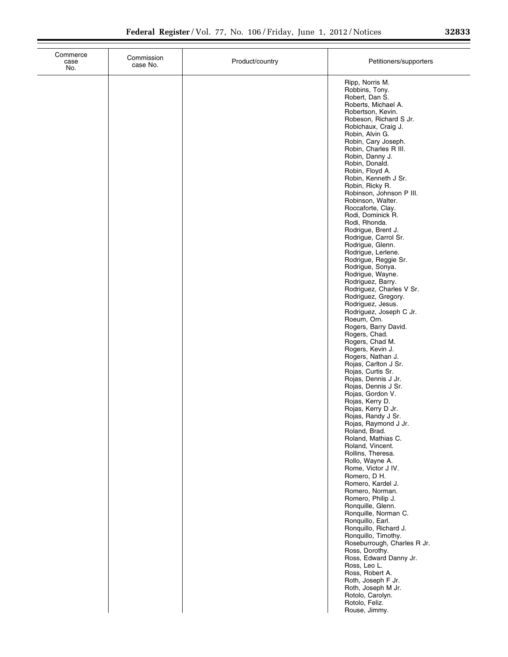| Commerce<br>case<br>No. | Commission<br>case No. | Product/country | Petitioners/supporters                                                                                                                                                                                                                                                                                                                                                                                                                                                                                                                                                                                                                                                                                                                                                                                                                                                                                                                                                                                                                                                                                                                                                                                                                                                                                                                                                                                                                         |
|-------------------------|------------------------|-----------------|------------------------------------------------------------------------------------------------------------------------------------------------------------------------------------------------------------------------------------------------------------------------------------------------------------------------------------------------------------------------------------------------------------------------------------------------------------------------------------------------------------------------------------------------------------------------------------------------------------------------------------------------------------------------------------------------------------------------------------------------------------------------------------------------------------------------------------------------------------------------------------------------------------------------------------------------------------------------------------------------------------------------------------------------------------------------------------------------------------------------------------------------------------------------------------------------------------------------------------------------------------------------------------------------------------------------------------------------------------------------------------------------------------------------------------------------|
|                         |                        |                 | Ripp, Norris M.<br>Robbins, Tony.<br>Robert, Dan S.<br>Roberts, Michael A.<br>Robertson, Kevin.<br>Robeson, Richard S Jr.<br>Robichaux, Craig J.<br>Robin, Alvin G.<br>Robin, Cary Joseph.<br>Robin, Charles R III.<br>Robin, Danny J.<br>Robin, Donald.<br>Robin, Floyd A.<br>Robin, Kenneth J Sr.<br>Robin, Ricky R.<br>Robinson, Johnson P III.<br>Robinson, Walter.<br>Roccaforte, Clay.<br>Rodi, Dominick R.<br>Rodi, Rhonda.<br>Rodrigue, Brent J.<br>Rodrigue, Carrol Sr.<br>Rodrigue, Glenn.<br>Rodrigue, Lerlene.<br>Rodrigue, Reggie Sr.<br>Rodrigue, Sonya.<br>Rodrigue, Wayne.<br>Rodriguez, Barry.<br>Rodriguez, Charles V Sr.<br>Rodriguez, Gregory.<br>Rodriguez, Jesus.<br>Rodriguez, Joseph C Jr.<br>Roeum, Orn.<br>Rogers, Barry David.<br>Rogers, Chad.<br>Rogers, Chad M.<br>Rogers, Kevin J.<br>Rogers, Nathan J.<br>Rojas, Carlton J Sr.<br>Rojas, Curtis Sr.<br>Rojas, Dennis J Jr.<br>Rojas, Dennis J Sr.<br>Rojas, Gordon V.<br>Rojas, Kerry D.<br>Rojas, Kerry D Jr.<br>Rojas, Randy J Sr.<br>Rojas, Raymond J Jr.<br>Roland, Brad.<br>Roland, Mathias C.<br>Roland, Vincent.<br>Rollins, Theresa.<br>Rollo, Wayne A.<br>Rome, Victor J IV.<br>Romero, D H.<br>Romero, Kardel J.<br>Romero, Norman.<br>Romero, Philip J.<br>Ronquille, Glenn.<br>Ronquille, Norman C.<br>Ronquillo, Earl.<br>Ronquillo, Richard J.<br>Ronquillo, Timothy.<br>Roseburrough, Charles R Jr.<br>Ross, Dorothy.<br>Ross, Edward Danny Jr. |
|                         |                        |                 | Ross, Leo L.<br>Ross, Robert A.<br>Roth, Joseph F Jr.<br>Roth, Joseph M Jr.<br>Rotolo, Carolyn.<br>Rotolo, Feliz.<br>Rouse, Jimmy.                                                                                                                                                                                                                                                                                                                                                                                                                                                                                                                                                                                                                                                                                                                                                                                                                                                                                                                                                                                                                                                                                                                                                                                                                                                                                                             |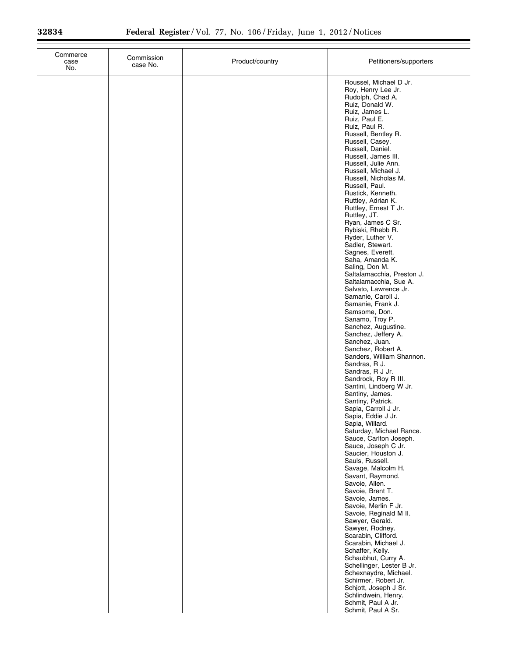| Commerce<br>case<br>No. | Commission<br>case No. | Product/country | Petitioners/supporters                                                                                                                                                                                                                                                                                                                                                                                                                                                                                                                                                                                                                                                                                                                                                                                                                                                                                                                                                                                                                                                                                                                                                                                                                                                                                                                                                                                                                                                                                                           |
|-------------------------|------------------------|-----------------|----------------------------------------------------------------------------------------------------------------------------------------------------------------------------------------------------------------------------------------------------------------------------------------------------------------------------------------------------------------------------------------------------------------------------------------------------------------------------------------------------------------------------------------------------------------------------------------------------------------------------------------------------------------------------------------------------------------------------------------------------------------------------------------------------------------------------------------------------------------------------------------------------------------------------------------------------------------------------------------------------------------------------------------------------------------------------------------------------------------------------------------------------------------------------------------------------------------------------------------------------------------------------------------------------------------------------------------------------------------------------------------------------------------------------------------------------------------------------------------------------------------------------------|
|                         |                        |                 | Roussel, Michael D Jr.<br>Roy, Henry Lee Jr.<br>Rudolph, Chad A.<br>Ruiz, Donald W.<br>Ruiz, James L.<br>Ruiz, Paul E.<br>Ruiz, Paul R.<br>Russell, Bentley R.<br>Russell, Casey.<br>Russell, Daniel.<br>Russell, James III.<br>Russell, Julie Ann.<br>Russell, Michael J.<br>Russell, Nicholas M.<br>Russell, Paul.<br>Rustick, Kenneth.<br>Ruttley, Adrian K.<br>Ruttley, Ernest T Jr.<br>Ruttley, JT.<br>Ryan, James C Sr.<br>Rybiski, Rhebb R.<br>Ryder, Luther V.<br>Sadler, Stewart.<br>Sagnes, Everett.<br>Saha, Amanda K.<br>Saling, Don M.<br>Saltalamacchia, Preston J.<br>Saltalamacchia, Sue A.<br>Salvato, Lawrence Jr.<br>Samanie, Caroll J.<br>Samanie, Frank J.<br>Samsome, Don.<br>Sanamo, Troy P.<br>Sanchez, Augustine.<br>Sanchez, Jeffery A.<br>Sanchez, Juan.<br>Sanchez, Robert A.<br>Sanders, William Shannon.<br>Sandras, R J.<br>Sandras, R J Jr.<br>Sandrock, Roy R III.<br>Santini, Lindberg W Jr.<br>Santiny, James.<br>Santiny, Patrick.<br>Sapia, Carroll J Jr.<br>Sapia, Eddie J Jr.<br>Sapia, Willard.<br>Saturday, Michael Rance.<br>Sauce, Carlton Joseph.<br>Sauce, Joseph C Jr.<br>Saucier, Houston J.<br>Sauls, Russell.<br>Savage, Malcolm H.<br>Savant, Raymond.<br>Savoie, Allen.<br>Savoie, Brent T.<br>Savoie, James.<br>Savoie, Merlin F Jr.<br>Savoie, Reginald M II.<br>Sawyer, Gerald.<br>Sawyer, Rodney.<br>Scarabin, Clifford.<br>Scarabin, Michael J.<br>Schaffer, Kelly.<br>Schaubhut, Curry A.<br>Schellinger, Lester B Jr.<br>Schexnaydre, Michael.<br>Schirmer, Robert Jr. |
|                         |                        |                 | Schjott, Joseph J Sr.<br>Schlindwein, Henry.<br>Schmit, Paul A Jr.<br>Schmit, Paul A Sr.                                                                                                                                                                                                                                                                                                                                                                                                                                                                                                                                                                                                                                                                                                                                                                                                                                                                                                                                                                                                                                                                                                                                                                                                                                                                                                                                                                                                                                         |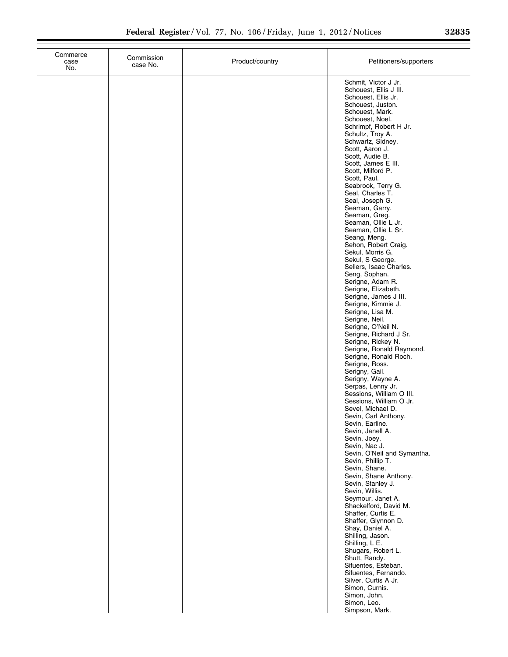| Commerce<br>case<br>No. | Commission<br>case No. | Product/country | Petitioners/supporters                                                                                                                                                                                                                                                                                                                                                                                                                                                                                                                                                                                                                                                                                                                                                                                                                                                                                                                                                                                                                                                                               |
|-------------------------|------------------------|-----------------|------------------------------------------------------------------------------------------------------------------------------------------------------------------------------------------------------------------------------------------------------------------------------------------------------------------------------------------------------------------------------------------------------------------------------------------------------------------------------------------------------------------------------------------------------------------------------------------------------------------------------------------------------------------------------------------------------------------------------------------------------------------------------------------------------------------------------------------------------------------------------------------------------------------------------------------------------------------------------------------------------------------------------------------------------------------------------------------------------|
|                         |                        |                 | Schmit, Victor J Jr.<br>Schouest, Ellis J III.<br>Schouest, Ellis Jr.<br>Schouest, Juston.<br>Schouest, Mark.<br>Schouest, Noel.<br>Schrimpf, Robert H Jr.<br>Schultz, Troy A.<br>Schwartz, Sidney.<br>Scott, Aaron J.<br>Scott, Audie B.<br>Scott, James E III.<br>Scott, Milford P.<br>Scott, Paul.<br>Seabrook, Terry G.<br>Seal, Charles T.<br>Seal, Joseph G.<br>Seaman, Garry.<br>Seaman, Greg.<br>Seaman, Ollie L Jr.<br>Seaman, Ollie L Sr.<br>Seang, Meng.<br>Sehon, Robert Craig.<br>Sekul, Morris G.<br>Sekul, S George.<br>Sellers, Isaac Charles.<br>Seng, Sophan.<br>Serigne, Adam R.<br>Serigne, Elizabeth.<br>Serigne, James J III.<br>Serigne, Kimmie J.<br>Serigne, Lisa M.<br>Serigne, Neil.<br>Serigne, O'Neil N.<br>Serigne, Richard J Sr.<br>Serigne, Rickey N.<br>Serigne, Ronald Raymond.<br>Serigne, Ronald Roch.<br>Serigne, Ross.<br>Serigny, Gail.<br>Serigny, Wayne A.<br>Serpas, Lenny Jr.<br>Sessions, William O III.<br>Sessions, William O Jr.<br>Sevel, Michael D.<br>Sevin, Carl Anthony.<br>Sevin, Earline.<br>Sevin, Janell A.<br>Sevin, Joey.<br>Sevin, Nac J. |
|                         |                        |                 | Sevin, O'Neil and Symantha.<br>Sevin, Phillip T.<br>Sevin, Shane.<br>Sevin, Shane Anthony.<br>Sevin, Stanley J.<br>Sevin, Willis.<br>Seymour, Janet A.<br>Shackelford, David M.<br>Shaffer, Curtis E.<br>Shaffer, Glynnon D.                                                                                                                                                                                                                                                                                                                                                                                                                                                                                                                                                                                                                                                                                                                                                                                                                                                                         |
|                         |                        |                 | Shay, Daniel A.<br>Shilling, Jason.<br>Shilling, L E.<br>Shugars, Robert L.<br>Shutt, Randy.<br>Sifuentes, Esteban.<br>Sifuentes, Fernando.<br>Silver, Curtis A Jr.<br>Simon, Curnis.<br>Simon, John.<br>Simon, Leo.<br>Simpson, Mark.                                                                                                                                                                                                                                                                                                                                                                                                                                                                                                                                                                                                                                                                                                                                                                                                                                                               |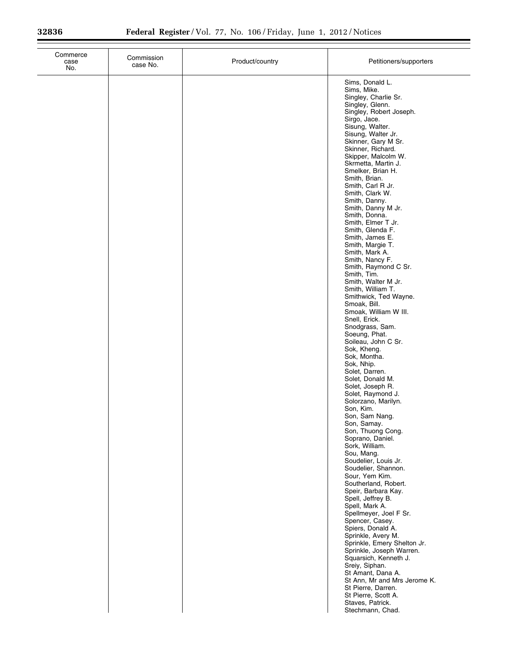| No. | case No. | Product/country | Petitioners/supporters                                                                                                                                                                                                                                                                                                                                                                                                                                                                                                                                                                                                                                                                                                                                                                                                                                                                                                                                                                                                                                                                                                                                                                                                                                                                                                                                                                                                                                                                |
|-----|----------|-----------------|---------------------------------------------------------------------------------------------------------------------------------------------------------------------------------------------------------------------------------------------------------------------------------------------------------------------------------------------------------------------------------------------------------------------------------------------------------------------------------------------------------------------------------------------------------------------------------------------------------------------------------------------------------------------------------------------------------------------------------------------------------------------------------------------------------------------------------------------------------------------------------------------------------------------------------------------------------------------------------------------------------------------------------------------------------------------------------------------------------------------------------------------------------------------------------------------------------------------------------------------------------------------------------------------------------------------------------------------------------------------------------------------------------------------------------------------------------------------------------------|
|     |          |                 | Sims, Donald L.<br>Sims, Mike.<br>Singley, Charlie Sr.<br>Singley, Glenn.<br>Singley, Robert Joseph.<br>Sirgo, Jace.<br>Sisung, Walter.<br>Sisung, Walter Jr.<br>Skinner, Gary M Sr.<br>Skinner, Richard.<br>Skipper, Malcolm W.<br>Skrmetta, Martin J.<br>Smelker, Brian H.<br>Smith, Brian.<br>Smith, Carl R Jr.<br>Smith, Clark W.<br>Smith, Danny.<br>Smith, Danny M Jr.<br>Smith, Donna.<br>Smith, Elmer T Jr.<br>Smith, Glenda F.<br>Smith, James E.<br>Smith, Margie T.<br>Smith, Mark A.<br>Smith, Nancy F.<br>Smith, Raymond C Sr.<br>Smith, Tim.<br>Smith, Walter M Jr.<br>Smith, William T.<br>Smithwick, Ted Wayne.<br>Smoak, Bill.<br>Smoak, William W III.<br>Snell, Erick.<br>Snodgrass, Sam.<br>Soeung, Phat.<br>Soileau, John C Sr.<br>Sok, Kheng.<br>Sok, Montha.<br>Sok, Nhip.<br>Solet, Darren.<br>Solet, Donald M.<br>Solet, Joseph R.<br>Solet, Raymond J.<br>Solorzano, Marilyn.<br>Son, Kim.<br>Son, Sam Nang.<br>Son, Samay.<br>Son, Thuong Cong.<br>Soprano, Daniel.<br>Sork, William.<br>Sou, Mang.<br>Soudelier, Louis Jr.<br>Soudelier, Shannon.<br>Sour, Yem Kim.<br>Southerland, Robert.<br>Speir, Barbara Kay.<br>Spell, Jeffrey B.<br>Spell, Mark A.<br>Spellmeyer, Joel F Sr.<br>Spencer, Casey.<br>Spiers, Donald A.<br>Sprinkle, Avery M.<br>Sprinkle, Emery Shelton Jr.<br>Sprinkle, Joseph Warren.<br>Squarsich, Kenneth J.<br>Sreiy, Siphan.<br>St Amant, Dana A.<br>St Ann, Mr and Mrs Jerome K.<br>St Pierre, Darren.<br>St Pierre, Scott A. |
|     |          |                 | Staves, Patrick.<br>Stechmann, Chad.                                                                                                                                                                                                                                                                                                                                                                                                                                                                                                                                                                                                                                                                                                                                                                                                                                                                                                                                                                                                                                                                                                                                                                                                                                                                                                                                                                                                                                                  |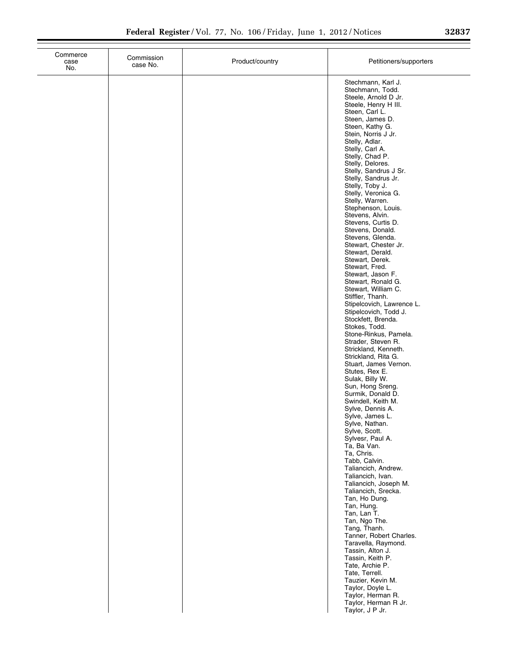| Commerce<br>case<br>No. | Commission<br>case No. | Product/country | Petitioners/supporters                                                                                                                                                                                                                                                                                                                                                                                                                                                                                                                                                                                                                                                                                                                                                                                                                                                                                                                                                                                                                                                                                           |
|-------------------------|------------------------|-----------------|------------------------------------------------------------------------------------------------------------------------------------------------------------------------------------------------------------------------------------------------------------------------------------------------------------------------------------------------------------------------------------------------------------------------------------------------------------------------------------------------------------------------------------------------------------------------------------------------------------------------------------------------------------------------------------------------------------------------------------------------------------------------------------------------------------------------------------------------------------------------------------------------------------------------------------------------------------------------------------------------------------------------------------------------------------------------------------------------------------------|
|                         |                        |                 | Stechmann, Karl J.<br>Stechmann, Todd.<br>Steele, Arnold D Jr.<br>Steele, Henry H III.<br>Steen, Carl L.<br>Steen, James D.<br>Steen, Kathy G.<br>Stein, Norris J Jr.<br>Stelly, Adlar.<br>Stelly, Carl A.<br>Stelly, Chad P.<br>Stelly, Delores.<br>Stelly, Sandrus J Sr.<br>Stelly, Sandrus Jr.<br>Stelly, Toby J.<br>Stelly, Veronica G.<br>Stelly, Warren.<br>Stephenson, Louis.<br>Stevens, Alvin.<br>Stevens, Curtis D.<br>Stevens, Donald.<br>Stevens, Glenda.<br>Stewart, Chester Jr.<br>Stewart, Derald.<br>Stewart, Derek.<br>Stewart, Fred.<br>Stewart, Jason F.<br>Stewart, Ronald G.<br>Stewart, William C.<br>Stiffler, Thanh.<br>Stipelcovich, Lawrence L.<br>Stipelcovich, Todd J.<br>Stockfett, Brenda.<br>Stokes, Todd.<br>Stone-Rinkus, Pamela.<br>Strader, Steven R.<br>Strickland, Kenneth.<br>Strickland, Rita G.<br>Stuart, James Vernon.<br>Stutes, Rex E.<br>Sulak, Billy W.<br>Sun, Hong Sreng.<br>Surmik, Donald D.<br>Swindell, Keith M.<br>Sylve, Dennis A.<br>Sylve, James L.<br>Sylve, Nathan.<br>Sylve, Scott.<br>Sylvesr, Paul A.<br>Ta, Ba Van.<br>Ta, Chris.<br>Tabb, Calvin. |
|                         |                        |                 | Taliancich, Andrew.<br>Taliancich, Ivan.<br>Taliancich, Joseph M.<br>Taliancich, Srecka.<br>Tan, Ho Dung.<br>Tan, Hung.<br>Tan, Lan T.<br>Tan, Ngo The.<br>Tang, Thanh.<br>Tanner, Robert Charles.<br>Taravella, Raymond.<br>Tassin, Alton J.<br>Tassin, Keith P.<br>Tate, Archie P.<br>Tate, Terrell.<br>Tauzier, Kevin M.<br>Taylor, Doyle L.<br>Taylor, Herman R.<br>Taylor, Herman R Jr.<br>Taylor, J P Jr.                                                                                                                                                                                                                                                                                                                                                                                                                                                                                                                                                                                                                                                                                                  |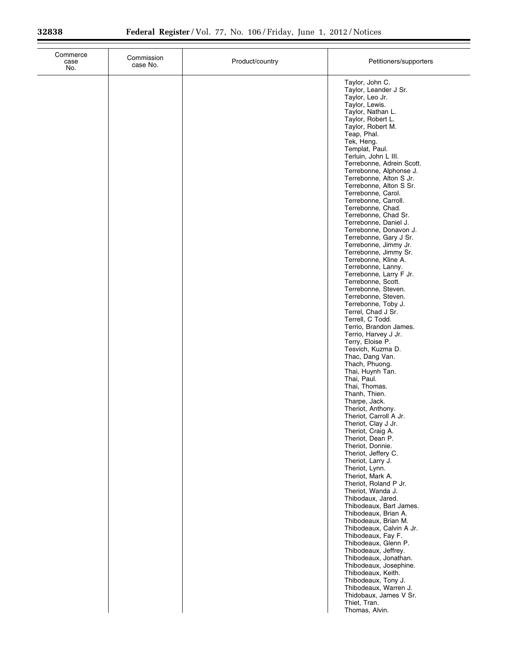| Commerce<br>case<br>No. | Commission<br>case No. | Product/country | Petitioners/supporters                                                                                                                                                                                                                                                                                                                                                                                                                                                                                                                                                                                                                                                                                                                                                                                                                                                                                                                                                                                                                                                                                                                                                                                                                                                                                                                                                                                                                       |
|-------------------------|------------------------|-----------------|----------------------------------------------------------------------------------------------------------------------------------------------------------------------------------------------------------------------------------------------------------------------------------------------------------------------------------------------------------------------------------------------------------------------------------------------------------------------------------------------------------------------------------------------------------------------------------------------------------------------------------------------------------------------------------------------------------------------------------------------------------------------------------------------------------------------------------------------------------------------------------------------------------------------------------------------------------------------------------------------------------------------------------------------------------------------------------------------------------------------------------------------------------------------------------------------------------------------------------------------------------------------------------------------------------------------------------------------------------------------------------------------------------------------------------------------|
|                         |                        |                 | Taylor, John C.<br>Taylor, Leander J Sr.<br>Taylor, Leo Jr.<br>Taylor, Lewis.<br>Taylor, Nathan L.<br>Taylor, Robert L.<br>Taylor, Robert M.<br>Teap, Phal.<br>Tek, Heng.<br>Templat, Paul.<br>Terluin, John L III.<br>Terrebonne, Adrein Scott.<br>Terrebonne, Alphonse J.<br>Terrebonne, Alton S Jr.<br>Terrebonne, Alton S Sr.<br>Terrebonne, Carol.<br>Terrebonne, Carroll.<br>Terrebonne, Chad.<br>Terrebonne, Chad Sr.<br>Terrebonne, Daniel J.<br>Terrebonne, Donavon J.<br>Terrebonne, Gary J Sr.<br>Terrebonne, Jimmy Jr.<br>Terrebonne, Jimmy Sr.<br>Terrebonne, Kline A.<br>Terrebonne, Lanny.<br>Terrebonne, Larry F Jr.<br>Terrebonne, Scott.<br>Terrebonne, Steven.<br>Terrebonne, Steven.<br>Terrebonne, Toby J.<br>Terrel, Chad J Sr.<br>Terrell, C Todd.<br>Terrio, Brandon James.<br>Terrio, Harvey J Jr.<br>Terry, Eloise P.<br>Tesvich, Kuzma D.<br>Thac, Dang Van.<br>Thach, Phuong.<br>Thai, Huynh Tan.<br>Thai, Paul.<br>Thai, Thomas.<br>Thanh, Thien.<br>Tharpe, Jack.<br>Theriot, Anthony.<br>Theriot, Carroll A Jr.<br>Theriot, Clay J Jr.<br>Theriot, Craig A.<br>Theriot, Dean P.<br>Theriot, Donnie.<br>Theriot, Jeffery C.<br>Theriot, Larry J.<br>Theriot, Lynn.<br>Theriot, Mark A.<br>Theriot, Roland P Jr.<br>Theriot, Wanda J.<br>Thibodaux, Jared.<br>Thibodeaux, Bart James.<br>Thibodeaux, Brian A.<br>Thibodeaux, Brian M.<br>Thibodeaux, Calvin A Jr.<br>Thibodeaux, Fay F.<br>Thibodeaux, Glenn P. |
|                         |                        |                 | Thibodeaux, Jeffrey.<br>Thibodeaux, Jonathan.<br>Thibodeaux, Josephine.<br>Thibodeaux, Keith.<br>Thibodeaux, Tony J.<br>Thibodeaux, Warren J.<br>Thidobaux, James V Sr.<br>Thiet, Tran.<br>Thomas, Alvin.                                                                                                                                                                                                                                                                                                                                                                                                                                                                                                                                                                                                                                                                                                                                                                                                                                                                                                                                                                                                                                                                                                                                                                                                                                    |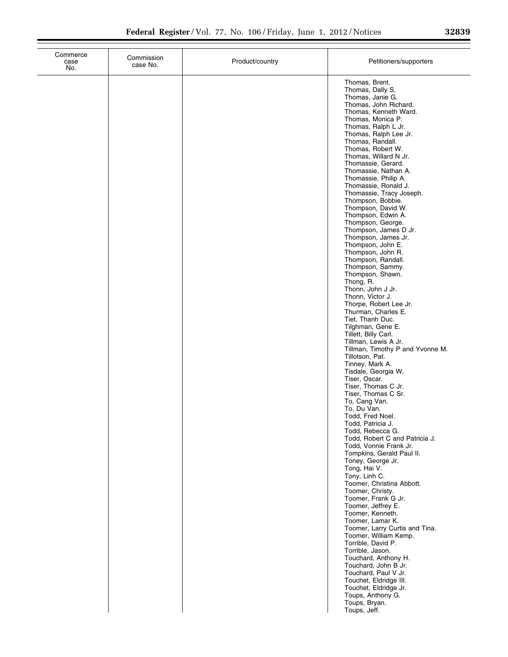| 32839 |  |  |
|-------|--|--|
|       |  |  |

| Commerce<br>case<br>No. | Commission<br>case No. | Product/country | Petitioners/supporters                                                                                                                          |
|-------------------------|------------------------|-----------------|-------------------------------------------------------------------------------------------------------------------------------------------------|
|                         |                        |                 | Thomas, Brent.<br>Thomas, Dally S.<br>Thomas, Janie G.<br>Thomas, John Richard.<br>Thomas, Kenneth Ward.                                        |
|                         |                        |                 | Thomas, Monica P.<br>Thomas, Ralph L Jr.<br>Thomas, Ralph Lee Jr.<br>Thomas, Randall.<br>Thomas, Robert W.                                      |
|                         |                        |                 | Thomas, Willard N Jr.<br>Thomassie, Gerard.<br>Thomassie, Nathan A.<br>Thomassie, Philip A.<br>Thomassie, Ronald J.<br>Thomassie, Tracy Joseph. |
|                         |                        |                 | Thompson, Bobbie.<br>Thompson, David W.<br>Thompson, Edwin A.<br>Thompson, George.<br>Thompson, James D Jr.                                     |
|                         |                        |                 | Thompson, James Jr.<br>Thompson, John E.<br>Thompson, John R.<br>Thompson, Randall.<br>Thompson, Sammy.                                         |
|                         |                        |                 | Thompson, Shawn.<br>Thong, R.<br>Thonn, John J Jr.<br>Thonn, Victor J.<br>Thorpe, Robert Lee Jr.                                                |
|                         |                        |                 | Thurman, Charles E.<br>Tiet, Thanh Duc.<br>Tilghman, Gene E.<br>Tillett, Billy Carl.<br>Tillman, Lewis A Jr.                                    |
|                         |                        |                 | Tillman, Timothy P and Yvonne M.<br>Tillotson, Pat.<br>Tinney, Mark A.<br>Tisdale, Georgia W.<br>Tiser, Oscar.                                  |
|                         |                        |                 | Tiser, Thomas C Jr.<br>Tiser, Thomas C Sr.<br>To, Cang Van.<br>To, Du Van.<br>Todd, Fred Noel.                                                  |
|                         |                        |                 | Todd, Patricia J.<br>Todd, Rebecca G.<br>Todd, Robert C and Patricia J.<br>Todd, Vonnie Frank Jr.<br>Tompkins, Gerald Paul II.                  |
|                         |                        |                 | Toney, George Jr.<br>Tong, Hai V.<br>Tony, Linh C.<br>Toomer, Christina Abbott.<br>Toomer, Christy.                                             |
|                         |                        |                 | Toomer, Frank G Jr.<br>Toomer, Jeffrey E.<br>Toomer, Kenneth.<br>Toomer, Lamar K.<br>Toomer, Larry Curtis and Tina.                             |
|                         |                        |                 | Toomer, William Kemp.<br>Torrible, David P.<br>Torrible, Jason.<br>Touchard, Anthony H.<br>Touchard, John B Jr.                                 |
|                         |                        |                 | Touchard, Paul V Jr.<br>Touchet, Eldridge III.<br>Touchet, Eldridge Jr.<br>Toups, Anthony G.                                                    |
|                         |                        |                 | Toups, Bryan.<br>Toups, Jeff.                                                                                                                   |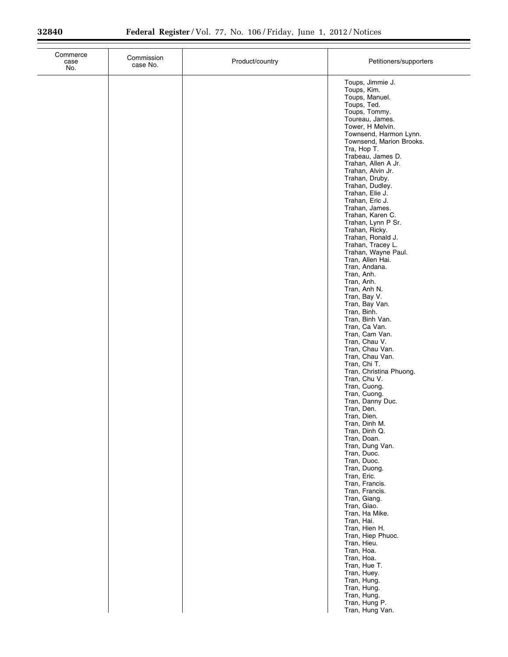| Commerce<br>case<br>No. | Commission<br>case No. | Product/country | Petitioners/supporters                                                                                                                                                                                                                                         |
|-------------------------|------------------------|-----------------|----------------------------------------------------------------------------------------------------------------------------------------------------------------------------------------------------------------------------------------------------------------|
|                         |                        |                 | Toups, Jimmie J.<br>Toups, Kim.<br>Toups, Manuel.<br>Toups, Ted.<br>Toups, Tommy.<br>Toureau, James.<br>Tower, H Melvin.<br>Townsend, Harmon Lynn.<br>Townsend, Marion Brooks.<br>Tra, Hop T.<br>Trabeau, James D.<br>Trahan, Allen A Jr.<br>Trahan, Alvin Jr. |
|                         |                        |                 | Trahan, Druby.<br>Trahan, Dudley.<br>Trahan, Elie J.<br>Trahan, Eric J.<br>Trahan, James.<br>Trahan, Karen C.<br>Trahan, Lynn P Sr.<br>Trahan, Ricky.<br>Trahan, Ronald J.<br>Trahan, Tracey L.<br>Trahan, Wayne Paul.<br>Tran, Allen Hai.                     |
|                         |                        |                 | Tran, Andana.<br>Tran, Anh.<br>Tran, Anh.<br>Tran, Anh N.<br>Tran, Bay V.<br>Tran, Bay Van.<br>Tran, Binh.<br>Tran, Binh Van.<br>Tran, Ca Van.<br>Tran, Cam Van.<br>Tran, Chau V.                                                                              |
|                         |                        |                 | Tran, Chau Van.<br>Tran, Chau Van.<br>Tran, Chi T.<br>Tran, Christina Phuong.<br>Tran, Chu V.<br>Tran, Cuong.<br>Tran, Cuong.<br>Tran, Danny Duc.<br>Tran, Den.<br>Tran, Dien.<br>Tran, Dinh M.                                                                |
|                         |                        |                 | Tran, Dinh Q.<br>Tran, Doan.<br>Tran, Dung Van.<br>Tran, Duoc.<br>Tran, Duoc.<br>Tran, Duong.<br>Tran, Eric.<br>Tran, Francis.<br>Tran, Francis.<br>Tran, Giang.<br>Tran, Giao.                                                                                |
|                         |                        |                 | Tran, Ha Mike.<br>Tran, Hai.<br>Tran, Hien H.<br>Tran, Hiep Phuoc.<br>Tran, Hieu.<br>Tran, Hoa.<br>Tran, Hoa.<br>Tran, Hue T.<br>Tran, Huey.<br>Tran, Hung.<br>Tran, Hung.<br>Tran, Hung.<br>Tran, Hung P.                                                     |
|                         |                        |                 | Tran, Hung Van.                                                                                                                                                                                                                                                |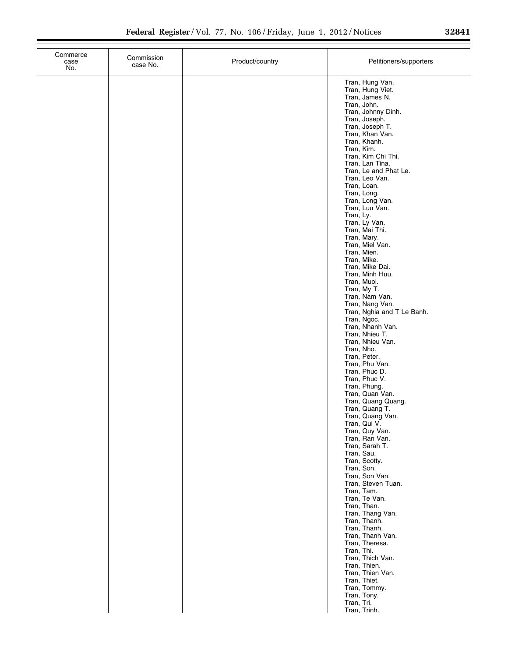| Commerce<br>case<br>No. | Commission<br>case No. | Product/country | Petitioners/supporters                  |
|-------------------------|------------------------|-----------------|-----------------------------------------|
|                         |                        |                 | Tran, Hung Van.                         |
|                         |                        |                 | Tran, Hung Viet.                        |
|                         |                        |                 | Tran, James N.<br>Tran, John.           |
|                         |                        |                 | Tran, Johnny Dinh.                      |
|                         |                        |                 | Tran, Joseph.<br>Tran, Joseph T.        |
|                         |                        |                 | Tran, Khan Van.                         |
|                         |                        |                 | Tran, Khanh.                            |
|                         |                        |                 | Tran, Kim.<br>Tran, Kim Chi Thi.        |
|                         |                        |                 | Tran, Lan Tina.                         |
|                         |                        |                 | Tran, Le and Phat Le.<br>Tran, Leo Van. |
|                         |                        |                 | Tran, Loan.                             |
|                         |                        |                 | Tran, Long.<br>Tran, Long Van.          |
|                         |                        |                 | Tran, Luu Van.                          |
|                         |                        |                 | Tran, Ly.                               |
|                         |                        |                 | Tran, Ly Van.<br>Tran, Mai Thi.         |
|                         |                        |                 | Tran, Mary.                             |
|                         |                        |                 | Tran, Miel Van.<br>Tran, Mien.          |
|                         |                        |                 | Tran, Mike.                             |
|                         |                        |                 | Tran, Mike Dai.                         |
|                         |                        |                 | Tran, Minh Huu.<br>Tran, Muoi.          |
|                         |                        |                 | Tran, My T.                             |
|                         |                        |                 | Tran, Nam Van.<br>Tran, Nang Van.       |
|                         |                        |                 | Tran, Nghia and T Le Banh.              |
|                         |                        |                 | Tran, Ngoc.                             |
|                         |                        |                 | Tran, Nhanh Van.<br>Tran, Nhieu T.      |
|                         |                        |                 | Tran, Nhieu Van.                        |
|                         |                        |                 | Tran, Nho.<br>Tran, Peter.              |
|                         |                        |                 | Tran, Phu Van.                          |
|                         |                        |                 | Tran, Phuc D.                           |
|                         |                        |                 | Tran, Phuc V.<br>Tran, Phung.           |
|                         |                        |                 | Tran, Quan Van.                         |
|                         |                        |                 | Tran, Quang Quang.<br>Tran, Quang T.    |
|                         |                        |                 | Tran, Quang Van.                        |
|                         |                        |                 | Tran, Qui V.                            |
|                         |                        |                 | Tran, Quy Van.<br>Tran, Ran Van.        |
|                         |                        |                 | Tran, Sarah T.                          |
|                         |                        |                 | Tran, Sau.<br>Tran, Scotty.             |
|                         |                        |                 | Tran, Son.                              |
|                         |                        |                 | Tran, Son Van.                          |
|                         |                        |                 | Tran, Steven Tuan.<br>Tran, Tam.        |
|                         |                        |                 | Tran, Te Van.                           |
|                         |                        |                 | Tran, Than.<br>Tran, Thang Van.         |
|                         |                        |                 | Tran, Thanh.                            |
|                         |                        |                 | Tran, Thanh.                            |
|                         |                        |                 | Tran, Thanh Van.<br>Tran, Theresa.      |
|                         |                        |                 | Tran, Thi.                              |
|                         |                        |                 | Tran, Thich Van.<br>Tran, Thien.        |
|                         |                        |                 | Tran, Thien Van.                        |
|                         |                        |                 | Tran, Thiet.                            |
|                         |                        |                 | Tran, Tommy.<br>Tran, Tony.             |
|                         |                        |                 | Tran, Tri.                              |
|                         |                        |                 | Tran, Trinh.                            |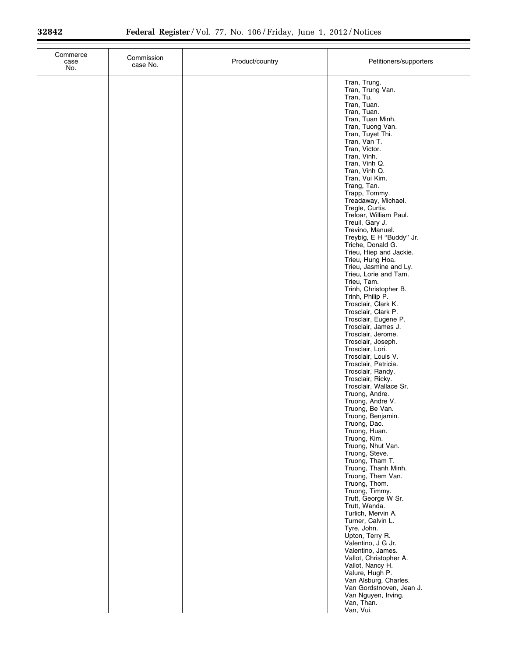| Commerce<br>case<br>No. | Commission<br>case No. | Product/country | Petitioners/supporters                                                                                                                                                                                                                                                                                                                                                                                                                                                                                                                                                                                                                                                                                                                                                                                                                                                                                                                                                                                                                                                                                                                                                                                                                                                                                                        |
|-------------------------|------------------------|-----------------|-------------------------------------------------------------------------------------------------------------------------------------------------------------------------------------------------------------------------------------------------------------------------------------------------------------------------------------------------------------------------------------------------------------------------------------------------------------------------------------------------------------------------------------------------------------------------------------------------------------------------------------------------------------------------------------------------------------------------------------------------------------------------------------------------------------------------------------------------------------------------------------------------------------------------------------------------------------------------------------------------------------------------------------------------------------------------------------------------------------------------------------------------------------------------------------------------------------------------------------------------------------------------------------------------------------------------------|
|                         |                        |                 | Tran, Trung.<br>Tran, Trung Van.<br>Tran, Tu.<br>Tran, Tuan.<br>Tran, Tuan.<br>Tran, Tuan Minh.<br>Tran, Tuong Van.<br>Tran, Tuyet Thi.<br>Tran, Van T.<br>Tran, Victor.<br>Tran, Vinh.<br>Tran, Vinh Q.<br>Tran, Vinh Q.<br>Tran, Vui Kim.<br>Trang, Tan.<br>Trapp, Tommy.<br>Treadaway, Michael.<br>Tregle, Curtis.<br>Treloar, William Paul.<br>Treuil, Gary J.<br>Trevino, Manuel.<br>Treybig, E H "Buddy" Jr.<br>Triche, Donald G.<br>Trieu, Hiep and Jackie.<br>Trieu, Hung Hoa.<br>Trieu, Jasmine and Ly.<br>Trieu, Lorie and Tam.<br>Trieu, Tam.<br>Trinh, Christopher B.<br>Trinh, Philip P.<br>Trosclair, Clark K.<br>Trosclair, Clark P.<br>Trosclair, Eugene P.<br>Trosclair, James J.<br>Trosclair, Jerome.<br>Trosclair, Joseph.<br>Trosclair, Lori.<br>Trosclair, Louis V.<br>Trosclair, Patricia.<br>Trosclair, Randy.<br>Trosclair, Ricky.<br>Trosclair, Wallace Sr.<br>Truong, Andre.<br>Truong, Andre V.<br>Truong, Be Van.<br>Truong, Benjamin.<br>Truong, Dac.<br>Truong, Huan.<br>Truong, Kim.<br>Truong, Nhut Van.<br>Truong, Steve.<br>Truong, Tham T.<br>Truong, Thanh Minh.<br>Truong, Them Van.<br>Truong, Thom.<br>Truong, Timmy.<br>Trutt, George W Sr.<br>Trutt, Wanda.<br>Turlich, Mervin A.<br>Turner, Calvin L.<br>Tyre, John.<br>Upton, Terry R.<br>Valentino, J G Jr.<br>Valentino, James. |
|                         |                        |                 | Vallot, Christopher A.<br>Vallot, Nancy H.<br>Valure, Hugh P.<br>Van Alsburg, Charles.<br>Van Gordstnoven, Jean J.<br>Van Nguyen, Irving.<br>Van, Than.<br>Van, Vui.                                                                                                                                                                                                                                                                                                                                                                                                                                                                                                                                                                                                                                                                                                                                                                                                                                                                                                                                                                                                                                                                                                                                                          |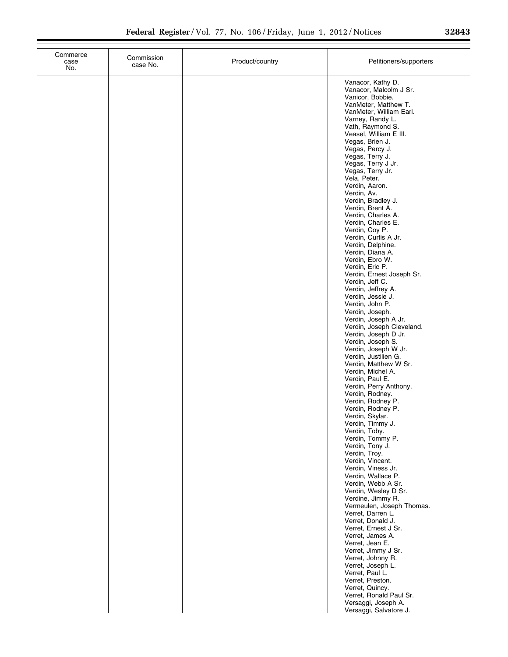|  | 32843 |  |
|--|-------|--|
|  |       |  |

| Commerce<br>case<br>No. | Commission<br>case No. | Product/country | Petitioners/supporters                                                                                             |
|-------------------------|------------------------|-----------------|--------------------------------------------------------------------------------------------------------------------|
|                         |                        |                 | Vanacor, Kathy D.<br>Vanacor, Malcolm J Sr.<br>Vanicor, Bobbie.<br>VanMeter, Matthew T.<br>VanMeter, William Earl. |
|                         |                        |                 | Varney, Randy L.<br>Vath, Raymond S.<br>Veasel, William E III.<br>Vegas, Brien J.                                  |
|                         |                        |                 | Vegas, Percy J.<br>Vegas, Terry J.<br>Vegas, Terry J Jr.<br>Vegas, Terry Jr.                                       |
|                         |                        |                 | Vela, Peter.<br>Verdin, Aaron.<br>Verdin, Av.<br>Verdin, Bradley J.<br>Verdin, Brent A.                            |
|                         |                        |                 | Verdin, Charles A.<br>Verdin, Charles E.<br>Verdin, Coy P.<br>Verdin, Curtis A Jr.                                 |
|                         |                        |                 | Verdin, Delphine.<br>Verdin, Diana A.<br>Verdin, Ebro W.<br>Verdin, Eric P.<br>Verdin, Ernest Joseph Sr.           |
|                         |                        |                 | Verdin, Jeff C.<br>Verdin, Jeffrey A.<br>Verdin, Jessie J.<br>Verdin, John P.                                      |
|                         |                        |                 | Verdin, Joseph.<br>Verdin, Joseph A Jr.<br>Verdin, Joseph Cleveland.<br>Verdin, Joseph D Jr.                       |
|                         |                        |                 | Verdin, Joseph S.<br>Verdin, Joseph W Jr.<br>Verdin, Justilien G.<br>Verdin, Matthew W Sr.                         |
|                         |                        |                 | Verdin, Michel A.<br>Verdin, Paul E.<br>Verdin, Perry Anthony.<br>Verdin, Rodney.<br>Verdin, Rodney P.             |
|                         |                        |                 | Verdin, Rodney P.<br>Verdin, Skylar.<br>Verdin, Timmy J.<br>Verdin, Toby.                                          |
|                         |                        |                 | Verdin, Tommy P.<br>Verdin, Tony J.<br>Verdin, Troy.<br>Verdin, Vincent.                                           |
|                         |                        |                 | Verdin, Viness Jr.<br>Verdin, Wallace P.<br>Verdin, Webb A Sr.<br>Verdin, Wesley D Sr.                             |
|                         |                        |                 | Verdine, Jimmy R.<br>Vermeulen, Joseph Thomas.<br>Verret, Darren L.<br>Verret, Donald J.<br>Verret, Ernest J Sr.   |
|                         |                        |                 | Verret, James A.<br>Verret, Jean E.<br>Verret, Jimmy J Sr.<br>Verret, Johnny R.                                    |
|                         |                        |                 | Verret, Joseph L.<br>Verret, Paul L.<br>Verret, Preston.<br>Verret, Quincy.                                        |
|                         |                        |                 | Verret, Ronald Paul Sr.<br>Versaggi, Joseph A.<br>Versaggi, Salvatore J.                                           |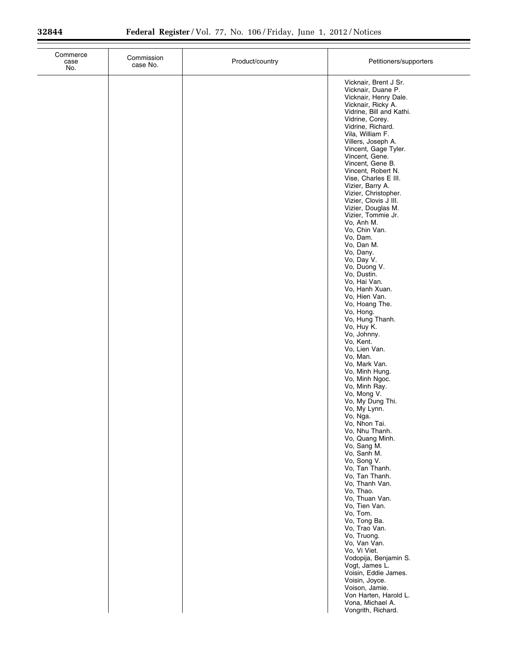$\equiv$ 

| Commerce<br>case<br>No. | Commission<br>case No. | Product/country | Petitioners/supporters                                                                                                                                                                                                                                                                                                                                                                                                                                                                                                                                                                                                                                                                                                                                                                                                                                                                                                                                                                                                                                                                         |
|-------------------------|------------------------|-----------------|------------------------------------------------------------------------------------------------------------------------------------------------------------------------------------------------------------------------------------------------------------------------------------------------------------------------------------------------------------------------------------------------------------------------------------------------------------------------------------------------------------------------------------------------------------------------------------------------------------------------------------------------------------------------------------------------------------------------------------------------------------------------------------------------------------------------------------------------------------------------------------------------------------------------------------------------------------------------------------------------------------------------------------------------------------------------------------------------|
|                         |                        |                 | Vicknair, Brent J Sr.<br>Vicknair, Duane P.<br>Vicknair, Henry Dale.<br>Vicknair, Ricky A.<br>Vidrine, Bill and Kathi.<br>Vidrine, Corey.<br>Vidrine, Richard.<br>Vila, William F.<br>Villers, Joseph A.<br>Vincent, Gage Tyler.<br>Vincent, Gene.<br>Vincent, Gene B.<br>Vincent, Robert N.<br>Vise, Charles E III.<br>Vizier, Barry A.<br>Vizier, Christopher.<br>Vizier, Clovis J III.<br>Vizier, Douglas M.<br>Vizier, Tommie Jr.<br>Vo, Anh M.<br>Vo, Chin Van.<br>Vo, Dam.<br>Vo, Dan M.<br>Vo, Dany.<br>Vo, Day V.<br>Vo, Duong V.<br>Vo, Dustin.<br>Vo, Hai Van.<br>Vo, Hanh Xuan.<br>Vo, Hien Van.<br>Vo, Hoang The.<br>Vo, Hong.<br>Vo, Hung Thanh.<br>Vo, Huy K.<br>Vo, Johnny.<br>Vo, Kent.<br>Vo, Lien Van.<br>Vo, Man.<br>Vo, Mark Van.<br>Vo, Minh Hung.<br>Vo, Minh Ngoc.<br>Vo, Minh Ray.<br>Vo, Mong V.<br>Vo, My Dung Thi.<br>Vo, My Lynn.<br>Vo, Nga.<br>Vo, Nhon Tai.<br>Vo, Nhu Thanh.<br>Vo, Quang Minh.<br>Vo, Sang M.<br>Vo, Sanh M.<br>Vo, Song V.<br>Vo, Tan Thanh.<br>Vo, Tan Thanh.<br>Vo, Thanh Van.<br>Vo, Thao.<br>Vo, Thuan Van.<br>Vo, Tien Van.<br>Vo, Tom. |
|                         |                        |                 | Vo, Tong Ba.<br>Vo, Trao Van.<br>Vo, Truong.<br>Vo, Van Van.<br>Vo, Vi Viet.<br>Vodopija, Benjamin S.<br>Vogt, James L.<br>Voisin, Eddie James.<br>Voisin, Joyce.<br>Voison, Jamie.<br>Von Harten, Harold L.<br>Vona, Michael A.<br>Vongrith, Richard.                                                                                                                                                                                                                                                                                                                                                                                                                                                                                                                                                                                                                                                                                                                                                                                                                                         |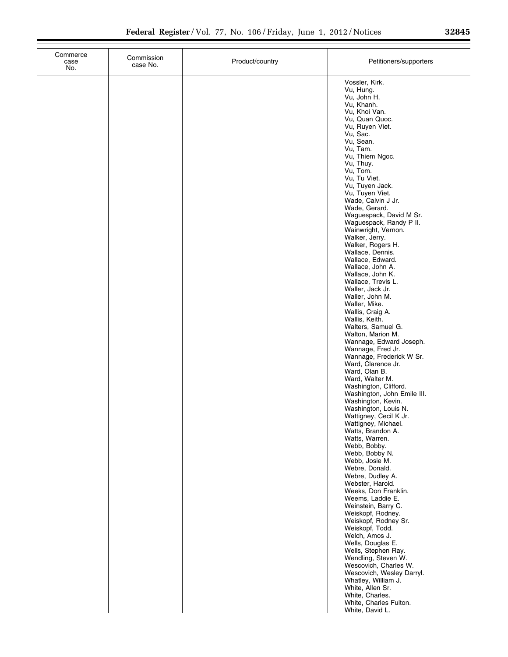| Commerce<br>case<br>No. | Commission<br>case No. | Product/country | Petitioners/supporters                                                     |
|-------------------------|------------------------|-----------------|----------------------------------------------------------------------------|
|                         |                        |                 | Vossler, Kirk.<br>Vu, Hung.<br>Vu, John H.                                 |
|                         |                        |                 | Vu, Khanh.<br>Vu, Khoi Van.<br>Vu, Quan Quoc.                              |
|                         |                        |                 | Vu, Ruyen Viet.<br>Vu, Sac.<br>Vu, Sean.                                   |
|                         |                        |                 | Vu, Tam.<br>Vu, Thiem Ngoc.<br>Vu, Thuy.                                   |
|                         |                        |                 | Vu, Tom.<br>Vu, Tu Viet.<br>Vu, Tuyen Jack.                                |
|                         |                        |                 | Vu, Tuyen Viet.<br>Wade, Calvin J Jr.<br>Wade, Gerard.                     |
|                         |                        |                 | Waguespack, David M Sr.<br>Waguespack, Randy P II.<br>Wainwright, Vernon.  |
|                         |                        |                 | Walker, Jerry.<br>Walker, Rogers H.                                        |
|                         |                        |                 | Wallace, Dennis.<br>Wallace, Edward.<br>Wallace, John A.                   |
|                         |                        |                 | Wallace, John K.<br>Wallace, Trevis L.<br>Waller, Jack Jr.                 |
|                         |                        |                 | Waller, John M.<br>Waller, Mike.<br>Wallis, Craig A.                       |
|                         |                        |                 | Wallis, Keith.<br>Walters, Samuel G.<br>Walton, Marion M.                  |
|                         |                        |                 | Wannage, Edward Joseph.<br>Wannage, Fred Jr.<br>Wannage, Frederick W Sr.   |
|                         |                        |                 | Ward, Clarence Jr.<br>Ward, Olan B.<br>Ward, Walter M.                     |
|                         |                        |                 | Washington, Clifford.<br>Washington, John Emile III.<br>Washington, Kevin. |
|                         |                        |                 | Washington, Louis N.<br>Wattigney, Cecil K Jr.<br>Wattigney, Michael.      |
|                         |                        |                 | Watts, Brandon A.<br>Watts, Warren.<br>Webb, Bobby.                        |
|                         |                        |                 | Webb, Bobby N.<br>Webb, Josie M.<br>Webre, Donald.                         |
|                         |                        |                 | Webre, Dudley A.<br>Webster, Harold.                                       |
|                         |                        |                 | Weeks, Don Franklin.<br>Weems, Laddie E.<br>Weinstein, Barry C.            |
|                         |                        |                 | Weiskopf, Rodney.<br>Weiskopf, Rodney Sr.<br>Weiskopf, Todd.               |
|                         |                        |                 | Welch, Amos J.<br>Wells, Douglas E.<br>Wells, Stephen Ray.                 |
|                         |                        |                 | Wendling, Steven W.<br>Wescovich, Charles W.<br>Wescovich, Wesley Darryl.  |
|                         |                        |                 | Whatley, William J.<br>White, Allen Sr.<br>White, Charles.                 |
|                         |                        |                 | White, Charles Fulton.<br>White, David L.                                  |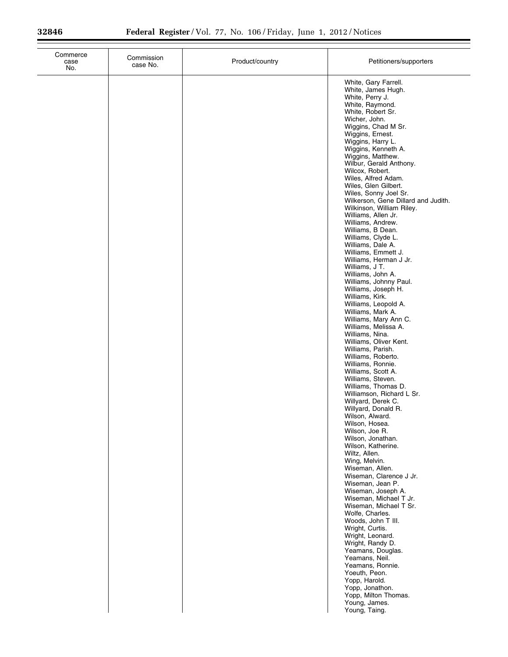| Commerce<br>case<br>No. | Commission<br>case No. | Product/country | Petitioners/supporters                                                                                                                                                                                                                                                                                                                                                                                                                                                                                                                                                                                                                                                                                                                                                                                                                                                                                                                                                                                                                                                                                                                                                                                                                                                                                                                                                                                                                                                                                                                                          |
|-------------------------|------------------------|-----------------|-----------------------------------------------------------------------------------------------------------------------------------------------------------------------------------------------------------------------------------------------------------------------------------------------------------------------------------------------------------------------------------------------------------------------------------------------------------------------------------------------------------------------------------------------------------------------------------------------------------------------------------------------------------------------------------------------------------------------------------------------------------------------------------------------------------------------------------------------------------------------------------------------------------------------------------------------------------------------------------------------------------------------------------------------------------------------------------------------------------------------------------------------------------------------------------------------------------------------------------------------------------------------------------------------------------------------------------------------------------------------------------------------------------------------------------------------------------------------------------------------------------------------------------------------------------------|
|                         |                        |                 | White, Gary Farrell.<br>White, James Hugh.<br>White, Perry J.<br>White, Raymond.<br>White, Robert Sr.<br>Wicher, John.<br>Wiggins, Chad M Sr.<br>Wiggins, Ernest.<br>Wiggins, Harry L.<br>Wiggins, Kenneth A.<br>Wiggins, Matthew.<br>Wilbur, Gerald Anthony.<br>Wilcox, Robert.<br>Wiles, Alfred Adam.<br>Wiles, Glen Gilbert.<br>Wiles, Sonny Joel Sr.<br>Wilkerson, Gene Dillard and Judith.<br>Wilkinson, William Riley.<br>Williams, Allen Jr.<br>Williams, Andrew.<br>Williams, B Dean.<br>Williams, Clyde L.<br>Williams, Dale A.<br>Williams, Emmett J.<br>Williams, Herman J Jr.<br>Williams, J T.<br>Williams, John A.<br>Williams, Johnny Paul.<br>Williams, Joseph H.<br>Williams, Kirk.<br>Williams, Leopold A.<br>Williams, Mark A.<br>Williams, Mary Ann C.<br>Williams, Melissa A.<br>Williams, Nina.<br>Williams, Oliver Kent.<br>Williams, Parish.<br>Williams, Roberto.<br>Williams, Ronnie.<br>Williams, Scott A.<br>Williams, Steven.<br>Williams, Thomas D.<br>Williamson, Richard L Sr.<br>Willyard, Derek C.<br>Willyard, Donald R.<br>Wilson, Alward.<br>Wilson, Hosea.<br>Wilson, Joe R.<br>Wilson, Jonathan.<br>Wilson, Katherine.<br>Wiltz, Allen.<br>Wing, Melvin.<br>Wiseman, Allen.<br>Wiseman, Clarence J Jr.<br>Wiseman, Jean P.<br>Wiseman, Joseph A.<br>Wiseman, Michael T Jr.<br>Wiseman, Michael T Sr.<br>Wolfe, Charles.<br>Woods, John T III.<br>Wright, Curtis.<br>Wright, Leonard.<br>Wright, Randy D.<br>Yeamans, Douglas.<br>Yeamans, Neil.<br>Yeamans, Ronnie.<br>Yoeuth, Peon.<br>Yopp, Harold.<br>Yopp, Jonathon. |
|                         |                        |                 | Yopp, Milton Thomas.<br>Young, James.<br>Young, Taing.                                                                                                                                                                                                                                                                                                                                                                                                                                                                                                                                                                                                                                                                                                                                                                                                                                                                                                                                                                                                                                                                                                                                                                                                                                                                                                                                                                                                                                                                                                          |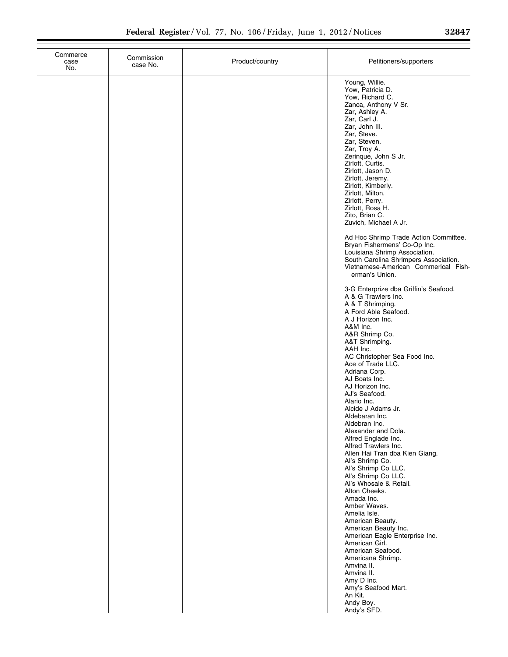$\overline{\phantom{0}}$ 

| Commerce<br>case<br>No. | Commission<br>case No. | Product/country | Petitioners/supporters                                                                                                                                                                                                                                                                                                                                                                            |
|-------------------------|------------------------|-----------------|---------------------------------------------------------------------------------------------------------------------------------------------------------------------------------------------------------------------------------------------------------------------------------------------------------------------------------------------------------------------------------------------------|
|                         |                        |                 | Young, Willie.<br>Yow, Patricia D.<br>Yow, Richard C.<br>Zanca, Anthony V Sr.<br>Zar, Ashley A.<br>Zar, Carl J.<br>Zar, John III.<br>Zar, Steve.<br>Zar, Steven.<br>Zar, Troy A.<br>Zerinque, John S Jr.<br>Zirlott, Curtis.<br>Zirlott, Jason D.<br>Zirlott, Jeremy.<br>Zirlott, Kimberly.<br>Zirlott, Milton.<br>Zirlott, Perry.<br>Zirlott, Rosa H.<br>Zito, Brian C.<br>Zuvich, Michael A Jr. |
|                         |                        |                 | Ad Hoc Shrimp Trade Action Committee.<br>Bryan Fishermens' Co-Op Inc.<br>Louisiana Shrimp Association.<br>South Carolina Shrimpers Association.<br>Vietnamese-American Commerical Fish-<br>erman's Union.                                                                                                                                                                                         |
|                         |                        |                 | 3-G Enterprize dba Griffin's Seafood.<br>A & G Trawlers Inc.<br>A & T Shrimping.<br>A Ford Able Seafood.<br>A J Horizon Inc.<br>A&M Inc.<br>A&R Shrimp Co.<br>A&T Shrimping.<br>AAH Inc.<br>AC Christopher Sea Food Inc.<br>Ace of Trade LLC.<br>Adriana Corp.<br>AJ Boats Inc.<br>AJ Horizon Inc.<br>AJ's Seafood.<br>Alario Inc.                                                                |
|                         |                        |                 | Alcide J Adams Jr.<br>Aldebaran Inc.<br>Aldebran Inc.<br>Alexander and Dola.<br>Alfred Englade Inc.<br>Alfred Trawlers Inc.<br>Allen Hai Tran dba Kien Giang.<br>Al's Shrimp Co.<br>Al's Shrimp Co LLC.<br>Al's Shrimp Co LLC.<br>Al's Whosale & Retail.<br>Alton Cheeks.<br>Amada Inc.                                                                                                           |
|                         |                        |                 | Amber Waves.<br>Amelia Isle.<br>American Beauty.<br>American Beauty Inc.<br>American Eagle Enterprise Inc.<br>American Girl.<br>American Seafood.<br>Americana Shrimp.<br>Amvina II.<br>Amvina II.<br>Amy D Inc.<br>Amy's Seafood Mart.<br>An Kit.<br>Andy Boy.<br>Andy's SFD.                                                                                                                    |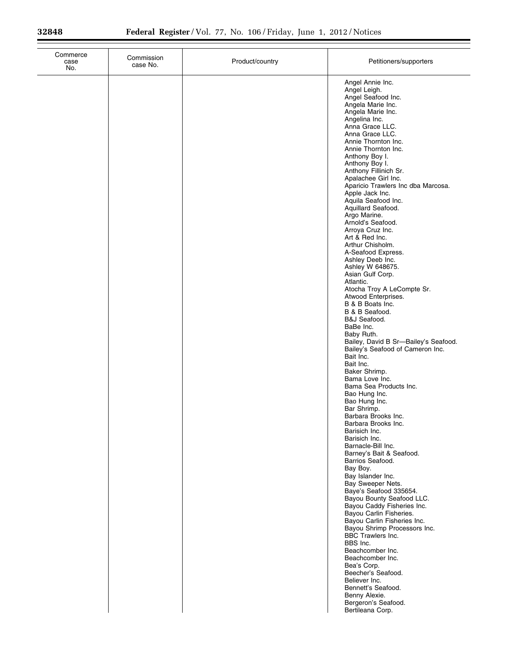| Commerce<br>case<br>No. | Commission<br>case No. | Product/country | Petitioners/supporters                                                                                                                                                                                                                                                                                                                                                                                                                                                                                                                                                                                                                                                                                                                                                                                                                                                                                                                                                                                                                                                                                                                                                                                                                                                                                                                                                                                                                            |
|-------------------------|------------------------|-----------------|---------------------------------------------------------------------------------------------------------------------------------------------------------------------------------------------------------------------------------------------------------------------------------------------------------------------------------------------------------------------------------------------------------------------------------------------------------------------------------------------------------------------------------------------------------------------------------------------------------------------------------------------------------------------------------------------------------------------------------------------------------------------------------------------------------------------------------------------------------------------------------------------------------------------------------------------------------------------------------------------------------------------------------------------------------------------------------------------------------------------------------------------------------------------------------------------------------------------------------------------------------------------------------------------------------------------------------------------------------------------------------------------------------------------------------------------------|
|                         |                        |                 | Angel Annie Inc.<br>Angel Leigh.<br>Angel Seafood Inc.<br>Angela Marie Inc.<br>Angela Marie Inc.<br>Angelina Inc.<br>Anna Grace LLC.<br>Anna Grace LLC.<br>Annie Thornton Inc.<br>Annie Thornton Inc.<br>Anthony Boy I.<br>Anthony Boy I.<br>Anthony Fillinich Sr.<br>Apalachee Girl Inc.<br>Aparicio Trawlers Inc dba Marcosa.<br>Apple Jack Inc.<br>Aquila Seafood Inc.<br>Aquillard Seafood.<br>Argo Marine.<br>Arnold's Seafood.<br>Arroya Cruz Inc.<br>Art & Red Inc.<br>Arthur Chisholm.<br>A-Seafood Express.<br>Ashley Deeb Inc.<br>Ashley W 648675.<br>Asian Gulf Corp.<br>Atlantic.<br>Atocha Troy A LeCompte Sr.<br>Atwood Enterprises.<br>B & B Boats Inc.<br>B & B Seafood.<br>B&J Seafood.<br>BaBe Inc.<br>Baby Ruth.<br>Bailey, David B Sr-Bailey's Seafood.<br>Bailey's Seafood of Cameron Inc.<br>Bait Inc.<br>Bait Inc.<br>Baker Shrimp.<br>Bama Love Inc.<br>Bama Sea Products Inc.<br>Bao Hung Inc.<br>Bao Hung Inc.<br>Bar Shrimp.<br>Barbara Brooks Inc.<br>Barbara Brooks Inc.<br>Barisich Inc.<br>Barisich Inc.<br>Barnacle-Bill Inc.<br>Barney's Bait & Seafood.<br>Barrios Seafood.<br>Bay Boy.<br>Bay Islander Inc.<br>Bay Sweeper Nets.<br>Baye's Seafood 335654.<br>Bayou Bounty Seafood LLC.<br>Bayou Caddy Fisheries Inc.<br>Bayou Carlin Fisheries.<br>Bayou Carlin Fisheries Inc.<br>Bayou Shrimp Processors Inc.<br><b>BBC Trawlers Inc.</b><br>BBS Inc.<br>Beachcomber Inc.<br>Beachcomber Inc.<br>Bea's Corp. |
|                         |                        |                 | Beecher's Seafood.<br>Believer Inc.<br>Bennett's Seafood.<br>Benny Alexie.<br>Bergeron's Seafood.<br>Bertileana Corp.                                                                                                                                                                                                                                                                                                                                                                                                                                                                                                                                                                                                                                                                                                                                                                                                                                                                                                                                                                                                                                                                                                                                                                                                                                                                                                                             |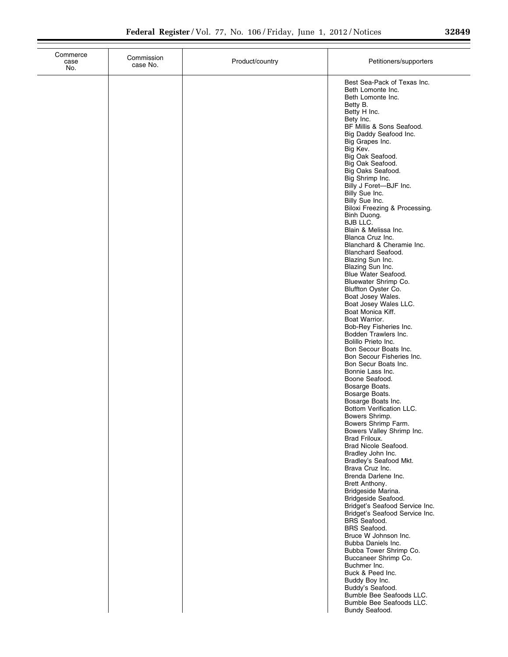|  | 32849 |  |
|--|-------|--|
|  |       |  |

| Commerce<br>case<br>No. | Commission<br>case No. | Product/country | Petitioners/supporters                                                                                                                                                                                                                                                                                                                                                                                                                                                                                                                                                                                                                                                                                                                                                                                                                                                                                                                                                                                                                                                                                                                                                                                                                                                                                                                                                                                                                                                     |
|-------------------------|------------------------|-----------------|----------------------------------------------------------------------------------------------------------------------------------------------------------------------------------------------------------------------------------------------------------------------------------------------------------------------------------------------------------------------------------------------------------------------------------------------------------------------------------------------------------------------------------------------------------------------------------------------------------------------------------------------------------------------------------------------------------------------------------------------------------------------------------------------------------------------------------------------------------------------------------------------------------------------------------------------------------------------------------------------------------------------------------------------------------------------------------------------------------------------------------------------------------------------------------------------------------------------------------------------------------------------------------------------------------------------------------------------------------------------------------------------------------------------------------------------------------------------------|
|                         |                        |                 | Best Sea-Pack of Texas Inc.<br>Beth Lomonte Inc.<br>Beth Lomonte Inc.<br>Betty B.<br>Betty H Inc.<br>Bety Inc.<br>BF Millis & Sons Seafood.<br>Big Daddy Seafood Inc.<br>Big Grapes Inc.<br>Big Kev.<br>Big Oak Seafood.<br>Big Oak Seafood.<br>Big Oaks Seafood.<br>Big Shrimp Inc.<br>Billy J Foret-BJF Inc.<br>Billy Sue Inc.<br>Billy Sue Inc.<br>Biloxi Freezing & Processing.<br>Binh Duong.<br>BJB LLC.<br>Blain & Melissa Inc.<br>Blanca Cruz Inc.<br>Blanchard & Cheramie Inc.<br><b>Blanchard Seafood.</b><br>Blazing Sun Inc.<br>Blazing Sun Inc.<br>Blue Water Seafood.<br>Bluewater Shrimp Co.<br>Bluffton Oyster Co.<br>Boat Josey Wales.<br>Boat Josey Wales LLC.<br>Boat Monica Kiff.<br>Boat Warrior.<br>Bob-Rey Fisheries Inc.<br>Bodden Trawlers Inc.<br>Bolillo Prieto Inc.<br>Bon Secour Boats Inc.<br>Bon Secour Fisheries Inc.<br>Bon Secur Boats Inc.<br>Bonnie Lass Inc.<br>Boone Seafood.<br>Bosarge Boats.<br>Bosarge Boats.<br>Bosarge Boats Inc.<br>Bottom Verification LLC.<br>Bowers Shrimp.<br>Bowers Shrimp Farm.<br>Bowers Valley Shrimp Inc.<br>Brad Friloux.<br>Brad Nicole Seafood.<br>Bradley John Inc.<br>Bradley's Seafood Mkt.<br>Brava Cruz Inc.<br>Brenda Darlene Inc.<br>Brett Anthony.<br>Bridgeside Marina.<br>Bridgeside Seafood.<br>Bridget's Seafood Service Inc.<br>Bridget's Seafood Service Inc.<br><b>BRS</b> Seafood.<br><b>BRS</b> Seafood.<br>Bruce W Johnson Inc.<br>Bubba Daniels Inc.<br>Bubba Tower Shrimp Co. |
|                         |                        |                 | Buccaneer Shrimp Co.<br>Buchmer Inc.<br>Buck & Peed Inc.<br>Buddy Boy Inc.<br>Buddy's Seafood.<br>Bumble Bee Seafoods LLC.<br>Bumble Bee Seafoods LLC.<br>Bundy Seafood.                                                                                                                                                                                                                                                                                                                                                                                                                                                                                                                                                                                                                                                                                                                                                                                                                                                                                                                                                                                                                                                                                                                                                                                                                                                                                                   |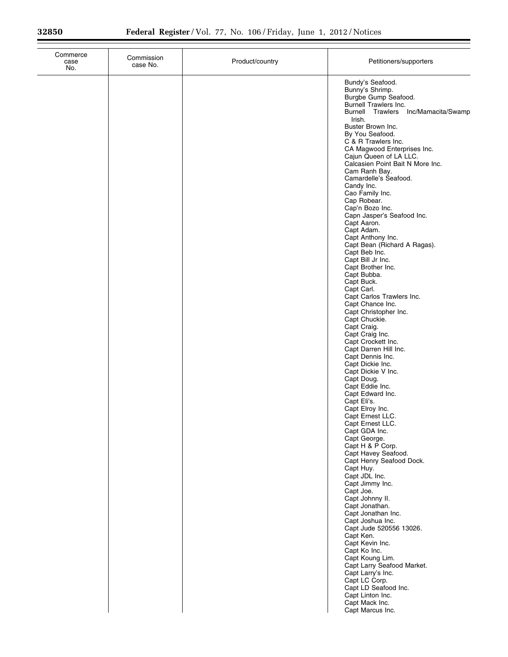| Commerce<br>case<br>No. | Commission<br>case No. | Product/country | Petitioners/supporters                                                      |
|-------------------------|------------------------|-----------------|-----------------------------------------------------------------------------|
|                         |                        |                 | Bundy's Seafood.<br>Bunny's Shrimp.<br>Burgbe Gump Seafood.                 |
|                         |                        |                 | Burnell Trawlers Inc.<br><b>Burnell Trawlers</b><br>Inc/Mamacita/Swamp      |
|                         |                        |                 | Irish.<br>Buster Brown Inc.<br>By You Seafood.                              |
|                         |                        |                 | C & R Trawlers Inc.<br>CA Magwood Enterprises Inc.                          |
|                         |                        |                 | Cajun Queen of LA LLC.<br>Calcasien Point Bait N More Inc.<br>Cam Ranh Bay. |
|                         |                        |                 | Camardelle's Seafood.<br>Candy Inc.                                         |
|                         |                        |                 | Cao Family Inc.<br>Cap Robear.                                              |
|                         |                        |                 | Cap'n Bozo Inc.<br>Capn Jasper's Seafood Inc.<br>Capt Aaron.                |
|                         |                        |                 | Capt Adam.<br>Capt Anthony Inc.                                             |
|                         |                        |                 | Capt Bean (Richard A Ragas).<br>Capt Beb Inc.<br>Capt Bill Jr Inc.          |
|                         |                        |                 | Capt Brother Inc.<br>Capt Bubba.                                            |
|                         |                        |                 | Capt Buck.<br>Capt Carl.<br>Capt Carlos Trawlers Inc.                       |
|                         |                        |                 | Capt Chance Inc.<br>Capt Christopher Inc.                                   |
|                         |                        |                 | Capt Chuckie.<br>Capt Craig.<br>Capt Craig Inc.                             |
|                         |                        |                 | Capt Crockett Inc.<br>Capt Darren Hill Inc.                                 |
|                         |                        |                 | Capt Dennis Inc.<br>Capt Dickie Inc.<br>Capt Dickie V Inc.                  |
|                         |                        |                 | Capt Doug.<br>Capt Eddie Inc.                                               |
|                         |                        |                 | Capt Edward Inc.<br>Capt Eli's.<br>Capt Elroy Inc.                          |
|                         |                        |                 | Capt Ernest LLC.<br>Capt Ernest LLC.                                        |
|                         |                        |                 | Capt GDA Inc.<br>Capt George.                                               |
|                         |                        |                 | Capt H & P Corp.<br>Capt Havey Seafood.<br>Capt Henry Seafood Dock.         |
|                         |                        |                 | Capt Huy.<br>Capt JDL Inc.                                                  |
|                         |                        |                 | Capt Jimmy Inc.<br>Capt Joe.<br>Capt Johnny II.                             |
|                         |                        |                 | Capt Jonathan.<br>Capt Jonathan Inc.                                        |
|                         |                        |                 | Capt Joshua Inc.<br>Capt Jude 520556 13026.<br>Capt Ken.                    |
|                         |                        |                 | Capt Kevin Inc.<br>Capt Ko Inc.                                             |
|                         |                        |                 | Capt Koung Lim.<br>Capt Larry Seafood Market.<br>Capt Larry's Inc.          |
|                         |                        |                 | Capt LC Corp.<br>Capt LD Seafood Inc.                                       |
|                         |                        |                 | Capt Linton Inc.<br>Capt Mack Inc.<br>Capt Marcus Inc.                      |
|                         |                        |                 |                                                                             |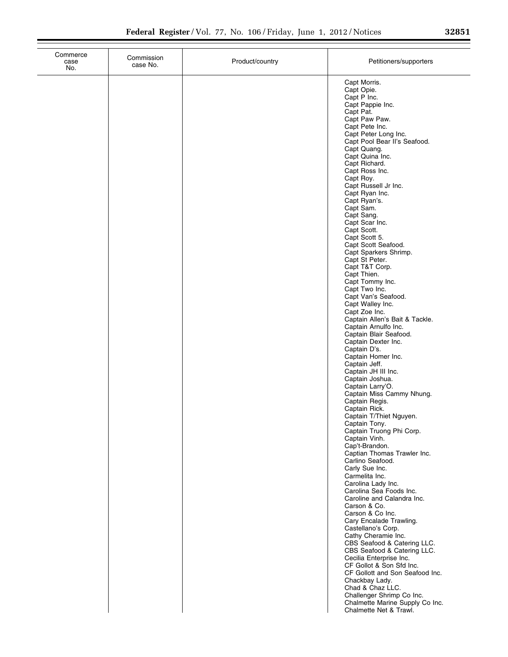| 32851 |  |  |
|-------|--|--|
|       |  |  |

| Commerce<br>case<br>No. | Commission<br>case No. | Product/country | Petitioners/supporters                                                                 |
|-------------------------|------------------------|-----------------|----------------------------------------------------------------------------------------|
|                         |                        |                 | Capt Morris.<br>Capt Opie.<br>Capt P Inc.<br>Capt Pappie Inc.                          |
|                         |                        |                 | Capt Pat.<br>Capt Paw Paw.                                                             |
|                         |                        |                 | Capt Pete Inc.<br>Capt Peter Long Inc.<br>Capt Pool Bear II's Seafood.                 |
|                         |                        |                 | Capt Quang.<br>Capt Quina Inc.<br>Capt Richard.                                        |
|                         |                        |                 | Capt Ross Inc.<br>Capt Roy.                                                            |
|                         |                        |                 | Capt Russell Jr Inc.<br>Capt Ryan Inc.<br>Capt Ryan's.                                 |
|                         |                        |                 | Capt Sam.<br>Capt Sang.<br>Capt Scar Inc.                                              |
|                         |                        |                 | Capt Scott.<br>Capt Scott 5.                                                           |
|                         |                        |                 | Capt Scott Seafood.<br>Capt Sparkers Shrimp.<br>Capt St Peter.                         |
|                         |                        |                 | Capt T&T Corp.<br>Capt Thien.<br>Capt Tommy Inc.                                       |
|                         |                        |                 | Capt Two Inc.<br>Capt Van's Seafood.<br>Capt Walley Inc.                               |
|                         |                        |                 | Capt Zoe Inc.<br>Captain Allen's Bait & Tackle.                                        |
|                         |                        |                 | Captain Arnulfo Inc.<br>Captain Blair Seafood.<br>Captain Dexter Inc.                  |
|                         |                        |                 | Captain D's.<br>Captain Homer Inc.<br>Captain Jeff.                                    |
|                         |                        |                 | Captain JH III Inc.<br>Captain Joshua.<br>Captain Larry'O.                             |
|                         |                        |                 | Captain Miss Cammy Nhung.<br>Captain Regis.                                            |
|                         |                        |                 | Captain Rick.<br>Captain T/Thiet Nguyen.<br>Captain Tony.                              |
|                         |                        |                 | Captain Truong Phi Corp.<br>Captain Vinh.<br>Cap't-Brandon.                            |
|                         |                        |                 | Captian Thomas Trawler Inc.<br>Carlino Seafood.<br>Carly Sue Inc.                      |
|                         |                        |                 | Carmelita Inc.<br>Carolina Lady Inc.<br>Carolina Sea Foods Inc.                        |
|                         |                        |                 | Caroline and Calandra Inc.<br>Carson & Co.                                             |
|                         |                        |                 | Carson & Co Inc.<br>Cary Encalade Trawling.<br>Castellano's Corp.                      |
|                         |                        |                 | Cathy Cheramie Inc.<br>CBS Seafood & Catering LLC.<br>CBS Seafood & Catering LLC.      |
|                         |                        |                 | Cecilia Enterprise Inc.<br>CF Gollot & Son Sfd Inc.<br>CF Gollott and Son Seafood Inc. |
|                         |                        |                 | Chackbay Lady.<br>Chad & Chaz LLC.                                                     |
|                         |                        |                 | Challenger Shrimp Co Inc.<br>Chalmette Marine Supply Co Inc.<br>Chalmette Net & Trawl. |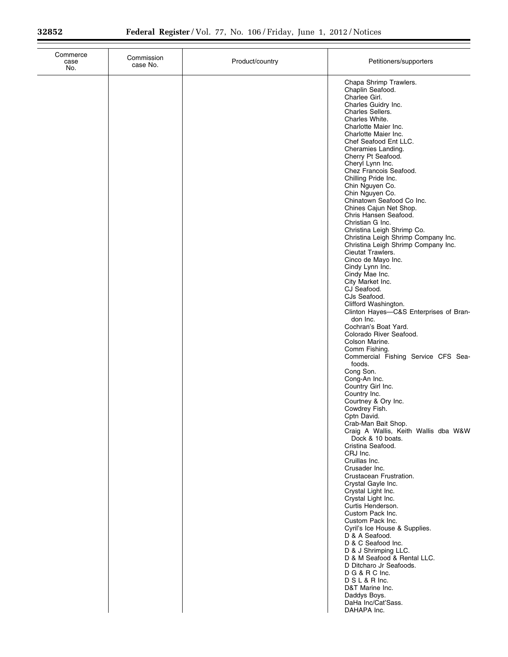| Commerce<br>case<br>No. | Commission<br>case No. | Product/country | Petitioners/supporters                                                                                                                                                                                                                                                                                                                                                                                                                                                                                                                                                                                                                                                                                                                                                                                                                                                                                                                                                                                                                                                                                                                                                                                                                                                                                       |
|-------------------------|------------------------|-----------------|--------------------------------------------------------------------------------------------------------------------------------------------------------------------------------------------------------------------------------------------------------------------------------------------------------------------------------------------------------------------------------------------------------------------------------------------------------------------------------------------------------------------------------------------------------------------------------------------------------------------------------------------------------------------------------------------------------------------------------------------------------------------------------------------------------------------------------------------------------------------------------------------------------------------------------------------------------------------------------------------------------------------------------------------------------------------------------------------------------------------------------------------------------------------------------------------------------------------------------------------------------------------------------------------------------------|
|                         |                        |                 | Chapa Shrimp Trawlers.<br>Chaplin Seafood.<br>Charlee Girl.<br>Charles Guidry Inc.<br>Charles Sellers.<br>Charles White.<br>Charlotte Maier Inc.<br>Charlotte Maier Inc.<br>Chef Seafood Ent LLC.<br>Cheramies Landing.<br>Cherry Pt Seafood.<br>Cheryl Lynn Inc.<br>Chez Francois Seafood.<br>Chilling Pride Inc.<br>Chin Nguyen Co.<br>Chin Nguyen Co.<br>Chinatown Seafood Co Inc.<br>Chines Cajun Net Shop.<br>Chris Hansen Seafood.<br>Christian G Inc.<br>Christina Leigh Shrimp Co.<br>Christina Leigh Shrimp Company Inc.<br>Christina Leigh Shrimp Company Inc.<br>Cieutat Trawlers.<br>Cinco de Mayo Inc.<br>Cindy Lynn Inc.<br>Cindy Mae Inc.<br>City Market Inc.<br>CJ Seafood.<br>CJs Seafood.<br>Clifford Washington.<br>Clinton Hayes-C&S Enterprises of Bran-<br>don Inc.<br>Cochran's Boat Yard.<br>Colorado River Seafood.<br>Colson Marine.<br>Comm Fishing.<br>Commercial Fishing Service CFS Sea-<br>foods.<br>Cong Son.<br>Cong-An Inc.<br>Country Girl Inc.<br>Country Inc.<br>Courtney & Ory Inc.<br>Cowdrey Fish.<br>Cptn David.<br>Crab-Man Bait Shop.<br>Craig A Wallis, Keith Wallis dba W&W<br>Dock & 10 boats.<br>Cristina Seafood.<br>CRJ Inc.<br>Cruillas Inc.<br>Crusader Inc.<br>Crustacean Frustration.<br>Crystal Gayle Inc.<br>Crystal Light Inc.<br>Crystal Light Inc. |
|                         |                        |                 | Curtis Henderson.<br>Custom Pack Inc.<br>Custom Pack Inc.<br>Cyril's Ice House & Supplies.<br>D & A Seafood.<br>D & C Seafood Inc.<br>D & J Shrimping LLC.<br>D & M Seafood & Rental LLC.<br>D Ditcharo Jr Seafoods.<br>D G & R C Inc.<br>D S L & R Inc.<br>D&T Marine Inc.<br>Daddys Boys.<br>DaHa Inc/Cat'Sass.<br>DAHAPA Inc.                                                                                                                                                                                                                                                                                                                                                                                                                                                                                                                                                                                                                                                                                                                                                                                                                                                                                                                                                                             |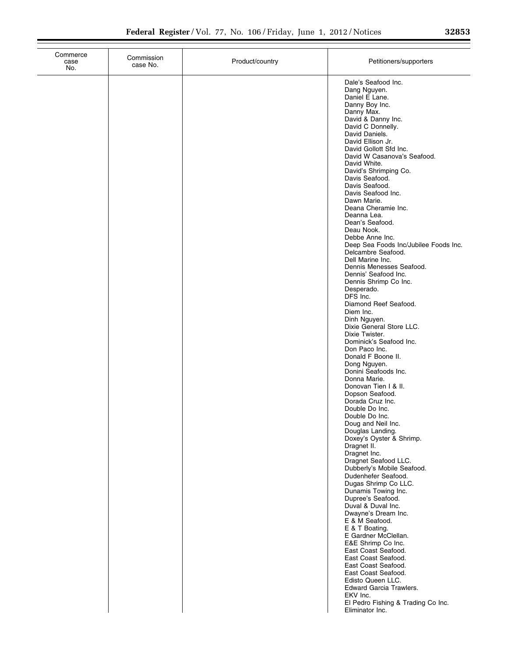Commerce case No.

| Commission<br>case No. | Product/country | Petitioners/supporters                                                                                                                                                                                                                                                                                                                                                                                                                                                                                                                                                                                                                                                                                                                                                                                                                                                                                                                                                                                                                                                                                                                                                                                                                                                                                                                                                                                                                                                                                                                                                               |
|------------------------|-----------------|--------------------------------------------------------------------------------------------------------------------------------------------------------------------------------------------------------------------------------------------------------------------------------------------------------------------------------------------------------------------------------------------------------------------------------------------------------------------------------------------------------------------------------------------------------------------------------------------------------------------------------------------------------------------------------------------------------------------------------------------------------------------------------------------------------------------------------------------------------------------------------------------------------------------------------------------------------------------------------------------------------------------------------------------------------------------------------------------------------------------------------------------------------------------------------------------------------------------------------------------------------------------------------------------------------------------------------------------------------------------------------------------------------------------------------------------------------------------------------------------------------------------------------------------------------------------------------------|
|                        |                 | Dale's Seafood Inc.<br>Dang Nguyen.<br>Daniel E Lane.<br>Danny Boy Inc.<br>Danny Max.<br>David & Danny Inc.<br>David C Donnelly.<br>David Daniels.<br>David Ellison Jr.<br>David Gollott Sfd Inc.<br>David W Casanova's Seafood.<br>David White.<br>David's Shrimping Co.<br>Davis Seafood.<br>Davis Seafood.<br>Davis Seafood Inc.<br>Dawn Marie.<br>Deana Cheramie Inc.<br>Deanna Lea.<br>Dean's Seafood.<br>Deau Nook.<br>Debbe Anne Inc.<br>Deep Sea Foods Inc/Jubilee Foods Inc.<br>Delcambre Seafood.<br>Dell Marine Inc.<br>Dennis Menesses Seafood.<br>Dennis' Seafood Inc.<br>Dennis Shrimp Co Inc.<br>Desperado.<br>DFS Inc.<br>Diamond Reef Seafood.<br>Diem Inc.<br>Dinh Nguyen.<br>Dixie General Store LLC.<br>Dixie Twister.<br>Dominick's Seafood Inc.<br>Don Paco Inc.<br>Donald F Boone II.<br>Dong Nguyen.<br>Donini Seafoods Inc.<br>Donna Marie.<br>Donovan Tien I & II.<br>Dopson Seafood.<br>Dorada Cruz Inc.<br>Double Do Inc.<br>Double Do Inc.<br>Doug and Neil Inc.<br>Douglas Landing.<br>Doxey's Oyster & Shrimp.<br>Dragnet II.<br>Dragnet Inc.<br>Dragnet Seafood LLC.<br>Dubberly's Mobile Seafood.<br>Dudenhefer Seafood.<br>Dugas Shrimp Co LLC.<br>Dunamis Towing Inc.<br>Dupree's Seafood.<br>Duval & Duval Inc.<br>Dwayne's Dream Inc.<br>E & M Seafood.<br>E & T Boating.<br>E Gardner McClellan.<br>E&E Shrimp Co Inc.<br>East Coast Seafood.<br>East Coast Seafood.<br>East Coast Seafood.<br>East Coast Seafood.<br>Edisto Queen LLC.<br><b>Edward Garcia Trawlers.</b><br>EKV Inc.<br>El Pedro Fishing & Trading Co Inc.<br>Eliminator Inc. |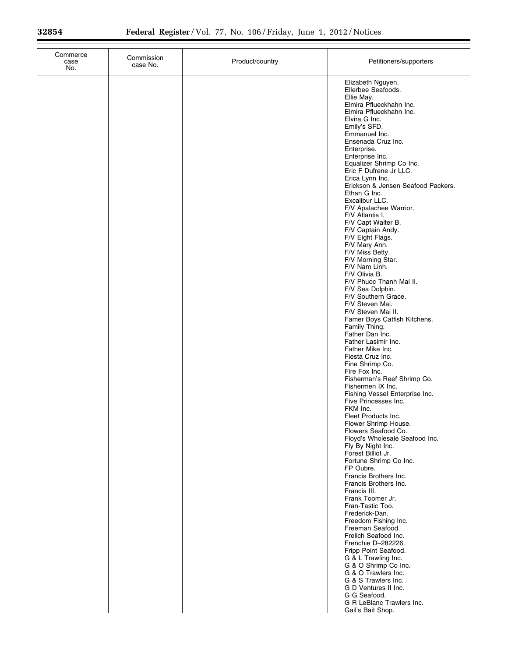| Elizabeth Nguyen.<br>Ellerbee Seafoods.<br>Ellie May.<br>Elmira Pflueckhahn Inc.<br>Elmira Pflueckhahn Inc.<br>Elvira G Inc.<br>Emily's SFD.<br>Emmanuel Inc.<br>Ensenada Cruz Inc.<br>Enterprise.<br>Enterprise Inc.<br>Equalizer Shrimp Co Inc.<br>Eric F Dufrene Jr LLC.<br>Erica Lynn Inc.<br>Erickson & Jensen Seafood Packers.<br>Ethan G Inc.<br>Excalibur LLC.<br>F/V Apalachee Warrior.<br>F/V Atlantis I.<br>F/V Capt Walter B.<br>F/V Captain Andy.<br>F/V Eight Flags.<br>F/V Mary Ann.<br>F/V Miss Betty.<br>F/V Morning Star.<br>F/V Nam Linh.<br>F/V Olivia B.<br>F/V Phuoc Thanh Mai II.<br>F/V Sea Dolphin.<br>F/V Southern Grace.<br>F/V Steven Mai.<br>F/V Steven Mai II.<br>Famer Boys Catfish Kitchens.<br>Family Thing.<br>Father Dan Inc.<br>Father Lasimir Inc.<br>Father Mike Inc.<br>Fiesta Cruz Inc.<br>Fine Shrimp Co.<br>Fire Fox Inc.<br>Fisherman's Reef Shrimp Co.<br>Fishermen IX Inc.<br>Fishing Vessel Enterprise Inc.<br>Five Princesses Inc.<br>FKM Inc.<br>Fleet Products Inc.<br>Flower Shrimp House.<br>Flowers Seafood Co.<br>Floyd's Wholesale Seafood Inc.<br>Fly By Night Inc.<br>Forest Billiot Jr.<br>Fortune Shrimp Co Inc.<br>FP Oubre.<br>Francis Brothers Inc.<br>Francis Brothers Inc.<br>Francis III.<br>Frank Toomer Jr.<br>Fran-Tastic Too.<br>Frederick-Dan.<br>Freedom Fishing Inc.<br>Freeman Seafood.<br>Frelich Seafood Inc.<br>Frenchie D-282226.<br>Fripp Point Seafood.<br>G & L Trawling Inc.<br>G & O Shrimp Co Inc.<br>G & O Trawlers Inc.<br>G & S Trawlers Inc.<br>G D Ventures II Inc.<br>G G Seafood.<br>G R LeBlanc Trawlers Inc. | case<br>case No.<br>No. | Product/country | Petitioners/supporters |
|---------------------------------------------------------------------------------------------------------------------------------------------------------------------------------------------------------------------------------------------------------------------------------------------------------------------------------------------------------------------------------------------------------------------------------------------------------------------------------------------------------------------------------------------------------------------------------------------------------------------------------------------------------------------------------------------------------------------------------------------------------------------------------------------------------------------------------------------------------------------------------------------------------------------------------------------------------------------------------------------------------------------------------------------------------------------------------------------------------------------------------------------------------------------------------------------------------------------------------------------------------------------------------------------------------------------------------------------------------------------------------------------------------------------------------------------------------------------------------------------------------------------------------------------------------------------------------------------------------|-------------------------|-----------------|------------------------|
|                                                                                                                                                                                                                                                                                                                                                                                                                                                                                                                                                                                                                                                                                                                                                                                                                                                                                                                                                                                                                                                                                                                                                                                                                                                                                                                                                                                                                                                                                                                                                                                                         |                         |                 | Gail's Bait Shop.      |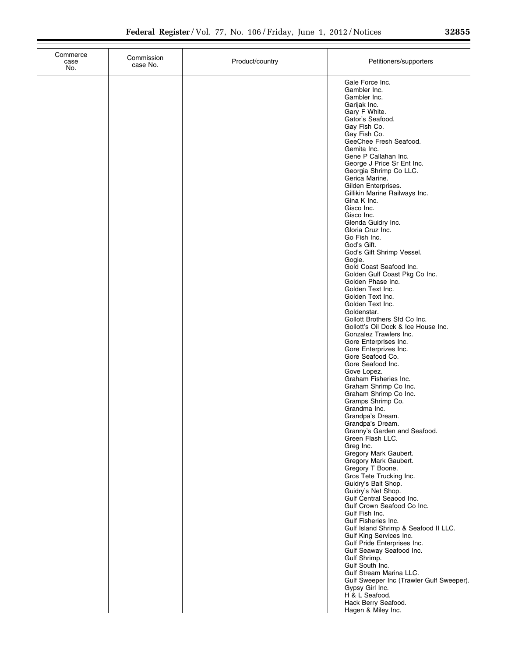| Commerce<br>case<br>No. | Commission<br>case No. | Product/country | Petitioners/supporters                                                                                                                                                                                                                                                                                                                                                                                                                                                                                                                                                                                                                                                                                                                                                                                                                                                                                                                                                                                        |
|-------------------------|------------------------|-----------------|---------------------------------------------------------------------------------------------------------------------------------------------------------------------------------------------------------------------------------------------------------------------------------------------------------------------------------------------------------------------------------------------------------------------------------------------------------------------------------------------------------------------------------------------------------------------------------------------------------------------------------------------------------------------------------------------------------------------------------------------------------------------------------------------------------------------------------------------------------------------------------------------------------------------------------------------------------------------------------------------------------------|
|                         |                        |                 | Gale Force Inc.<br>Gambler Inc.<br>Gambler Inc.<br>Garijak Inc.<br>Gary F White.<br>Gator's Seafood.<br>Gay Fish Co.<br>Gay Fish Co.<br>GeeChee Fresh Seafood.<br>Gemita Inc.<br>Gene P Callahan Inc.<br>George J Price Sr Ent Inc.<br>Georgia Shrimp Co LLC.<br>Gerica Marine.<br>Gilden Enterprises.<br>Gillikin Marine Railways Inc.<br>Gina K Inc.<br>Gisco Inc.<br>Gisco Inc.<br>Glenda Guidry Inc.<br>Gloria Cruz Inc.<br>Go Fish Inc.<br>God's Gift.<br>God's Gift Shrimp Vessel.<br>Gogie.<br>Gold Coast Seafood Inc.<br>Golden Gulf Coast Pkg Co Inc.<br>Golden Phase Inc.<br>Golden Text Inc.<br>Golden Text Inc.<br>Golden Text Inc.<br>Goldenstar.<br>Gollott Brothers Sfd Co Inc.<br>Gollott's Oil Dock & Ice House Inc.<br>Gonzalez Trawlers Inc.<br>Gore Enterprises Inc.<br>Gore Enterprizes Inc.<br>Gore Seafood Co.<br>Gore Seafood Inc.<br>Gove Lopez.<br>Graham Fisheries Inc.<br>Graham Shrimp Co Inc.<br>Graham Shrimp Co Inc.<br>Gramps Shrimp Co.<br>Grandma Inc.<br>Grandpa's Dream. |
|                         |                        |                 | Grandpa's Dream.<br>Granny's Garden and Seafood.<br>Green Flash LLC.<br>Greg Inc.<br>Gregory Mark Gaubert.<br>Gregory Mark Gaubert.<br>Gregory T Boone.<br>Gros Tete Trucking Inc.<br>Guidry's Bait Shop.<br>Guidry's Net Shop.<br>Gulf Central Seaood Inc.                                                                                                                                                                                                                                                                                                                                                                                                                                                                                                                                                                                                                                                                                                                                                   |
|                         |                        |                 | Gulf Crown Seafood Co Inc.<br>Gulf Fish Inc.<br>Gulf Fisheries Inc.<br>Gulf Island Shrimp & Seafood II LLC.<br>Gulf King Services Inc.<br>Gulf Pride Enterprises Inc.<br>Gulf Seaway Seafood Inc.<br>Gulf Shrimp.<br>Gulf South Inc.<br>Gulf Stream Marina LLC.<br>Gulf Sweeper Inc (Trawler Gulf Sweeper).<br>Gypsy Girl Inc.<br>H & L Seafood.<br>Hack Berry Seafood.<br>Hagen & Miley Inc.                                                                                                                                                                                                                                                                                                                                                                                                                                                                                                                                                                                                                 |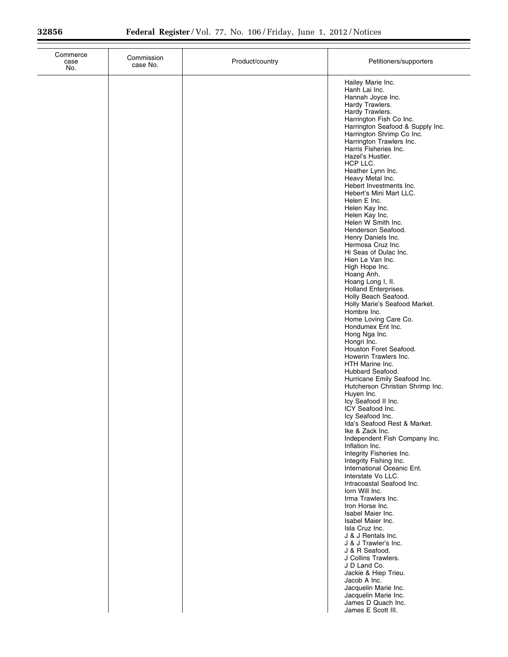| Commerce<br>case<br>No. | Commission<br>case No. | Product/country | Petitioners/supporters                                                                                                                                                                                                                                                                                                                                                                                                                                                                                                                                                                                                                                                                                                                                                                                                                                                                                                                                                                                                                                                                                                                                                                                                                                                                                                                                                                                                                                                                                                                                                                                                                                            |
|-------------------------|------------------------|-----------------|-------------------------------------------------------------------------------------------------------------------------------------------------------------------------------------------------------------------------------------------------------------------------------------------------------------------------------------------------------------------------------------------------------------------------------------------------------------------------------------------------------------------------------------------------------------------------------------------------------------------------------------------------------------------------------------------------------------------------------------------------------------------------------------------------------------------------------------------------------------------------------------------------------------------------------------------------------------------------------------------------------------------------------------------------------------------------------------------------------------------------------------------------------------------------------------------------------------------------------------------------------------------------------------------------------------------------------------------------------------------------------------------------------------------------------------------------------------------------------------------------------------------------------------------------------------------------------------------------------------------------------------------------------------------|
|                         |                        |                 | Hailey Marie Inc.<br>Hanh Lai Inc.<br>Hannah Joyce Inc.<br>Hardy Trawlers.<br>Hardy Trawlers.<br>Harrington Fish Co Inc.<br>Harrington Seafood & Supply Inc.<br>Harrington Shrimp Co Inc.<br>Harrington Trawlers Inc.<br>Harris Fisheries Inc.<br>Hazel's Hustler.<br>HCP LLC.<br>Heather Lynn Inc.<br>Heavy Metal Inc.<br>Hebert Investments Inc.<br>Hebert's Mini Mart LLC.<br>Helen E Inc.<br>Helen Kay Inc.<br>Helen Kay Inc.<br>Helen W Smith Inc.<br>Henderson Seafood.<br>Henry Daniels Inc.<br>Hermosa Cruz Inc.<br>Hi Seas of Dulac Inc.<br>Hien Le Van Inc.<br>High Hope Inc.<br>Hoang Anh.<br>Hoang Long I, II.<br>Holland Enterprises.<br>Holly Beach Seafood.<br>Holly Marie's Seafood Market.<br>Hombre Inc.<br>Home Loving Care Co.<br>Hondumex Ent Inc.<br>Hong Nga Inc.<br>Hongri Inc.<br>Houston Foret Seafood.<br>Howerin Trawlers Inc.<br>HTH Marine Inc.<br>Hubbard Seafood.<br>Hurricane Emily Seafood Inc.<br>Hutcherson Christian Shrimp Inc.<br>Huyen Inc.<br>Icy Seafood II Inc.<br>ICY Seafood Inc.<br>Icy Seafood Inc.<br>Ida's Seafood Rest & Market.<br>Ike & Zack Inc.<br>Independent Fish Company Inc.<br>Inflation Inc.<br>Integrity Fisheries Inc.<br>Integrity Fishing Inc.<br>International Oceanic Ent.<br>Interstate Vo LLC.<br>Intracoastal Seafood Inc.<br>lorn Will Inc.<br>Irma Trawlers Inc.<br>Iron Horse Inc.<br>Isabel Maier Inc.<br>Isabel Maier Inc.<br>Isla Cruz Inc.<br>J & J Rentals Inc.<br>J & J Trawler's Inc.<br>J & R Seafood.<br>J Collins Trawlers.<br>J D Land Co.<br>Jackie & Hiep Trieu.<br>Jacob A Inc.<br>Jacquelin Marie Inc.<br>Jacquelin Marie Inc.<br>James D Quach Inc.<br>James E Scott III. |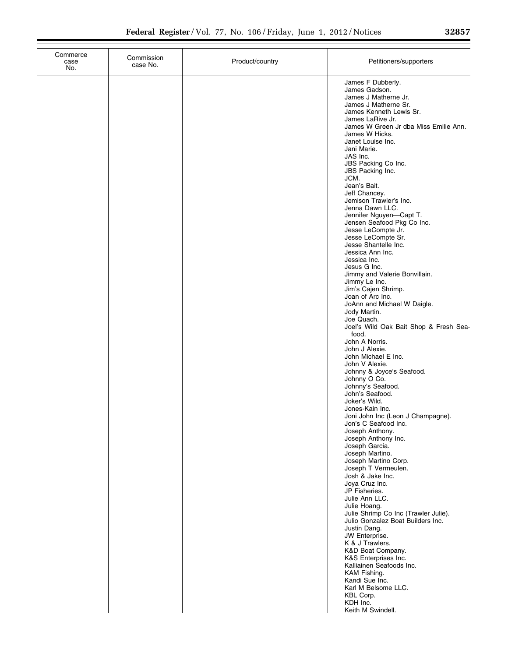| Commerce<br>case<br>No. | Commission<br>case No. | Product/country | Petitioners/supporters                                                                                                                                                                                                                                                                                                                                                                                                                                                                                                                                                                                                                                                                                                                                                                                                                                                                                                                                                                                                                                                                                                                                                                                                                                                                                                                                                                                                                                                                                                                    |
|-------------------------|------------------------|-----------------|-------------------------------------------------------------------------------------------------------------------------------------------------------------------------------------------------------------------------------------------------------------------------------------------------------------------------------------------------------------------------------------------------------------------------------------------------------------------------------------------------------------------------------------------------------------------------------------------------------------------------------------------------------------------------------------------------------------------------------------------------------------------------------------------------------------------------------------------------------------------------------------------------------------------------------------------------------------------------------------------------------------------------------------------------------------------------------------------------------------------------------------------------------------------------------------------------------------------------------------------------------------------------------------------------------------------------------------------------------------------------------------------------------------------------------------------------------------------------------------------------------------------------------------------|
|                         |                        |                 | James F Dubberly.<br>James Gadson.<br>James J Matherne Jr.<br>James J Matherne Sr.<br>James Kenneth Lewis Sr.<br>James LaRive Jr.<br>James W Green Jr dba Miss Emilie Ann.<br>James W Hicks.<br>Janet Louise Inc.<br>Jani Marie.<br>JAS Inc.<br>JBS Packing Co Inc.<br>JBS Packing Inc.<br>JCM.<br>Jean's Bait.<br>Jeff Chancey.<br>Jemison Trawler's Inc.<br>Jenna Dawn LLC.<br>Jennifer Nguyen-Capt T.<br>Jensen Seafood Pkg Co Inc.<br>Jesse LeCompte Jr.<br>Jesse LeCompte Sr.<br>Jesse Shantelle Inc.<br>Jessica Ann Inc.<br>Jessica Inc.<br>Jesus G Inc.<br>Jimmy and Valerie Bonvillain.<br>Jimmy Le Inc.<br>Jim's Cajen Shrimp.<br>Joan of Arc Inc.<br>JoAnn and Michael W Daigle.<br>Jody Martin.<br>Joe Quach.<br>Joel's Wild Oak Bait Shop & Fresh Sea-<br>food.<br>John A Norris.<br>John J Alexie.<br>John Michael E Inc.<br>John V Alexie.<br>Johnny & Joyce's Seafood.<br>Johnny O Co.<br>Johnny's Seafood.<br>John's Seafood.<br>Joker's Wild.<br>Jones-Kain Inc.<br>Joni John Inc (Leon J Champagne).<br>Jon's C Seatood Inc.<br>Joseph Anthony.<br>Joseph Anthony Inc.<br>Joseph Garcia.<br>Joseph Martino.<br>Joseph Martino Corp.<br>Joseph T Vermeulen.<br>Josh & Jake Inc.<br>Joya Cruz Inc.<br>JP Fisheries.<br>Julie Ann LLC.<br>Julie Hoang.<br>Julie Shrimp Co Inc (Trawler Julie).<br>Julio Gonzalez Boat Builders Inc.<br>Justin Dang.<br>JW Enterprise.<br>K & J Trawlers.<br>K&D Boat Company.<br>K&S Enterprises Inc.<br>Kalliainen Seafoods Inc.<br>KAM Fishing.<br>Kandi Sue Inc.<br>Karl M Belsome LLC. |
|                         |                        |                 | KBL Corp.<br>KDH Inc.<br>Keith M Swindell.                                                                                                                                                                                                                                                                                                                                                                                                                                                                                                                                                                                                                                                                                                                                                                                                                                                                                                                                                                                                                                                                                                                                                                                                                                                                                                                                                                                                                                                                                                |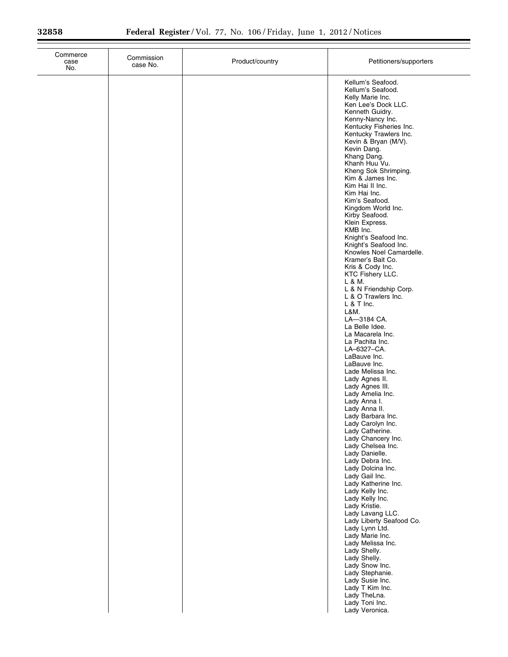| Commerce<br>case<br>No. | Commission<br>case No. | Product/country | Petitioners/supporters                                                                                                                                                                                                                                                                                                                                                                                                                                                        |
|-------------------------|------------------------|-----------------|-------------------------------------------------------------------------------------------------------------------------------------------------------------------------------------------------------------------------------------------------------------------------------------------------------------------------------------------------------------------------------------------------------------------------------------------------------------------------------|
|                         |                        |                 | Kellum's Seafood.<br>Kellum's Seafood.<br>Kelly Marie Inc.<br>Ken Lee's Dock LLC.<br>Kenneth Guidry.<br>Kenny-Nancy Inc.<br>Kentucky Fisheries Inc.<br>Kentucky Trawlers Inc.<br>Kevin & Bryan (M/V).<br>Kevin Dang.<br>Khang Dang.<br>Khanh Huu Vu.<br>Kheng Sok Shrimping.<br>Kim & James Inc.<br>Kim Hai II Inc.<br>Kim Hai Inc.<br>Kim's Seafood.<br>Kingdom World Inc.<br>Kirby Seafood.<br>Klein Express.<br>KMB Inc.<br>Knight's Seafood Inc.<br>Knight's Seafood Inc. |
|                         |                        |                 | Knowles Noel Camardelle.<br>Kramer's Bait Co.<br>Kris & Cody Inc.<br>KTC Fishery LLC.<br>L & M.<br>L & N Friendship Corp.<br>L & O Trawlers Inc.<br>$L$ & T Inc.<br>L&M.<br>LA-3184 CA.<br>La Belle Idee.<br>La Macarela Inc.<br>La Pachita Inc.                                                                                                                                                                                                                              |
|                         |                        |                 | LA-6327-CA.<br>LaBauve Inc.<br>LaBauve Inc.<br>Lade Melissa Inc.<br>Lady Agnes II.<br>Lady Agnes III.<br>Lady Amelia Inc.<br>Lady Anna I.<br>Lady Anna II.<br>Lady Barbara Inc.<br>Lady Carolyn Inc.<br>Lady Catherine.<br>Lady Chancery Inc.<br>Lady Chelsea Inc.                                                                                                                                                                                                            |
|                         |                        |                 | Lady Danielle.<br>Lady Debra Inc.<br>Lady Dolcina Inc.<br>Lady Gail Inc.<br>Lady Katherine Inc.<br>Lady Kelly Inc.<br>Lady Kelly Inc.<br>Lady Kristie.<br>Lady Lavang LLC.<br>Lady Liberty Seafood Co.<br>Lady Lynn Ltd.<br>Lady Marie Inc.<br>Lady Melissa Inc.<br>Lady Shelly.<br>Lady Shelly.<br>Lady Snow Inc.                                                                                                                                                            |
|                         |                        |                 | Lady Stephanie.<br>Lady Susie Inc.<br>Lady T Kim Inc.<br>Lady TheLna.<br>Lady Toni Inc.<br>Lady Veronica.                                                                                                                                                                                                                                                                                                                                                                     |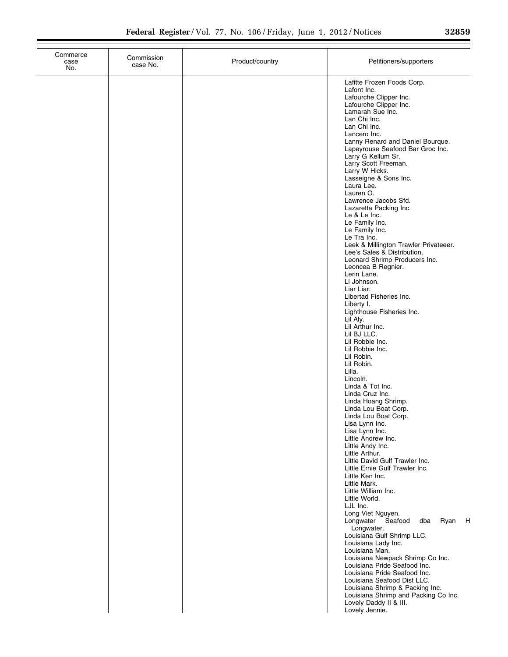| Commerce<br>case<br>No. | Commission<br>case No. | Product/country | Petitioners/supporters                                                                                                                                                                                                                                                                                                                                                                                                                                                                                                                                                                                                                                                                                                                                                                                                                                                                                                                                                                                                                                                                  |
|-------------------------|------------------------|-----------------|-----------------------------------------------------------------------------------------------------------------------------------------------------------------------------------------------------------------------------------------------------------------------------------------------------------------------------------------------------------------------------------------------------------------------------------------------------------------------------------------------------------------------------------------------------------------------------------------------------------------------------------------------------------------------------------------------------------------------------------------------------------------------------------------------------------------------------------------------------------------------------------------------------------------------------------------------------------------------------------------------------------------------------------------------------------------------------------------|
|                         |                        |                 | Lafitte Frozen Foods Corp.<br>Lafont Inc.<br>Lafourche Clipper Inc.<br>Lafourche Clipper Inc.<br>Lamarah Sue Inc.<br>Lan Chi Inc.<br>Lan Chi Inc.<br>Lancero Inc.<br>Lanny Renard and Daniel Bourque.<br>Lapeyrouse Seafood Bar Groc Inc.<br>Larry G Kellum Sr.<br>Larry Scott Freeman.<br>Larry W Hicks.<br>Lasseigne & Sons Inc.<br>Laura Lee.<br>Lauren O.<br>Lawrence Jacobs Sfd.<br>Lazaretta Packing Inc.<br>Le & Le Inc.<br>Le Family Inc.<br>Le Family Inc.<br>Le Tra Inc.<br>Leek & Millington Trawler Privateeer.<br>Lee's Sales & Distribution.<br>Leonard Shrimp Producers Inc.<br>Leoncea B Regnier.<br>Lerin Lane.<br>Li Johnson.<br>Liar Liar.<br>Libertad Fisheries Inc.<br>Liberty I.<br>Lighthouse Fisheries Inc.<br>Lil Aly.<br>Lil Arthur Inc.<br>Lil BJ LLC.<br>Lil Robbie Inc.<br>Lil Robbie Inc.<br>Lil Robin.<br>Lil Robin.<br>Lilla.<br>Lincoln.<br>Linda & Tot Inc.<br>Linda Cruz Inc.<br>Linda Hoang Shrimp.<br>Linda Lou Boat Corp.<br>Linda Lou Boat Corp.<br>Lisa Lynn Inc.<br>Lisa Lynn Inc.<br>Little Andrew Inc.<br>Little Andy Inc.<br>Little Arthur. |
|                         |                        |                 | Little David Gulf Trawler Inc.<br>Little Ernie Gulf Trawler Inc.<br>Little Ken Inc.<br>Little Mark.<br>Little William Inc.<br>Little World.                                                                                                                                                                                                                                                                                                                                                                                                                                                                                                                                                                                                                                                                                                                                                                                                                                                                                                                                             |
|                         |                        |                 | LJL Inc.<br>Long Viet Nguyen.<br>Longwater Seafood<br>Ryan<br>H<br>dba<br>Longwater.<br>Louisiana Gulf Shrimp LLC.<br>Louisiana Lady Inc.<br>Louisiana Man.<br>Louisiana Newpack Shrimp Co Inc.<br>Louisiana Pride Seafood Inc.<br>Louisiana Pride Seafood Inc.<br>Louisiana Seafood Dist LLC.<br>Louisiana Shrimp & Packing Inc.<br>Louisiana Shrimp and Packing Co Inc.                                                                                                                                                                                                                                                                                                                                                                                                                                                                                                                                                                                                                                                                                                               |
|                         |                        |                 | Lovely Daddy II & III.<br>Lovely Jennie.                                                                                                                                                                                                                                                                                                                                                                                                                                                                                                                                                                                                                                                                                                                                                                                                                                                                                                                                                                                                                                                |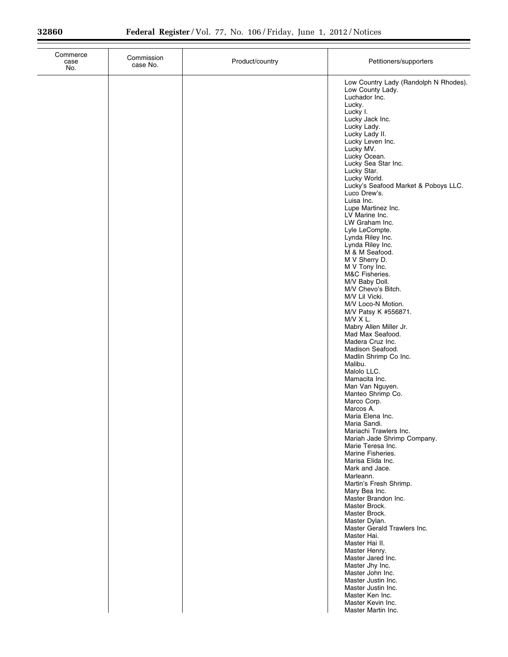| Commerce<br>case<br>No. | Commission<br>case No. | Product/country | Petitioners/supporters                                                                                                                                                                                                                                                                                                                                                                                                                                                                                                                                                                                                                                                                                                                                                                                                                                                                |
|-------------------------|------------------------|-----------------|---------------------------------------------------------------------------------------------------------------------------------------------------------------------------------------------------------------------------------------------------------------------------------------------------------------------------------------------------------------------------------------------------------------------------------------------------------------------------------------------------------------------------------------------------------------------------------------------------------------------------------------------------------------------------------------------------------------------------------------------------------------------------------------------------------------------------------------------------------------------------------------|
|                         |                        |                 | Low Country Lady (Randolph N Rhodes).<br>Low County Lady.<br>Luchador Inc.<br>Lucky.<br>Lucky I.<br>Lucky Jack Inc.<br>Lucky Lady.<br>Lucky Lady II.<br>Lucky Leven Inc.<br>Lucky MV.<br>Lucky Ocean.<br>Lucky Sea Star Inc.<br>Lucky Star.<br>Lucky World.<br>Lucky's Seafood Market & Poboys LLC.<br>Luco Drew's.<br>Luisa Inc.<br>Lupe Martinez Inc.<br>LV Marine Inc.<br>LW Graham Inc.<br>Lyle LeCompte.<br>Lynda Riley Inc.<br>Lynda Riley Inc.<br>M & M Seafood.<br>M V Sherry D.<br>M V Tony Inc.<br>M&C Fisheries.<br>M/V Baby Doll.<br>M/V Chevo's Bitch.<br>M/V Lil Vicki.<br>M/V Loco-N Motion.<br>M/V Patsy K #556871.<br>$M/V \times L$ .<br>Mabry Allen Miller Jr.<br>Mad Max Seafood.<br>Madera Cruz Inc.<br>Madison Seafood.<br>Madlin Shrimp Co Inc.<br>Malibu.<br>Malolo LLC.<br>Mamacita Inc.<br>Man Van Nguyen.<br>Manteo Shrimp Co.<br>Marco Corp.<br>Marcos A. |
|                         |                        |                 | Maria Elena Inc.<br>Maria Sandi.<br>Mariachi Trawlers Inc.<br>Mariah Jade Shrimp Company.<br>Marie Teresa Inc.<br>Marine Fisheries.<br>Marisa Elida Inc.<br>Mark and Jace.<br>Marleann.<br>Martin's Fresh Shrimp.                                                                                                                                                                                                                                                                                                                                                                                                                                                                                                                                                                                                                                                                     |
|                         |                        |                 | Mary Bea Inc.<br>Master Brandon Inc.<br>Master Brock.<br>Master Brock.<br>Master Dylan.<br>Master Gerald Trawlers Inc.<br>Master Hai.<br>Master Hai II.<br>Master Henry.<br>Master Jared Inc.<br>Master Jhy Inc.<br>Master John Inc.<br>Master Justin Inc.<br>Master Justin Inc.<br>Master Ken Inc.<br>Master Kevin Inc.<br>Master Martin Inc.                                                                                                                                                                                                                                                                                                                                                                                                                                                                                                                                        |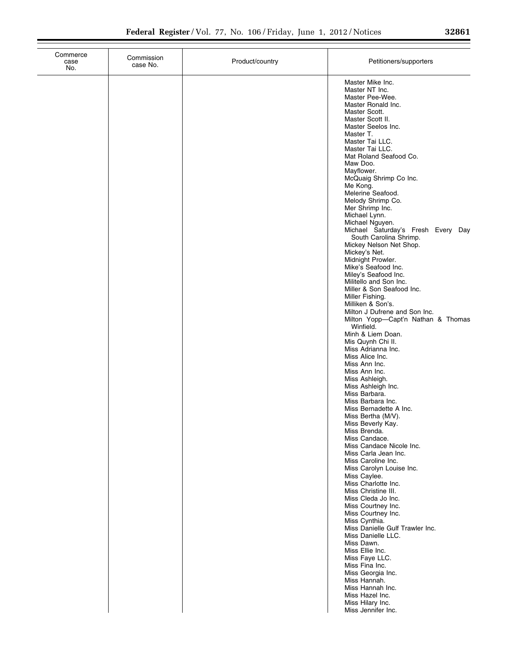| Commerce<br>case<br>No. | Commission<br>case No. | Product/country | Petitioners/supporters                                                                                                                                                                                                                                                                                                                                                                                                                                                                                                                                                                                                                                                                                                                                                                                                                                                                                                                                                                                                                                                                                                                                                                                                                                                           |
|-------------------------|------------------------|-----------------|----------------------------------------------------------------------------------------------------------------------------------------------------------------------------------------------------------------------------------------------------------------------------------------------------------------------------------------------------------------------------------------------------------------------------------------------------------------------------------------------------------------------------------------------------------------------------------------------------------------------------------------------------------------------------------------------------------------------------------------------------------------------------------------------------------------------------------------------------------------------------------------------------------------------------------------------------------------------------------------------------------------------------------------------------------------------------------------------------------------------------------------------------------------------------------------------------------------------------------------------------------------------------------|
|                         |                        |                 | Master Mike Inc.<br>Master NT Inc.<br>Master Pee-Wee.<br>Master Ronald Inc.<br>Master Scott.<br>Master Scott II.<br>Master Seelos Inc.<br>Master T.<br>Master Tai LLC.<br>Master Tai LLC.<br>Mat Roland Seafood Co.<br>Maw Doo.<br>Mayflower.<br>McQuaig Shrimp Co Inc.<br>Me Kong.<br>Melerine Seafood.<br>Melody Shrimp Co.<br>Mer Shrimp Inc.<br>Michael Lynn.<br>Michael Nguyen.<br>Michael Saturday's Fresh Every Day<br>South Carolina Shrimp.<br>Mickey Nelson Net Shop.<br>Mickey's Net.<br>Midnight Prowler.<br>Mike's Seafood Inc.<br>Miley's Seafood Inc.<br>Militello and Son Inc.<br>Miller & Son Seafood Inc.<br>Miller Fishing.<br>Milliken & Son's.<br>Milton J Dufrene and Son Inc.<br>Milton Yopp-Capt'n Nathan & Thomas<br>Winfield.<br>Minh & Liem Doan.<br>Mis Quynh Chi II.<br>Miss Adrianna Inc.<br>Miss Alice Inc.<br>Miss Ann Inc.<br>Miss Ann Inc.<br>Miss Ashleigh.<br>Miss Ashleigh Inc.<br>Miss Barbara.<br>Miss Barbara Inc.<br>Miss Bernadette A Inc.<br>Miss Bertha (M/V).<br>Miss Beverly Kay.<br>Miss Brenda.<br>Miss Candace.<br>Miss Candace Nicole Inc.<br>Miss Carla Jean Inc.<br>Miss Caroline Inc.<br>Miss Carolyn Louise Inc.<br>Miss Caylee.<br>Miss Charlotte Inc.<br>Miss Christine III.<br>Miss Cleda Jo Inc.<br>Miss Courtney Inc. |
|                         |                        |                 | Miss Courtney Inc.<br>Miss Cynthia.<br>Miss Danielle Gulf Trawler Inc.<br>Miss Danielle LLC.<br>Miss Dawn.<br>Miss Ellie Inc.<br>Miss Faye LLC.<br>Miss Fina Inc.<br>Miss Georgia Inc.<br>Miss Hannah.<br>Miss Hannah Inc.<br>Miss Hazel Inc.<br>Miss Hilary Inc.<br>Miss Jennifer Inc.                                                                                                                                                                                                                                                                                                                                                                                                                                                                                                                                                                                                                                                                                                                                                                                                                                                                                                                                                                                          |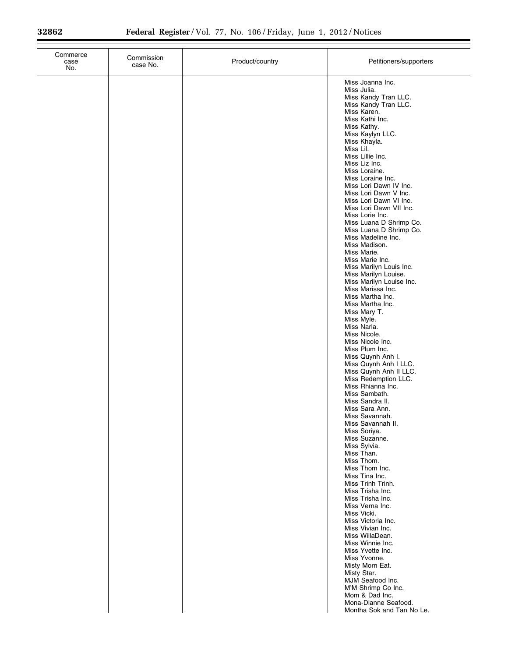| Commerce<br>Commission<br>case<br>case No.<br>No. | Product/country | Petitioners/supporters                                                                                                                                                                                                                                                                                                                                                                                                                                                                                                                                                                                                                                                                                                                                                                                                                                                                                                                                                                                                                                                                                                                                                                                                                                                                                                                                                                                                                                                          |
|---------------------------------------------------|-----------------|---------------------------------------------------------------------------------------------------------------------------------------------------------------------------------------------------------------------------------------------------------------------------------------------------------------------------------------------------------------------------------------------------------------------------------------------------------------------------------------------------------------------------------------------------------------------------------------------------------------------------------------------------------------------------------------------------------------------------------------------------------------------------------------------------------------------------------------------------------------------------------------------------------------------------------------------------------------------------------------------------------------------------------------------------------------------------------------------------------------------------------------------------------------------------------------------------------------------------------------------------------------------------------------------------------------------------------------------------------------------------------------------------------------------------------------------------------------------------------|
|                                                   |                 | Miss Joanna Inc.<br>Miss Julia.<br>Miss Kandy Tran LLC.<br>Miss Kandy Tran LLC.<br>Miss Karen.<br>Miss Kathi Inc.<br>Miss Kathy.<br>Miss Kaylyn LLC.<br>Miss Khayla.<br>Miss Lil.<br>Miss Lillie Inc.<br>Miss Liz Inc.<br>Miss Loraine.<br>Miss Loraine Inc.<br>Miss Lori Dawn IV Inc.<br>Miss Lori Dawn V Inc.<br>Miss Lori Dawn VI Inc.<br>Miss Lori Dawn VII Inc.<br>Miss Lorie Inc.<br>Miss Luana D Shrimp Co.<br>Miss Luana D Shrimp Co.<br>Miss Madeline Inc.<br>Miss Madison.<br>Miss Marie.<br>Miss Marie Inc.<br>Miss Marilyn Louis Inc.<br>Miss Marilyn Louise.<br>Miss Marilyn Louise Inc.<br>Miss Marissa Inc.<br>Miss Martha Inc.<br>Miss Martha Inc.<br>Miss Mary T.<br>Miss Myle.<br>Miss Narla.<br>Miss Nicole.<br>Miss Nicole Inc.<br>Miss Plum Inc.<br>Miss Quynh Anh I.<br>Miss Quynh Anh I LLC.<br>Miss Quynh Anh II LLC.<br>Miss Redemption LLC.<br>Miss Rhianna Inc.<br>Miss Sambath.<br>Miss Sandra II.<br>Miss Sara Ann.<br>Miss Savannah.<br>Miss Savannah II.<br>Miss Soriya.<br>Miss Suzanne.<br>Miss Sylvia.<br>Miss Than.<br>Miss Thom.<br>Miss Thom Inc.<br>Miss Tina Inc.<br>Miss Trinh Trinh.<br>Miss Trisha Inc.<br>Miss Trisha Inc.<br>Miss Verna Inc.<br>Miss Vicki.<br>Miss Victoria Inc.<br>Miss Vivian Inc.<br>Miss WillaDean.<br>Miss Winnie Inc.<br>Miss Yvette Inc.<br>Miss Yvonne.<br>Misty Morn Eat.<br>Misty Star.<br>MJM Seafood Inc.<br>M'M Shrimp Co Inc.<br>Mom & Dad Inc.<br>Mona-Dianne Seafood.<br>Montha Sok and Tan No Le. |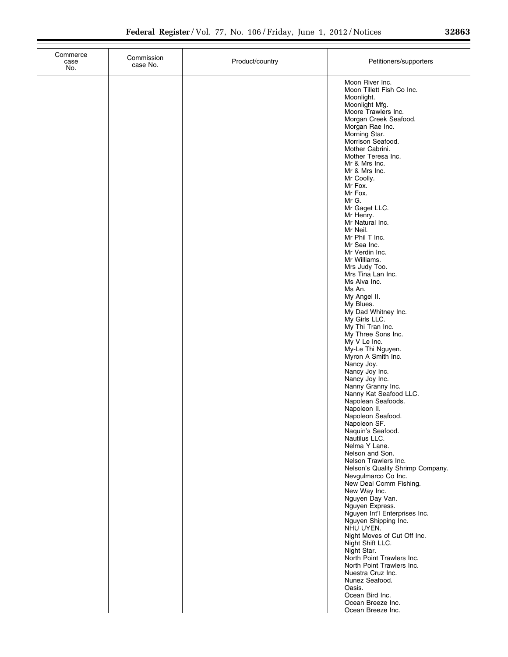| Commerce<br>case<br>No. | Commission<br>case No. | Product/country | Petitioners/supporters                                                                                                                                                                                                                                                                                                                                                                                                                                                                                                                                                                                                                                                                                                                                                                                                                                                                                                                                                                                                                                                                                                                                                                 |
|-------------------------|------------------------|-----------------|----------------------------------------------------------------------------------------------------------------------------------------------------------------------------------------------------------------------------------------------------------------------------------------------------------------------------------------------------------------------------------------------------------------------------------------------------------------------------------------------------------------------------------------------------------------------------------------------------------------------------------------------------------------------------------------------------------------------------------------------------------------------------------------------------------------------------------------------------------------------------------------------------------------------------------------------------------------------------------------------------------------------------------------------------------------------------------------------------------------------------------------------------------------------------------------|
|                         |                        |                 | Moon River Inc.<br>Moon Tillett Fish Co Inc.<br>Moonlight.<br>Moonlight Mfg.<br>Moore Trawlers Inc.<br>Morgan Creek Seafood.<br>Morgan Rae Inc.<br>Morning Star.<br>Morrison Seafood.<br>Mother Cabrini.<br>Mother Teresa Inc.<br>Mr & Mrs Inc.<br>Mr & Mrs Inc.<br>Mr Coolly.<br>Mr Fox.<br>Mr Fox.<br>Mr G.<br>Mr Gaget LLC.<br>Mr Henry.<br>Mr Natural Inc.<br>Mr Neil.<br>Mr Phil T Inc.<br>Mr Sea Inc.<br>Mr Verdin Inc.<br>Mr Williams.<br>Mrs Judy Too.<br>Mrs Tina Lan Inc.<br>Ms Alva Inc.<br>Ms An.<br>My Angel II.<br>My Blues.<br>My Dad Whitney Inc.<br>My Girls LLC.<br>My Thi Tran Inc.<br>My Three Sons Inc.<br>My V Le Inc.<br>My-Le Thi Nguyen.<br>Myron A Smith Inc.<br>Nancy Joy.<br>Nancy Joy Inc.<br>Nancy Joy Inc.<br>Nanny Granny Inc.<br>Nanny Kat Seafood LLC.<br>Napolean Seafoods.<br>Napoleon II.<br>Napoleon Seafood.<br>Napoleon SF.<br>Naquin's Seafood.<br>Nautilus LLC.<br>Nelma Y Lane.<br>Nelson and Son.<br>Nelson Trawlers Inc.<br>Nelson's Quality Shrimp Company.<br>Nevgulmarco Co Inc.<br>New Deal Comm Fishing.<br>New Way Inc.<br>Nguyen Day Van.<br>Nguyen Express.<br>Nguyen Int'l Enterprises Inc.<br>Nguyen Shipping Inc.<br>NHU UYEN. |
|                         |                        |                 | Night Moves of Cut Off Inc.<br>Night Shift LLC.<br>Night Star.<br>North Point Trawlers Inc.<br>North Point Trawlers Inc.<br>Nuestra Cruz Inc.<br>Nunez Seafood.<br>Oasis.<br>Ocean Bird Inc.<br>Ocean Breeze Inc.<br>Ocean Breeze Inc.                                                                                                                                                                                                                                                                                                                                                                                                                                                                                                                                                                                                                                                                                                                                                                                                                                                                                                                                                 |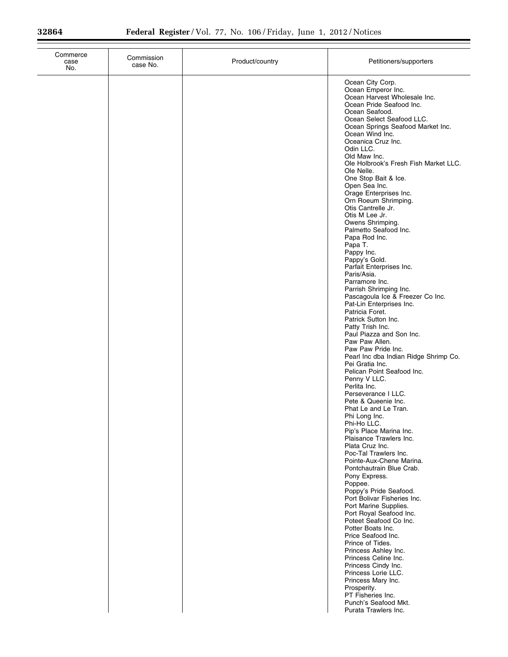| Commerce<br>case<br>No. | Commission<br>case No. | Product/country | Petitioners/supporters                                                                                                                                                                                                                                                                                                                                                                                                                                                                                                                                                                                                                                                                                                                                                                                                                                                                                                                                                                                                                                                                                                                                                                                                                                                                                                                                                                                                                                                                                                                                                                                                                                              |
|-------------------------|------------------------|-----------------|---------------------------------------------------------------------------------------------------------------------------------------------------------------------------------------------------------------------------------------------------------------------------------------------------------------------------------------------------------------------------------------------------------------------------------------------------------------------------------------------------------------------------------------------------------------------------------------------------------------------------------------------------------------------------------------------------------------------------------------------------------------------------------------------------------------------------------------------------------------------------------------------------------------------------------------------------------------------------------------------------------------------------------------------------------------------------------------------------------------------------------------------------------------------------------------------------------------------------------------------------------------------------------------------------------------------------------------------------------------------------------------------------------------------------------------------------------------------------------------------------------------------------------------------------------------------------------------------------------------------------------------------------------------------|
|                         |                        |                 | Ocean City Corp.<br>Ocean Emperor Inc.<br>Ocean Harvest Wholesale Inc.<br>Ocean Pride Seafood Inc.<br>Ocean Seafood.<br>Ocean Select Seafood LLC.<br>Ocean Springs Seafood Market Inc.<br>Ocean Wind Inc.<br>Oceanica Cruz Inc.<br>Odin LLC.<br>Old Maw Inc.<br>Ole Holbrook's Fresh Fish Market LLC.<br>Ole Nelle.<br>One Stop Bait & Ice.<br>Open Sea Inc.<br>Orage Enterprises Inc.<br>Orn Roeum Shrimping.<br>Otis Cantrelle Jr.<br>Otis M Lee Jr.<br>Owens Shrimping.<br>Palmetto Seafood Inc.<br>Papa Rod Inc.<br>Papa T.<br>Pappy Inc.<br>Pappy's Gold.<br>Parfait Enterprises Inc.<br>Paris/Asia.<br>Parramore Inc.<br>Parrish Shrimping Inc.<br>Pascagoula Ice & Freezer Co Inc.<br>Pat-Lin Enterprises Inc.<br>Patricia Foret.<br>Patrick Sutton Inc.<br>Patty Trish Inc.<br>Paul Piazza and Son Inc.<br>Paw Paw Allen.<br>Paw Paw Pride Inc.<br>Pearl Inc dba Indian Ridge Shrimp Co.<br>Pei Gratia Inc.<br>Pelican Point Seafood Inc.<br>Penny V LLC.<br>Perlita Inc.<br>Perseverance I LLC.<br>Pete & Queenie Inc.<br>Phat Le and Le Tran.<br>Phi Long Inc.<br>Phi-Ho LLC.<br>Pip's Place Marina Inc.<br>Plaisance Trawlers Inc.<br>Plata Cruz Inc.<br>Poc-Tal Trawlers Inc.<br>Pointe-Aux-Chene Marina.<br>Pontchautrain Blue Crab.<br>Pony Express.<br>Poppee.<br>Poppy's Pride Seafood.<br>Port Bolivar Fisheries Inc.<br>Port Marine Supplies.<br>Port Royal Seafood Inc.<br>Poteet Seafood Co Inc.<br>Potter Boats Inc.<br>Price Seafood Inc.<br>Prince of Tides.<br>Princess Ashley Inc.<br>Princess Celine Inc.<br>Princess Cindy Inc.<br>Princess Lorie LLC.<br>Princess Mary Inc.<br>Prosperity.<br>PT Fisheries Inc.<br>Punch's Seafood Mkt. |
|                         |                        |                 | Purata Trawlers Inc.                                                                                                                                                                                                                                                                                                                                                                                                                                                                                                                                                                                                                                                                                                                                                                                                                                                                                                                                                                                                                                                                                                                                                                                                                                                                                                                                                                                                                                                                                                                                                                                                                                                |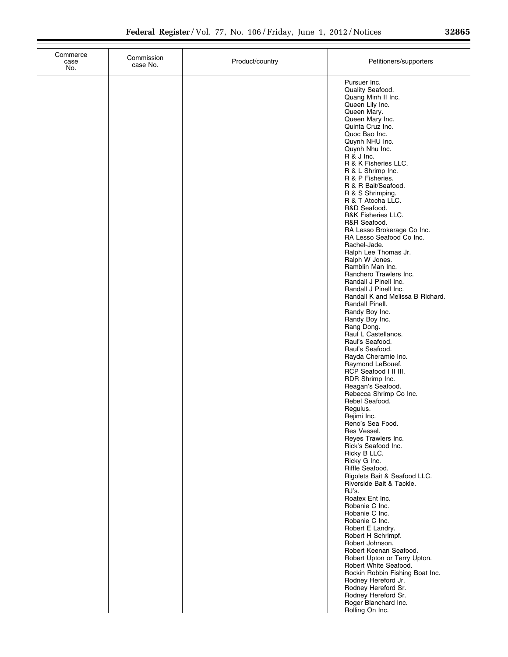| Commerce<br>case<br>No. | Commission<br>case No. | Product/country | Petitioners/supporters                                                                                                                                                                                                                                                                                                                                                                                                                                                                                                                                                                                                                                                                                                                                                                                                                                                                                                                                                 |
|-------------------------|------------------------|-----------------|------------------------------------------------------------------------------------------------------------------------------------------------------------------------------------------------------------------------------------------------------------------------------------------------------------------------------------------------------------------------------------------------------------------------------------------------------------------------------------------------------------------------------------------------------------------------------------------------------------------------------------------------------------------------------------------------------------------------------------------------------------------------------------------------------------------------------------------------------------------------------------------------------------------------------------------------------------------------|
|                         |                        |                 | Pursuer Inc.<br>Quality Seafood.<br>Quang Minh II Inc.<br>Queen Lily Inc.<br>Queen Mary.<br>Queen Mary Inc.<br>Quinta Cruz Inc.<br>Quoc Bao Inc.<br>Quynh NHU Inc.<br>Quynh Nhu Inc.<br>R & J Inc.<br>R & K Fisheries LLC.<br>R & L Shrimp Inc.<br>R & P Fisheries.<br>R & R Bait/Seafood.<br>R & S Shrimping.<br>R & T Atocha LLC.<br>R&D Seafood.<br>R&K Fisheries LLC.<br>R&R Seafood.<br>RA Lesso Brokerage Co Inc.<br>RA Lesso Seafood Co Inc.<br>Rachel-Jade.<br>Ralph Lee Thomas Jr.<br>Ralph W Jones.<br>Ramblin Man Inc.<br>Ranchero Trawlers Inc.<br>Randall J Pinell Inc.<br>Randall J Pinell Inc.<br>Randall K and Melissa B Richard.<br>Randall Pinell.<br>Randy Boy Inc.<br>Randy Boy Inc.<br>Rang Dong.<br>Raul L Castellanos.<br>Raul's Seafood.<br>Raul's Seafood.<br>Rayda Cheramie Inc.<br>Raymond LeBouef.<br>RCP Seafood I II III.<br>RDR Shrimp Inc.<br>Reagan's Seafood.<br>Rebecca Shrimp Co Inc.<br>Rebel Seafood.<br>Regulus.<br>Rejimi Inc. |
|                         |                        |                 | Reno's Sea Food.<br>Res Vessel.<br>Reyes Trawlers Inc.<br>Rick's Seafood Inc.                                                                                                                                                                                                                                                                                                                                                                                                                                                                                                                                                                                                                                                                                                                                                                                                                                                                                          |
|                         |                        |                 | Ricky B LLC.<br>Ricky G Inc.<br>Riffle Seafood.<br>Rigolets Bait & Seafood LLC.<br>Riverside Bait & Tackle.<br>RJ's.<br>Roatex Ent Inc.<br>Robanie C Inc.<br>Robanie C Inc.<br>Robanie C Inc.                                                                                                                                                                                                                                                                                                                                                                                                                                                                                                                                                                                                                                                                                                                                                                          |
|                         |                        |                 | Robert E Landry.<br>Robert H Schrimpf.<br>Robert Johnson.<br>Robert Keenan Seafood.<br>Robert Upton or Terry Upton.<br>Robert White Seafood.<br>Rockin Robbin Fishing Boat Inc.<br>Rodney Hereford Jr.<br>Rodney Hereford Sr.<br>Rodney Hereford Sr.<br>Roger Blanchard Inc.<br>Rolling On Inc.                                                                                                                                                                                                                                                                                                                                                                                                                                                                                                                                                                                                                                                                        |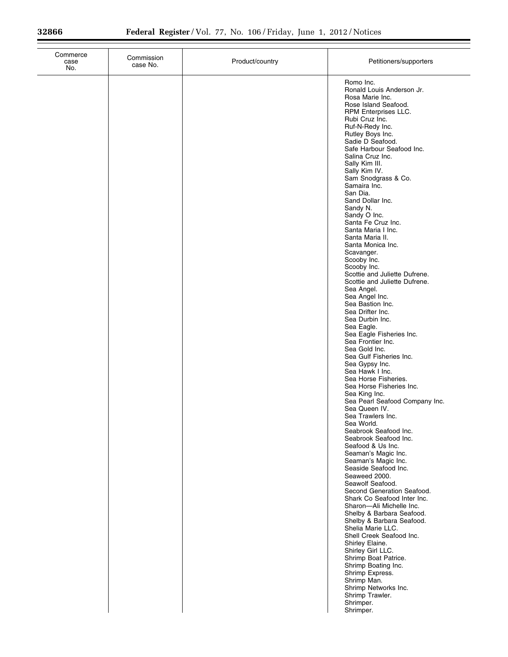| Commerce<br>case<br>No. | Commission<br>case No. | Product/country | Petitioners/supporters                                                                                                                                                                                                                                                                                                                                                                                                                                                                                                                                                                                                                                                                                                                                                                                                                                                                                                                                                                                                                                                                                                                                                                                                                                                                                                                                                                                                                                                                               |
|-------------------------|------------------------|-----------------|------------------------------------------------------------------------------------------------------------------------------------------------------------------------------------------------------------------------------------------------------------------------------------------------------------------------------------------------------------------------------------------------------------------------------------------------------------------------------------------------------------------------------------------------------------------------------------------------------------------------------------------------------------------------------------------------------------------------------------------------------------------------------------------------------------------------------------------------------------------------------------------------------------------------------------------------------------------------------------------------------------------------------------------------------------------------------------------------------------------------------------------------------------------------------------------------------------------------------------------------------------------------------------------------------------------------------------------------------------------------------------------------------------------------------------------------------------------------------------------------------|
|                         |                        |                 | Romo Inc.<br>Ronald Louis Anderson Jr.<br>Rosa Marie Inc.<br>Rose Island Seafood.<br>RPM Enterprises LLC.<br>Rubi Cruz Inc.<br>Ruf-N-Redy Inc.<br>Rutley Boys Inc.<br>Sadie D Seafood.<br>Safe Harbour Seafood Inc.<br>Salina Cruz Inc.<br>Sally Kim III.<br>Sally Kim IV.<br>Sam Snodgrass & Co.<br>Samaira Inc.<br>San Dia.<br>Sand Dollar Inc.<br>Sandy N.<br>Sandy O Inc.<br>Santa Fe Cruz Inc.<br>Santa Maria I Inc.<br>Santa Maria II.<br>Santa Monica Inc.<br>Scavanger.<br>Scooby Inc.<br>Scooby Inc.<br>Scottie and Juliette Dufrene.<br>Scottie and Juliette Dufrene.<br>Sea Angel.<br>Sea Angel Inc.<br>Sea Bastion Inc.<br>Sea Drifter Inc.<br>Sea Durbin Inc.<br>Sea Eagle.<br>Sea Eagle Fisheries Inc.<br>Sea Frontier Inc.<br>Sea Gold Inc.<br>Sea Gulf Fisheries Inc.<br>Sea Gypsy Inc.<br>Sea Hawk I Inc.<br>Sea Horse Fisheries.<br>Sea Horse Fisheries Inc.<br>Sea King Inc.<br>Sea Pearl Seafood Company Inc.<br>Sea Queen IV.<br>Sea Trawlers Inc.<br>Sea World.<br>Seabrook Seafood Inc.<br>Seabrook Seafood Inc.<br>Seafood & Us Inc.<br>Seaman's Magic Inc.<br>Seaman's Magic Inc.<br>Seaside Seafood Inc.<br>Seaweed 2000.<br>Seawolf Seafood.<br>Second Generation Seafood.<br>Shark Co Seafood Inter Inc.<br>Sharon-Ali Michelle Inc.<br>Shelby & Barbara Seafood.<br>Shelby & Barbara Seafood.<br>Shelia Marie LLC.<br>Shell Creek Seafood Inc.<br>Shirley Elaine.<br>Shirley Girl LLC.<br>Shrimp Boat Patrice.<br>Shrimp Boating Inc.<br>Shrimp Express.<br>Shrimp Man. |
|                         |                        |                 | Shrimp Networks Inc.<br>Shrimp Trawler.<br>Shrimper.<br>Shrimper.                                                                                                                                                                                                                                                                                                                                                                                                                                                                                                                                                                                                                                                                                                                                                                                                                                                                                                                                                                                                                                                                                                                                                                                                                                                                                                                                                                                                                                    |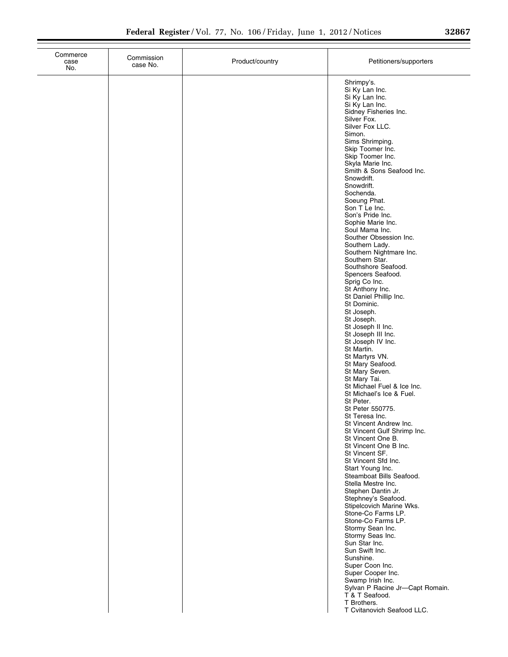| Commerce<br>case<br>No. | Commission<br>case No. | Product/country | Petitioners/supporters                                                                                                                                                                                                                                                                                                                                                                                                                                                                                                                                                                                                                                                                                                                                                                                                                                                                                                                                                                                                                                                                                                                                                                                                                                                                                                                                                                                                                                                                                   |
|-------------------------|------------------------|-----------------|----------------------------------------------------------------------------------------------------------------------------------------------------------------------------------------------------------------------------------------------------------------------------------------------------------------------------------------------------------------------------------------------------------------------------------------------------------------------------------------------------------------------------------------------------------------------------------------------------------------------------------------------------------------------------------------------------------------------------------------------------------------------------------------------------------------------------------------------------------------------------------------------------------------------------------------------------------------------------------------------------------------------------------------------------------------------------------------------------------------------------------------------------------------------------------------------------------------------------------------------------------------------------------------------------------------------------------------------------------------------------------------------------------------------------------------------------------------------------------------------------------|
|                         |                        |                 | Shrimpy's.<br>Si Ky Lan Inc.<br>Si Ky Lan Inc.<br>Si Ky Lan Inc.<br>Sidney Fisheries Inc.<br>Silver Fox.<br>Silver Fox LLC.<br>Simon.<br>Sims Shrimping.<br>Skip Toomer Inc.<br>Skip Toomer Inc.<br>Skyla Marie Inc.<br>Smith & Sons Seafood Inc.<br>Snowdrift.<br>Snowdrift.<br>Sochenda.<br>Soeung Phat.<br>Son T Le Inc.<br>Son's Pride Inc.<br>Sophie Marie Inc.<br>Soul Mama Inc.<br>Souther Obsession Inc.<br>Southern Lady.<br>Southern Nightmare Inc.<br>Southern Star.<br>Southshore Seafood.<br>Spencers Seafood.<br>Sprig Co Inc.<br>St Anthony Inc.<br>St Daniel Phillip Inc.<br>St Dominic.<br>St Joseph.<br>St Joseph.<br>St Joseph II Inc.<br>St Joseph III Inc.<br>St Joseph IV Inc.<br>St Martin.<br>St Martyrs VN.<br>St Mary Seafood.<br>St Mary Seven.<br>St Mary Tai.<br>St Michael Fuel & Ice Inc.<br>St Michael's Ice & Fuel.<br>St Peter.<br>St Peter 550775.<br>St Teresa Inc.<br>St Vincent Andrew Inc.<br>St Vincent Gulf Shrimp Inc.<br>St Vincent One B.<br>St Vincent One B Inc.<br>St Vincent SF.<br>St Vincent Sfd Inc.<br>Start Young Inc.<br>Steamboat Bills Seafood.<br>Stella Mestre Inc.<br>Stephen Dantin Jr.<br>Stephney's Seafood.<br>Stipelcovich Marine Wks.<br>Stone-Co Farms LP.<br>Stone-Co Farms LP.<br>Stormy Sean Inc.<br>Stormy Seas Inc.<br>Sun Star Inc.<br>Sun Swift Inc.<br>Sunshine.<br>Super Coon Inc.<br>Super Cooper Inc.<br>Swamp Irish Inc.<br>Sylvan P Racine Jr-Capt Romain.<br>T & T Seafood.<br>T Brothers.<br>T Cvitanovich Seafood LLC. |
|                         |                        |                 |                                                                                                                                                                                                                                                                                                                                                                                                                                                                                                                                                                                                                                                                                                                                                                                                                                                                                                                                                                                                                                                                                                                                                                                                                                                                                                                                                                                                                                                                                                          |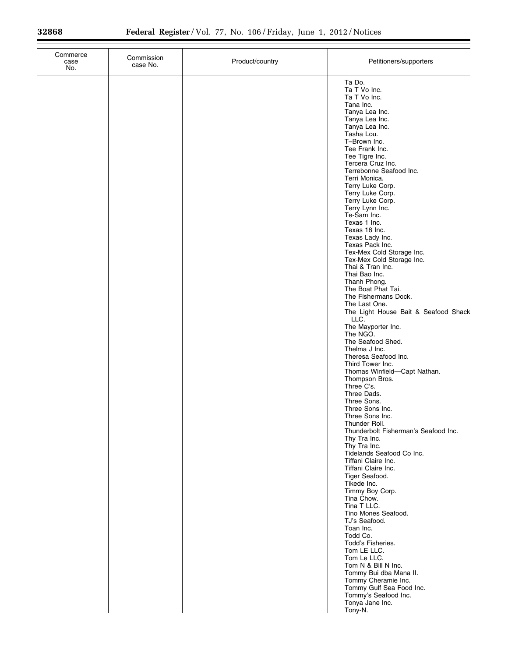÷

| Commerce<br>case<br>No. | Commission<br>case No. | Product/country | Petitioners/supporters                                                                                                                                                                                                                                                                                                                                                                                                                                                                                                                                                                                                                                                                                                                                                                                                                                                                                                                                                                                                                                                                                                                                                              |
|-------------------------|------------------------|-----------------|-------------------------------------------------------------------------------------------------------------------------------------------------------------------------------------------------------------------------------------------------------------------------------------------------------------------------------------------------------------------------------------------------------------------------------------------------------------------------------------------------------------------------------------------------------------------------------------------------------------------------------------------------------------------------------------------------------------------------------------------------------------------------------------------------------------------------------------------------------------------------------------------------------------------------------------------------------------------------------------------------------------------------------------------------------------------------------------------------------------------------------------------------------------------------------------|
|                         |                        |                 | Ta Do.<br>Ta T Vo Inc.<br>Ta T Vo Inc.<br>Tana Inc.<br>Tanya Lea Inc.<br>Tanya Lea Inc.<br>Tanya Lea Inc.<br>Tasha Lou.<br>T-Brown Inc.<br>Tee Frank Inc.<br>Tee Tigre Inc.<br>Tercera Cruz Inc.<br>Terrebonne Seafood Inc.<br>Terri Monica.<br>Terry Luke Corp.<br>Terry Luke Corp.<br>Terry Luke Corp.<br>Terry Lynn Inc.<br>Te-Sam Inc.<br>Texas 1 Inc.<br>Texas 18 Inc.<br>Texas Lady Inc.<br>Texas Pack Inc.<br>Tex-Mex Cold Storage Inc.<br>Tex-Mex Cold Storage Inc.<br>Thai & Tran Inc.<br>Thai Bao Inc.<br>Thanh Phong.<br>The Boat Phat Tai.<br>The Fishermans Dock.<br>The Last One.<br>The Light House Bait & Seafood Shack<br>LLC.<br>The Mayporter Inc.<br>The NGO.<br>The Seafood Shed.<br>Thelma J Inc.<br>Theresa Seafood Inc.<br>Third Tower Inc.<br>Thomas Winfield-Capt Nathan.<br>Thompson Bros.<br>Three C's.<br>Three Dads.<br>Three Sons.<br>Three Sons Inc.<br>Three Sons Inc.<br>Thunder Roll.<br>Thunderbolt Fisherman's Seafood Inc.<br>Thy Tra Inc.<br>Thy Tra Inc.<br>Tidelands Seafood Co Inc.<br>Tiffani Claire Inc.<br>Tiffani Claire Inc.<br>Tiger Seafood.<br>Tikede Inc.<br>Timmy Boy Corp.<br>Tina Chow.<br>Tina T LLC.<br>Tino Mones Seafood. |
|                         |                        |                 | TJ's Seafood.<br>Toan Inc.<br>Todd Co.<br>Todd's Fisheries.<br>Tom LE LLC.<br>Tom Le LLC.<br>Tom N & Bill N Inc.<br>Tommy Bui dba Mana II.<br>Tommy Cheramie Inc.<br>Tommy Gulf Sea Food Inc.<br>Tommy's Seafood Inc.<br>Tonya Jane Inc.<br>Tony-N.                                                                                                                                                                                                                                                                                                                                                                                                                                                                                                                                                                                                                                                                                                                                                                                                                                                                                                                                 |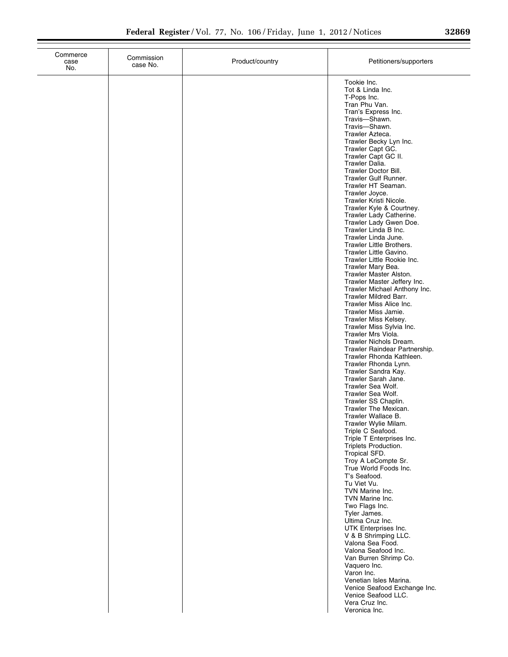| Commerce<br>case<br>No. | Commission<br>case No. | Product/country | Petitioners/supporters                                                                                                                                                                                                                                                                                                                                                                                                                                                                                                                                                                                                                                                                                                                                                                                                                                                                                        |
|-------------------------|------------------------|-----------------|---------------------------------------------------------------------------------------------------------------------------------------------------------------------------------------------------------------------------------------------------------------------------------------------------------------------------------------------------------------------------------------------------------------------------------------------------------------------------------------------------------------------------------------------------------------------------------------------------------------------------------------------------------------------------------------------------------------------------------------------------------------------------------------------------------------------------------------------------------------------------------------------------------------|
|                         |                        |                 | Tookie Inc.<br>Tot & Linda Inc.<br>T-Pops Inc.<br>Tran Phu Van.<br>Tran's Express Inc.<br>Travis-Shawn.<br>Travis-Shawn.<br>Trawler Azteca.<br>Trawler Becky Lyn Inc.<br>Trawler Capt GC.<br>Trawler Capt GC II.<br>Trawler Dalia.<br>Trawler Doctor Bill.<br>Trawler Gulf Runner.<br>Trawler HT Seaman.<br>Trawler Joyce.<br>Trawler Kristi Nicole.<br>Trawler Kyle & Courtney.<br>Trawler Lady Catherine.<br>Trawler Lady Gwen Doe.<br>Trawler Linda B Inc.<br>Trawler Linda June.<br>Trawler Little Brothers.<br>Trawler Little Gavino.<br>Trawler Little Rookie Inc.<br>Trawler Mary Bea.<br>Trawler Master Alston.<br>Trawler Master Jeffery Inc.<br>Trawler Michael Anthony Inc.<br><b>Trawler Mildred Barr.</b><br>Trawler Miss Alice Inc.<br>Trawler Miss Jamie.<br>Trawler Miss Kelsey.<br>Trawler Miss Sylvia Inc.<br>Trawler Mrs Viola.<br>Trawler Nichols Dream.<br>Trawler Raindear Partnership. |
|                         |                        |                 | Trawler Rhonda Kathleen.<br>Trawler Rhonda Lynn.<br>Trawler Sandra Kay.<br>Trawler Sarah Jane.<br>Trawler Sea Wolf.<br>Trawler Sea Wolf.<br>Trawler SS Chaplin.<br>Trawler The Mexican.<br>Trawler Wallace B.                                                                                                                                                                                                                                                                                                                                                                                                                                                                                                                                                                                                                                                                                                 |
|                         |                        |                 | Trawler Wylie Milam.<br>Triple C Seafood.<br>Triple T Enterprises Inc.<br>Triplets Production.<br>Tropical SFD.<br>Troy A LeCompte Sr.<br>True World Foods Inc.<br>T's Seafood.<br>Tu Viet Vu.<br>TVN Marine Inc.<br>TVN Marine Inc.                                                                                                                                                                                                                                                                                                                                                                                                                                                                                                                                                                                                                                                                          |
|                         |                        |                 | Two Flags Inc.<br>Tyler James.<br>Ultima Cruz Inc.<br>UTK Enterprises Inc.<br>V & B Shrimping LLC.<br>Valona Sea Food.<br>Valona Seafood Inc.<br>Van Burren Shrimp Co.<br>Vaquero Inc.<br>Varon Inc.<br>Venetian Isles Marina.<br>Venice Seafood Exchange Inc.<br>Venice Seafood LLC.                                                                                                                                                                                                                                                                                                                                                                                                                                                                                                                                                                                                                         |
|                         |                        |                 | Vera Cruz Inc.<br>Veronica Inc.                                                                                                                                                                                                                                                                                                                                                                                                                                                                                                                                                                                                                                                                                                                                                                                                                                                                               |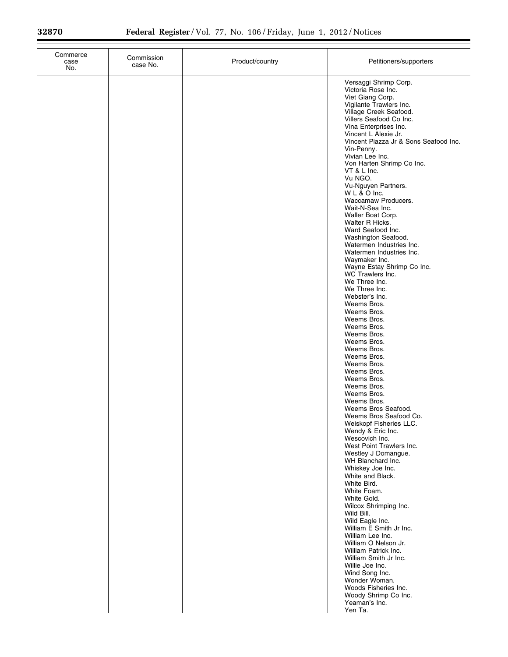| case<br>No. | Commission<br>case No. | Product/country | Petitioners/supporters                                                                                                                                                                                                                                                                                                                                                                                                                                                                                                                                                                                                                                                                                                                                                                                                                                                                                                                                                                                                                                                                                                                                                                                                                                                                                                                                                                                                         |
|-------------|------------------------|-----------------|--------------------------------------------------------------------------------------------------------------------------------------------------------------------------------------------------------------------------------------------------------------------------------------------------------------------------------------------------------------------------------------------------------------------------------------------------------------------------------------------------------------------------------------------------------------------------------------------------------------------------------------------------------------------------------------------------------------------------------------------------------------------------------------------------------------------------------------------------------------------------------------------------------------------------------------------------------------------------------------------------------------------------------------------------------------------------------------------------------------------------------------------------------------------------------------------------------------------------------------------------------------------------------------------------------------------------------------------------------------------------------------------------------------------------------|
|             |                        |                 | Versaggi Shrimp Corp.<br>Victoria Rose Inc.<br>Viet Giang Corp.<br>Vigilante Trawlers Inc.<br>Village Creek Seafood.<br>Villers Seafood Co Inc.<br>Vina Enterprises Inc.<br>Vincent L Alexie Jr.<br>Vincent Piazza Jr & Sons Seafood Inc.<br>Vin-Penny.<br>Vivian Lee Inc.<br>Von Harten Shrimp Co Inc.<br>VT & L Inc.<br>Vu NGO.<br>Vu-Nguyen Partners.<br>WL & O Inc.<br>Waccamaw Producers.<br>Wait-N-Sea Inc.<br>Waller Boat Corp.<br>Walter R Hicks.<br>Ward Seafood Inc.<br>Washington Seafood.<br>Watermen Industries Inc.<br>Watermen Industries Inc.<br>Waymaker Inc.<br>Wayne Estay Shrimp Co Inc.<br>WC Trawlers Inc.<br>We Three Inc.<br>We Three Inc.<br>Webster's Inc.<br>Weems Bros.<br>Weems Bros.<br>Weems Bros.<br>Weems Bros.<br>Weems Bros.<br>Weems Bros.<br>Weems Bros.<br>Weems Bros.<br>Weems Bros.<br>Weems Bros.<br>Weems Bros.<br>Weems Bros.<br>Weems Bros.<br>Weems Bros.<br>Weems Bros Seafood.<br>Weems Bros Seafood Co.<br>Weiskopf Fisheries LLC.<br>Wendy & Eric Inc.<br>Wescovich Inc.<br>West Point Trawlers Inc.<br>Westley J Domangue.<br>WH Blanchard Inc.<br>Whiskey Joe Inc.<br>White and Black.<br>White Bird.<br>White Foam.<br>White Gold.<br>Wilcox Shrimping Inc.<br>Wild Bill.<br>Wild Eagle Inc.<br>William E Smith Jr Inc.<br>William Lee Inc.<br>William O Nelson Jr.<br>William Patrick Inc.<br>William Smith Jr Inc.<br>Willie Joe Inc.<br>Wind Song Inc.<br>Wonder Woman. |
|             |                        |                 | Woods Fisheries Inc.<br>Woody Shrimp Co Inc.<br>Yeaman's Inc.<br>Yen Ta.                                                                                                                                                                                                                                                                                                                                                                                                                                                                                                                                                                                                                                                                                                                                                                                                                                                                                                                                                                                                                                                                                                                                                                                                                                                                                                                                                       |